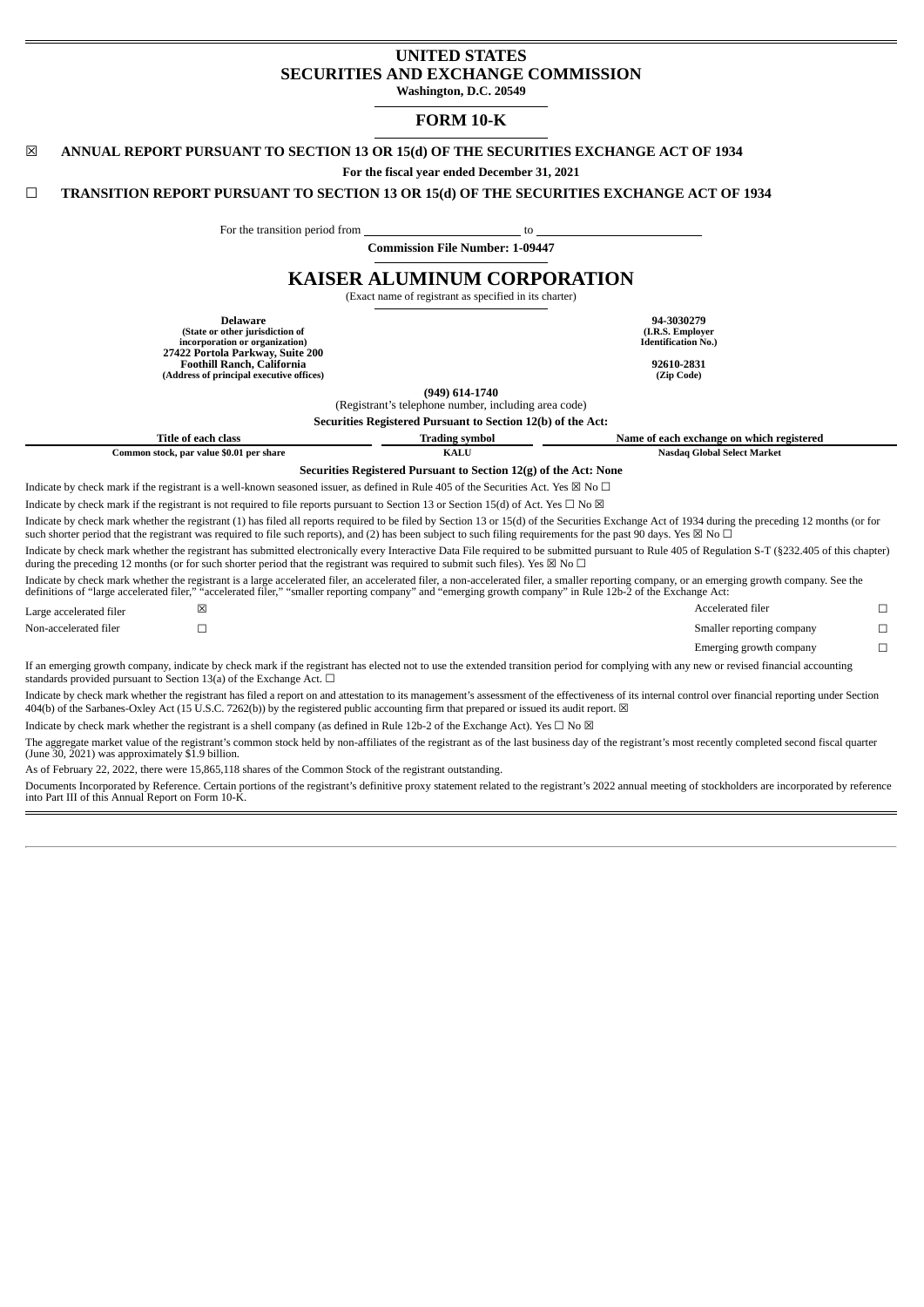# **UNITED STATES SECURITIES AND EXCHANGE COMMISSION**

**Washington, D.C. 20549**

# **FORM 10-K**

# ☒ **ANNUAL REPORT PURSUANT TO SECTION 13 OR 15(d) OF THE SECURITIES EXCHANGE ACT OF 1934**

**For the fiscal year ended December 31, 2021**

# ☐ **TRANSITION REPORT PURSUANT TO SECTION 13 OR 15(d) OF THE SECURITIES EXCHANGE ACT OF 1934**

For the transition period from \_\_\_\_\_\_\_\_\_\_\_\_\_\_\_\_\_\_\_\_\_\_\_\_\_\_\_\_\_\_\_\_ to

**Commission File Number: 1-09447**

# **KAISER ALUMINUM CORPORATION**

(Exact name of registrant as specified in its charter)

**(I.R.S. Employer Identification No.)**

**Delaware 94-3030279 (State or other jurisdiction of incorporation or organization) 27422 Portola Parkway, Suite 200 Foothill Ranch, California 92610-2831 (Address of principal executive offices) (Zip Code)**

**(949) 614-1740**

(Registrant's telephone number, including area code)

|                         |                                                                          | Securities Registered Pursuant to Section 12(b) of the Act:                                                                                                                      |                                                                                                                                                                                                        |   |
|-------------------------|--------------------------------------------------------------------------|----------------------------------------------------------------------------------------------------------------------------------------------------------------------------------|--------------------------------------------------------------------------------------------------------------------------------------------------------------------------------------------------------|---|
|                         | Title of each class                                                      | <b>Trading symbol</b>                                                                                                                                                            | Name of each exchange on which registered                                                                                                                                                              |   |
|                         | Common stock, par value \$0.01 per share                                 | <b>KALU</b>                                                                                                                                                                      | Nasdaq Global Select Market                                                                                                                                                                            |   |
|                         |                                                                          | Securities Registered Pursuant to Section 12(g) of the Act: None                                                                                                                 |                                                                                                                                                                                                        |   |
|                         |                                                                          | Indicate by check mark if the registrant is a well-known seasoned issuer, as defined in Rule 405 of the Securities Act. Yes $\boxtimes$ No $\Box$                                |                                                                                                                                                                                                        |   |
|                         |                                                                          | Indicate by check mark if the registrant is not required to file reports pursuant to Section 13 or Section 15(d) of Act. Yes $\Box$ No $\boxtimes$                               |                                                                                                                                                                                                        |   |
|                         |                                                                          | such shorter period that the registrant was required to file such reports), and (2) has been subject to such filing requirements for the past 90 days. Yes $\boxtimes$ No $\Box$ | Indicate by check mark whether the registrant (1) has filed all reports required to be filed by Section 13 or 15(d) of the Securities Exchange Act of 1934 during the preceding 12 months (or for      |   |
|                         |                                                                          | during the preceding 12 months (or for such shorter period that the registrant was required to submit such files). Yes $\boxtimes$ No $\Box$                                     | Indicate by check mark whether the registrant has submitted electronically every Interactive Data File required to be submitted pursuant to Rule 405 of Regulation S-T (§232.405 of this chapter)      |   |
|                         |                                                                          | definitions of "large accelerated filer," "accelerated filer," "smaller reporting company" and "emerging growth company" in Rule 12b-2 of the Exchange Act:                      | Indicate by check mark whether the registrant is a large accelerated filer, an accelerated filer, a non-accelerated filer, a smaller reporting company, or an emerging growth company. See the         |   |
| Large accelerated filer | ×                                                                        |                                                                                                                                                                                  | Accelerated filer                                                                                                                                                                                      | □ |
| Non-accelerated filer   |                                                                          |                                                                                                                                                                                  | Smaller reporting company                                                                                                                                                                              |   |
|                         |                                                                          |                                                                                                                                                                                  | Emerging growth company                                                                                                                                                                                | п |
|                         | standards provided pursuant to Section 13(a) of the Exchange Act. $\Box$ |                                                                                                                                                                                  | If an emerging growth company, indicate by check mark if the registrant has elected not to use the extended transition period for complying with any new or revised financial accounting               |   |
|                         |                                                                          | 404(b) of the Sarbanes-Oxley Act (15 U.S.C. 7262(b)) by the registered public accounting firm that prepared or issued its audit report. ⊠                                        | Indicate by check mark whether the registrant has filed a report on and attestation to its management's assessment of the effectiveness of its internal control over financial reporting under Section |   |
|                         |                                                                          | Indicate by check mark whether the registrant is a shell company (as defined in Rule 12b-2 of the Exchange Act). Yes $\Box$ No $\boxtimes$                                       |                                                                                                                                                                                                        |   |

The aggregate market value of the registrant's common stock held by non-affiliates of the registrant as of the last business day of the registrant's most recently completed second fiscal quarter<br>(June 30, 2021) was approxi

As of February 22, 2022, there were 15,865,118 shares of the Common Stock of the registrant outstanding.

Documents Incorporated by Reference. Certain portions of the registrant's definitive proxy statement related to the registrant's 2022 annual meeting of stockholders are incorporated by reference<br>into Part III of this Annua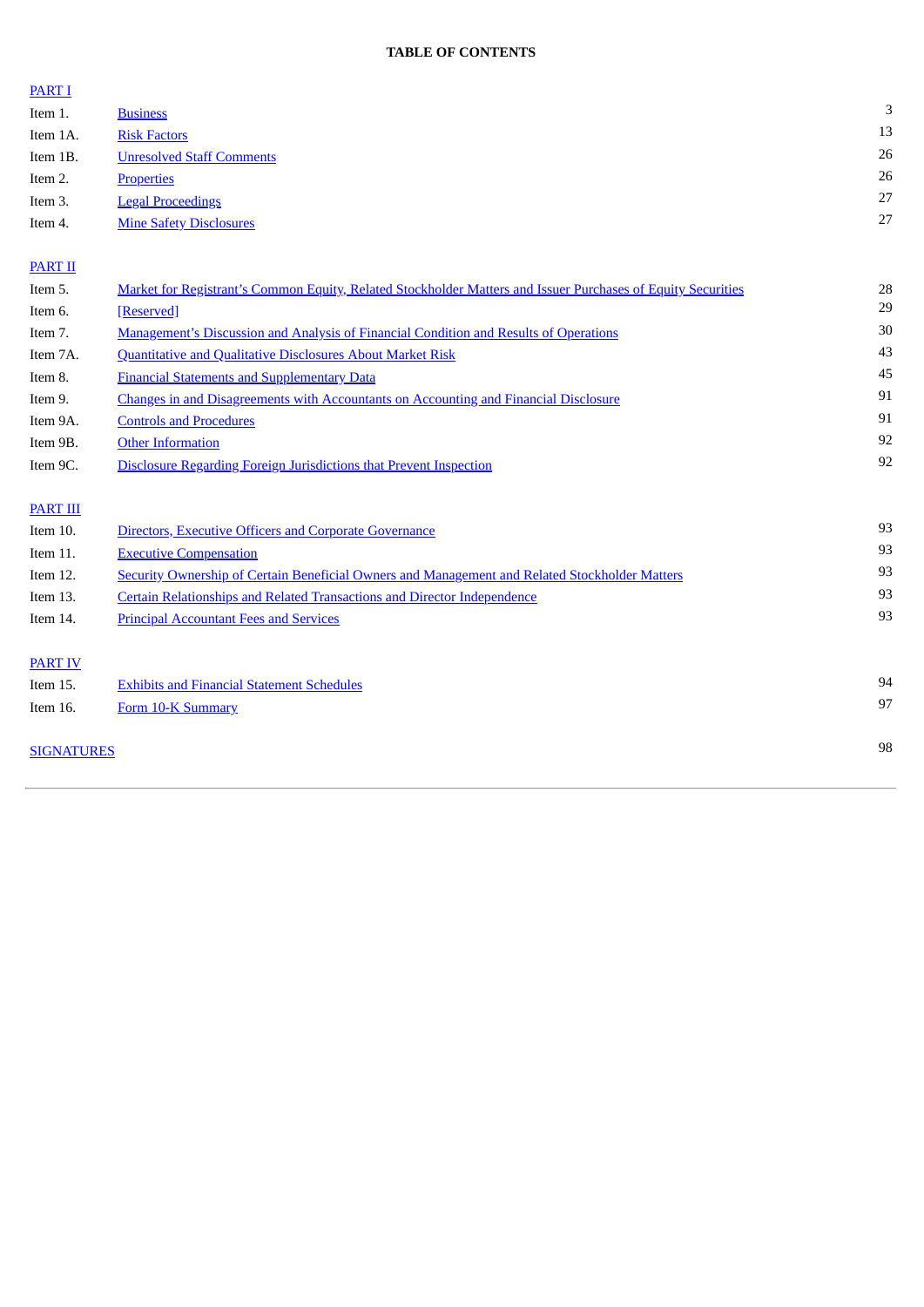# **TABLE OF CONTENTS**

# [PART](#page-2-0) I Item 1. [Business](#page-2-1) 3 Item 1A. and <u>Risk [Factors](#page-12-0)</u> 2013 Item 1B. [Unresolved](#page-25-0) Staff Comments 26 Item 2. [Properties](#page-25-1) 26 Item 3. Legal [Proceedings](#page-26-0) 27 Item 4. Mine Safety [Disclosures](#page-26-1) 27

# [PART](#page-27-0) II

| Item 5.           | <b>Market for Registrant's Common Equity, Related Stockholder Matters and Issuer Purchases of Equity Securities</b> | 28 |
|-------------------|---------------------------------------------------------------------------------------------------------------------|----|
| Item 6.           | [Reserved]                                                                                                          | 29 |
| Item 7.           | <b>Management's Discussion and Analysis of Financial Condition and Results of Operations</b>                        | 30 |
| Item 7A.          | <b>Quantitative and Qualitative Disclosures About Market Risk</b>                                                   | 43 |
| Item 8.           | <b>Financial Statements and Supplementary Data</b>                                                                  | 45 |
| Item 9.           | <b>Changes in and Disagreements with Accountants on Accounting and Financial Disclosure</b>                         | 91 |
| Item 9A.          | <b>Controls and Procedures</b>                                                                                      | 91 |
| Item 9B.          | <b>Other Information</b>                                                                                            | 92 |
| Item 9C.          | Disclosure Regarding Foreign Jurisdictions that Prevent Inspection                                                  | 92 |
| <b>PART III</b>   |                                                                                                                     |    |
| Item 10.          | Directors, Executive Officers and Corporate Governance                                                              | 93 |
| Item 11.          | <b>Executive Compensation</b>                                                                                       | 93 |
| Item 12.          | <b>Security Ownership of Certain Beneficial Owners and Management and Related Stockholder Matters</b>               | 93 |
| Item 13.          | <b>Certain Relationships and Related Transactions and Director Independence</b>                                     | 93 |
| Item 14.          | <b>Principal Accountant Fees and Services</b>                                                                       | 93 |
| <b>PART IV</b>    |                                                                                                                     |    |
| Item 15.          | <b>Exhibits and Financial Statement Schedules</b>                                                                   | 94 |
| Item 16.          | Form 10-K Summary                                                                                                   | 97 |
| <b>SIGNATURES</b> |                                                                                                                     | 98 |
|                   |                                                                                                                     |    |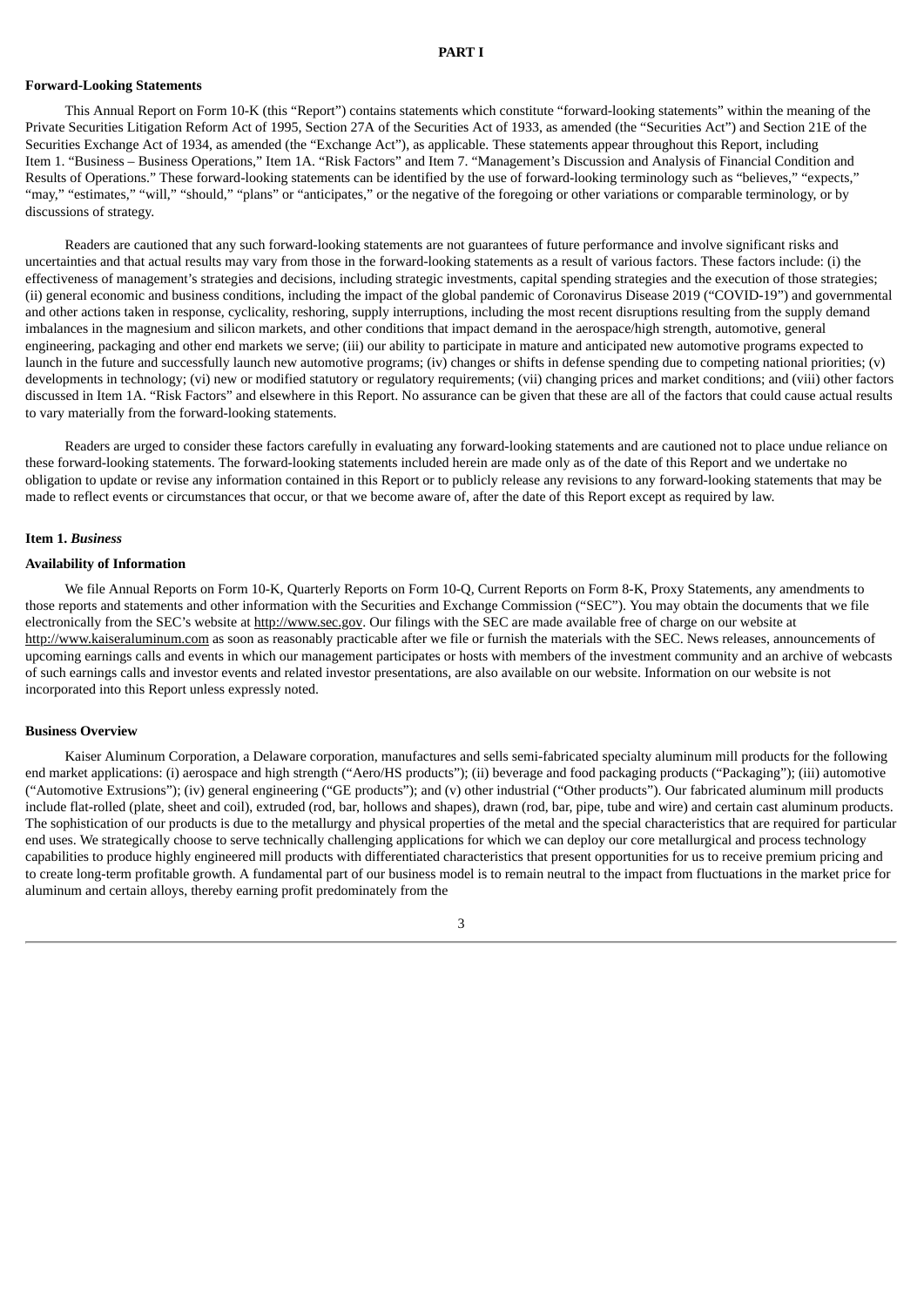#### **PART I**

#### <span id="page-2-0"></span>**Forward-Looking Statements**

This Annual Report on Form 10-K (this "Report") contains statements which constitute "forward-looking statements" within the meaning of the Private Securities Litigation Reform Act of 1995, Section 27A of the Securities Act of 1933, as amended (the "Securities Act") and Section 21E of the Securities Exchange Act of 1934, as amended (the "Exchange Act"), as applicable. These statements appear throughout this Report, including Item 1. "Business – Business Operations," Item 1A. "Risk Factors" and Item 7. "Management's Discussion and Analysis of Financial Condition and Results of Operations." These forward-looking statements can be identified by the use of forward-looking terminology such as "believes," "expects," "may," "estimates," "will," "should," "plans" or "anticipates," or the negative of the foregoing or other variations or comparable terminology, or by discussions of strategy.

Readers are cautioned that any such forward-looking statements are not guarantees of future performance and involve significant risks and uncertainties and that actual results may vary from those in the forward-looking statements as a result of various factors. These factors include: (i) the effectiveness of management's strategies and decisions, including strategic investments, capital spending strategies and the execution of those strategies; (ii) general economic and business conditions, including the impact of the global pandemic of Coronavirus Disease 2019 ("COVID-19") and governmental and other actions taken in response, cyclicality, reshoring, supply interruptions, including the most recent disruptions resulting from the supply demand imbalances in the magnesium and silicon markets, and other conditions that impact demand in the aerospace/high strength, automotive, general engineering, packaging and other end markets we serve; (iii) our ability to participate in mature and anticipated new automotive programs expected to launch in the future and successfully launch new automotive programs; (iv) changes or shifts in defense spending due to competing national priorities; (v) developments in technology; (vi) new or modified statutory or regulatory requirements; (vii) changing prices and market conditions; and (viii) other factors discussed in Item 1A. "Risk Factors" and elsewhere in this Report. No assurance can be given that these are all of the factors that could cause actual results to vary materially from the forward-looking statements.

Readers are urged to consider these factors carefully in evaluating any forward-looking statements and are cautioned not to place undue reliance on these forward-looking statements. The forward-looking statements included herein are made only as of the date of this Report and we undertake no obligation to update or revise any information contained in this Report or to publicly release any revisions to any forward-looking statements that may be made to reflect events or circumstances that occur, or that we become aware of, after the date of this Report except as required by law.

### <span id="page-2-1"></span>**Item 1.** *Business*

# **Availability of Information**

We file Annual Reports on Form 10-K, Quarterly Reports on Form 10-Q, Current Reports on Form 8-K, Proxy Statements, any amendments to those reports and statements and other information with the Securities and Exchange Commission ("SEC"). You may obtain the documents that we file electronically from the SEC's website at http://www.sec.gov. Our filings with the SEC are made available free of charge on our website at http://www.kaiseraluminum.com as soon as reasonably practicable after we file or furnish the materials with the SEC. News releases, announcements of upcoming earnings calls and events in which our management participates or hosts with members of the investment community and an archive of webcasts of such earnings calls and investor events and related investor presentations, are also available on our website. Information on our website is not incorporated into this Report unless expressly noted.

#### **Business Overview**

Kaiser Aluminum Corporation, a Delaware corporation, manufactures and sells semi-fabricated specialty aluminum mill products for the following end market applications: (i) aerospace and high strength ("Aero/HS products"); (ii) beverage and food packaging products ("Packaging"); (iii) automotive ("Automotive Extrusions"); (iv) general engineering ("GE products"); and (v) other industrial ("Other products"). Our fabricated aluminum mill products include flat-rolled (plate, sheet and coil), extruded (rod, bar, hollows and shapes), drawn (rod, bar, pipe, tube and wire) and certain cast aluminum products. The sophistication of our products is due to the metallurgy and physical properties of the metal and the special characteristics that are required for particular end uses. We strategically choose to serve technically challenging applications for which we can deploy our core metallurgical and process technology capabilities to produce highly engineered mill products with differentiated characteristics that present opportunities for us to receive premium pricing and to create long-term profitable growth. A fundamental part of our business model is to remain neutral to the impact from fluctuations in the market price for aluminum and certain alloys, thereby earning profit predominately from the

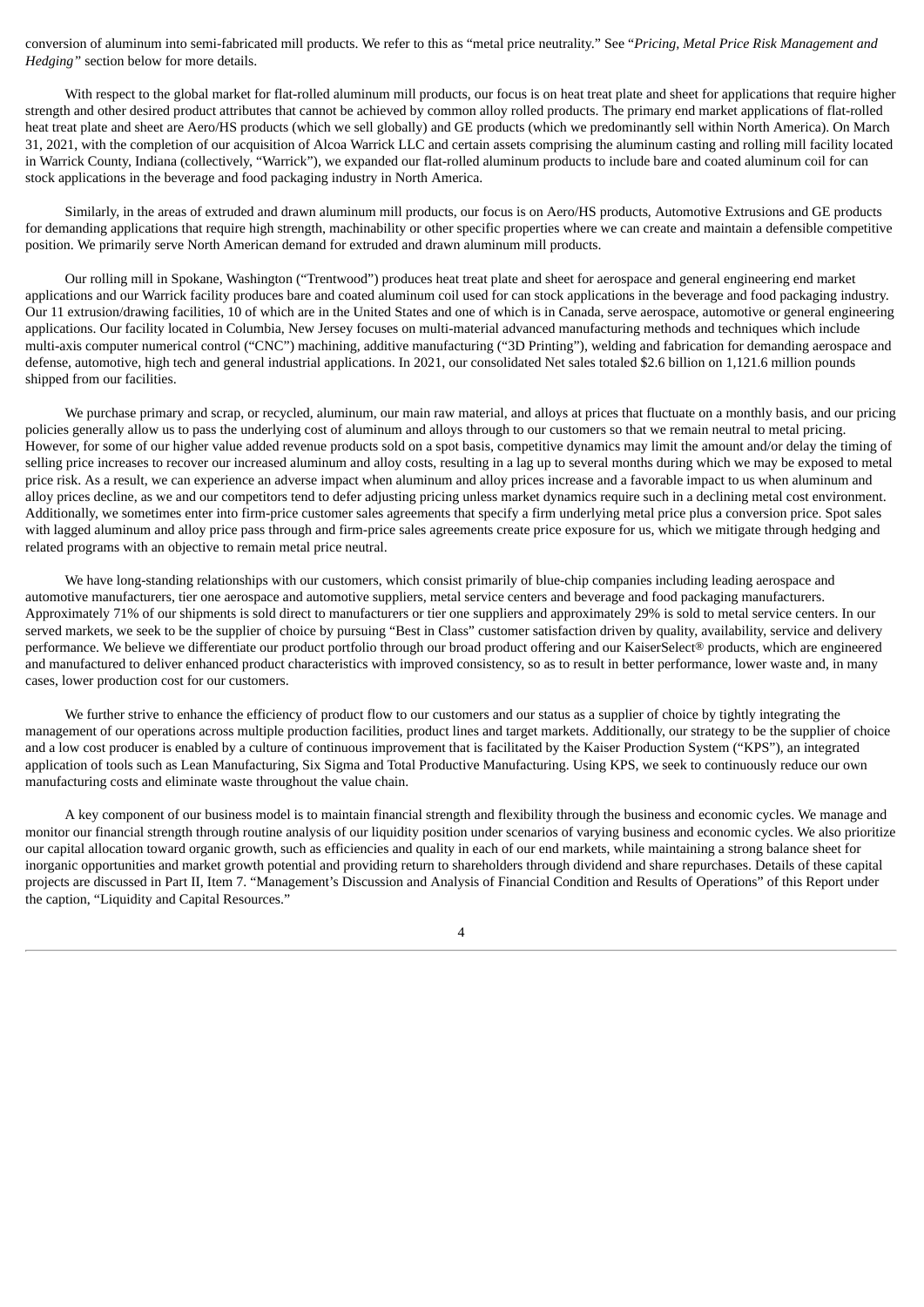conversion of aluminum into semi-fabricated mill products. We refer to this as "metal price neutrality." See "*Pricing, Metal Price Risk Management and Hedging"* section below for more details.

With respect to the global market for flat-rolled aluminum mill products, our focus is on heat treat plate and sheet for applications that require higher strength and other desired product attributes that cannot be achieved by common alloy rolled products. The primary end market applications of flat-rolled heat treat plate and sheet are Aero/HS products (which we sell globally) and GE products (which we predominantly sell within North America). On March 31, 2021, with the completion of our acquisition of Alcoa Warrick LLC and certain assets comprising the aluminum casting and rolling mill facility located in Warrick County, Indiana (collectively, "Warrick"), we expanded our flat-rolled aluminum products to include bare and coated aluminum coil for can stock applications in the beverage and food packaging industry in North America.

Similarly, in the areas of extruded and drawn aluminum mill products, our focus is on Aero/HS products, Automotive Extrusions and GE products for demanding applications that require high strength, machinability or other specific properties where we can create and maintain a defensible competitive position. We primarily serve North American demand for extruded and drawn aluminum mill products.

Our rolling mill in Spokane, Washington ("Trentwood") produces heat treat plate and sheet for aerospace and general engineering end market applications and our Warrick facility produces bare and coated aluminum coil used for can stock applications in the beverage and food packaging industry. Our 11 extrusion/drawing facilities, 10 of which are in the United States and one of which is in Canada, serve aerospace, automotive or general engineering applications. Our facility located in Columbia, New Jersey focuses on multi-material advanced manufacturing methods and techniques which include multi-axis computer numerical control ("CNC") machining, additive manufacturing ("3D Printing"), welding and fabrication for demanding aerospace and defense, automotive, high tech and general industrial applications. In 2021, our consolidated Net sales totaled \$2.6 billion on 1,121.6 million pounds shipped from our facilities.

We purchase primary and scrap, or recycled, aluminum, our main raw material, and alloys at prices that fluctuate on a monthly basis, and our pricing policies generally allow us to pass the underlying cost of aluminum and alloys through to our customers so that we remain neutral to metal pricing. However, for some of our higher value added revenue products sold on a spot basis, competitive dynamics may limit the amount and/or delay the timing of selling price increases to recover our increased aluminum and alloy costs, resulting in a lag up to several months during which we may be exposed to metal price risk. As a result, we can experience an adverse impact when aluminum and alloy prices increase and a favorable impact to us when aluminum and alloy prices decline, as we and our competitors tend to defer adjusting pricing unless market dynamics require such in a declining metal cost environment. Additionally, we sometimes enter into firm-price customer sales agreements that specify a firm underlying metal price plus a conversion price. Spot sales with lagged aluminum and alloy price pass through and firm-price sales agreements create price exposure for us, which we mitigate through hedging and related programs with an objective to remain metal price neutral.

We have long-standing relationships with our customers, which consist primarily of blue-chip companies including leading aerospace and automotive manufacturers, tier one aerospace and automotive suppliers, metal service centers and beverage and food packaging manufacturers. Approximately 71% of our shipments is sold direct to manufacturers or tier one suppliers and approximately 29% is sold to metal service centers. In our served markets, we seek to be the supplier of choice by pursuing "Best in Class" customer satisfaction driven by quality, availability, service and delivery performance. We believe we differentiate our product portfolio through our broad product offering and our KaiserSelect® products, which are engineered and manufactured to deliver enhanced product characteristics with improved consistency, so as to result in better performance, lower waste and, in many cases, lower production cost for our customers.

We further strive to enhance the efficiency of product flow to our customers and our status as a supplier of choice by tightly integrating the management of our operations across multiple production facilities, product lines and target markets. Additionally, our strategy to be the supplier of choice and a low cost producer is enabled by a culture of continuous improvement that is facilitated by the Kaiser Production System ("KPS"), an integrated application of tools such as Lean Manufacturing, Six Sigma and Total Productive Manufacturing. Using KPS, we seek to continuously reduce our own manufacturing costs and eliminate waste throughout the value chain.

A key component of our business model is to maintain financial strength and flexibility through the business and economic cycles. We manage and monitor our financial strength through routine analysis of our liquidity position under scenarios of varying business and economic cycles. We also prioritize our capital allocation toward organic growth, such as efficiencies and quality in each of our end markets, while maintaining a strong balance sheet for inorganic opportunities and market growth potential and providing return to shareholders through dividend and share repurchases. Details of these capital projects are discussed in Part II, Item 7. "Management's Discussion and Analysis of Financial Condition and Results of Operations" of this Report under the caption, "Liquidity and Capital Resources."

4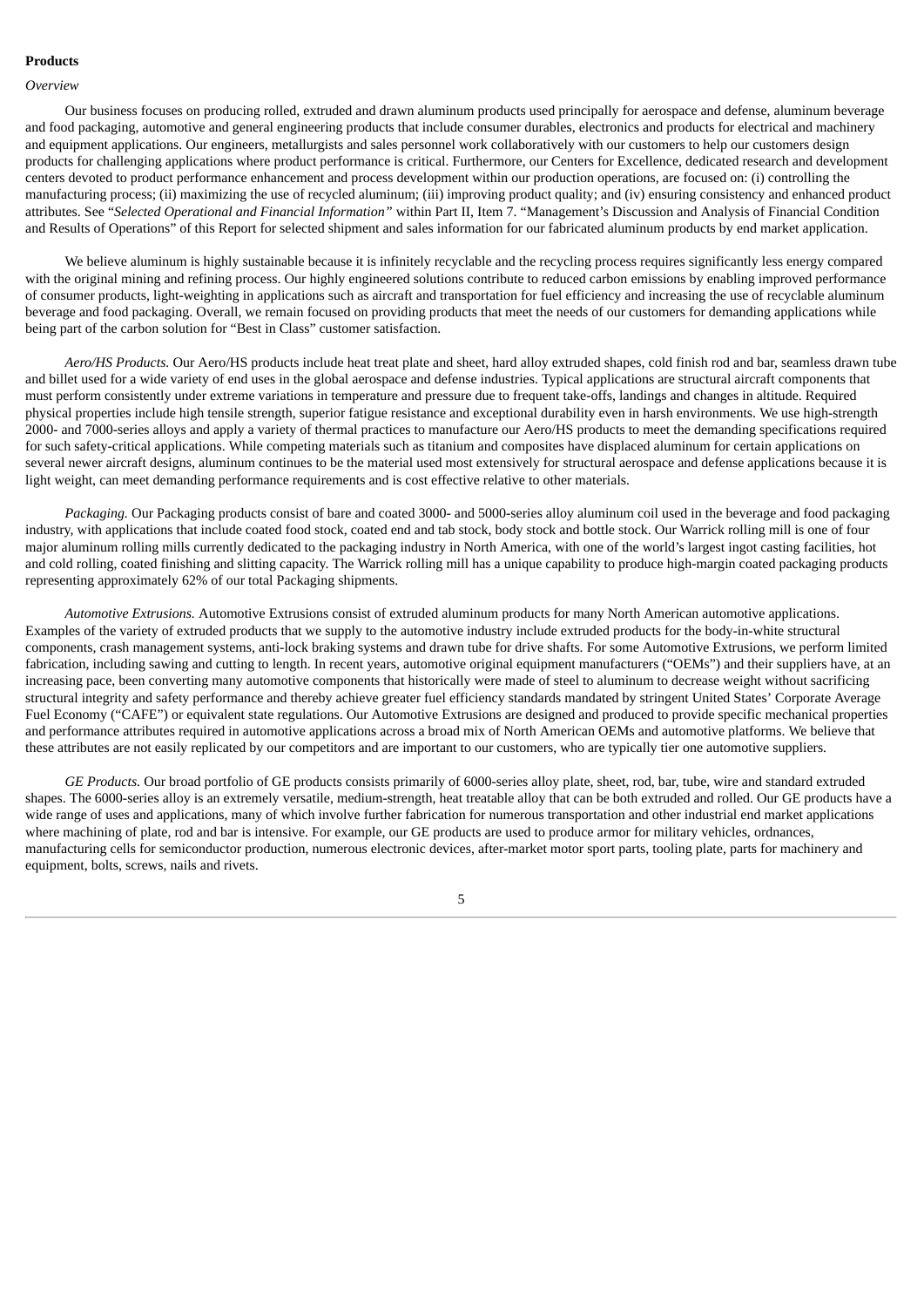# **Products**

#### *Overview*

Our business focuses on producing rolled, extruded and drawn aluminum products used principally for aerospace and defense, aluminum beverage and food packaging, automotive and general engineering products that include consumer durables, electronics and products for electrical and machinery and equipment applications. Our engineers, metallurgists and sales personnel work collaboratively with our customers to help our customers design products for challenging applications where product performance is critical. Furthermore, our Centers for Excellence, dedicated research and development centers devoted to product performance enhancement and process development within our production operations, are focused on: (i) controlling the manufacturing process; (ii) maximizing the use of recycled aluminum; (iii) improving product quality; and (iv) ensuring consistency and enhanced product attributes. See "*Selected Operational and Financial Information"* within Part II, Item 7. "Management's Discussion and Analysis of Financial Condition and Results of Operations" of this Report for selected shipment and sales information for our fabricated aluminum products by end market application.

We believe aluminum is highly sustainable because it is infinitely recyclable and the recycling process requires significantly less energy compared with the original mining and refining process. Our highly engineered solutions contribute to reduced carbon emissions by enabling improved performance of consumer products, light‑weighting in applications such as aircraft and transportation for fuel efficiency and increasing the use of recyclable aluminum beverage and food packaging. Overall, we remain focused on providing products that meet the needs of our customers for demanding applications while being part of the carbon solution for "Best in Class" customer satisfaction.

*Aero/HS Products.* Our Aero/HS products include heat treat plate and sheet, hard alloy extruded shapes, cold finish rod and bar, seamless drawn tube and billet used for a wide variety of end uses in the global aerospace and defense industries. Typical applications are structural aircraft components that must perform consistently under extreme variations in temperature and pressure due to frequent take-offs, landings and changes in altitude. Required physical properties include high tensile strength, superior fatigue resistance and exceptional durability even in harsh environments. We use high-strength 2000- and 7000-series alloys and apply a variety of thermal practices to manufacture our Aero/HS products to meet the demanding specifications required for such safety-critical applications. While competing materials such as titanium and composites have displaced aluminum for certain applications on several newer aircraft designs, aluminum continues to be the material used most extensively for structural aerospace and defense applications because it is light weight, can meet demanding performance requirements and is cost effective relative to other materials.

*Packaging.* Our Packaging products consist of bare and coated 3000- and 5000-series alloy aluminum coil used in the beverage and food packaging industry, with applications that include coated food stock, coated end and tab stock, body stock and bottle stock. Our Warrick rolling mill is one of four major aluminum rolling mills currently dedicated to the packaging industry in North America, with one of the world's largest ingot casting facilities, hot and cold rolling, coated finishing and slitting capacity. The Warrick rolling mill has a unique capability to produce high-margin coated packaging products representing approximately 62% of our total Packaging shipments.

*Automotive Extrusions.* Automotive Extrusions consist of extruded aluminum products for many North American automotive applications. Examples of the variety of extruded products that we supply to the automotive industry include extruded products for the body-in-white structural components, crash management systems, anti-lock braking systems and drawn tube for drive shafts. For some Automotive Extrusions, we perform limited fabrication, including sawing and cutting to length. In recent years, automotive original equipment manufacturers ("OEMs") and their suppliers have, at an increasing pace, been converting many automotive components that historically were made of steel to aluminum to decrease weight without sacrificing structural integrity and safety performance and thereby achieve greater fuel efficiency standards mandated by stringent United States' Corporate Average Fuel Economy ("CAFE") or equivalent state regulations. Our Automotive Extrusions are designed and produced to provide specific mechanical properties and performance attributes required in automotive applications across a broad mix of North American OEMs and automotive platforms. We believe that these attributes are not easily replicated by our competitors and are important to our customers, who are typically tier one automotive suppliers.

*GE Products.* Our broad portfolio of GE products consists primarily of 6000-series alloy plate, sheet, rod, bar, tube, wire and standard extruded shapes. The 6000-series alloy is an extremely versatile, medium-strength, heat treatable alloy that can be both extruded and rolled. Our GE products have a wide range of uses and applications, many of which involve further fabrication for numerous transportation and other industrial end market applications where machining of plate, rod and bar is intensive. For example, our GE products are used to produce armor for military vehicles, ordnances, manufacturing cells for semiconductor production, numerous electronic devices, after-market motor sport parts, tooling plate, parts for machinery and equipment, bolts, screws, nails and rivets.

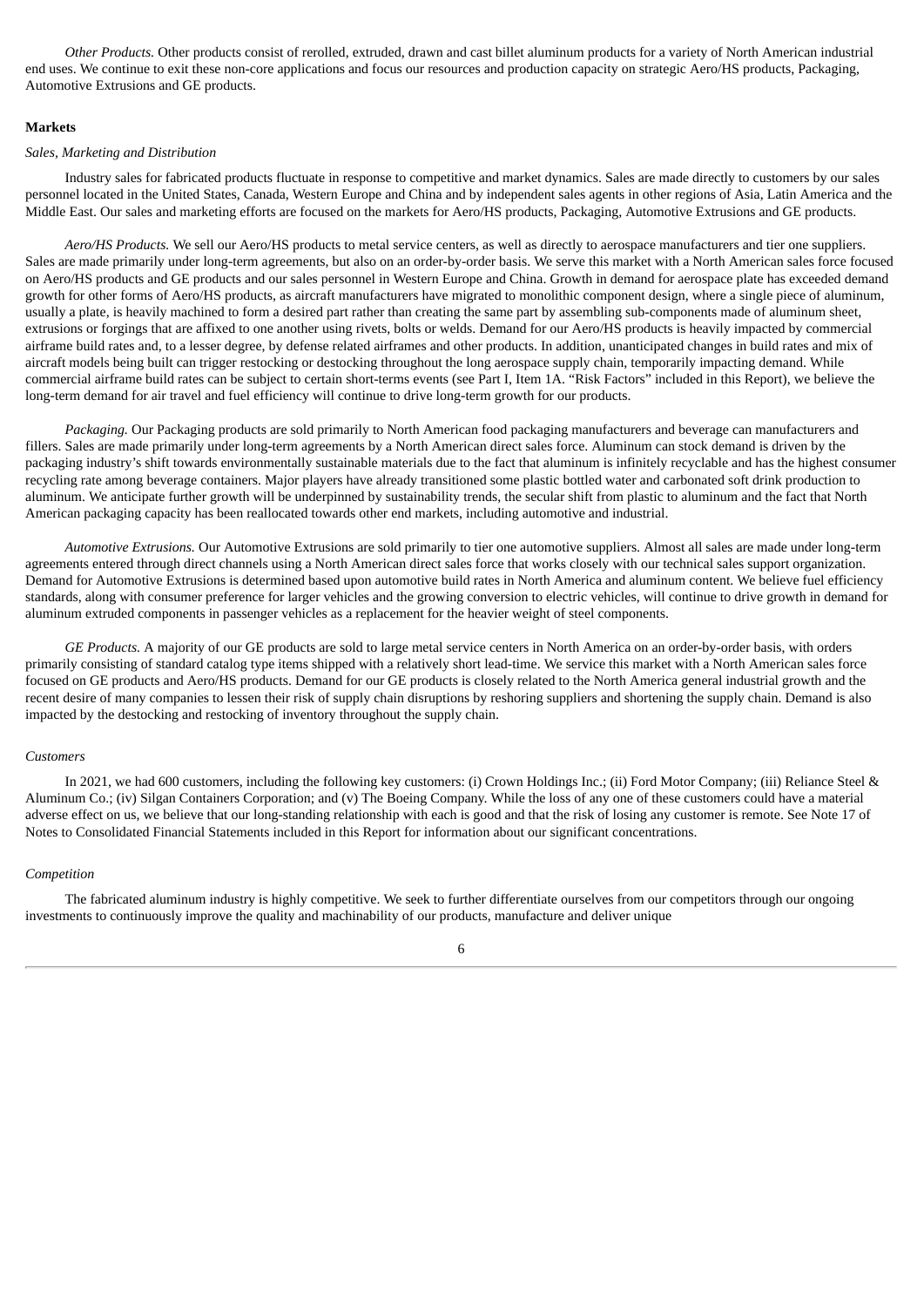*Other Products.* Other products consist of rerolled, extruded, drawn and cast billet aluminum products for a variety of North American industrial end uses. We continue to exit these non-core applications and focus our resources and production capacity on strategic Aero/HS products, Packaging, Automotive Extrusions and GE products.

### **Markets**

#### *Sales, Marketing and Distribution*

Industry sales for fabricated products fluctuate in response to competitive and market dynamics. Sales are made directly to customers by our sales personnel located in the United States, Canada, Western Europe and China and by independent sales agents in other regions of Asia, Latin America and the Middle East. Our sales and marketing efforts are focused on the markets for Aero/HS products, Packaging, Automotive Extrusions and GE products.

*Aero/HS Products.* We sell our Aero/HS products to metal service centers, as well as directly to aerospace manufacturers and tier one suppliers. Sales are made primarily under long-term agreements, but also on an order-by-order basis. We serve this market with a North American sales force focused on Aero/HS products and GE products and our sales personnel in Western Europe and China. Growth in demand for aerospace plate has exceeded demand growth for other forms of Aero/HS products, as aircraft manufacturers have migrated to monolithic component design, where a single piece of aluminum, usually a plate, is heavily machined to form a desired part rather than creating the same part by assembling sub-components made of aluminum sheet, extrusions or forgings that are affixed to one another using rivets, bolts or welds. Demand for our Aero/HS products is heavily impacted by commercial airframe build rates and, to a lesser degree, by defense related airframes and other products. In addition, unanticipated changes in build rates and mix of aircraft models being built can trigger restocking or destocking throughout the long aerospace supply chain, temporarily impacting demand. While commercial airframe build rates can be subject to certain short-terms events (see Part I, Item 1A. "Risk Factors" included in this Report), we believe the long-term demand for air travel and fuel efficiency will continue to drive long-term growth for our products.

*Packaging.* Our Packaging products are sold primarily to North American food packaging manufacturers and beverage can manufacturers and fillers. Sales are made primarily under long-term agreements by a North American direct sales force. Aluminum can stock demand is driven by the packaging industry's shift towards environmentally sustainable materials due to the fact that aluminum is infinitely recyclable and has the highest consumer recycling rate among beverage containers. Major players have already transitioned some plastic bottled water and carbonated soft drink production to aluminum. We anticipate further growth will be underpinned by sustainability trends, the secular shift from plastic to aluminum and the fact that North American packaging capacity has been reallocated towards other end markets, including automotive and industrial.

*Automotive Extrusions.* Our Automotive Extrusions are sold primarily to tier one automotive suppliers. Almost all sales are made under long-term agreements entered through direct channels using a North American direct sales force that works closely with our technical sales support organization. Demand for Automotive Extrusions is determined based upon automotive build rates in North America and aluminum content. We believe fuel efficiency standards, along with consumer preference for larger vehicles and the growing conversion to electric vehicles, will continue to drive growth in demand for aluminum extruded components in passenger vehicles as a replacement for the heavier weight of steel components.

*GE Products.* A majority of our GE products are sold to large metal service centers in North America on an order-by-order basis, with orders primarily consisting of standard catalog type items shipped with a relatively short lead-time. We service this market with a North American sales force focused on GE products and Aero/HS products. Demand for our GE products is closely related to the North America general industrial growth and the recent desire of many companies to lessen their risk of supply chain disruptions by reshoring suppliers and shortening the supply chain. Demand is also impacted by the destocking and restocking of inventory throughout the supply chain.

#### *Customers*

In 2021, we had 600 customers, including the following key customers: (i) Crown Holdings Inc.; (ii) Ford Motor Company; (iii) Reliance Steel & Aluminum Co.; (iv) Silgan Containers Corporation; and (v) The Boeing Company. While the loss of any one of these customers could have a material adverse effect on us, we believe that our long-standing relationship with each is good and that the risk of losing any customer is remote. See Note 17 of Notes to Consolidated Financial Statements included in this Report for information about our significant concentrations.

### *Competition*

The fabricated aluminum industry is highly competitive. We seek to further differentiate ourselves from our competitors through our ongoing investments to continuously improve the quality and machinability of our products, manufacture and deliver unique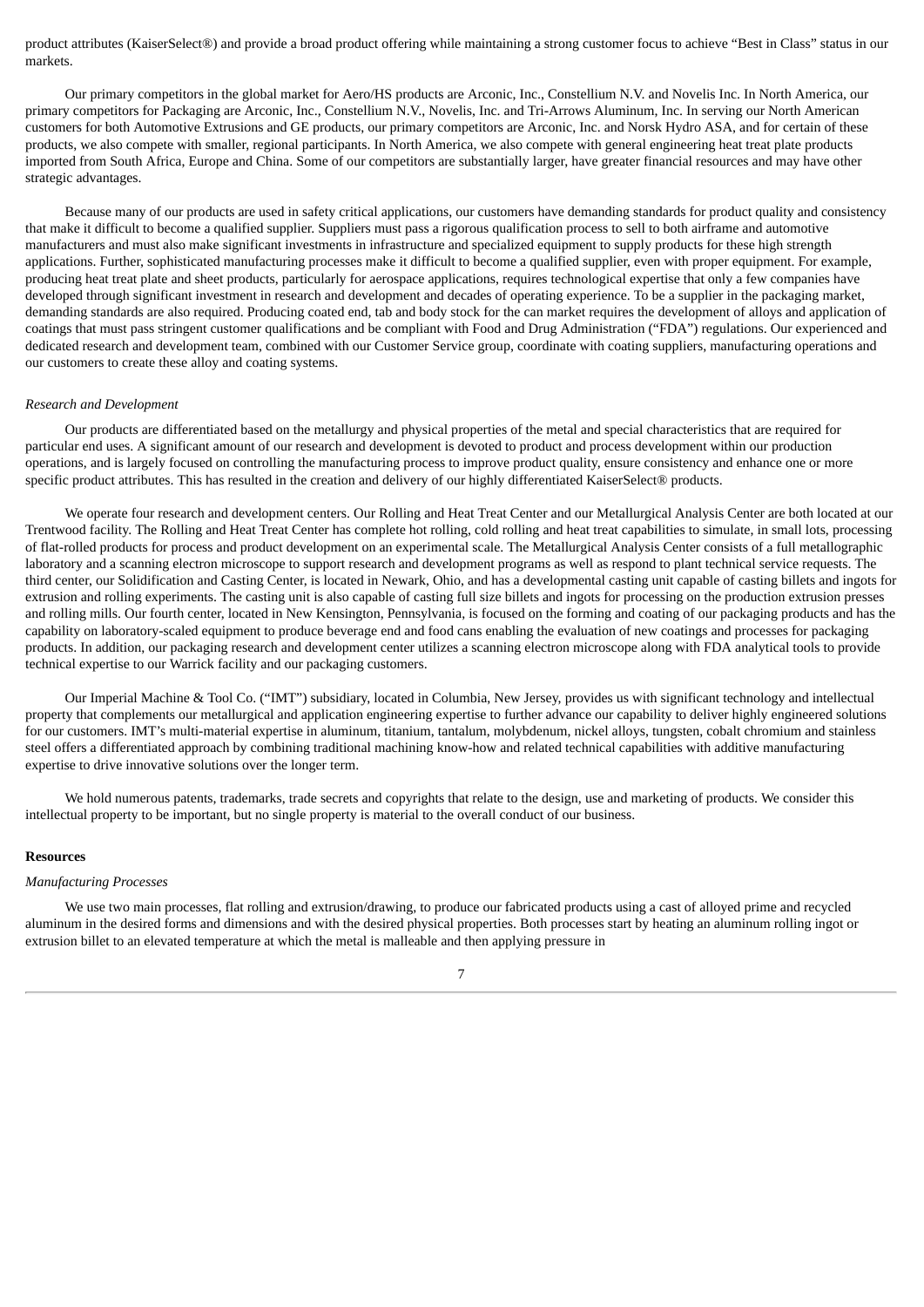product attributes (KaiserSelect®) and provide a broad product offering while maintaining a strong customer focus to achieve "Best in Class" status in our markets.

Our primary competitors in the global market for Aero/HS products are Arconic, Inc., Constellium N.V. and Novelis Inc. In North America, our primary competitors for Packaging are Arconic, Inc., Constellium N.V., Novelis, Inc. and Tri-Arrows Aluminum, Inc. In serving our North American customers for both Automotive Extrusions and GE products, our primary competitors are Arconic, Inc. and Norsk Hydro ASA, and for certain of these products, we also compete with smaller, regional participants. In North America, we also compete with general engineering heat treat plate products imported from South Africa, Europe and China. Some of our competitors are substantially larger, have greater financial resources and may have other strategic advantages.

Because many of our products are used in safety critical applications, our customers have demanding standards for product quality and consistency that make it difficult to become a qualified supplier. Suppliers must pass a rigorous qualification process to sell to both airframe and automotive manufacturers and must also make significant investments in infrastructure and specialized equipment to supply products for these high strength applications. Further, sophisticated manufacturing processes make it difficult to become a qualified supplier, even with proper equipment. For example, producing heat treat plate and sheet products, particularly for aerospace applications, requires technological expertise that only a few companies have developed through significant investment in research and development and decades of operating experience. To be a supplier in the packaging market, demanding standards are also required. Producing coated end, tab and body stock for the can market requires the development of alloys and application of coatings that must pass stringent customer qualifications and be compliant with Food and Drug Administration ("FDA") regulations. Our experienced and dedicated research and development team, combined with our Customer Service group, coordinate with coating suppliers, manufacturing operations and our customers to create these alloy and coating systems.

#### *Research and Development*

Our products are differentiated based on the metallurgy and physical properties of the metal and special characteristics that are required for particular end uses. A significant amount of our research and development is devoted to product and process development within our production operations, and is largely focused on controlling the manufacturing process to improve product quality, ensure consistency and enhance one or more specific product attributes. This has resulted in the creation and delivery of our highly differentiated KaiserSelect® products.

We operate four research and development centers. Our Rolling and Heat Treat Center and our Metallurgical Analysis Center are both located at our Trentwood facility. The Rolling and Heat Treat Center has complete hot rolling, cold rolling and heat treat capabilities to simulate, in small lots, processing of flat-rolled products for process and product development on an experimental scale. The Metallurgical Analysis Center consists of a full metallographic laboratory and a scanning electron microscope to support research and development programs as well as respond to plant technical service requests. The third center, our Solidification and Casting Center, is located in Newark, Ohio, and has a developmental casting unit capable of casting billets and ingots for extrusion and rolling experiments. The casting unit is also capable of casting full size billets and ingots for processing on the production extrusion presses and rolling mills. Our fourth center, located in New Kensington, Pennsylvania, is focused on the forming and coating of our packaging products and has the capability on laboratory-scaled equipment to produce beverage end and food cans enabling the evaluation of new coatings and processes for packaging products. In addition, our packaging research and development center utilizes a scanning electron microscope along with FDA analytical tools to provide technical expertise to our Warrick facility and our packaging customers.

Our Imperial Machine & Tool Co. ("IMT") subsidiary, located in Columbia, New Jersey, provides us with significant technology and intellectual property that complements our metallurgical and application engineering expertise to further advance our capability to deliver highly engineered solutions for our customers. IMT's multi-material expertise in aluminum, titanium, tantalum, molybdenum, nickel alloys, tungsten, cobalt chromium and stainless steel offers a differentiated approach by combining traditional machining know-how and related technical capabilities with additive manufacturing expertise to drive innovative solutions over the longer term.

We hold numerous patents, trademarks, trade secrets and copyrights that relate to the design, use and marketing of products. We consider this intellectual property to be important, but no single property is material to the overall conduct of our business.

#### **Resources**

#### *Manufacturing Processes*

We use two main processes, flat rolling and extrusion/drawing, to produce our fabricated products using a cast of alloyed prime and recycled aluminum in the desired forms and dimensions and with the desired physical properties. Both processes start by heating an aluminum rolling ingot or extrusion billet to an elevated temperature at which the metal is malleable and then applying pressure in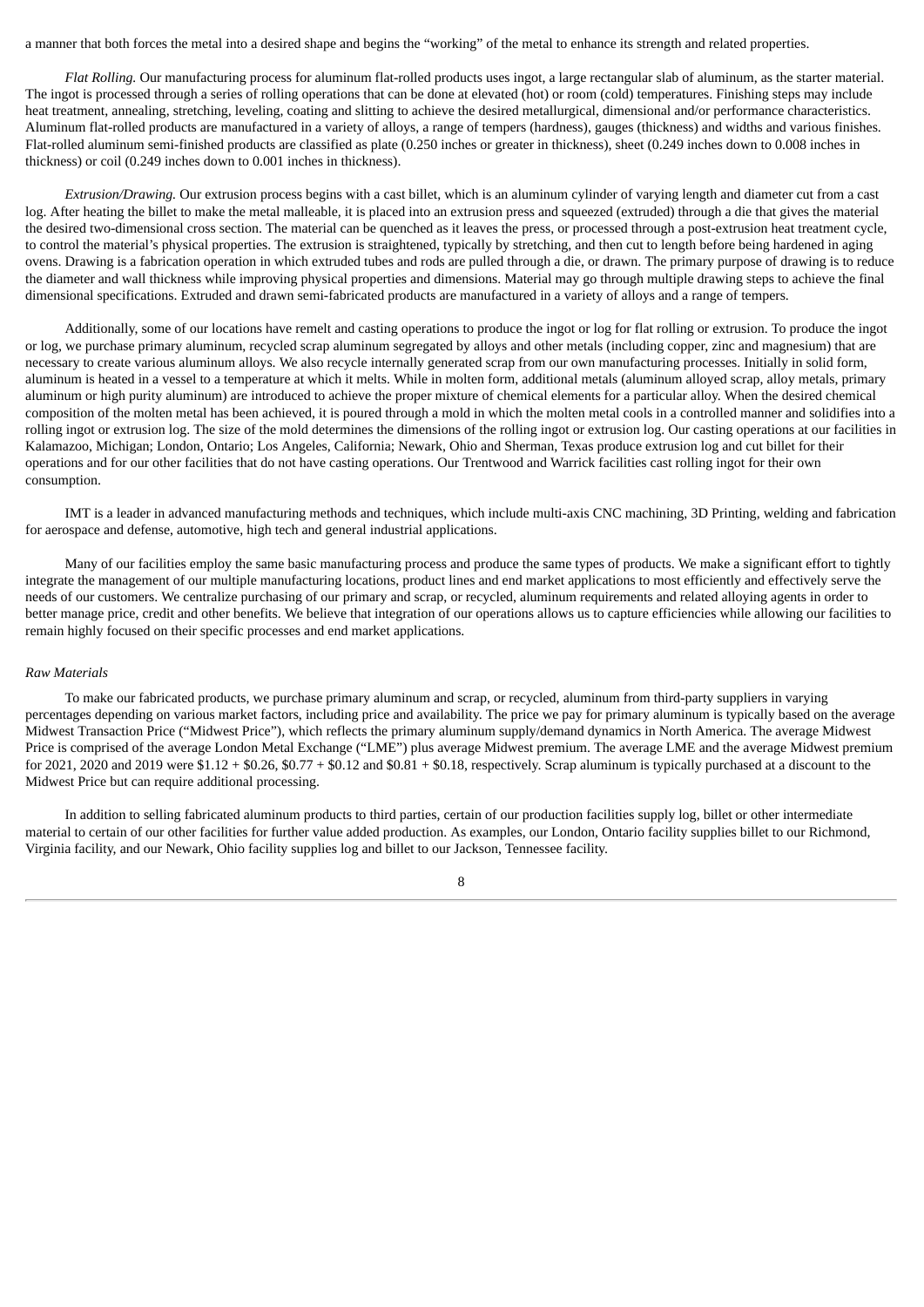a manner that both forces the metal into a desired shape and begins the "working" of the metal to enhance its strength and related properties.

*Flat Rolling.* Our manufacturing process for aluminum flat-rolled products uses ingot, a large rectangular slab of aluminum, as the starter material. The ingot is processed through a series of rolling operations that can be done at elevated (hot) or room (cold) temperatures. Finishing steps may include heat treatment, annealing, stretching, leveling, coating and slitting to achieve the desired metallurgical, dimensional and/or performance characteristics. Aluminum flat-rolled products are manufactured in a variety of alloys, a range of tempers (hardness), gauges (thickness) and widths and various finishes. Flat-rolled aluminum semi-finished products are classified as plate (0.250 inches or greater in thickness), sheet (0.249 inches down to 0.008 inches in thickness) or coil (0.249 inches down to 0.001 inches in thickness).

*Extrusion/Drawing.* Our extrusion process begins with a cast billet, which is an aluminum cylinder of varying length and diameter cut from a cast log. After heating the billet to make the metal malleable, it is placed into an extrusion press and squeezed (extruded) through a die that gives the material the desired two-dimensional cross section. The material can be quenched as it leaves the press, or processed through a post-extrusion heat treatment cycle, to control the material's physical properties. The extrusion is straightened, typically by stretching, and then cut to length before being hardened in aging ovens. Drawing is a fabrication operation in which extruded tubes and rods are pulled through a die, or drawn. The primary purpose of drawing is to reduce the diameter and wall thickness while improving physical properties and dimensions. Material may go through multiple drawing steps to achieve the final dimensional specifications. Extruded and drawn semi-fabricated products are manufactured in a variety of alloys and a range of tempers.

Additionally, some of our locations have remelt and casting operations to produce the ingot or log for flat rolling or extrusion. To produce the ingot or log, we purchase primary aluminum, recycled scrap aluminum segregated by alloys and other metals (including copper, zinc and magnesium) that are necessary to create various aluminum alloys. We also recycle internally generated scrap from our own manufacturing processes. Initially in solid form, aluminum is heated in a vessel to a temperature at which it melts. While in molten form, additional metals (aluminum alloyed scrap, alloy metals, primary aluminum or high purity aluminum) are introduced to achieve the proper mixture of chemical elements for a particular alloy. When the desired chemical composition of the molten metal has been achieved, it is poured through a mold in which the molten metal cools in a controlled manner and solidifies into a rolling ingot or extrusion log. The size of the mold determines the dimensions of the rolling ingot or extrusion log. Our casting operations at our facilities in Kalamazoo, Michigan; London, Ontario; Los Angeles, California; Newark, Ohio and Sherman, Texas produce extrusion log and cut billet for their operations and for our other facilities that do not have casting operations. Our Trentwood and Warrick facilities cast rolling ingot for their own consumption.

IMT is a leader in advanced manufacturing methods and techniques, which include multi-axis CNC machining, 3D Printing, welding and fabrication for aerospace and defense, automotive, high tech and general industrial applications.

Many of our facilities employ the same basic manufacturing process and produce the same types of products. We make a significant effort to tightly integrate the management of our multiple manufacturing locations, product lines and end market applications to most efficiently and effectively serve the needs of our customers. We centralize purchasing of our primary and scrap, or recycled, aluminum requirements and related alloying agents in order to better manage price, credit and other benefits. We believe that integration of our operations allows us to capture efficiencies while allowing our facilities to remain highly focused on their specific processes and end market applications.

### *Raw Materials*

To make our fabricated products, we purchase primary aluminum and scrap, or recycled, aluminum from third-party suppliers in varying percentages depending on various market factors, including price and availability. The price we pay for primary aluminum is typically based on the average Midwest Transaction Price ("Midwest Price"), which reflects the primary aluminum supply/demand dynamics in North America. The average Midwest Price is comprised of the average London Metal Exchange ("LME") plus average Midwest premium. The average LME and the average Midwest premium for 2021, 2020 and 2019 were  $$1.12 + $0.26$ ,  $$0.77 + $0.12$  and  $$0.81 + $0.18$ , respectively. Scrap aluminum is typically purchased at a discount to the Midwest Price but can require additional processing.

In addition to selling fabricated aluminum products to third parties, certain of our production facilities supply log, billet or other intermediate material to certain of our other facilities for further value added production. As examples, our London, Ontario facility supplies billet to our Richmond, Virginia facility, and our Newark, Ohio facility supplies log and billet to our Jackson, Tennessee facility.

8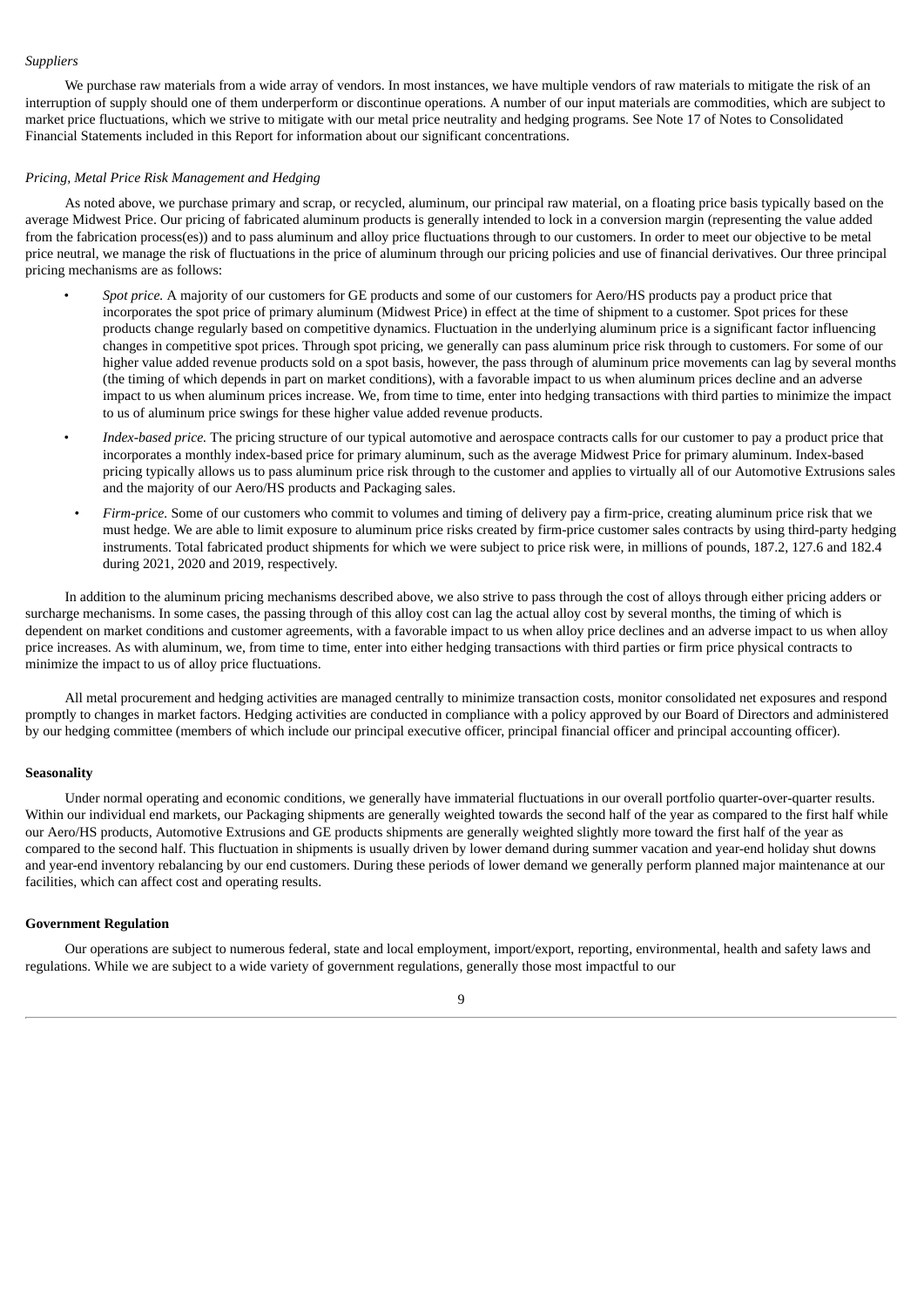### *Suppliers*

We purchase raw materials from a wide array of vendors. In most instances, we have multiple vendors of raw materials to mitigate the risk of an interruption of supply should one of them underperform or discontinue operations. A number of our input materials are commodities, which are subject to market price fluctuations, which we strive to mitigate with our metal price neutrality and hedging programs. See Note 17 of Notes to Consolidated Financial Statements included in this Report for information about our significant concentrations.

### *Pricing, Metal Price Risk Management and Hedging*

As noted above, we purchase primary and scrap, or recycled, aluminum, our principal raw material, on a floating price basis typically based on the average Midwest Price. Our pricing of fabricated aluminum products is generally intended to lock in a conversion margin (representing the value added from the fabrication process(es)) and to pass aluminum and alloy price fluctuations through to our customers. In order to meet our objective to be metal price neutral, we manage the risk of fluctuations in the price of aluminum through our pricing policies and use of financial derivatives. Our three principal pricing mechanisms are as follows:

- *Spot price.* A majority of our customers for GE products and some of our customers for Aero/HS products pay a product price that incorporates the spot price of primary aluminum (Midwest Price) in effect at the time of shipment to a customer. Spot prices for these products change regularly based on competitive dynamics. Fluctuation in the underlying aluminum price is a significant factor influencing changes in competitive spot prices. Through spot pricing, we generally can pass aluminum price risk through to customers. For some of our higher value added revenue products sold on a spot basis, however, the pass through of aluminum price movements can lag by several months (the timing of which depends in part on market conditions), with a favorable impact to us when aluminum prices decline and an adverse impact to us when aluminum prices increase. We, from time to time, enter into hedging transactions with third parties to minimize the impact to us of aluminum price swings for these higher value added revenue products.
- *Index-based price.* The pricing structure of our typical automotive and aerospace contracts calls for our customer to pay a product price that incorporates a monthly index-based price for primary aluminum, such as the average Midwest Price for primary aluminum. Index-based pricing typically allows us to pass aluminum price risk through to the customer and applies to virtually all of our Automotive Extrusions sales and the majority of our Aero/HS products and Packaging sales.
- *Firm-price.* Some of our customers who commit to volumes and timing of delivery pay a firm-price, creating aluminum price risk that we must hedge. We are able to limit exposure to aluminum price risks created by firm-price customer sales contracts by using third-party hedging instruments. Total fabricated product shipments for which we were subject to price risk were, in millions of pounds, 187.2, 127.6 and 182.4 during 2021, 2020 and 2019, respectively.

In addition to the aluminum pricing mechanisms described above, we also strive to pass through the cost of alloys through either pricing adders or surcharge mechanisms. In some cases, the passing through of this alloy cost can lag the actual alloy cost by several months, the timing of which is dependent on market conditions and customer agreements, with a favorable impact to us when alloy price declines and an adverse impact to us when alloy price increases. As with aluminum, we, from time to time, enter into either hedging transactions with third parties or firm price physical contracts to minimize the impact to us of alloy price fluctuations.

All metal procurement and hedging activities are managed centrally to minimize transaction costs, monitor consolidated net exposures and respond promptly to changes in market factors. Hedging activities are conducted in compliance with a policy approved by our Board of Directors and administered by our hedging committee (members of which include our principal executive officer, principal financial officer and principal accounting officer).

#### **Seasonality**

Under normal operating and economic conditions, we generally have immaterial fluctuations in our overall portfolio quarter-over-quarter results. Within our individual end markets, our Packaging shipments are generally weighted towards the second half of the year as compared to the first half while our Aero/HS products, Automotive Extrusions and GE products shipments are generally weighted slightly more toward the first half of the year as compared to the second half. This fluctuation in shipments is usually driven by lower demand during summer vacation and year-end holiday shut downs and year-end inventory rebalancing by our end customers. During these periods of lower demand we generally perform planned major maintenance at our facilities, which can affect cost and operating results.

# **Government Regulation**

Our operations are subject to numerous federal, state and local employment, import/export, reporting, environmental, health and safety laws and regulations. While we are subject to a wide variety of government regulations, generally those most impactful to our

9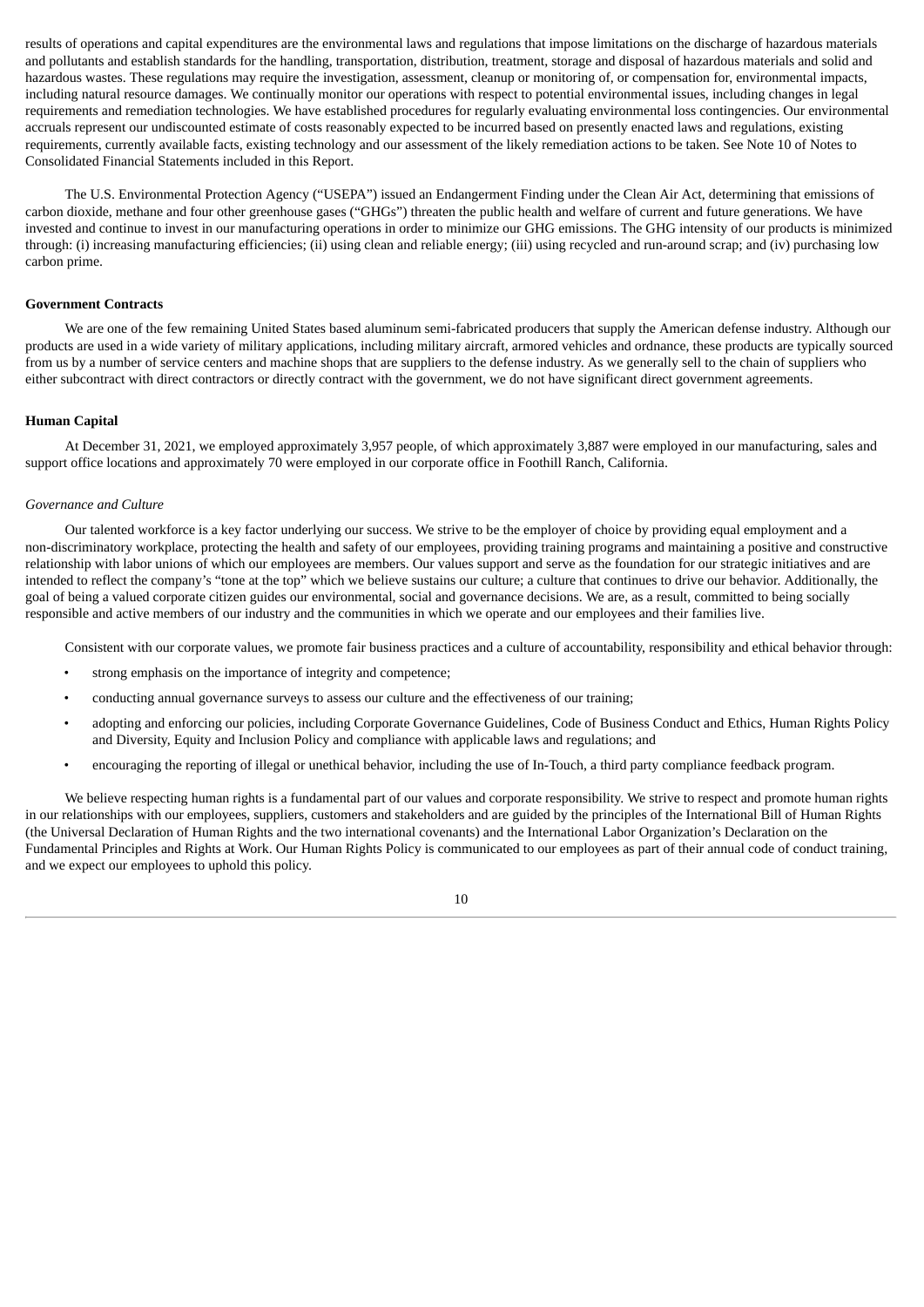results of operations and capital expenditures are the environmental laws and regulations that impose limitations on the discharge of hazardous materials and pollutants and establish standards for the handling, transportation, distribution, treatment, storage and disposal of hazardous materials and solid and hazardous wastes. These regulations may require the investigation, assessment, cleanup or monitoring of, or compensation for, environmental impacts, including natural resource damages. We continually monitor our operations with respect to potential environmental issues, including changes in legal requirements and remediation technologies. We have established procedures for regularly evaluating environmental loss contingencies. Our environmental accruals represent our undiscounted estimate of costs reasonably expected to be incurred based on presently enacted laws and regulations, existing requirements, currently available facts, existing technology and our assessment of the likely remediation actions to be taken. See Note 10 of Notes to Consolidated Financial Statements included in this Report.

The U.S. Environmental Protection Agency ("USEPA") issued an Endangerment Finding under the Clean Air Act, determining that emissions of carbon dioxide, methane and four other greenhouse gases ("GHGs") threaten the public health and welfare of current and future generations. We have invested and continue to invest in our manufacturing operations in order to minimize our GHG emissions. The GHG intensity of our products is minimized through: (i) increasing manufacturing efficiencies; (ii) using clean and reliable energy; (iii) using recycled and run-around scrap; and (iv) purchasing low carbon prime.

#### **Government Contracts**

We are one of the few remaining United States based aluminum semi-fabricated producers that supply the American defense industry. Although our products are used in a wide variety of military applications, including military aircraft, armored vehicles and ordnance, these products are typically sourced from us by a number of service centers and machine shops that are suppliers to the defense industry. As we generally sell to the chain of suppliers who either subcontract with direct contractors or directly contract with the government, we do not have significant direct government agreements.

#### **Human Capital**

At December 31, 2021, we employed approximately 3,957 people, of which approximately 3,887 were employed in our manufacturing, sales and support office locations and approximately 70 were employed in our corporate office in Foothill Ranch, California.

#### *Governance and Culture*

Our talented workforce is a key factor underlying our success. We strive to be the employer of choice by providing equal employment and a non‑discriminatory workplace, protecting the health and safety of our employees, providing training programs and maintaining a positive and constructive relationship with labor unions of which our employees are members. Our values support and serve as the foundation for our strategic initiatives and are intended to reflect the company's "tone at the top" which we believe sustains our culture; a culture that continues to drive our behavior. Additionally, the goal of being a valued corporate citizen guides our environmental, social and governance decisions. We are, as a result, committed to being socially responsible and active members of our industry and the communities in which we operate and our employees and their families live.

Consistent with our corporate values, we promote fair business practices and a culture of accountability, responsibility and ethical behavior through:

- strong emphasis on the importance of integrity and competence;
- conducting annual governance surveys to assess our culture and the effectiveness of our training;
- adopting and enforcing our policies, including Corporate Governance Guidelines, Code of Business Conduct and Ethics, Human Rights Policy and Diversity, Equity and Inclusion Policy and compliance with applicable laws and regulations; and
- encouraging the reporting of illegal or unethical behavior, including the use of In-Touch, a third party compliance feedback program.

We believe respecting human rights is a fundamental part of our values and corporate responsibility. We strive to respect and promote human rights in our relationships with our employees, suppliers, customers and stakeholders and are guided by the principles of the International Bill of Human Rights (the Universal Declaration of Human Rights and the two international covenants) and the International Labor Organization's Declaration on the Fundamental Principles and Rights at Work. Our Human Rights Policy is communicated to our employees as part of their annual code of conduct training, and we expect our employees to uphold this policy.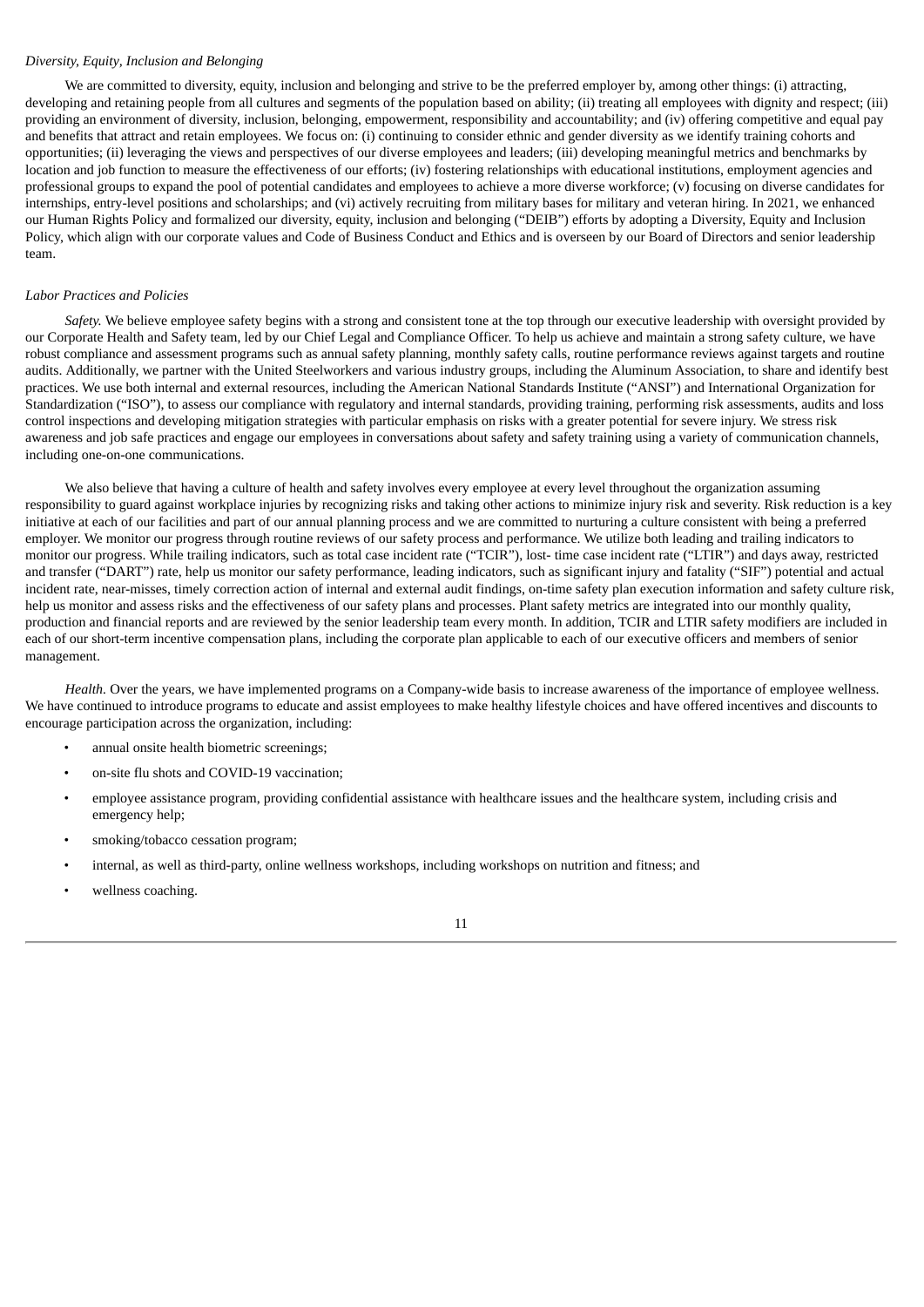## *Diversity, Equity, Inclusion and Belonging*

We are committed to diversity, equity, inclusion and belonging and strive to be the preferred employer by, among other things: (i) attracting, developing and retaining people from all cultures and segments of the population based on ability; (ii) treating all employees with dignity and respect; (iii) providing an environment of diversity, inclusion, belonging, empowerment, responsibility and accountability; and (iv) offering competitive and equal pay and benefits that attract and retain employees. We focus on: (i) continuing to consider ethnic and gender diversity as we identify training cohorts and opportunities; (ii) leveraging the views and perspectives of our diverse employees and leaders; (iii) developing meaningful metrics and benchmarks by location and job function to measure the effectiveness of our efforts; (iv) fostering relationships with educational institutions, employment agencies and professional groups to expand the pool of potential candidates and employees to achieve a more diverse workforce; (v) focusing on diverse candidates for internships, entry-level positions and scholarships; and (vi) actively recruiting from military bases for military and veteran hiring. In 2021, we enhanced our Human Rights Policy and formalized our diversity, equity, inclusion and belonging ("DEIB") efforts by adopting a Diversity, Equity and Inclusion Policy, which align with our corporate values and Code of Business Conduct and Ethics and is overseen by our Board of Directors and senior leadership team.

#### *Labor Practices and Policies*

*Safety.* We believe employee safety begins with a strong and consistent tone at the top through our executive leadership with oversight provided by our Corporate Health and Safety team, led by our Chief Legal and Compliance Officer. To help us achieve and maintain a strong safety culture, we have robust compliance and assessment programs such as annual safety planning, monthly safety calls, routine performance reviews against targets and routine audits. Additionally, we partner with the United Steelworkers and various industry groups, including the Aluminum Association, to share and identify best practices. We use both internal and external resources, including the American National Standards Institute ("ANSI") and International Organization for Standardization ("ISO"), to assess our compliance with regulatory and internal standards, providing training, performing risk assessments, audits and loss control inspections and developing mitigation strategies with particular emphasis on risks with a greater potential for severe injury. We stress risk awareness and job safe practices and engage our employees in conversations about safety and safety training using a variety of communication channels, including one-on-one communications.

We also believe that having a culture of health and safety involves every employee at every level throughout the organization assuming responsibility to guard against workplace injuries by recognizing risks and taking other actions to minimize injury risk and severity. Risk reduction is a key initiative at each of our facilities and part of our annual planning process and we are committed to nurturing a culture consistent with being a preferred employer. We monitor our progress through routine reviews of our safety process and performance. We utilize both leading and trailing indicators to monitor our progress. While trailing indicators, such as total case incident rate ("TCIR"), lost- time case incident rate ("LTIR") and days away, restricted and transfer ("DART") rate, help us monitor our safety performance, leading indicators, such as significant injury and fatality ("SIF") potential and actual incident rate, near-misses, timely correction action of internal and external audit findings, on-time safety plan execution information and safety culture risk, help us monitor and assess risks and the effectiveness of our safety plans and processes. Plant safety metrics are integrated into our monthly quality, production and financial reports and are reviewed by the senior leadership team every month. In addition, TCIR and LTIR safety modifiers are included in each of our short-term incentive compensation plans, including the corporate plan applicable to each of our executive officers and members of senior management.

*Health.* Over the years, we have implemented programs on a Company-wide basis to increase awareness of the importance of employee wellness. We have continued to introduce programs to educate and assist employees to make healthy lifestyle choices and have offered incentives and discounts to encourage participation across the organization, including:

- annual onsite health biometric screenings;
- on-site flu shots and COVID-19 vaccination;
- employee assistance program, providing confidential assistance with healthcare issues and the healthcare system, including crisis and emergency help;
- smoking/tobacco cessation program;
- internal, as well as third-party, online wellness workshops, including workshops on nutrition and fitness; and
- wellness coaching.

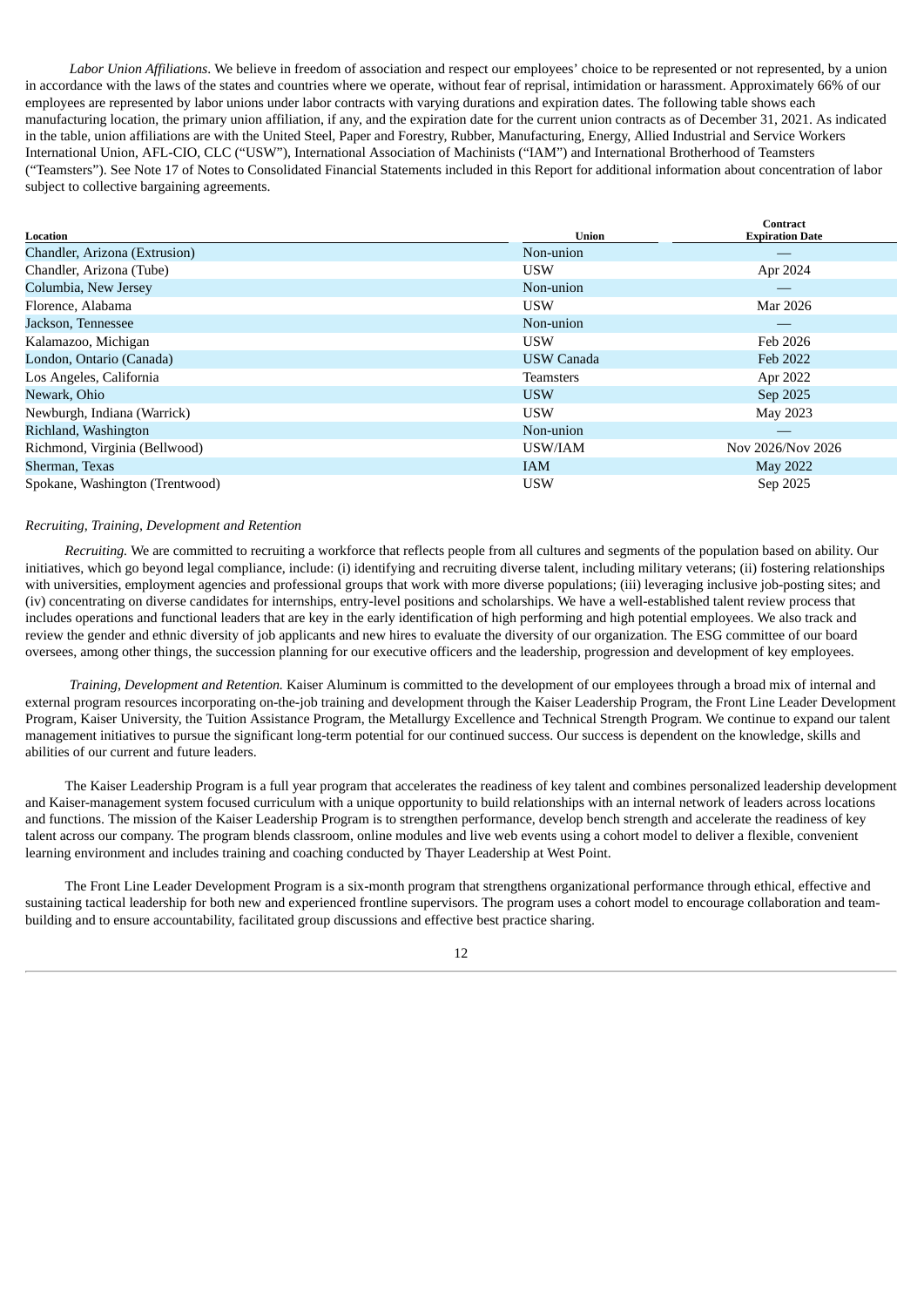*Labor Union Affiliations*. We believe in freedom of association and respect our employees' choice to be represented or not represented, by a union in accordance with the laws of the states and countries where we operate, without fear of reprisal, intimidation or harassment. Approximately 66% of our employees are represented by labor unions under labor contracts with varying durations and expiration dates. The following table shows each manufacturing location, the primary union affiliation, if any, and the expiration date for the current union contracts as of December 31, 2021. As indicated in the table, union affiliations are with the United Steel, Paper and Forestry, Rubber, Manufacturing, Energy, Allied Industrial and Service Workers International Union, AFL-CIO, CLC ("USW"), International Association of Machinists ("IAM") and International Brotherhood of Teamsters ("Teamsters"). See Note 17 of Notes to Consolidated Financial Statements included in this Report for additional information about concentration of labor subject to collective bargaining agreements.

|                                 | <b>Union</b>      | <b>Contract</b>        |
|---------------------------------|-------------------|------------------------|
| Location                        |                   | <b>Expiration Date</b> |
| Chandler, Arizona (Extrusion)   | Non-union         |                        |
| Chandler, Arizona (Tube)        | <b>USW</b>        | Apr 2024               |
| Columbia, New Jersey            | Non-union         |                        |
| Florence, Alabama               | <b>USW</b>        | Mar 2026               |
| Jackson, Tennessee              | Non-union         |                        |
| Kalamazoo, Michigan             | <b>USW</b>        | Feb 2026               |
| London, Ontario (Canada)        | <b>USW Canada</b> | Feb 2022               |
| Los Angeles, California         | Teamsters         | Apr 2022               |
| Newark, Ohio                    | <b>USW</b>        | Sep 2025               |
| Newburgh, Indiana (Warrick)     | <b>USW</b>        | May 2023               |
| Richland, Washington            | Non-union         | $-\,$                  |
| Richmond, Virginia (Bellwood)   | USW/IAM           | Nov 2026/Nov 2026      |
| Sherman, Texas                  | <b>IAM</b>        | <b>May 2022</b>        |
| Spokane, Washington (Trentwood) | <b>USW</b>        | Sep 2025               |

#### *Recruiting, Training, Development and Retention*

*Recruiting.* We are committed to recruiting a workforce that reflects people from all cultures and segments of the population based on ability. Our initiatives, which go beyond legal compliance, include: (i) identifying and recruiting diverse talent, including military veterans; (ii) fostering relationships with universities, employment agencies and professional groups that work with more diverse populations; (iii) leveraging inclusive job-posting sites; and (iv) concentrating on diverse candidates for internships, entry‑level positions and scholarships. We have a well-established talent review process that includes operations and functional leaders that are key in the early identification of high performing and high potential employees. We also track and review the gender and ethnic diversity of job applicants and new hires to evaluate the diversity of our organization. The ESG committee of our board oversees, among other things, the succession planning for our executive officers and the leadership, progression and development of key employees.

*Training, Development and Retention.* Kaiser Aluminum is committed to the development of our employees through a broad mix of internal and external program resources incorporating on-the-job training and development through the Kaiser Leadership Program, the Front Line Leader Development Program, Kaiser University, the Tuition Assistance Program, the Metallurgy Excellence and Technical Strength Program. We continue to expand our talent management initiatives to pursue the significant long-term potential for our continued success. Our success is dependent on the knowledge, skills and abilities of our current and future leaders.

The Kaiser Leadership Program is a full year program that accelerates the readiness of key talent and combines personalized leadership development and Kaiser-management system focused curriculum with a unique opportunity to build relationships with an internal network of leaders across locations and functions. The mission of the Kaiser Leadership Program is to strengthen performance, develop bench strength and accelerate the readiness of key talent across our company. The program blends classroom, online modules and live web events using a cohort model to deliver a flexible, convenient learning environment and includes training and coaching conducted by Thayer Leadership at West Point.

The Front Line Leader Development Program is a six-month program that strengthens organizational performance through ethical, effective and sustaining tactical leadership for both new and experienced frontline supervisors. The program uses a cohort model to encourage collaboration and teambuilding and to ensure accountability, facilitated group discussions and effective best practice sharing.

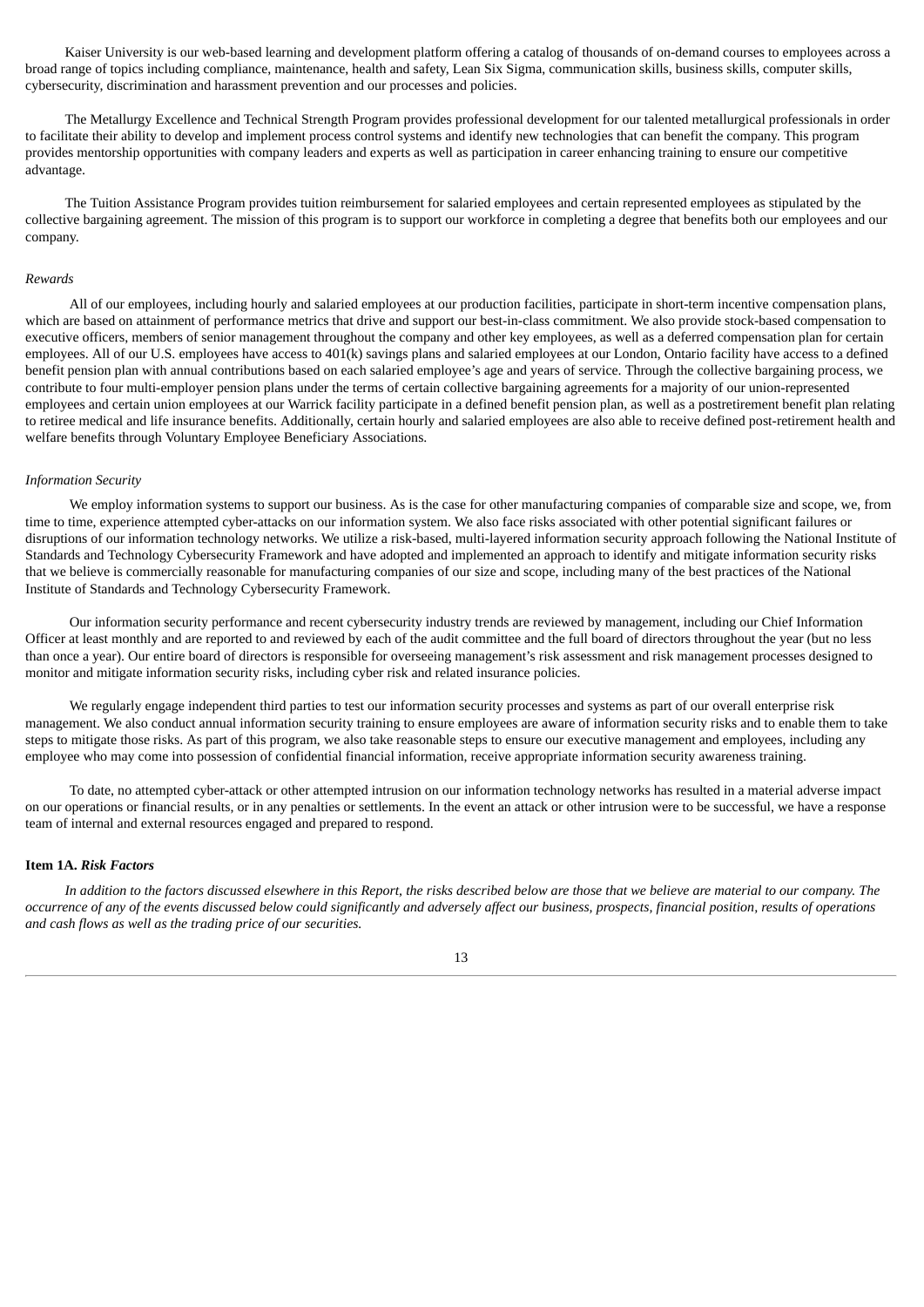Kaiser University is our web-based learning and development platform offering a catalog of thousands of on-demand courses to employees across a broad range of topics including compliance, maintenance, health and safety, Lean Six Sigma, communication skills, business skills, computer skills, cybersecurity, discrimination and harassment prevention and our processes and policies.

The Metallurgy Excellence and Technical Strength Program provides professional development for our talented metallurgical professionals in order to facilitate their ability to develop and implement process control systems and identify new technologies that can benefit the company. This program provides mentorship opportunities with company leaders and experts as well as participation in career enhancing training to ensure our competitive advantage.

The Tuition Assistance Program provides tuition reimbursement for salaried employees and certain represented employees as stipulated by the collective bargaining agreement. The mission of this program is to support our workforce in completing a degree that benefits both our employees and our company.

#### *Rewards*

All of our employees, including hourly and salaried employees at our production facilities, participate in short-term incentive compensation plans, which are based on attainment of performance metrics that drive and support our best-in-class commitment. We also provide stock-based compensation to executive officers, members of senior management throughout the company and other key employees, as well as a deferred compensation plan for certain employees. All of our U.S. employees have access to 401(k) savings plans and salaried employees at our London, Ontario facility have access to a defined benefit pension plan with annual contributions based on each salaried employee's age and years of service. Through the collective bargaining process, we contribute to four multi‑employer pension plans under the terms of certain collective bargaining agreements for a majority of our union-represented employees and certain union employees at our Warrick facility participate in a defined benefit pension plan, as well as a postretirement benefit plan relating to retiree medical and life insurance benefits. Additionally, certain hourly and salaried employees are also able to receive defined post-retirement health and welfare benefits through Voluntary Employee Beneficiary Associations.

#### *Information Security*

We employ information systems to support our business. As is the case for other manufacturing companies of comparable size and scope, we, from time to time, experience attempted cyber-attacks on our information system. We also face risks associated with other potential significant failures or disruptions of our information technology networks. We utilize a risk-based, multi-layered information security approach following the National Institute of Standards and Technology Cybersecurity Framework and have adopted and implemented an approach to identify and mitigate information security risks that we believe is commercially reasonable for manufacturing companies of our size and scope, including many of the best practices of the National Institute of Standards and Technology Cybersecurity Framework.

Our information security performance and recent cybersecurity industry trends are reviewed by management, including our Chief Information Officer at least monthly and are reported to and reviewed by each of the audit committee and the full board of directors throughout the year (but no less than once a year). Our entire board of directors is responsible for overseeing management's risk assessment and risk management processes designed to monitor and mitigate information security risks, including cyber risk and related insurance policies.

We regularly engage independent third parties to test our information security processes and systems as part of our overall enterprise risk management. We also conduct annual information security training to ensure employees are aware of information security risks and to enable them to take steps to mitigate those risks. As part of this program, we also take reasonable steps to ensure our executive management and employees, including any employee who may come into possession of confidential financial information, receive appropriate information security awareness training.

To date, no attempted cyber-attack or other attempted intrusion on our information technology networks has resulted in a material adverse impact on our operations or financial results, or in any penalties or settlements. In the event an attack or other intrusion were to be successful, we have a response team of internal and external resources engaged and prepared to respond.

#### <span id="page-12-0"></span>**Item 1A.** *Risk Factors*

In addition to the factors discussed elsewhere in this Report, the risks described below are those that we believe are material to our company. The occurrence of any of the events discussed below could significantly and adversely affect our business, prospects, financial position, results of operations *and cash flows as well as the trading price of our securities.*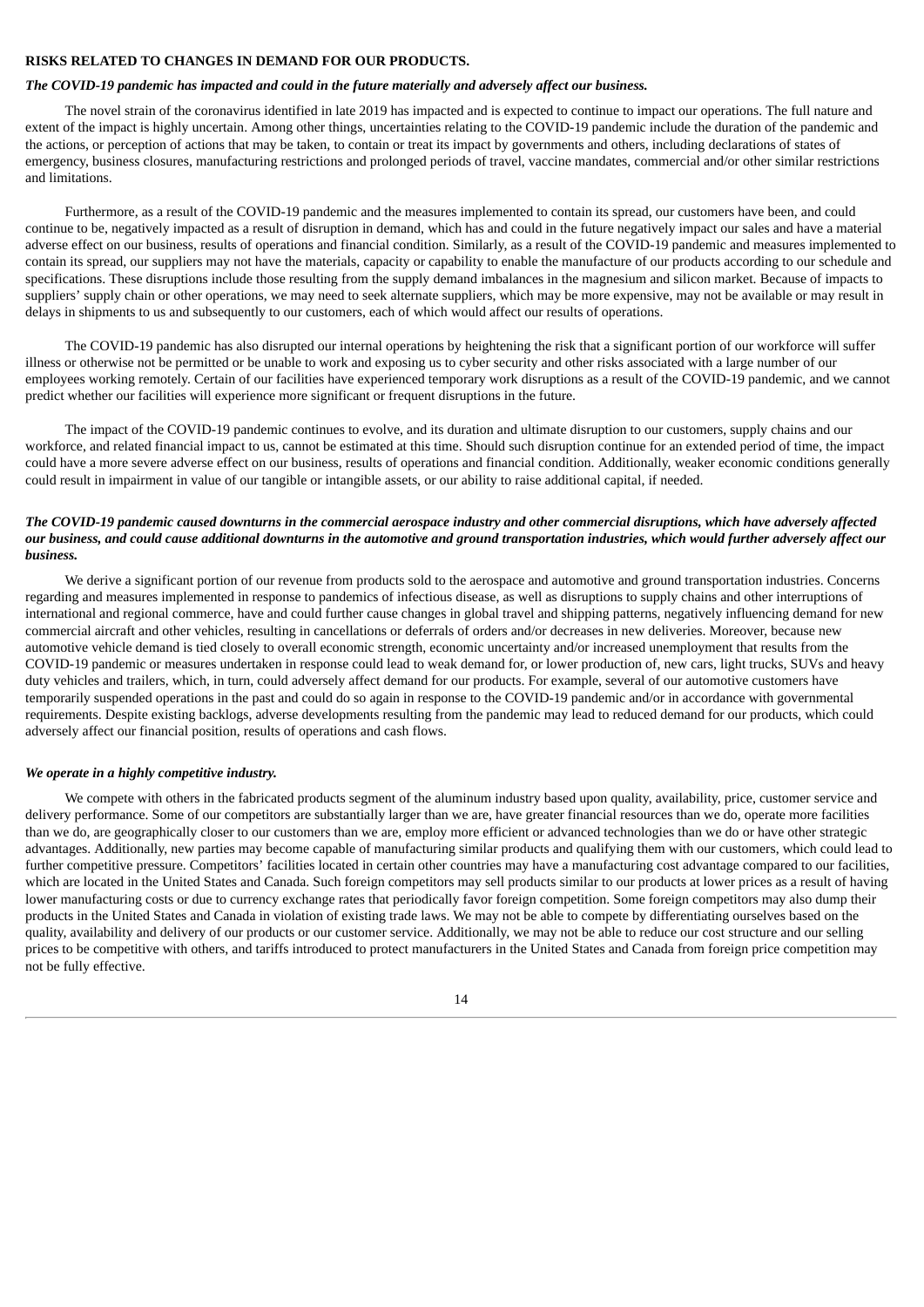# **RISKS RELATED TO CHANGES IN DEMAND FOR OUR PRODUCTS.**

#### *The COVID-19 pandemic has impacted and could in the future materially and adversely affect our business.*

The novel strain of the coronavirus identified in late 2019 has impacted and is expected to continue to impact our operations. The full nature and extent of the impact is highly uncertain. Among other things, uncertainties relating to the COVID-19 pandemic include the duration of the pandemic and the actions, or perception of actions that may be taken, to contain or treat its impact by governments and others, including declarations of states of emergency, business closures, manufacturing restrictions and prolonged periods of travel, vaccine mandates, commercial and/or other similar restrictions and limitations.

Furthermore, as a result of the COVID-19 pandemic and the measures implemented to contain its spread, our customers have been, and could continue to be, negatively impacted as a result of disruption in demand, which has and could in the future negatively impact our sales and have a material adverse effect on our business, results of operations and financial condition. Similarly, as a result of the COVID-19 pandemic and measures implemented to contain its spread, our suppliers may not have the materials, capacity or capability to enable the manufacture of our products according to our schedule and specifications. These disruptions include those resulting from the supply demand imbalances in the magnesium and silicon market. Because of impacts to suppliers' supply chain or other operations, we may need to seek alternate suppliers, which may be more expensive, may not be available or may result in delays in shipments to us and subsequently to our customers, each of which would affect our results of operations.

The COVID-19 pandemic has also disrupted our internal operations by heightening the risk that a significant portion of our workforce will suffer illness or otherwise not be permitted or be unable to work and exposing us to cyber security and other risks associated with a large number of our employees working remotely. Certain of our facilities have experienced temporary work disruptions as a result of the COVID-19 pandemic, and we cannot predict whether our facilities will experience more significant or frequent disruptions in the future.

The impact of the COVID-19 pandemic continues to evolve, and its duration and ultimate disruption to our customers, supply chains and our workforce, and related financial impact to us, cannot be estimated at this time. Should such disruption continue for an extended period of time, the impact could have a more severe adverse effect on our business, results of operations and financial condition. Additionally, weaker economic conditions generally could result in impairment in value of our tangible or intangible assets, or our ability to raise additional capital, if needed.

### The COVID-19 pandemic caused downturns in the commercial aerospace industry and other commercial disruptions, which have adversely affected our business, and could cause additional downturns in the automotive and ground transportation industries, which would further adversely affect our *business.*

We derive a significant portion of our revenue from products sold to the aerospace and automotive and ground transportation industries. Concerns regarding and measures implemented in response to pandemics of infectious disease, as well as disruptions to supply chains and other interruptions of international and regional commerce, have and could further cause changes in global travel and shipping patterns, negatively influencing demand for new commercial aircraft and other vehicles, resulting in cancellations or deferrals of orders and/or decreases in new deliveries. Moreover, because new automotive vehicle demand is tied closely to overall economic strength, economic uncertainty and/or increased unemployment that results from the COVID-19 pandemic or measures undertaken in response could lead to weak demand for, or lower production of, new cars, light trucks, SUVs and heavy duty vehicles and trailers, which, in turn, could adversely affect demand for our products. For example, several of our automotive customers have temporarily suspended operations in the past and could do so again in response to the COVID-19 pandemic and/or in accordance with governmental requirements. Despite existing backlogs, adverse developments resulting from the pandemic may lead to reduced demand for our products, which could adversely affect our financial position, results of operations and cash flows.

#### *We operate in a highly competitive industry.*

We compete with others in the fabricated products segment of the aluminum industry based upon quality, availability, price, customer service and delivery performance. Some of our competitors are substantially larger than we are, have greater financial resources than we do, operate more facilities than we do, are geographically closer to our customers than we are, employ more efficient or advanced technologies than we do or have other strategic advantages. Additionally, new parties may become capable of manufacturing similar products and qualifying them with our customers, which could lead to further competitive pressure. Competitors' facilities located in certain other countries may have a manufacturing cost advantage compared to our facilities, which are located in the United States and Canada. Such foreign competitors may sell products similar to our products at lower prices as a result of having lower manufacturing costs or due to currency exchange rates that periodically favor foreign competition. Some foreign competitors may also dump their products in the United States and Canada in violation of existing trade laws. We may not be able to compete by differentiating ourselves based on the quality, availability and delivery of our products or our customer service. Additionally, we may not be able to reduce our cost structure and our selling prices to be competitive with others, and tariffs introduced to protect manufacturers in the United States and Canada from foreign price competition may not be fully effective.

14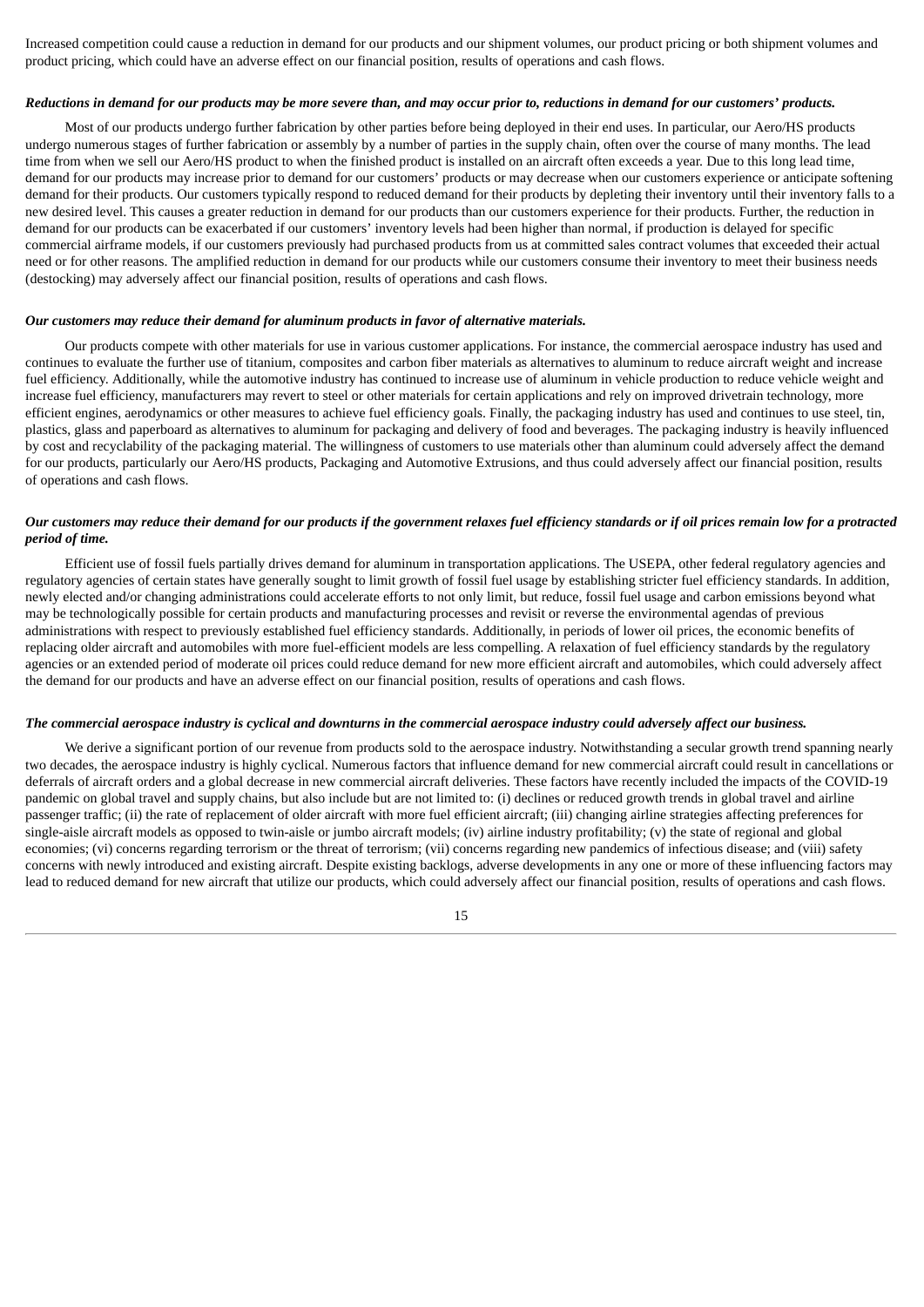Increased competition could cause a reduction in demand for our products and our shipment volumes, our product pricing or both shipment volumes and product pricing, which could have an adverse effect on our financial position, results of operations and cash flows.

#### Reductions in demand for our products may be more severe than, and may occur prior to, reductions in demand for our customers' products.

Most of our products undergo further fabrication by other parties before being deployed in their end uses. In particular, our Aero/HS products undergo numerous stages of further fabrication or assembly by a number of parties in the supply chain, often over the course of many months. The lead time from when we sell our Aero/HS product to when the finished product is installed on an aircraft often exceeds a year. Due to this long lead time, demand for our products may increase prior to demand for our customers' products or may decrease when our customers experience or anticipate softening demand for their products. Our customers typically respond to reduced demand for their products by depleting their inventory until their inventory falls to a new desired level. This causes a greater reduction in demand for our products than our customers experience for their products. Further, the reduction in demand for our products can be exacerbated if our customers' inventory levels had been higher than normal, if production is delayed for specific commercial airframe models, if our customers previously had purchased products from us at committed sales contract volumes that exceeded their actual need or for other reasons. The amplified reduction in demand for our products while our customers consume their inventory to meet their business needs (destocking) may adversely affect our financial position, results of operations and cash flows.

#### *Our customers may reduce their demand for aluminum products in favor of alternative materials.*

Our products compete with other materials for use in various customer applications. For instance, the commercial aerospace industry has used and continues to evaluate the further use of titanium, composites and carbon fiber materials as alternatives to aluminum to reduce aircraft weight and increase fuel efficiency. Additionally, while the automotive industry has continued to increase use of aluminum in vehicle production to reduce vehicle weight and increase fuel efficiency, manufacturers may revert to steel or other materials for certain applications and rely on improved drivetrain technology, more efficient engines, aerodynamics or other measures to achieve fuel efficiency goals. Finally, the packaging industry has used and continues to use steel, tin, plastics, glass and paperboard as alternatives to aluminum for packaging and delivery of food and beverages. The packaging industry is heavily influenced by cost and recyclability of the packaging material. The willingness of customers to use materials other than aluminum could adversely affect the demand for our products, particularly our Aero/HS products, Packaging and Automotive Extrusions, and thus could adversely affect our financial position, results of operations and cash flows.

### Our customers may reduce their demand for our products if the government relaxes fuel efficiency standards or if oil prices remain low for a protracted *period of time.*

Efficient use of fossil fuels partially drives demand for aluminum in transportation applications. The USEPA, other federal regulatory agencies and regulatory agencies of certain states have generally sought to limit growth of fossil fuel usage by establishing stricter fuel efficiency standards. In addition, newly elected and/or changing administrations could accelerate efforts to not only limit, but reduce, fossil fuel usage and carbon emissions beyond what may be technologically possible for certain products and manufacturing processes and revisit or reverse the environmental agendas of previous administrations with respect to previously established fuel efficiency standards. Additionally, in periods of lower oil prices, the economic benefits of replacing older aircraft and automobiles with more fuel-efficient models are less compelling. A relaxation of fuel efficiency standards by the regulatory agencies or an extended period of moderate oil prices could reduce demand for new more efficient aircraft and automobiles, which could adversely affect the demand for our products and have an adverse effect on our financial position, results of operations and cash flows.

## The commercial aerospace industry is cyclical and downturns in the commercial aerospace industry could adversely affect our business.

We derive a significant portion of our revenue from products sold to the aerospace industry. Notwithstanding a secular growth trend spanning nearly two decades, the aerospace industry is highly cyclical. Numerous factors that influence demand for new commercial aircraft could result in cancellations or deferrals of aircraft orders and a global decrease in new commercial aircraft deliveries. These factors have recently included the impacts of the COVID-19 pandemic on global travel and supply chains, but also include but are not limited to: (i) declines or reduced growth trends in global travel and airline passenger traffic; (ii) the rate of replacement of older aircraft with more fuel efficient aircraft; (iii) changing airline strategies affecting preferences for single-aisle aircraft models as opposed to twin-aisle or jumbo aircraft models; (iv) airline industry profitability; (v) the state of regional and global economies; (vi) concerns regarding terrorism or the threat of terrorism; (vii) concerns regarding new pandemics of infectious disease; and (viii) safety concerns with newly introduced and existing aircraft. Despite existing backlogs, adverse developments in any one or more of these influencing factors may lead to reduced demand for new aircraft that utilize our products, which could adversely affect our financial position, results of operations and cash flows.

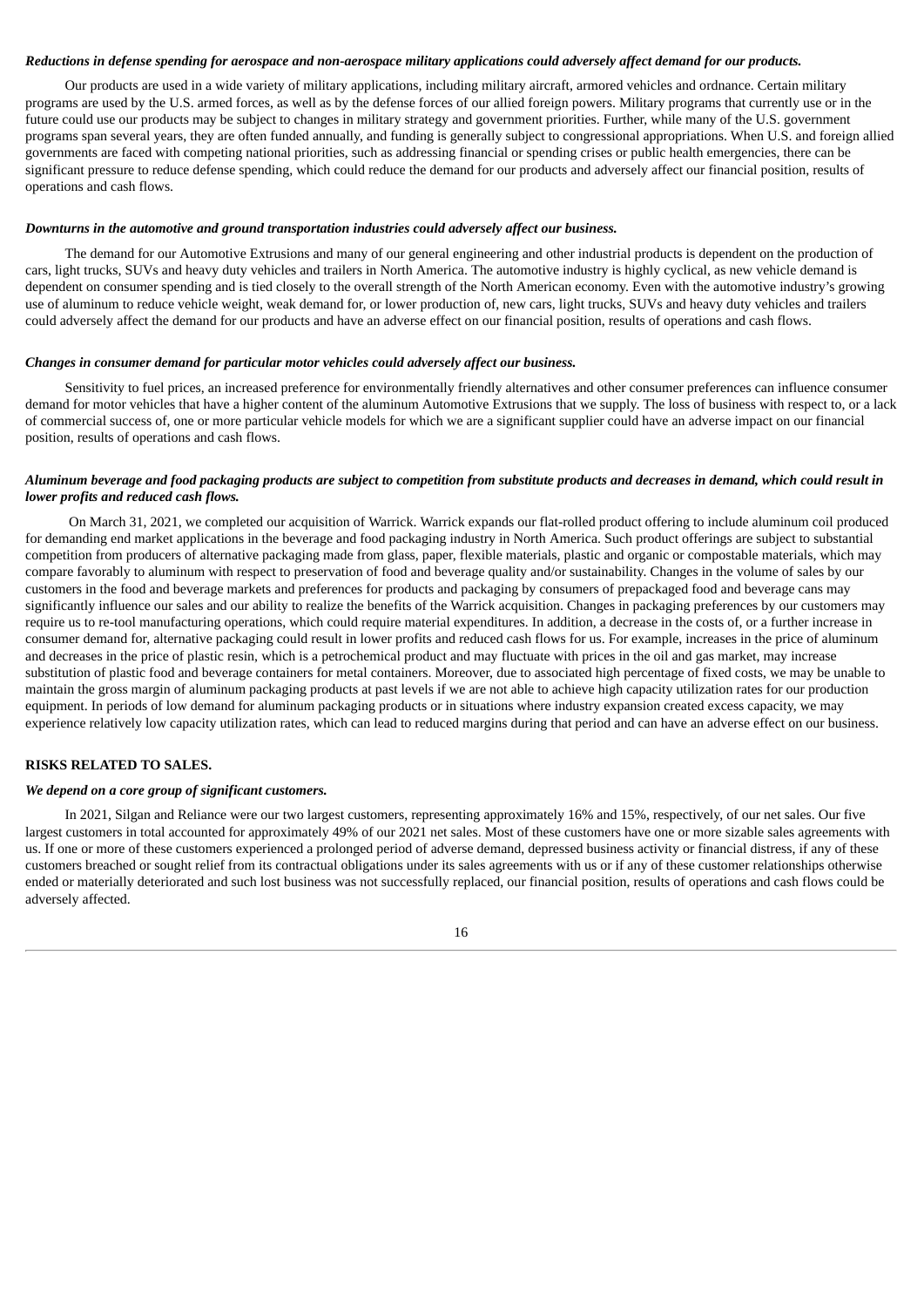### Reductions in defense spending for aerospace and non-aerospace military applications could adversely affect demand for our products.

Our products are used in a wide variety of military applications, including military aircraft, armored vehicles and ordnance. Certain military programs are used by the U.S. armed forces, as well as by the defense forces of our allied foreign powers. Military programs that currently use or in the future could use our products may be subject to changes in military strategy and government priorities. Further, while many of the U.S. government programs span several years, they are often funded annually, and funding is generally subject to congressional appropriations. When U.S. and foreign allied governments are faced with competing national priorities, such as addressing financial or spending crises or public health emergencies, there can be significant pressure to reduce defense spending, which could reduce the demand for our products and adversely affect our financial position, results of operations and cash flows.

#### *Downturns in the automotive and ground transportation industries could adversely affect our business.*

The demand for our Automotive Extrusions and many of our general engineering and other industrial products is dependent on the production of cars, light trucks, SUVs and heavy duty vehicles and trailers in North America. The automotive industry is highly cyclical, as new vehicle demand is dependent on consumer spending and is tied closely to the overall strength of the North American economy. Even with the automotive industry's growing use of aluminum to reduce vehicle weight, weak demand for, or lower production of, new cars, light trucks, SUVs and heavy duty vehicles and trailers could adversely affect the demand for our products and have an adverse effect on our financial position, results of operations and cash flows.

#### *Changes in consumer demand for particular motor vehicles could adversely affect our business.*

Sensitivity to fuel prices, an increased preference for environmentally friendly alternatives and other consumer preferences can influence consumer demand for motor vehicles that have a higher content of the aluminum Automotive Extrusions that we supply. The loss of business with respect to, or a lack of commercial success of, one or more particular vehicle models for which we are a significant supplier could have an adverse impact on our financial position, results of operations and cash flows.

# Aluminum beverage and food packaging products are subject to competition from substitute products and decreases in demand, which could result in *lower profits and reduced cash flows.*

On March 31, 2021, we completed our acquisition of Warrick. Warrick expands our flat-rolled product offering to include aluminum coil produced for demanding end market applications in the beverage and food packaging industry in North America. Such product offerings are subject to substantial competition from producers of alternative packaging made from glass, paper, flexible materials, plastic and organic or compostable materials, which may compare favorably to aluminum with respect to preservation of food and beverage quality and/or sustainability. Changes in the volume of sales by our customers in the food and beverage markets and preferences for products and packaging by consumers of prepackaged food and beverage cans may significantly influence our sales and our ability to realize the benefits of the Warrick acquisition. Changes in packaging preferences by our customers may require us to re-tool manufacturing operations, which could require material expenditures. In addition, a decrease in the costs of, or a further increase in consumer demand for, alternative packaging could result in lower profits and reduced cash flows for us. For example, increases in the price of aluminum and decreases in the price of plastic resin, which is a petrochemical product and may fluctuate with prices in the oil and gas market, may increase substitution of plastic food and beverage containers for metal containers. Moreover, due to associated high percentage of fixed costs, we may be unable to maintain the gross margin of aluminum packaging products at past levels if we are not able to achieve high capacity utilization rates for our production equipment. In periods of low demand for aluminum packaging products or in situations where industry expansion created excess capacity, we may experience relatively low capacity utilization rates, which can lead to reduced margins during that period and can have an adverse effect on our business.

### **RISKS RELATED TO SALES.**

# *We depend on a core group of significant customers.*

In 2021, Silgan and Reliance were our two largest customers, representing approximately 16% and 15%, respectively, of our net sales. Our five largest customers in total accounted for approximately 49% of our 2021 net sales. Most of these customers have one or more sizable sales agreements with us. If one or more of these customers experienced a prolonged period of adverse demand, depressed business activity or financial distress, if any of these customers breached or sought relief from its contractual obligations under its sales agreements with us or if any of these customer relationships otherwise ended or materially deteriorated and such lost business was not successfully replaced, our financial position, results of operations and cash flows could be adversely affected.

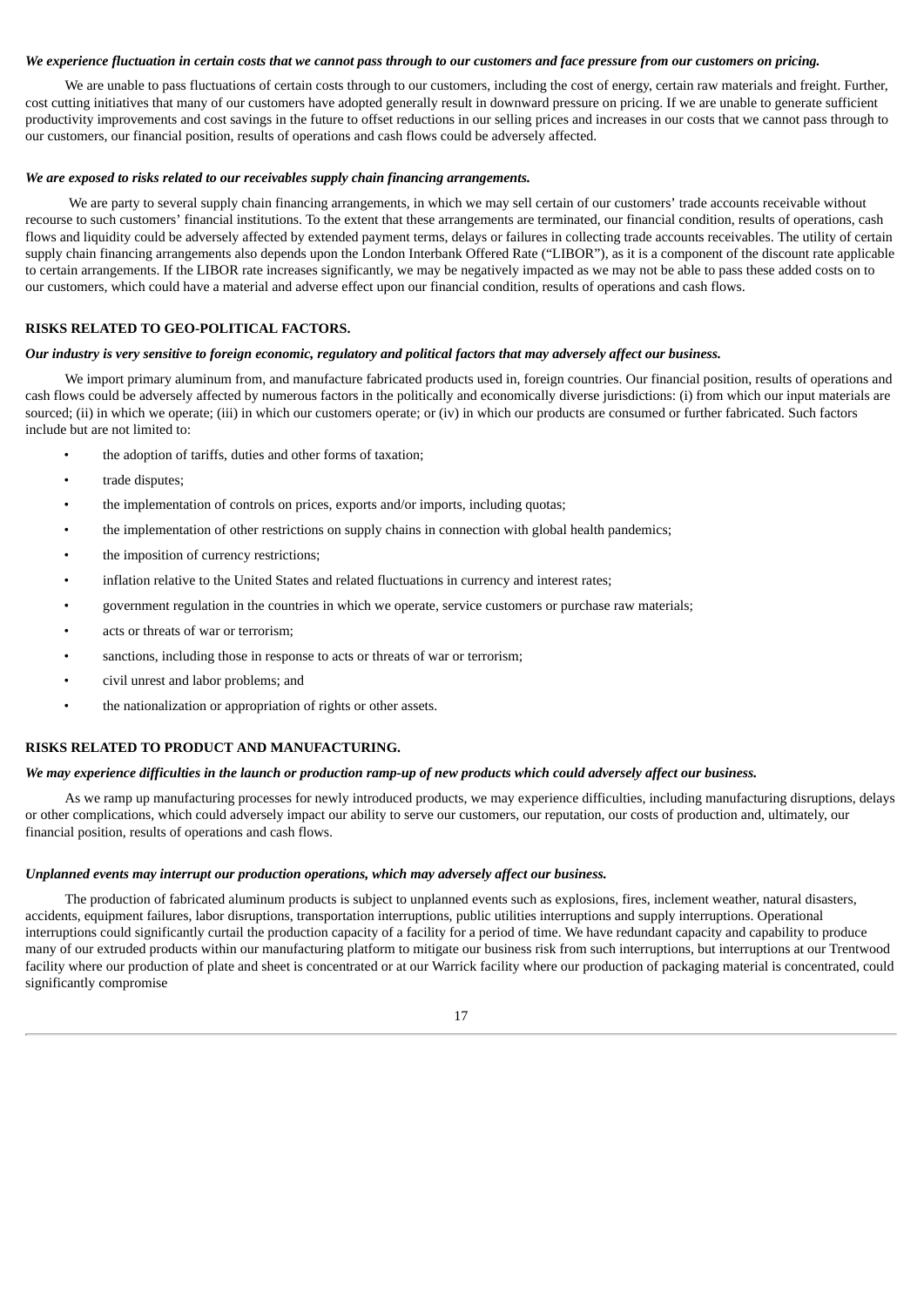### We experience fluctuation in certain costs that we cannot pass through to our customers and face pressure from our customers on pricing.

We are unable to pass fluctuations of certain costs through to our customers, including the cost of energy, certain raw materials and freight. Further, cost cutting initiatives that many of our customers have adopted generally result in downward pressure on pricing. If we are unable to generate sufficient productivity improvements and cost savings in the future to offset reductions in our selling prices and increases in our costs that we cannot pass through to our customers, our financial position, results of operations and cash flows could be adversely affected.

#### *We are exposed to risks related to our receivables supply chain financing arrangements.*

We are party to several supply chain financing arrangements, in which we may sell certain of our customers' trade accounts receivable without recourse to such customers' financial institutions. To the extent that these arrangements are terminated, our financial condition, results of operations, cash flows and liquidity could be adversely affected by extended payment terms, delays or failures in collecting trade accounts receivables. The utility of certain supply chain financing arrangements also depends upon the London Interbank Offered Rate ("LIBOR"), as it is a component of the discount rate applicable to certain arrangements. If the LIBOR rate increases significantly, we may be negatively impacted as we may not be able to pass these added costs on to our customers, which could have a material and adverse effect upon our financial condition, results of operations and cash flows.

#### **RISKS RELATED TO GEO-POLITICAL FACTORS.**

### Our industry is very sensitive to foreign economic, regulatory and political factors that may adversely affect our business.

We import primary aluminum from, and manufacture fabricated products used in, foreign countries. Our financial position, results of operations and cash flows could be adversely affected by numerous factors in the politically and economically diverse jurisdictions: (i) from which our input materials are sourced; (ii) in which we operate; (iii) in which our customers operate; or (iv) in which our products are consumed or further fabricated. Such factors include but are not limited to:

- the adoption of tariffs, duties and other forms of taxation;
- trade disputes;
- the implementation of controls on prices, exports and/or imports, including quotas;
- the implementation of other restrictions on supply chains in connection with global health pandemics;
- the imposition of currency restrictions;
- inflation relative to the United States and related fluctuations in currency and interest rates;
- government regulation in the countries in which we operate, service customers or purchase raw materials;
- acts or threats of war or terrorism;
- sanctions, including those in response to acts or threats of war or terrorism;
- civil unrest and labor problems; and
- the nationalization or appropriation of rights or other assets.

## **RISKS RELATED TO PRODUCT AND MANUFACTURING.**

### We may experience difficulties in the launch or production ramp-up of new products which could adversely affect our business.

As we ramp up manufacturing processes for newly introduced products, we may experience difficulties, including manufacturing disruptions, delays or other complications, which could adversely impact our ability to serve our customers, our reputation, our costs of production and, ultimately, our financial position, results of operations and cash flows.

#### *Unplanned events may interrupt our production operations, which may adversely affect our business.*

The production of fabricated aluminum products is subject to unplanned events such as explosions, fires, inclement weather, natural disasters, accidents, equipment failures, labor disruptions, transportation interruptions, public utilities interruptions and supply interruptions. Operational interruptions could significantly curtail the production capacity of a facility for a period of time. We have redundant capacity and capability to produce many of our extruded products within our manufacturing platform to mitigate our business risk from such interruptions, but interruptions at our Trentwood facility where our production of plate and sheet is concentrated or at our Warrick facility where our production of packaging material is concentrated, could significantly compromise

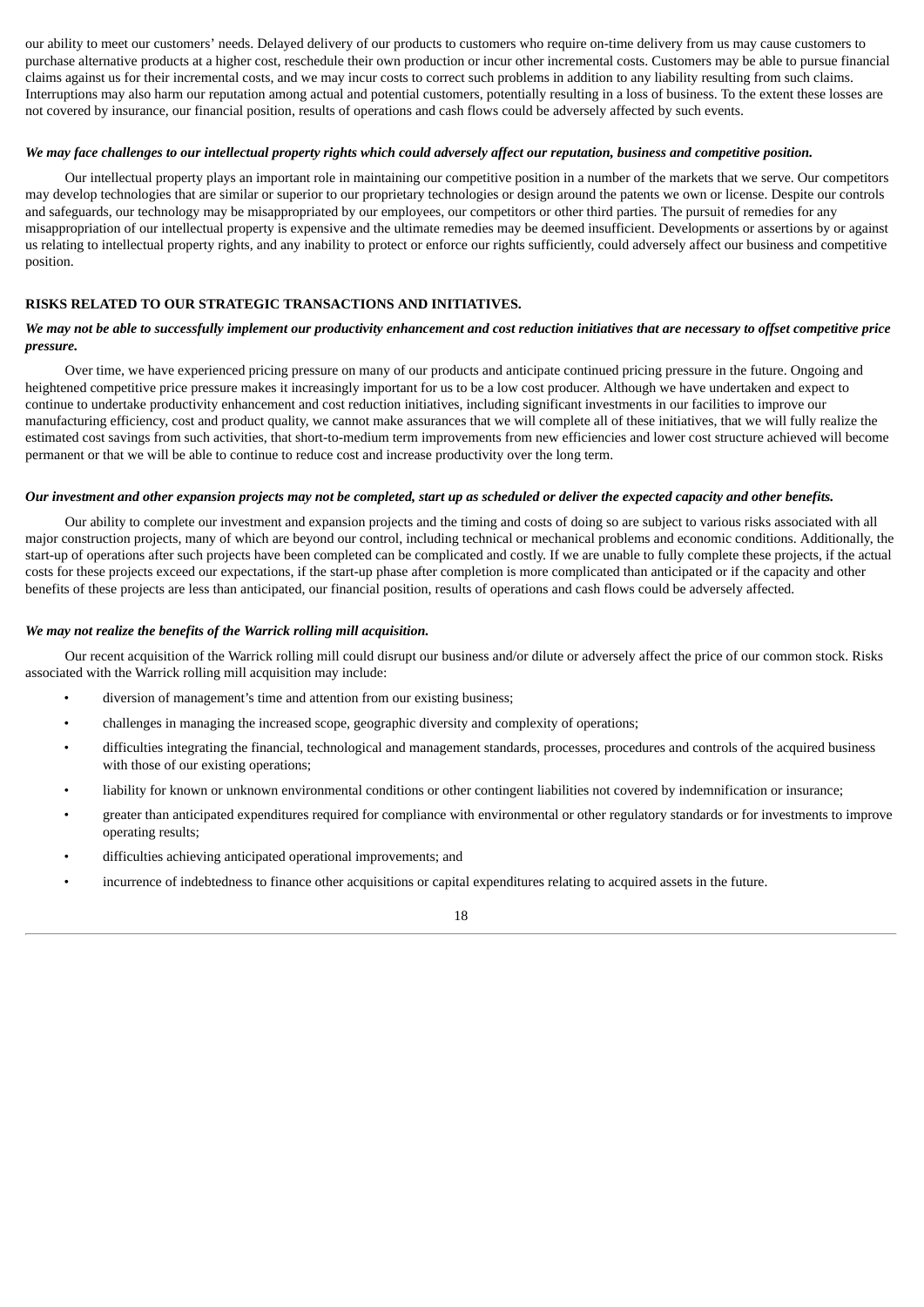our ability to meet our customers' needs. Delayed delivery of our products to customers who require on-time delivery from us may cause customers to purchase alternative products at a higher cost, reschedule their own production or incur other incremental costs. Customers may be able to pursue financial claims against us for their incremental costs, and we may incur costs to correct such problems in addition to any liability resulting from such claims. Interruptions may also harm our reputation among actual and potential customers, potentially resulting in a loss of business. To the extent these losses are not covered by insurance, our financial position, results of operations and cash flows could be adversely affected by such events.

## We may face challenges to our intellectual property rights which could adversely affect our reputation, business and competitive position.

Our intellectual property plays an important role in maintaining our competitive position in a number of the markets that we serve. Our competitors may develop technologies that are similar or superior to our proprietary technologies or design around the patents we own or license. Despite our controls and safeguards, our technology may be misappropriated by our employees, our competitors or other third parties. The pursuit of remedies for any misappropriation of our intellectual property is expensive and the ultimate remedies may be deemed insufficient. Developments or assertions by or against us relating to intellectual property rights, and any inability to protect or enforce our rights sufficiently, could adversely affect our business and competitive position.

## **RISKS RELATED TO OUR STRATEGIC TRANSACTIONS AND INITIATIVES.**

### We may not be able to successfully implement our productivity enhancement and cost reduction initiatives that are necessary to offset competitive price *pressure.*

Over time, we have experienced pricing pressure on many of our products and anticipate continued pricing pressure in the future. Ongoing and heightened competitive price pressure makes it increasingly important for us to be a low cost producer. Although we have undertaken and expect to continue to undertake productivity enhancement and cost reduction initiatives, including significant investments in our facilities to improve our manufacturing efficiency, cost and product quality, we cannot make assurances that we will complete all of these initiatives, that we will fully realize the estimated cost savings from such activities, that short-to-medium term improvements from new efficiencies and lower cost structure achieved will become permanent or that we will be able to continue to reduce cost and increase productivity over the long term.

#### Our investment and other expansion projects may not be completed, start up as scheduled or deliver the expected capacity and other benefits.

Our ability to complete our investment and expansion projects and the timing and costs of doing so are subject to various risks associated with all major construction projects, many of which are beyond our control, including technical or mechanical problems and economic conditions. Additionally, the start-up of operations after such projects have been completed can be complicated and costly. If we are unable to fully complete these projects, if the actual costs for these projects exceed our expectations, if the start-up phase after completion is more complicated than anticipated or if the capacity and other benefits of these projects are less than anticipated, our financial position, results of operations and cash flows could be adversely affected.

#### *We may not realize the benefits of the Warrick rolling mill acquisition.*

Our recent acquisition of the Warrick rolling mill could disrupt our business and/or dilute or adversely affect the price of our common stock. Risks associated with the Warrick rolling mill acquisition may include:

- diversion of management's time and attention from our existing business;
- challenges in managing the increased scope, geographic diversity and complexity of operations;
- difficulties integrating the financial, technological and management standards, processes, procedures and controls of the acquired business with those of our existing operations;
- liability for known or unknown environmental conditions or other contingent liabilities not covered by indemnification or insurance;
- greater than anticipated expenditures required for compliance with environmental or other regulatory standards or for investments to improve operating results;
- difficulties achieving anticipated operational improvements; and
- incurrence of indebtedness to finance other acquisitions or capital expenditures relating to acquired assets in the future.

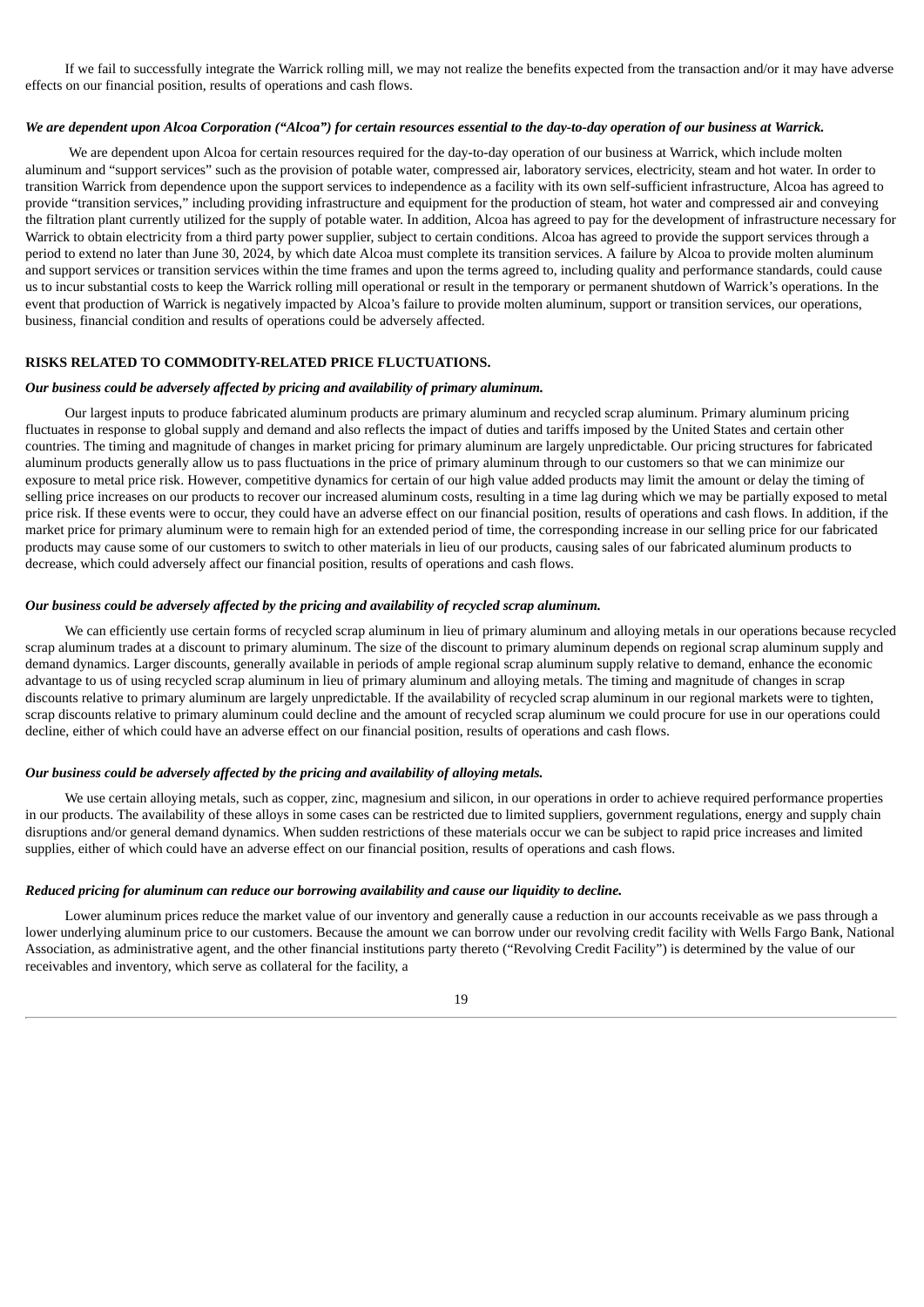If we fail to successfully integrate the Warrick rolling mill, we may not realize the benefits expected from the transaction and/or it may have adverse effects on our financial position, results of operations and cash flows.

# We are dependent upon Alcoa Corporation ("Alcoa") for certain resources essential to the day-to-day operation of our business at Warrick.

We are dependent upon Alcoa for certain resources required for the day-to-day operation of our business at Warrick, which include molten aluminum and "support services" such as the provision of potable water, compressed air, laboratory services, electricity, steam and hot water. In order to transition Warrick from dependence upon the support services to independence as a facility with its own self-sufficient infrastructure, Alcoa has agreed to provide "transition services," including providing infrastructure and equipment for the production of steam, hot water and compressed air and conveying the filtration plant currently utilized for the supply of potable water. In addition, Alcoa has agreed to pay for the development of infrastructure necessary for Warrick to obtain electricity from a third party power supplier, subject to certain conditions. Alcoa has agreed to provide the support services through a period to extend no later than June 30, 2024, by which date Alcoa must complete its transition services. A failure by Alcoa to provide molten aluminum and support services or transition services within the time frames and upon the terms agreed to, including quality and performance standards, could cause us to incur substantial costs to keep the Warrick rolling mill operational or result in the temporary or permanent shutdown of Warrick's operations. In the event that production of Warrick is negatively impacted by Alcoa's failure to provide molten aluminum, support or transition services, our operations, business, financial condition and results of operations could be adversely affected.

### **RISKS RELATED TO COMMODITY-RELATED PRICE FLUCTUATIONS.**

#### *Our business could be adversely affected by pricing and availability of primary aluminum.*

Our largest inputs to produce fabricated aluminum products are primary aluminum and recycled scrap aluminum. Primary aluminum pricing fluctuates in response to global supply and demand and also reflects the impact of duties and tariffs imposed by the United States and certain other countries. The timing and magnitude of changes in market pricing for primary aluminum are largely unpredictable. Our pricing structures for fabricated aluminum products generally allow us to pass fluctuations in the price of primary aluminum through to our customers so that we can minimize our exposure to metal price risk. However, competitive dynamics for certain of our high value added products may limit the amount or delay the timing of selling price increases on our products to recover our increased aluminum costs, resulting in a time lag during which we may be partially exposed to metal price risk. If these events were to occur, they could have an adverse effect on our financial position, results of operations and cash flows. In addition, if the market price for primary aluminum were to remain high for an extended period of time, the corresponding increase in our selling price for our fabricated products may cause some of our customers to switch to other materials in lieu of our products, causing sales of our fabricated aluminum products to decrease, which could adversely affect our financial position, results of operations and cash flows.

### *Our business could be adversely affected by the pricing and availability of recycled scrap aluminum.*

We can efficiently use certain forms of recycled scrap aluminum in lieu of primary aluminum and alloying metals in our operations because recycled scrap aluminum trades at a discount to primary aluminum. The size of the discount to primary aluminum depends on regional scrap aluminum supply and demand dynamics. Larger discounts, generally available in periods of ample regional scrap aluminum supply relative to demand, enhance the economic advantage to us of using recycled scrap aluminum in lieu of primary aluminum and alloying metals. The timing and magnitude of changes in scrap discounts relative to primary aluminum are largely unpredictable. If the availability of recycled scrap aluminum in our regional markets were to tighten, scrap discounts relative to primary aluminum could decline and the amount of recycled scrap aluminum we could procure for use in our operations could decline, either of which could have an adverse effect on our financial position, results of operations and cash flows.

# *Our business could be adversely affected by the pricing and availability of alloying metals.*

We use certain alloying metals, such as copper, zinc, magnesium and silicon, in our operations in order to achieve required performance properties in our products. The availability of these alloys in some cases can be restricted due to limited suppliers, government regulations, energy and supply chain disruptions and/or general demand dynamics. When sudden restrictions of these materials occur we can be subject to rapid price increases and limited supplies, either of which could have an adverse effect on our financial position, results of operations and cash flows.

# *Reduced pricing for aluminum can reduce our borrowing availability and cause our liquidity to decline.*

Lower aluminum prices reduce the market value of our inventory and generally cause a reduction in our accounts receivable as we pass through a lower underlying aluminum price to our customers. Because the amount we can borrow under our revolving credit facility with Wells Fargo Bank, National Association, as administrative agent, and the other financial institutions party thereto ("Revolving Credit Facility") is determined by the value of our receivables and inventory, which serve as collateral for the facility, a

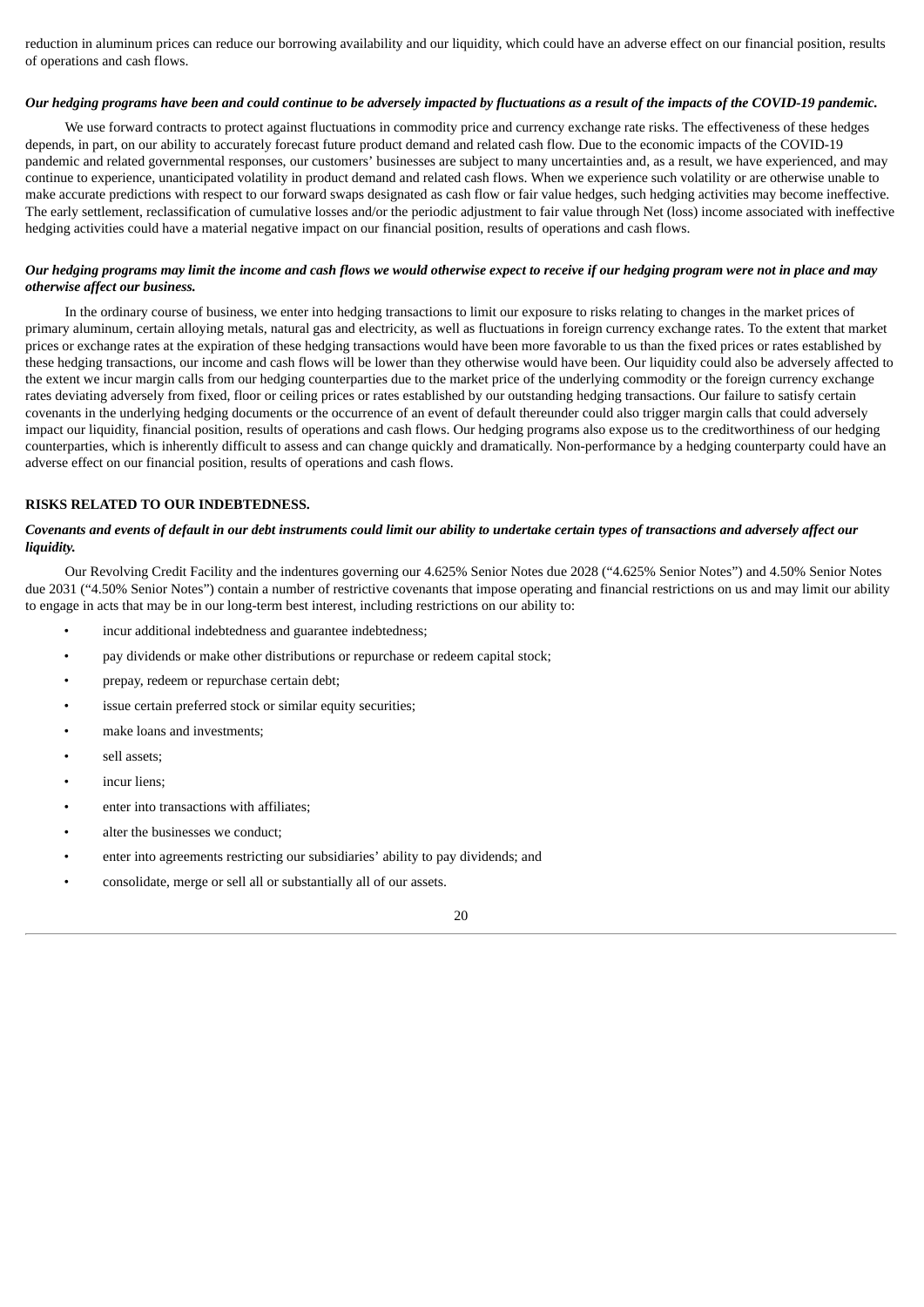reduction in aluminum prices can reduce our borrowing availability and our liquidity, which could have an adverse effect on our financial position, results of operations and cash flows.

### Our hedging programs have been and could continue to be adversely impacted by fluctuations as a result of the impacts of the COVID-19 pandemic.

We use forward contracts to protect against fluctuations in commodity price and currency exchange rate risks. The effectiveness of these hedges depends, in part, on our ability to accurately forecast future product demand and related cash flow. Due to the economic impacts of the COVID-19 pandemic and related governmental responses, our customers' businesses are subject to many uncertainties and, as a result, we have experienced, and may continue to experience, unanticipated volatility in product demand and related cash flows. When we experience such volatility or are otherwise unable to make accurate predictions with respect to our forward swaps designated as cash flow or fair value hedges, such hedging activities may become ineffective. The early settlement, reclassification of cumulative losses and/or the periodic adjustment to fair value through Net (loss) income associated with ineffective hedging activities could have a material negative impact on our financial position, results of operations and cash flows.

# Our hedging programs may limit the income and cash flows we would otherwise expect to receive if our hedging program were not in place and may *otherwise affect our business.*

In the ordinary course of business, we enter into hedging transactions to limit our exposure to risks relating to changes in the market prices of primary aluminum, certain alloying metals, natural gas and electricity, as well as fluctuations in foreign currency exchange rates. To the extent that market prices or exchange rates at the expiration of these hedging transactions would have been more favorable to us than the fixed prices or rates established by these hedging transactions, our income and cash flows will be lower than they otherwise would have been. Our liquidity could also be adversely affected to the extent we incur margin calls from our hedging counterparties due to the market price of the underlying commodity or the foreign currency exchange rates deviating adversely from fixed, floor or ceiling prices or rates established by our outstanding hedging transactions. Our failure to satisfy certain covenants in the underlying hedging documents or the occurrence of an event of default thereunder could also trigger margin calls that could adversely impact our liquidity, financial position, results of operations and cash flows. Our hedging programs also expose us to the creditworthiness of our hedging counterparties, which is inherently difficult to assess and can change quickly and dramatically. Non-performance by a hedging counterparty could have an adverse effect on our financial position, results of operations and cash flows.

# **RISKS RELATED TO OUR INDEBTEDNESS.**

### Covenants and events of default in our debt instruments could limit our ability to undertake certain types of transactions and adversely affect our *liquidity.*

Our Revolving Credit Facility and the indentures governing our 4.625% Senior Notes due 2028 ("4.625% Senior Notes") and 4.50% Senior Notes due 2031 ("4.50% Senior Notes") contain a number of restrictive covenants that impose operating and financial restrictions on us and may limit our ability to engage in acts that may be in our long-term best interest, including restrictions on our ability to:

- incur additional indebtedness and guarantee indebtedness;
- pay dividends or make other distributions or repurchase or redeem capital stock;
- prepay, redeem or repurchase certain debt;
- issue certain preferred stock or similar equity securities;
- make loans and investments:
- sell assets;
- incur liens:
- enter into transactions with affiliates;
- alter the businesses we conduct;
- enter into agreements restricting our subsidiaries' ability to pay dividends; and
- consolidate, merge or sell all or substantially all of our assets.

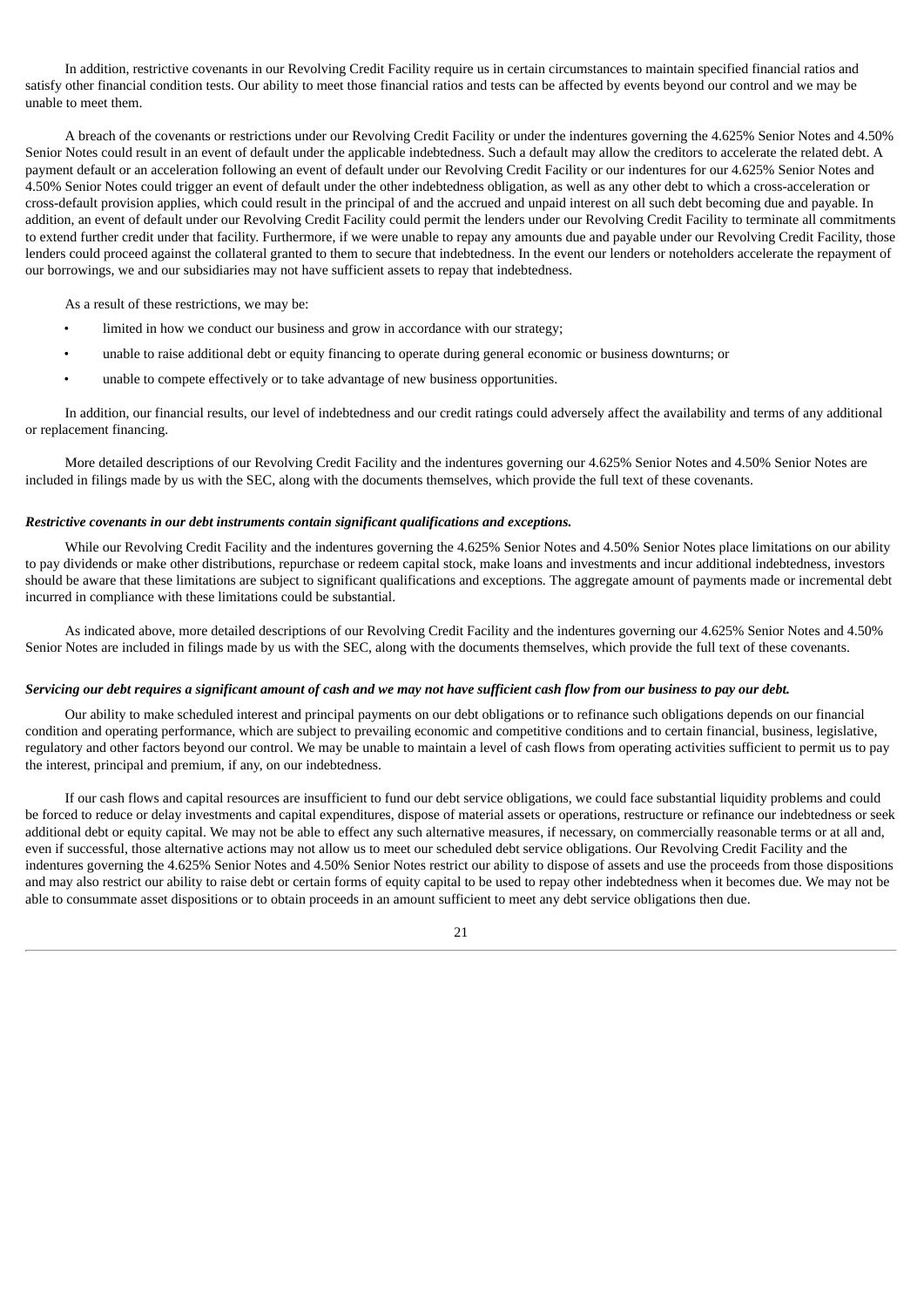In addition, restrictive covenants in our Revolving Credit Facility require us in certain circumstances to maintain specified financial ratios and satisfy other financial condition tests. Our ability to meet those financial ratios and tests can be affected by events beyond our control and we may be unable to meet them.

A breach of the covenants or restrictions under our Revolving Credit Facility or under the indentures governing the 4.625% Senior Notes and 4.50% Senior Notes could result in an event of default under the applicable indebtedness. Such a default may allow the creditors to accelerate the related debt. A payment default or an acceleration following an event of default under our Revolving Credit Facility or our indentures for our 4.625% Senior Notes and 4.50% Senior Notes could trigger an event of default under the other indebtedness obligation, as well as any other debt to which a cross-acceleration or cross-default provision applies, which could result in the principal of and the accrued and unpaid interest on all such debt becoming due and payable. In addition, an event of default under our Revolving Credit Facility could permit the lenders under our Revolving Credit Facility to terminate all commitments to extend further credit under that facility. Furthermore, if we were unable to repay any amounts due and payable under our Revolving Credit Facility, those lenders could proceed against the collateral granted to them to secure that indebtedness. In the event our lenders or noteholders accelerate the repayment of our borrowings, we and our subsidiaries may not have sufficient assets to repay that indebtedness.

As a result of these restrictions, we may be:

- limited in how we conduct our business and grow in accordance with our strategy;
- unable to raise additional debt or equity financing to operate during general economic or business downturns; or
- unable to compete effectively or to take advantage of new business opportunities.

In addition, our financial results, our level of indebtedness and our credit ratings could adversely affect the availability and terms of any additional or replacement financing.

More detailed descriptions of our Revolving Credit Facility and the indentures governing our 4.625% Senior Notes and 4.50% Senior Notes are included in filings made by us with the SEC, along with the documents themselves, which provide the full text of these covenants.

### *Restrictive covenants in our debt instruments contain significant qualifications and exceptions.*

While our Revolving Credit Facility and the indentures governing the 4.625% Senior Notes and 4.50% Senior Notes place limitations on our ability to pay dividends or make other distributions, repurchase or redeem capital stock, make loans and investments and incur additional indebtedness, investors should be aware that these limitations are subject to significant qualifications and exceptions. The aggregate amount of payments made or incremental debt incurred in compliance with these limitations could be substantial.

As indicated above, more detailed descriptions of our Revolving Credit Facility and the indentures governing our 4.625% Senior Notes and 4.50% Senior Notes are included in filings made by us with the SEC, along with the documents themselves, which provide the full text of these covenants.

### Servicing our debt requires a significant amount of cash and we may not have sufficient cash flow from our business to pay our debt.

Our ability to make scheduled interest and principal payments on our debt obligations or to refinance such obligations depends on our financial condition and operating performance, which are subject to prevailing economic and competitive conditions and to certain financial, business, legislative, regulatory and other factors beyond our control. We may be unable to maintain a level of cash flows from operating activities sufficient to permit us to pay the interest, principal and premium, if any, on our indebtedness.

If our cash flows and capital resources are insufficient to fund our debt service obligations, we could face substantial liquidity problems and could be forced to reduce or delay investments and capital expenditures, dispose of material assets or operations, restructure or refinance our indebtedness or seek additional debt or equity capital. We may not be able to effect any such alternative measures, if necessary, on commercially reasonable terms or at all and, even if successful, those alternative actions may not allow us to meet our scheduled debt service obligations. Our Revolving Credit Facility and the indentures governing the 4.625% Senior Notes and 4.50% Senior Notes restrict our ability to dispose of assets and use the proceeds from those dispositions and may also restrict our ability to raise debt or certain forms of equity capital to be used to repay other indebtedness when it becomes due. We may not be able to consummate asset dispositions or to obtain proceeds in an amount sufficient to meet any debt service obligations then due.

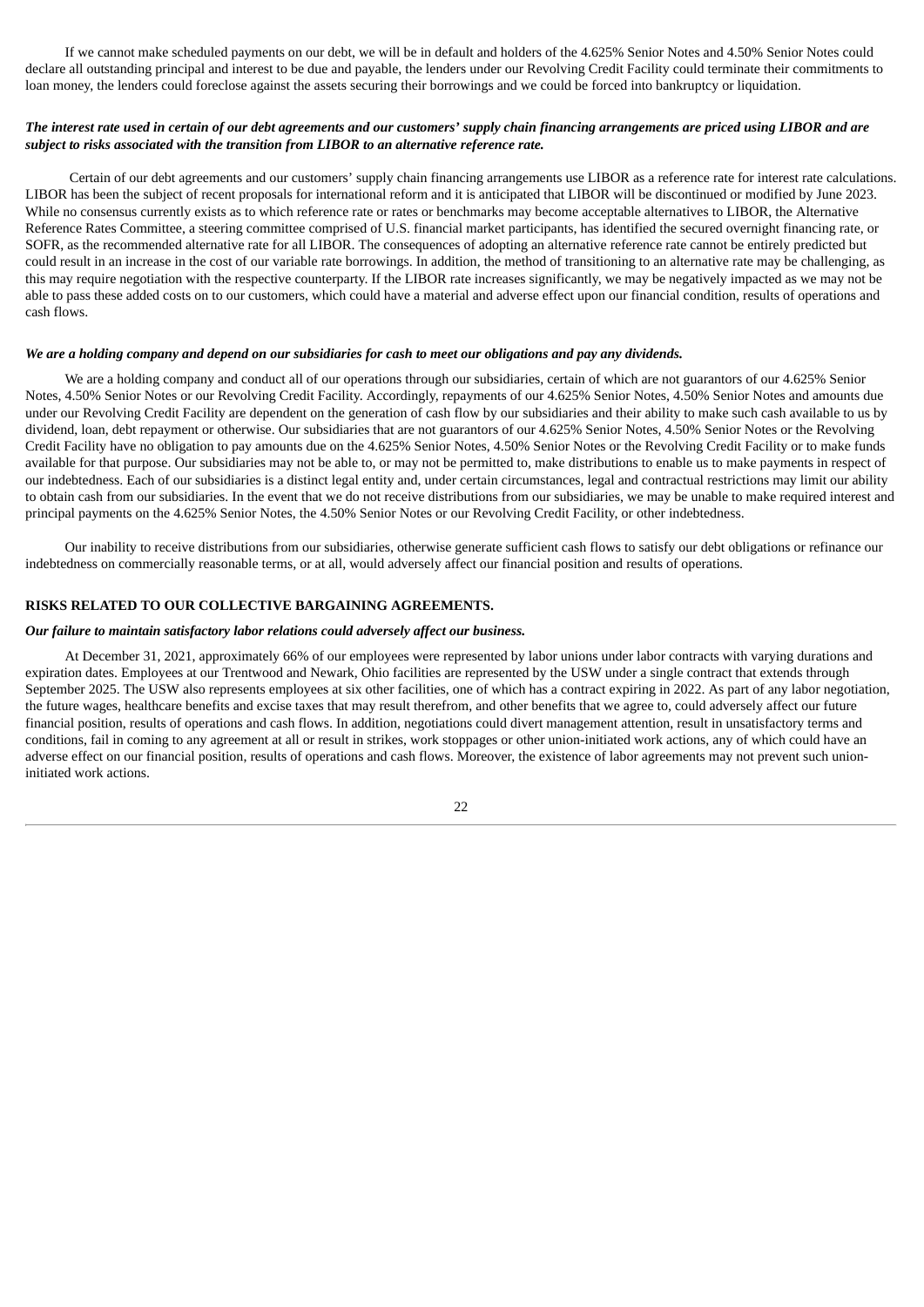If we cannot make scheduled payments on our debt, we will be in default and holders of the 4.625% Senior Notes and 4.50% Senior Notes could declare all outstanding principal and interest to be due and payable, the lenders under our Revolving Credit Facility could terminate their commitments to loan money, the lenders could foreclose against the assets securing their borrowings and we could be forced into bankruptcy or liquidation.

## The interest rate used in certain of our debt agreements and our customers' supply chain financing arrangements are priced using LIBOR and are *subject to risks associated with the transition from LIBOR to an alternative reference rate.*

Certain of our debt agreements and our customers' supply chain financing arrangements use LIBOR as a reference rate for interest rate calculations. LIBOR has been the subject of recent proposals for international reform and it is anticipated that LIBOR will be discontinued or modified by June 2023. While no consensus currently exists as to which reference rate or rates or benchmarks may become acceptable alternatives to LIBOR, the Alternative Reference Rates Committee, a steering committee comprised of U.S. financial market participants, has identified the secured overnight financing rate, or SOFR, as the recommended alternative rate for all LIBOR. The consequences of adopting an alternative reference rate cannot be entirely predicted but could result in an increase in the cost of our variable rate borrowings. In addition, the method of transitioning to an alternative rate may be challenging, as this may require negotiation with the respective counterparty. If the LIBOR rate increases significantly, we may be negatively impacted as we may not be able to pass these added costs on to our customers, which could have a material and adverse effect upon our financial condition, results of operations and cash flows.

### We are a holding company and depend on our subsidiaries for cash to meet our obligations and pay any dividends.

We are a holding company and conduct all of our operations through our subsidiaries, certain of which are not guarantors of our 4.625% Senior Notes, 4.50% Senior Notes or our Revolving Credit Facility. Accordingly, repayments of our 4.625% Senior Notes, 4.50% Senior Notes and amounts due under our Revolving Credit Facility are dependent on the generation of cash flow by our subsidiaries and their ability to make such cash available to us by dividend, loan, debt repayment or otherwise. Our subsidiaries that are not guarantors of our 4.625% Senior Notes, 4.50% Senior Notes or the Revolving Credit Facility have no obligation to pay amounts due on the 4.625% Senior Notes, 4.50% Senior Notes or the Revolving Credit Facility or to make funds available for that purpose. Our subsidiaries may not be able to, or may not be permitted to, make distributions to enable us to make payments in respect of our indebtedness. Each of our subsidiaries is a distinct legal entity and, under certain circumstances, legal and contractual restrictions may limit our ability to obtain cash from our subsidiaries. In the event that we do not receive distributions from our subsidiaries, we may be unable to make required interest and principal payments on the 4.625% Senior Notes, the 4.50% Senior Notes or our Revolving Credit Facility, or other indebtedness.

Our inability to receive distributions from our subsidiaries, otherwise generate sufficient cash flows to satisfy our debt obligations or refinance our indebtedness on commercially reasonable terms, or at all, would adversely affect our financial position and results of operations.

# **RISKS RELATED TO OUR COLLECTIVE BARGAINING AGREEMENTS.**

#### *Our failure to maintain satisfactory labor relations could adversely affect our business.*

At December 31, 2021, approximately 66% of our employees were represented by labor unions under labor contracts with varying durations and expiration dates. Employees at our Trentwood and Newark, Ohio facilities are represented by the USW under a single contract that extends through September 2025. The USW also represents employees at six other facilities, one of which has a contract expiring in 2022. As part of any labor negotiation, the future wages, healthcare benefits and excise taxes that may result therefrom, and other benefits that we agree to, could adversely affect our future financial position, results of operations and cash flows. In addition, negotiations could divert management attention, result in unsatisfactory terms and conditions, fail in coming to any agreement at all or result in strikes, work stoppages or other union-initiated work actions, any of which could have an adverse effect on our financial position, results of operations and cash flows. Moreover, the existence of labor agreements may not prevent such unioninitiated work actions.

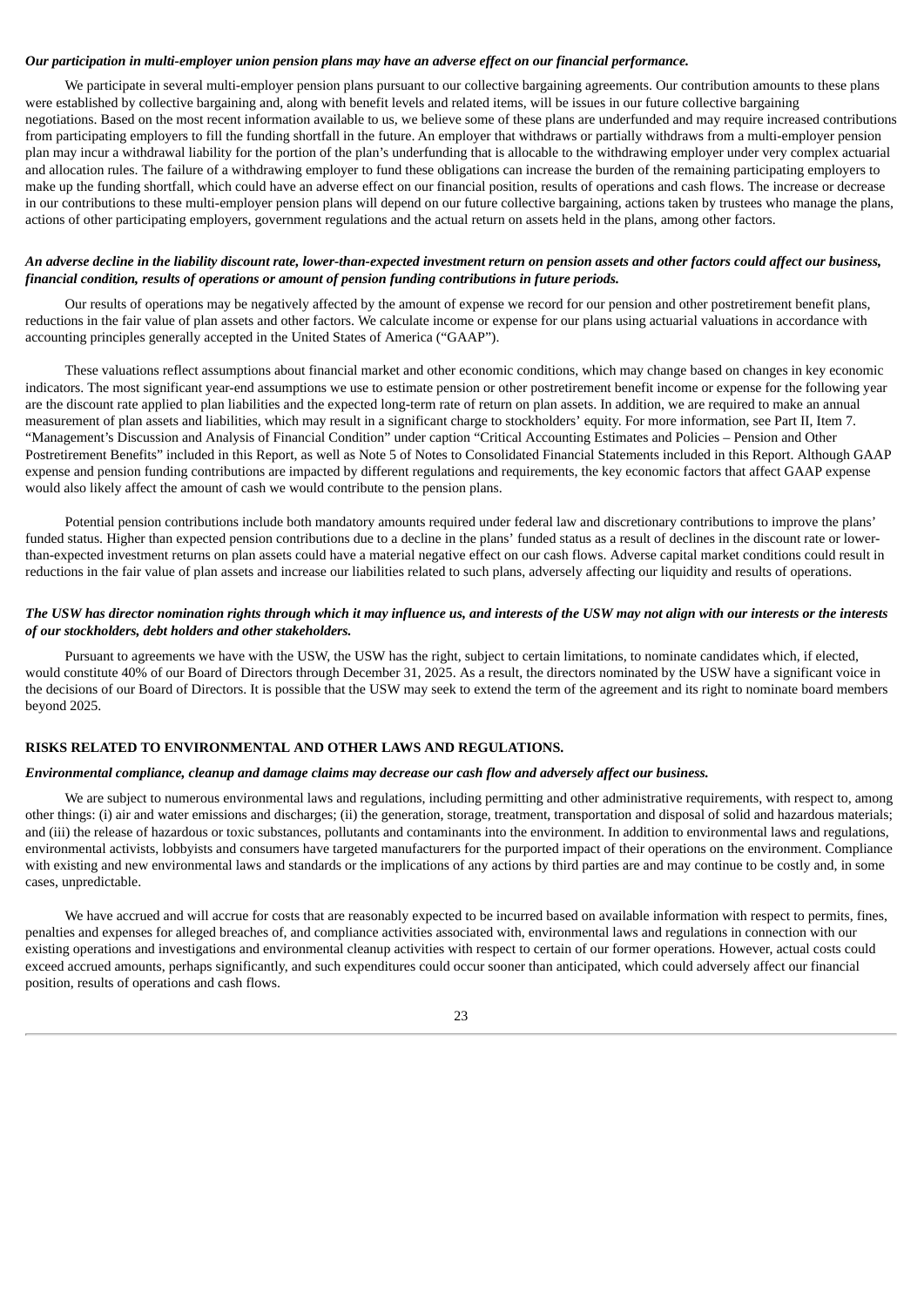## *Our participation in multi-employer union pension plans may have an adverse effect on our financial performance.*

We participate in several multi-employer pension plans pursuant to our collective bargaining agreements. Our contribution amounts to these plans were established by collective bargaining and, along with benefit levels and related items, will be issues in our future collective bargaining negotiations. Based on the most recent information available to us, we believe some of these plans are underfunded and may require increased contributions from participating employers to fill the funding shortfall in the future. An employer that withdraws or partially withdraws from a multi-employer pension plan may incur a withdrawal liability for the portion of the plan's underfunding that is allocable to the withdrawing employer under very complex actuarial and allocation rules. The failure of a withdrawing employer to fund these obligations can increase the burden of the remaining participating employers to make up the funding shortfall, which could have an adverse effect on our financial position, results of operations and cash flows. The increase or decrease in our contributions to these multi-employer pension plans will depend on our future collective bargaining, actions taken by trustees who manage the plans, actions of other participating employers, government regulations and the actual return on assets held in the plans, among other factors.

### An adverse decline in the liability discount rate, lower-than-expected investment return on pension assets and other factors could affect our business, *financial condition, results of operations or amount of pension funding contributions in future periods.*

Our results of operations may be negatively affected by the amount of expense we record for our pension and other postretirement benefit plans, reductions in the fair value of plan assets and other factors. We calculate income or expense for our plans using actuarial valuations in accordance with accounting principles generally accepted in the United States of America ("GAAP").

These valuations reflect assumptions about financial market and other economic conditions, which may change based on changes in key economic indicators. The most significant year-end assumptions we use to estimate pension or other postretirement benefit income or expense for the following year are the discount rate applied to plan liabilities and the expected long-term rate of return on plan assets. In addition, we are required to make an annual measurement of plan assets and liabilities, which may result in a significant charge to stockholders' equity. For more information, see Part II, Item 7. "Management's Discussion and Analysis of Financial Condition" under caption "Critical Accounting Estimates and Policies – Pension and Other Postretirement Benefits" included in this Report, as well as Note 5 of Notes to Consolidated Financial Statements included in this Report. Although GAAP expense and pension funding contributions are impacted by different regulations and requirements, the key economic factors that affect GAAP expense would also likely affect the amount of cash we would contribute to the pension plans.

Potential pension contributions include both mandatory amounts required under federal law and discretionary contributions to improve the plans' funded status. Higher than expected pension contributions due to a decline in the plans' funded status as a result of declines in the discount rate or lowerthan-expected investment returns on plan assets could have a material negative effect on our cash flows. Adverse capital market conditions could result in reductions in the fair value of plan assets and increase our liabilities related to such plans, adversely affecting our liquidity and results of operations.

## The USW has director nomination rights through which it may influence us, and interests of the USW may not align with our interests or the interests *of our stockholders, debt holders and other stakeholders.*

Pursuant to agreements we have with the USW, the USW has the right, subject to certain limitations, to nominate candidates which, if elected, would constitute 40% of our Board of Directors through December 31, 2025. As a result, the directors nominated by the USW have a significant voice in the decisions of our Board of Directors. It is possible that the USW may seek to extend the term of the agreement and its right to nominate board members beyond 2025.

#### **RISKS RELATED TO ENVIRONMENTAL AND OTHER LAWS AND REGULATIONS.**

### Environmental compliance, cleanup and damage claims may decrease our cash flow and adversely affect our business.

We are subject to numerous environmental laws and regulations, including permitting and other administrative requirements, with respect to, among other things: (i) air and water emissions and discharges; (ii) the generation, storage, treatment, transportation and disposal of solid and hazardous materials; and (iii) the release of hazardous or toxic substances, pollutants and contaminants into the environment. In addition to environmental laws and regulations, environmental activists, lobbyists and consumers have targeted manufacturers for the purported impact of their operations on the environment. Compliance with existing and new environmental laws and standards or the implications of any actions by third parties are and may continue to be costly and, in some cases, unpredictable.

We have accrued and will accrue for costs that are reasonably expected to be incurred based on available information with respect to permits, fines, penalties and expenses for alleged breaches of, and compliance activities associated with, environmental laws and regulations in connection with our existing operations and investigations and environmental cleanup activities with respect to certain of our former operations. However, actual costs could exceed accrued amounts, perhaps significantly, and such expenditures could occur sooner than anticipated, which could adversely affect our financial position, results of operations and cash flows.

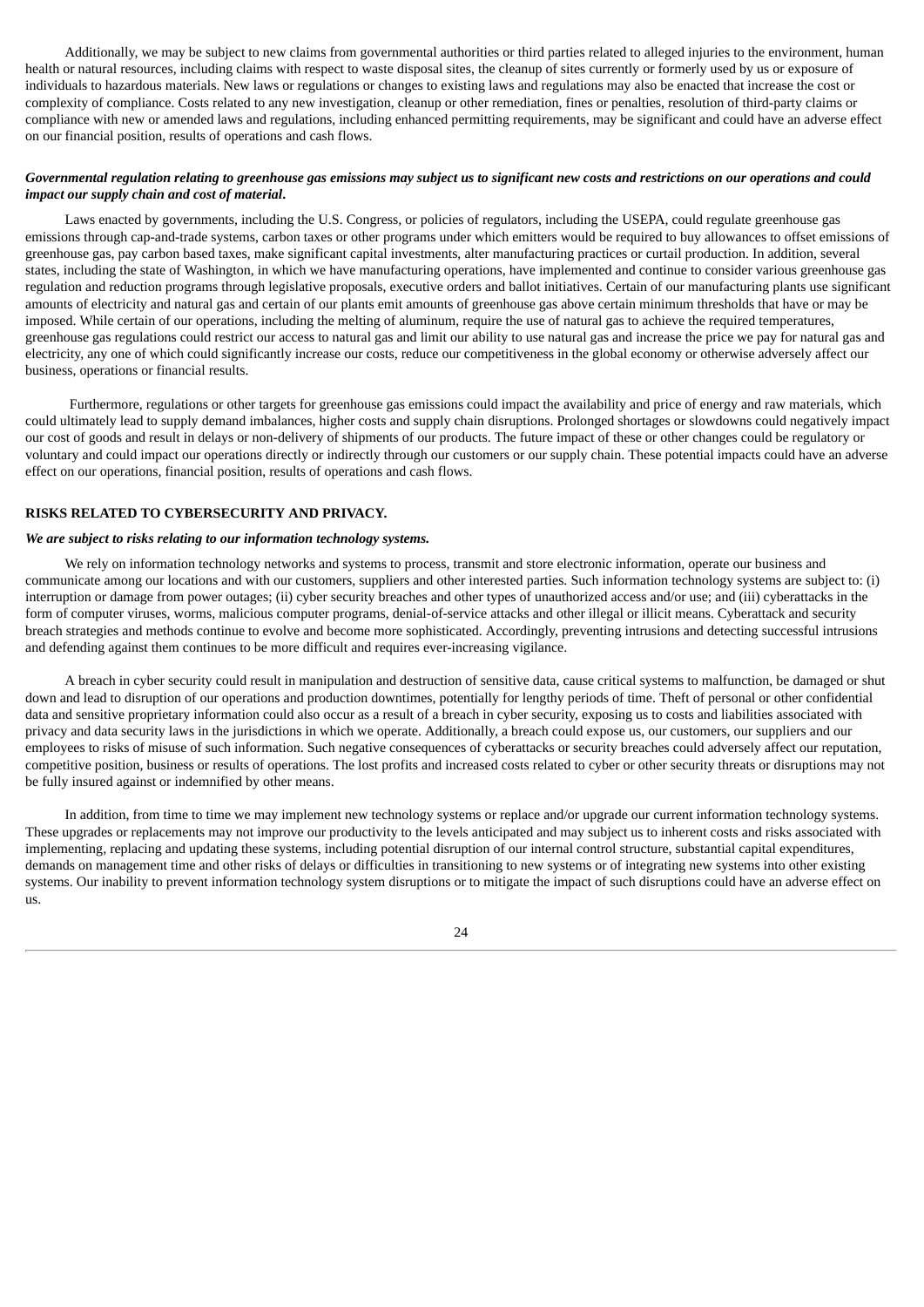Additionally, we may be subject to new claims from governmental authorities or third parties related to alleged injuries to the environment, human health or natural resources, including claims with respect to waste disposal sites, the cleanup of sites currently or formerly used by us or exposure of individuals to hazardous materials. New laws or regulations or changes to existing laws and regulations may also be enacted that increase the cost or complexity of compliance. Costs related to any new investigation, cleanup or other remediation, fines or penalties, resolution of third-party claims or compliance with new or amended laws and regulations, including enhanced permitting requirements, may be significant and could have an adverse effect on our financial position, results of operations and cash flows.

## Governmental regulation relating to greenhouse gas emissions may subject us to significant new costs and restrictions on our operations and could *impact our supply chain and cost of material***.**

Laws enacted by governments, including the U.S. Congress, or policies of regulators, including the USEPA, could regulate greenhouse gas emissions through cap-and-trade systems, carbon taxes or other programs under which emitters would be required to buy allowances to offset emissions of greenhouse gas, pay carbon based taxes, make significant capital investments, alter manufacturing practices or curtail production. In addition, several states, including the state of Washington, in which we have manufacturing operations, have implemented and continue to consider various greenhouse gas regulation and reduction programs through legislative proposals, executive orders and ballot initiatives. Certain of our manufacturing plants use significant amounts of electricity and natural gas and certain of our plants emit amounts of greenhouse gas above certain minimum thresholds that have or may be imposed. While certain of our operations, including the melting of aluminum, require the use of natural gas to achieve the required temperatures, greenhouse gas regulations could restrict our access to natural gas and limit our ability to use natural gas and increase the price we pay for natural gas and electricity, any one of which could significantly increase our costs, reduce our competitiveness in the global economy or otherwise adversely affect our business, operations or financial results.

Furthermore, regulations or other targets for greenhouse gas emissions could impact the availability and price of energy and raw materials, which could ultimately lead to supply demand imbalances, higher costs and supply chain disruptions. Prolonged shortages or slowdowns could negatively impact our cost of goods and result in delays or non-delivery of shipments of our products. The future impact of these or other changes could be regulatory or voluntary and could impact our operations directly or indirectly through our customers or our supply chain. These potential impacts could have an adverse effect on our operations, financial position, results of operations and cash flows.

#### **RISKS RELATED TO CYBERSECURITY AND PRIVACY.**

#### *We are subject to risks relating to our information technology systems.*

We rely on information technology networks and systems to process, transmit and store electronic information, operate our business and communicate among our locations and with our customers, suppliers and other interested parties. Such information technology systems are subject to: (i) interruption or damage from power outages; (ii) cyber security breaches and other types of unauthorized access and/or use; and (iii) cyberattacks in the form of computer viruses, worms, malicious computer programs, denial-of-service attacks and other illegal or illicit means. Cyberattack and security breach strategies and methods continue to evolve and become more sophisticated. Accordingly, preventing intrusions and detecting successful intrusions and defending against them continues to be more difficult and requires ever-increasing vigilance.

A breach in cyber security could result in manipulation and destruction of sensitive data, cause critical systems to malfunction, be damaged or shut down and lead to disruption of our operations and production downtimes, potentially for lengthy periods of time. Theft of personal or other confidential data and sensitive proprietary information could also occur as a result of a breach in cyber security, exposing us to costs and liabilities associated with privacy and data security laws in the jurisdictions in which we operate. Additionally, a breach could expose us, our customers, our suppliers and our employees to risks of misuse of such information. Such negative consequences of cyberattacks or security breaches could adversely affect our reputation, competitive position, business or results of operations. The lost profits and increased costs related to cyber or other security threats or disruptions may not be fully insured against or indemnified by other means.

In addition, from time to time we may implement new technology systems or replace and/or upgrade our current information technology systems. These upgrades or replacements may not improve our productivity to the levels anticipated and may subject us to inherent costs and risks associated with implementing, replacing and updating these systems, including potential disruption of our internal control structure, substantial capital expenditures, demands on management time and other risks of delays or difficulties in transitioning to new systems or of integrating new systems into other existing systems. Our inability to prevent information technology system disruptions or to mitigate the impact of such disruptions could have an adverse effect on us.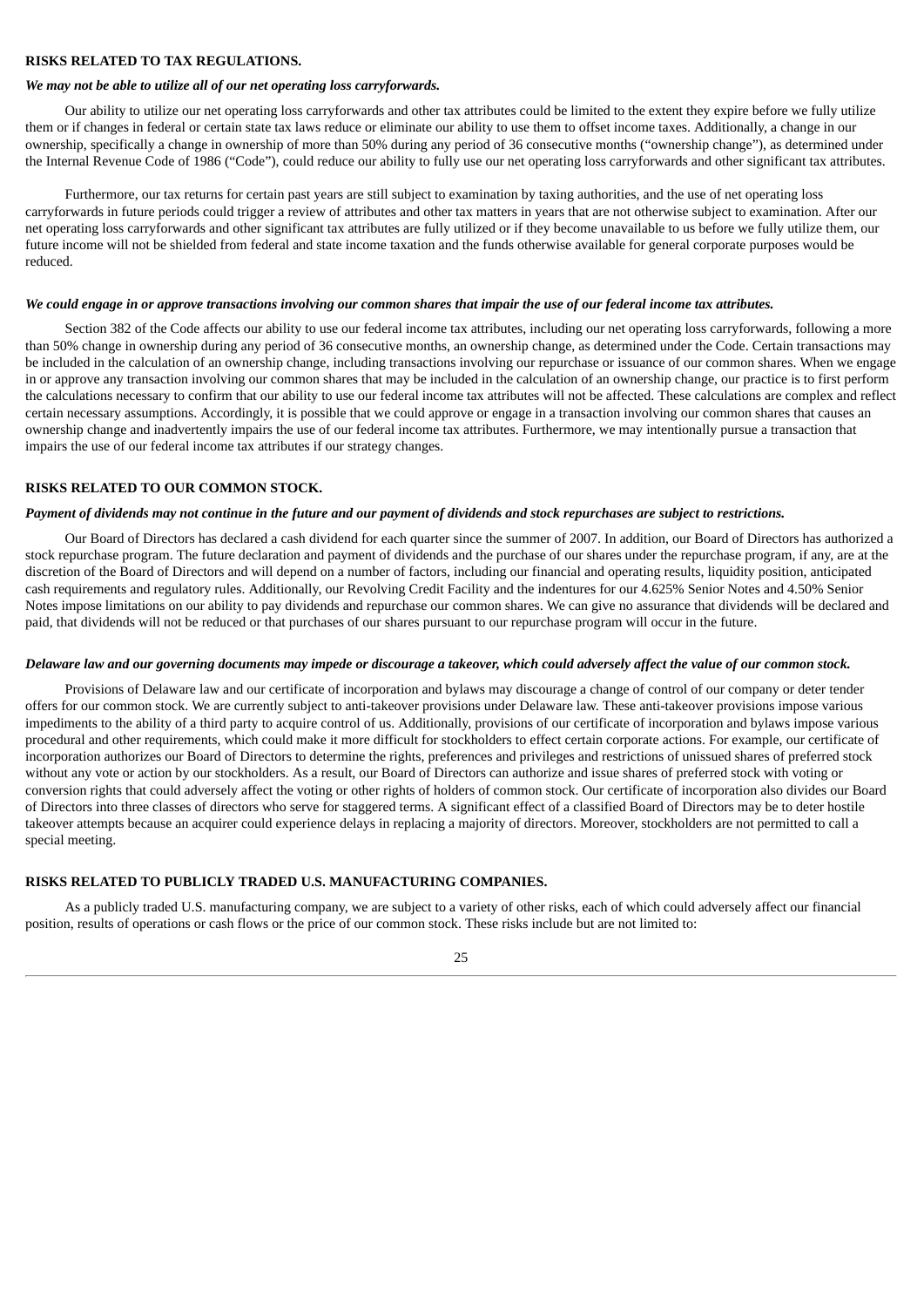# **RISKS RELATED TO TAX REGULATIONS.**

#### *We may not be able to utilize all of our net operating loss carryforwards.*

Our ability to utilize our net operating loss carryforwards and other tax attributes could be limited to the extent they expire before we fully utilize them or if changes in federal or certain state tax laws reduce or eliminate our ability to use them to offset income taxes. Additionally, a change in our ownership, specifically a change in ownership of more than 50% during any period of 36 consecutive months ("ownership change"), as determined under the Internal Revenue Code of 1986 ("Code"), could reduce our ability to fully use our net operating loss carryforwards and other significant tax attributes.

Furthermore, our tax returns for certain past years are still subject to examination by taxing authorities, and the use of net operating loss carryforwards in future periods could trigger a review of attributes and other tax matters in years that are not otherwise subject to examination. After our net operating loss carryforwards and other significant tax attributes are fully utilized or if they become unavailable to us before we fully utilize them, our future income will not be shielded from federal and state income taxation and the funds otherwise available for general corporate purposes would be reduced.

#### We could engage in or approve transactions involving our common shares that impair the use of our federal income tax attributes.

Section 382 of the Code affects our ability to use our federal income tax attributes, including our net operating loss carryforwards, following a more than 50% change in ownership during any period of 36 consecutive months, an ownership change, as determined under the Code. Certain transactions may be included in the calculation of an ownership change, including transactions involving our repurchase or issuance of our common shares. When we engage in or approve any transaction involving our common shares that may be included in the calculation of an ownership change, our practice is to first perform the calculations necessary to confirm that our ability to use our federal income tax attributes will not be affected. These calculations are complex and reflect certain necessary assumptions. Accordingly, it is possible that we could approve or engage in a transaction involving our common shares that causes an ownership change and inadvertently impairs the use of our federal income tax attributes. Furthermore, we may intentionally pursue a transaction that impairs the use of our federal income tax attributes if our strategy changes.

### **RISKS RELATED TO OUR COMMON STOCK.**

#### Payment of dividends may not continue in the future and our payment of dividends and stock repurchases are subject to restrictions.

Our Board of Directors has declared a cash dividend for each quarter since the summer of 2007. In addition, our Board of Directors has authorized a stock repurchase program. The future declaration and payment of dividends and the purchase of our shares under the repurchase program, if any, are at the discretion of the Board of Directors and will depend on a number of factors, including our financial and operating results, liquidity position, anticipated cash requirements and regulatory rules. Additionally, our Revolving Credit Facility and the indentures for our 4.625% Senior Notes and 4.50% Senior Notes impose limitations on our ability to pay dividends and repurchase our common shares. We can give no assurance that dividends will be declared and paid, that dividends will not be reduced or that purchases of our shares pursuant to our repurchase program will occur in the future.

#### Delaware law and our governing documents may impede or discourage a takeover, which could adversely affect the value of our common stock.

Provisions of Delaware law and our certificate of incorporation and bylaws may discourage a change of control of our company or deter tender offers for our common stock. We are currently subject to anti-takeover provisions under Delaware law. These anti-takeover provisions impose various impediments to the ability of a third party to acquire control of us. Additionally, provisions of our certificate of incorporation and bylaws impose various procedural and other requirements, which could make it more difficult for stockholders to effect certain corporate actions. For example, our certificate of incorporation authorizes our Board of Directors to determine the rights, preferences and privileges and restrictions of unissued shares of preferred stock without any vote or action by our stockholders. As a result, our Board of Directors can authorize and issue shares of preferred stock with voting or conversion rights that could adversely affect the voting or other rights of holders of common stock. Our certificate of incorporation also divides our Board of Directors into three classes of directors who serve for staggered terms. A significant effect of a classified Board of Directors may be to deter hostile takeover attempts because an acquirer could experience delays in replacing a majority of directors. Moreover, stockholders are not permitted to call a special meeting.

# **RISKS RELATED TO PUBLICLY TRADED U.S. MANUFACTURING COMPANIES.**

As a publicly traded U.S. manufacturing company, we are subject to a variety of other risks, each of which could adversely affect our financial position, results of operations or cash flows or the price of our common stock. These risks include but are not limited to: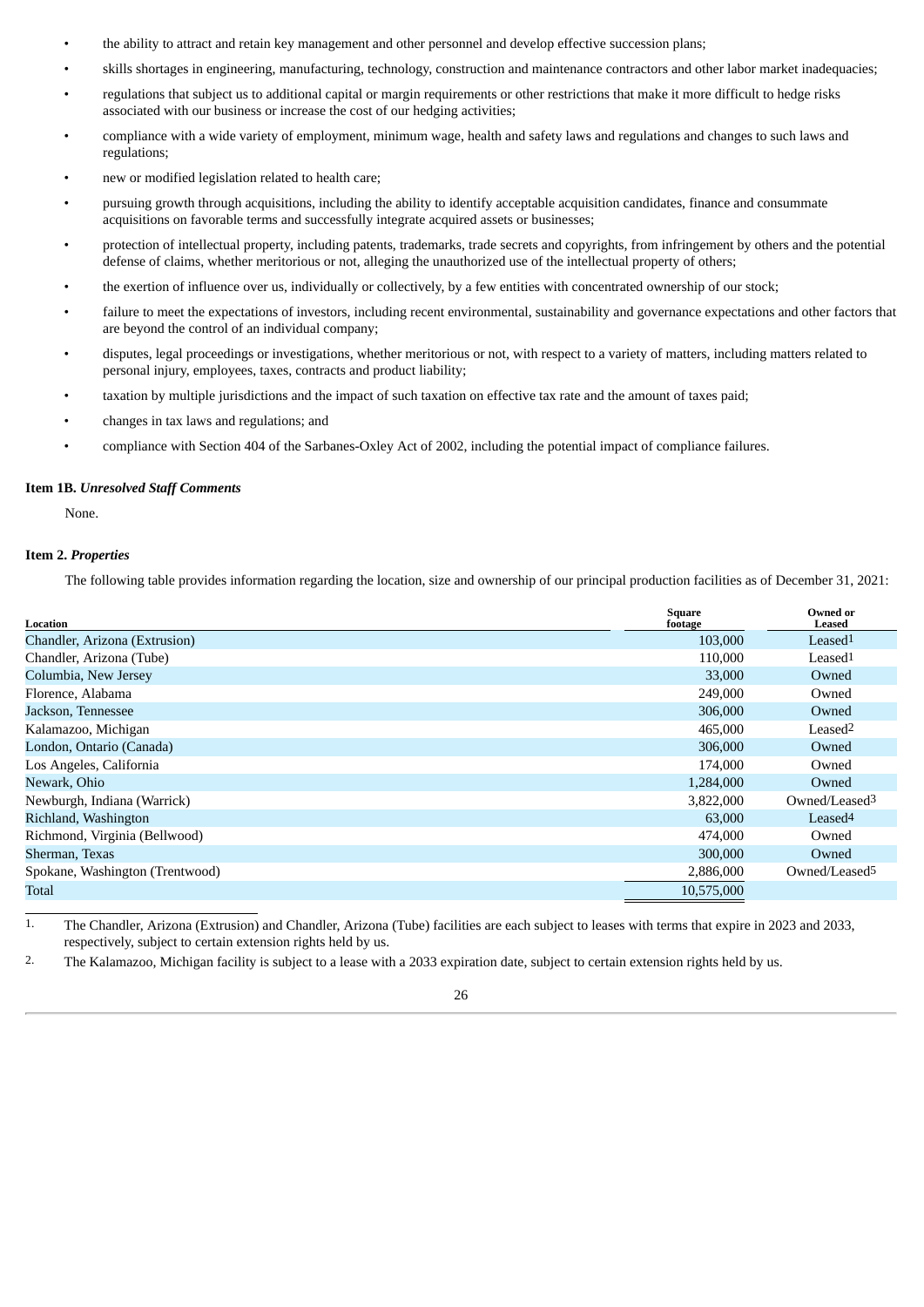- the ability to attract and retain key management and other personnel and develop effective succession plans;
- skills shortages in engineering, manufacturing, technology, construction and maintenance contractors and other labor market inadequacies;
- regulations that subject us to additional capital or margin requirements or other restrictions that make it more difficult to hedge risks associated with our business or increase the cost of our hedging activities;
- compliance with a wide variety of employment, minimum wage, health and safety laws and regulations and changes to such laws and regulations;
- new or modified legislation related to health care;
- pursuing growth through acquisitions, including the ability to identify acceptable acquisition candidates, finance and consummate acquisitions on favorable terms and successfully integrate acquired assets or businesses;
- protection of intellectual property, including patents, trademarks, trade secrets and copyrights, from infringement by others and the potential defense of claims, whether meritorious or not, alleging the unauthorized use of the intellectual property of others;
- the exertion of influence over us, individually or collectively, by a few entities with concentrated ownership of our stock;
- failure to meet the expectations of investors, including recent environmental, sustainability and governance expectations and other factors that are beyond the control of an individual company;
- disputes, legal proceedings or investigations, whether meritorious or not, with respect to a variety of matters, including matters related to personal injury, employees, taxes, contracts and product liability;
- taxation by multiple jurisdictions and the impact of such taxation on effective tax rate and the amount of taxes paid;
- changes in tax laws and regulations; and
- compliance with Section 404 of the Sarbanes-Oxley Act of 2002, including the potential impact of compliance failures.

#### <span id="page-25-0"></span>**Item 1B.** *Unresolved Staff Comments*

None.

# <span id="page-25-1"></span>**Item 2.** *Properties*

The following table provides information regarding the location, size and ownership of our principal production facilities as of December 31, 2021:

| Location                        | Square<br>footage | <b>Owned or</b><br>Leased |
|---------------------------------|-------------------|---------------------------|
| Chandler, Arizona (Extrusion)   | 103,000           | Leased <sup>1</sup>       |
| Chandler, Arizona (Tube)        | 110,000           | Leased <sup>1</sup>       |
| Columbia, New Jersey            | 33,000            | Owned                     |
| Florence, Alabama               | 249,000           | Owned                     |
| Jackson, Tennessee              | 306,000           | Owned                     |
| Kalamazoo, Michigan             | 465,000           | Leased <sup>2</sup>       |
| London, Ontario (Canada)        | 306,000           | Owned                     |
| Los Angeles, California         | 174,000           | Owned                     |
| Newark, Ohio                    | 1,284,000         | Owned                     |
| Newburgh, Indiana (Warrick)     | 3,822,000         | Owned/Leased <sup>3</sup> |
| Richland, Washington            | 63,000            | Leased <sup>4</sup>       |
| Richmond, Virginia (Bellwood)   | 474,000           | Owned                     |
| Sherman, Texas                  | 300,000           | Owned                     |
| Spokane, Washington (Trentwood) | 2,886,000         | Owned/Leased <sup>5</sup> |
| Total                           | 10,575,000        |                           |

1. The Chandler, Arizona (Extrusion) and Chandler, Arizona (Tube) facilities are each subject to leases with terms that expire in 2023 and 2033, respectively, subject to certain extension rights held by us.

2. The Kalamazoo, Michigan facility is subject to a lease with a 2033 expiration date, subject to certain extension rights held by us.

26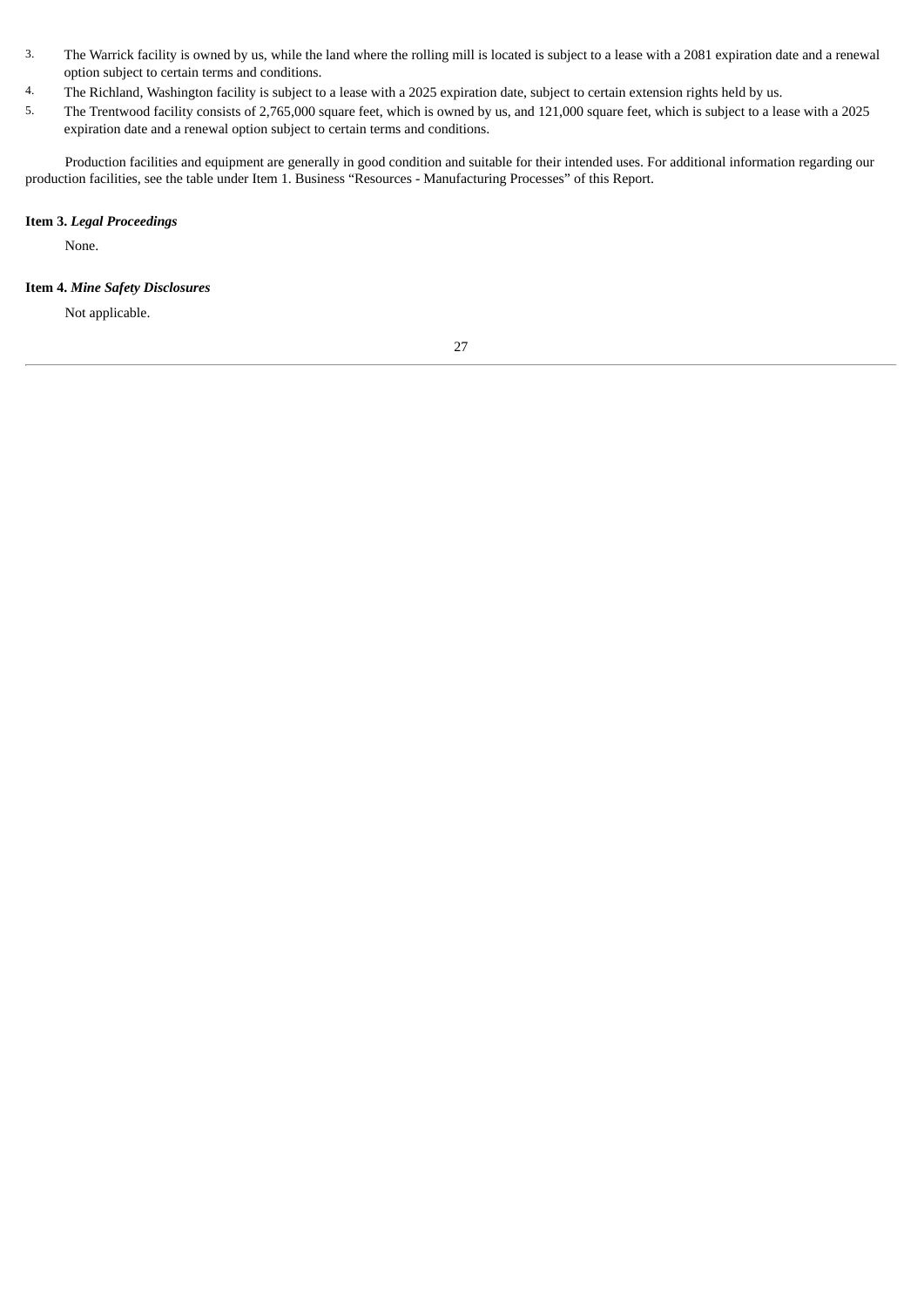- 3. The Warrick facility is owned by us, while the land where the rolling mill is located is subject to a lease with a 2081 expiration date and a renewal option subject to certain terms and conditions.
- 4. The Richland, Washington facility is subject to a lease with a 2025 expiration date, subject to certain extension rights held by us.
- 5. The Trentwood facility consists of 2,765,000 square feet, which is owned by us, and 121,000 square feet, which is subject to a lease with a 2025 expiration date and a renewal option subject to certain terms and conditions.

Production facilities and equipment are generally in good condition and suitable for their intended uses. For additional information regarding our production facilities, see the table under Item 1. Business "Resources - Manufacturing Processes" of this Report.

# <span id="page-26-0"></span>**Item 3.** *Legal Proceedings*

None.

# <span id="page-26-1"></span>**Item 4.** *Mine Safety Disclosures*

Not applicable.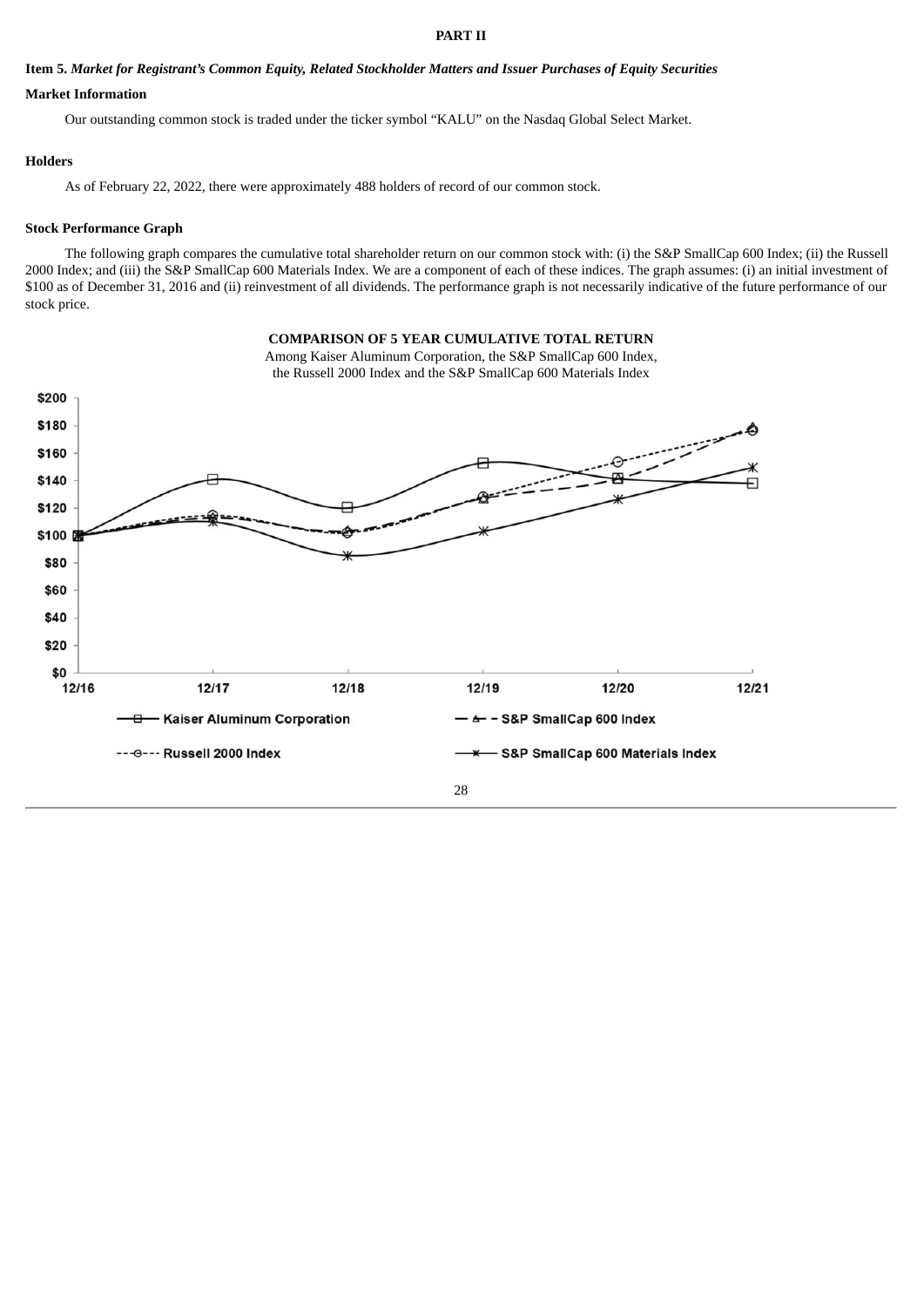#### **PART II**

### <span id="page-27-1"></span><span id="page-27-0"></span>Item 5. Market for Registrant's Common Equity, Related Stockholder Matters and Issuer Purchases of Equity Securities

# **Market Information**

Our outstanding common stock is traded under the ticker symbol "KALU" on the Nasdaq Global Select Market.

# **Holders**

As of February 22, 2022, there were approximately 488 holders of record of our common stock.

# **Stock Performance Graph**

The following graph compares the cumulative total shareholder return on our common stock with: (i) the S&P SmallCap 600 Index; (ii) the Russell 2000 Index; and (iii) the S&P SmallCap 600 Materials Index. We are a component of each of these indices. The graph assumes: (i) an initial investment of \$100 as of December 31, 2016 and (ii) reinvestment of all dividends. The performance graph is not necessarily indicative of the future performance of our stock price.

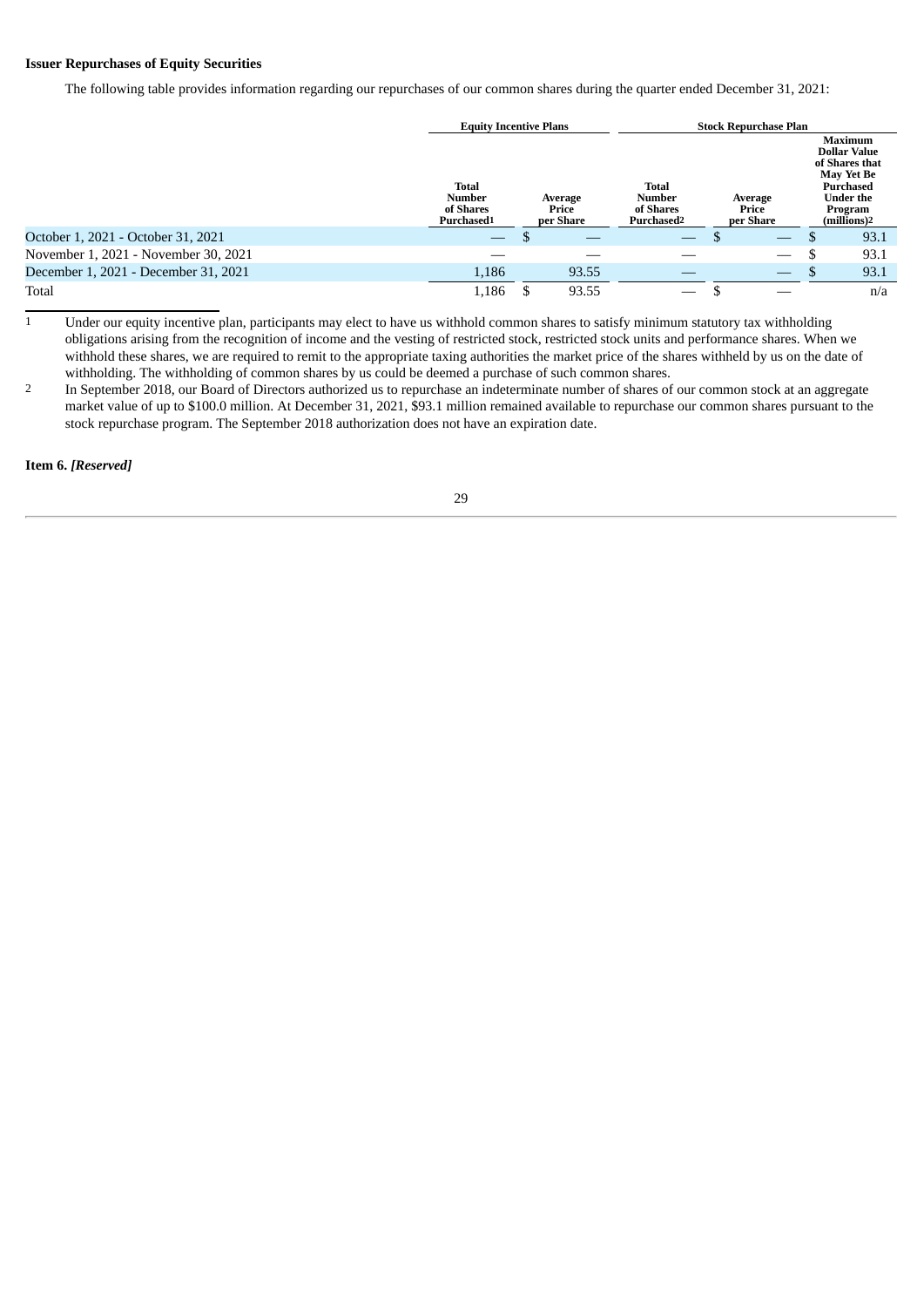# **Issuer Repurchases of Equity Securities**

The following table provides information regarding our repurchases of our common shares during the quarter ended December 31, 2021:

|                                      |                                                   | <b>Equity Incentive Plans</b> |                               |                                                               | <b>Stock Repurchase Plan</b>    |     |                                                                                                                                                |
|--------------------------------------|---------------------------------------------------|-------------------------------|-------------------------------|---------------------------------------------------------------|---------------------------------|-----|------------------------------------------------------------------------------------------------------------------------------------------------|
|                                      | <b>Total</b><br>Number<br>of Shares<br>Purchased1 |                               | Average<br>Price<br>per Share | <b>Total</b><br>Number<br>of Shares<br>Purchased <sup>2</sup> | Average<br>Price<br>per Share   |     | <b>Maximum</b><br><b>Dollar Value</b><br>of Shares that<br><b>May Yet Be</b><br><b>Purchased</b><br><b>Under the</b><br>Program<br>(millions)2 |
| October 1, 2021 - October 31, 2021   |                                                   |                               |                               |                                                               |                                 | D   | 93.1                                                                                                                                           |
| November 1, 2021 - November 30, 2021 |                                                   |                               |                               |                                                               |                                 | S   | 93.1                                                                                                                                           |
| December 1, 2021 - December 31, 2021 | 1,186                                             |                               | 93.55                         |                                                               | $\hspace{0.1mm}-\hspace{0.1mm}$ | \$. | 93.1                                                                                                                                           |
| Total                                | 1,186                                             |                               | 93.55                         |                                                               |                                 |     | n/a                                                                                                                                            |

 $\frac{1}{1}$  Under our equity incentive plan, participants may elect to have us withhold common shares to satisfy minimum statutory tax withholding obligations arising from the recognition of income and the vesting of restricted stock, restricted stock units and performance shares. When we withhold these shares, we are required to remit to the appropriate taxing authorities the market price of the shares withheld by us on the date of withholding. The withholding of common shares by us could be deemed a purchase of such common shares.

<sup>2</sup> In September 2018, our Board of Directors authorized us to repurchase an indeterminate number of shares of our common stock at an aggregate market value of up to \$100.0 million. At December 31, 2021, \$93.1 million remained available to repurchase our common shares pursuant to the stock repurchase program. The September 2018 authorization does not have an expiration date.

<span id="page-28-0"></span>**Item 6.** *[Reserved]*

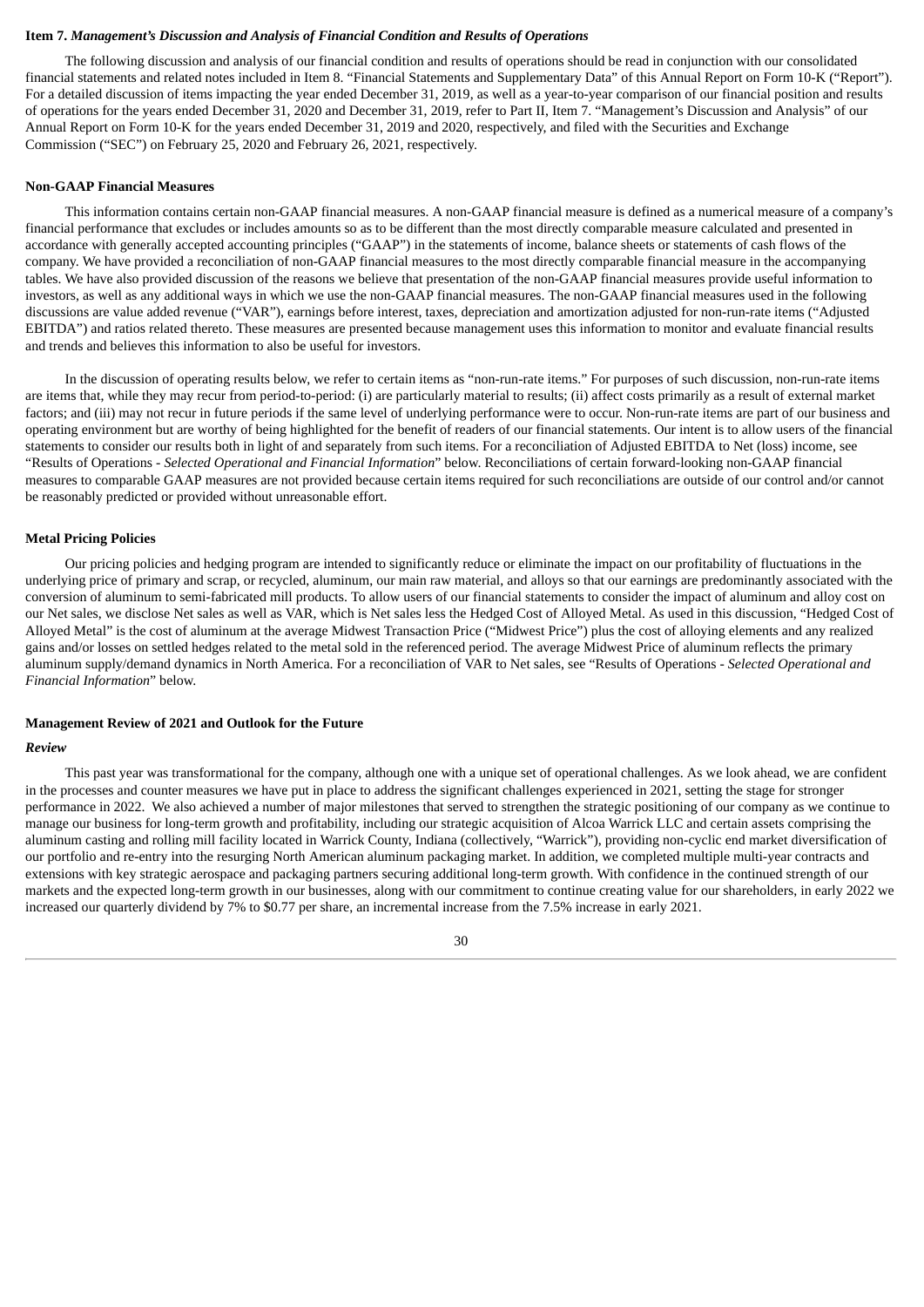# <span id="page-29-0"></span>**Item 7.** *Management's Discussion and Analysis of Financial Condition and Results of Operations*

The following discussion and analysis of our financial condition and results of operations should be read in conjunction with our consolidated financial statements and related notes included in Item 8. "Financial Statements and Supplementary Data" of this Annual Report on Form 10-K ("Report"). For a detailed discussion of items impacting the year ended December 31, 2019, as well as a year-to-year comparison of our financial position and results of operations for the years ended December 31, 2020 and December 31, 2019, refer to Part II, Item 7. "Management's Discussion and Analysis" of our Annual Report on Form 10-K for the years ended December 31, 2019 and 2020, respectively, and filed with the Securities and Exchange Commission ("SEC") on February 25, 2020 and February 26, 2021, respectively.

#### **Non-GAAP Financial Measures**

This information contains certain non-GAAP financial measures. A non-GAAP financial measure is defined as a numerical measure of a company's financial performance that excludes or includes amounts so as to be different than the most directly comparable measure calculated and presented in accordance with generally accepted accounting principles ("GAAP") in the statements of income, balance sheets or statements of cash flows of the company. We have provided a reconciliation of non-GAAP financial measures to the most directly comparable financial measure in the accompanying tables. We have also provided discussion of the reasons we believe that presentation of the non-GAAP financial measures provide useful information to investors, as well as any additional ways in which we use the non-GAAP financial measures. The non-GAAP financial measures used in the following discussions are value added revenue ("VAR"), earnings before interest, taxes, depreciation and amortization adjusted for non-run-rate items ("Adjusted EBITDA") and ratios related thereto. These measures are presented because management uses this information to monitor and evaluate financial results and trends and believes this information to also be useful for investors.

In the discussion of operating results below, we refer to certain items as "non-run-rate items." For purposes of such discussion, non-run-rate items are items that, while they may recur from period-to-period: (i) are particularly material to results; (ii) affect costs primarily as a result of external market factors; and (iii) may not recur in future periods if the same level of underlying performance were to occur. Non-run-rate items are part of our business and operating environment but are worthy of being highlighted for the benefit of readers of our financial statements. Our intent is to allow users of the financial statements to consider our results both in light of and separately from such items. For a reconciliation of Adjusted EBITDA to Net (loss) income, see "Results of Operations - *Selected Operational and Financial Information*" below. Reconciliations of certain forward-looking non-GAAP financial measures to comparable GAAP measures are not provided because certain items required for such reconciliations are outside of our control and/or cannot be reasonably predicted or provided without unreasonable effort.

#### **Metal Pricing Policies**

Our pricing policies and hedging program are intended to significantly reduce or eliminate the impact on our profitability of fluctuations in the underlying price of primary and scrap, or recycled, aluminum, our main raw material, and alloys so that our earnings are predominantly associated with the conversion of aluminum to semi‑fabricated mill products. To allow users of our financial statements to consider the impact of aluminum and alloy cost on our Net sales, we disclose Net sales as well as VAR, which is Net sales less the Hedged Cost of Alloyed Metal. As used in this discussion, "Hedged Cost of Alloyed Metal" is the cost of aluminum at the average Midwest Transaction Price ("Midwest Price") plus the cost of alloying elements and any realized gains and/or losses on settled hedges related to the metal sold in the referenced period. The average Midwest Price of aluminum reflects the primary aluminum supply/demand dynamics in North America. For a reconciliation of VAR to Net sales, see "Results of Operations - *Selected Operational and Financial Information*" below.

## **Management Review of 2021 and Outlook for the Future**

#### *Review*

This past year was transformational for the company, although one with a unique set of operational challenges. As we look ahead, we are confident in the processes and counter measures we have put in place to address the significant challenges experienced in 2021, setting the stage for stronger performance in 2022. We also achieved a number of major milestones that served to strengthen the strategic positioning of our company as we continue to manage our business for long-term growth and profitability, including our strategic acquisition of Alcoa Warrick LLC and certain assets comprising the aluminum casting and rolling mill facility located in Warrick County, Indiana (collectively, "Warrick"), providing non-cyclic end market diversification of our portfolio and re-entry into the resurging North American aluminum packaging market. In addition, we completed multiple multi-year contracts and extensions with key strategic aerospace and packaging partners securing additional long-term growth. With confidence in the continued strength of our markets and the expected long-term growth in our businesses, along with our commitment to continue creating value for our shareholders, in early 2022 we increased our quarterly dividend by 7% to \$0.77 per share, an incremental increase from the 7.5% increase in early 2021.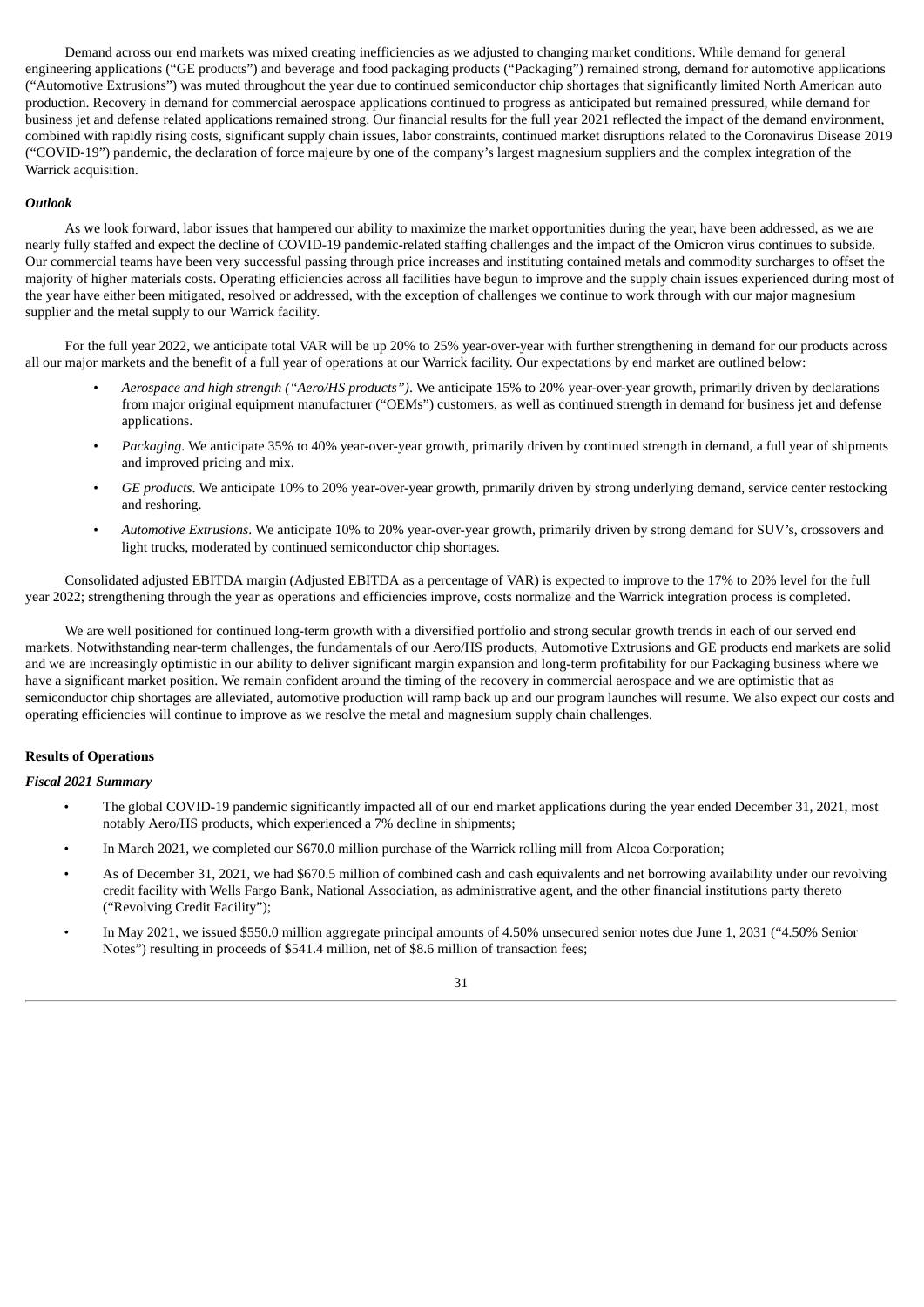Demand across our end markets was mixed creating inefficiencies as we adjusted to changing market conditions. While demand for general engineering applications ("GE products") and beverage and food packaging products ("Packaging") remained strong, demand for automotive applications ("Automotive Extrusions") was muted throughout the year due to continued semiconductor chip shortages that significantly limited North American auto production. Recovery in demand for commercial aerospace applications continued to progress as anticipated but remained pressured, while demand for business jet and defense related applications remained strong. Our financial results for the full year 2021 reflected the impact of the demand environment, combined with rapidly rising costs, significant supply chain issues, labor constraints, continued market disruptions related to the Coronavirus Disease 2019 ("COVID‑19") pandemic, the declaration of force majeure by one of the company's largest magnesium suppliers and the complex integration of the Warrick acquisition.

### *Outlook*

As we look forward, labor issues that hampered our ability to maximize the market opportunities during the year, have been addressed, as we are nearly fully staffed and expect the decline of COVID-19 pandemic-related staffing challenges and the impact of the Omicron virus continues to subside. Our commercial teams have been very successful passing through price increases and instituting contained metals and commodity surcharges to offset the majority of higher materials costs. Operating efficiencies across all facilities have begun to improve and the supply chain issues experienced during most of the year have either been mitigated, resolved or addressed, with the exception of challenges we continue to work through with our major magnesium supplier and the metal supply to our Warrick facility.

For the full year 2022, we anticipate total VAR will be up 20% to 25% year-over-year with further strengthening in demand for our products across all our major markets and the benefit of a full year of operations at our Warrick facility. Our expectations by end market are outlined below:

- *Aerospace and high strength ("Aero/HS products")*. We anticipate 15% to 20% year-over-year growth, primarily driven by declarations from major original equipment manufacturer ("OEMs") customers, as well as continued strength in demand for business jet and defense applications.
- *Packaging*. We anticipate 35% to 40% year-over-year growth, primarily driven by continued strength in demand, a full year of shipments and improved pricing and mix.
- *GE products*. We anticipate 10% to 20% year-over-year growth, primarily driven by strong underlying demand, service center restocking and reshoring.
- *Automotive Extrusions*. We anticipate 10% to 20% year-over-year growth, primarily driven by strong demand for SUV's, crossovers and light trucks, moderated by continued semiconductor chip shortages.

Consolidated adjusted EBITDA margin (Adjusted EBITDA as a percentage of VAR) is expected to improve to the 17% to 20% level for the full year 2022; strengthening through the year as operations and efficiencies improve, costs normalize and the Warrick integration process is completed.

We are well positioned for continued long-term growth with a diversified portfolio and strong secular growth trends in each of our served end markets. Notwithstanding near-term challenges, the fundamentals of our Aero/HS products, Automotive Extrusions and GE products end markets are solid and we are increasingly optimistic in our ability to deliver significant margin expansion and long-term profitability for our Packaging business where we have a significant market position. We remain confident around the timing of the recovery in commercial aerospace and we are optimistic that as semiconductor chip shortages are alleviated, automotive production will ramp back up and our program launches will resume. We also expect our costs and operating efficiencies will continue to improve as we resolve the metal and magnesium supply chain challenges.

# **Results of Operations**

#### *Fiscal 2021 Summary*

- The global COVID-19 pandemic significantly impacted all of our end market applications during the year ended December 31, 2021, most notably Aero/HS products, which experienced a 7% decline in shipments;
- In March 2021, we completed our \$670.0 million purchase of the Warrick rolling mill from Alcoa Corporation;
- As of December 31, 2021, we had \$670.5 million of combined cash and cash equivalents and net borrowing availability under our revolving credit facility with Wells Fargo Bank, National Association, as administrative agent, and the other financial institutions party thereto ("Revolving Credit Facility");
- In May 2021, we issued \$550.0 million aggregate principal amounts of 4.50% unsecured senior notes due June 1, 2031 ("4.50% Senior Notes") resulting in proceeds of \$541.4 million, net of \$8.6 million of transaction fees;

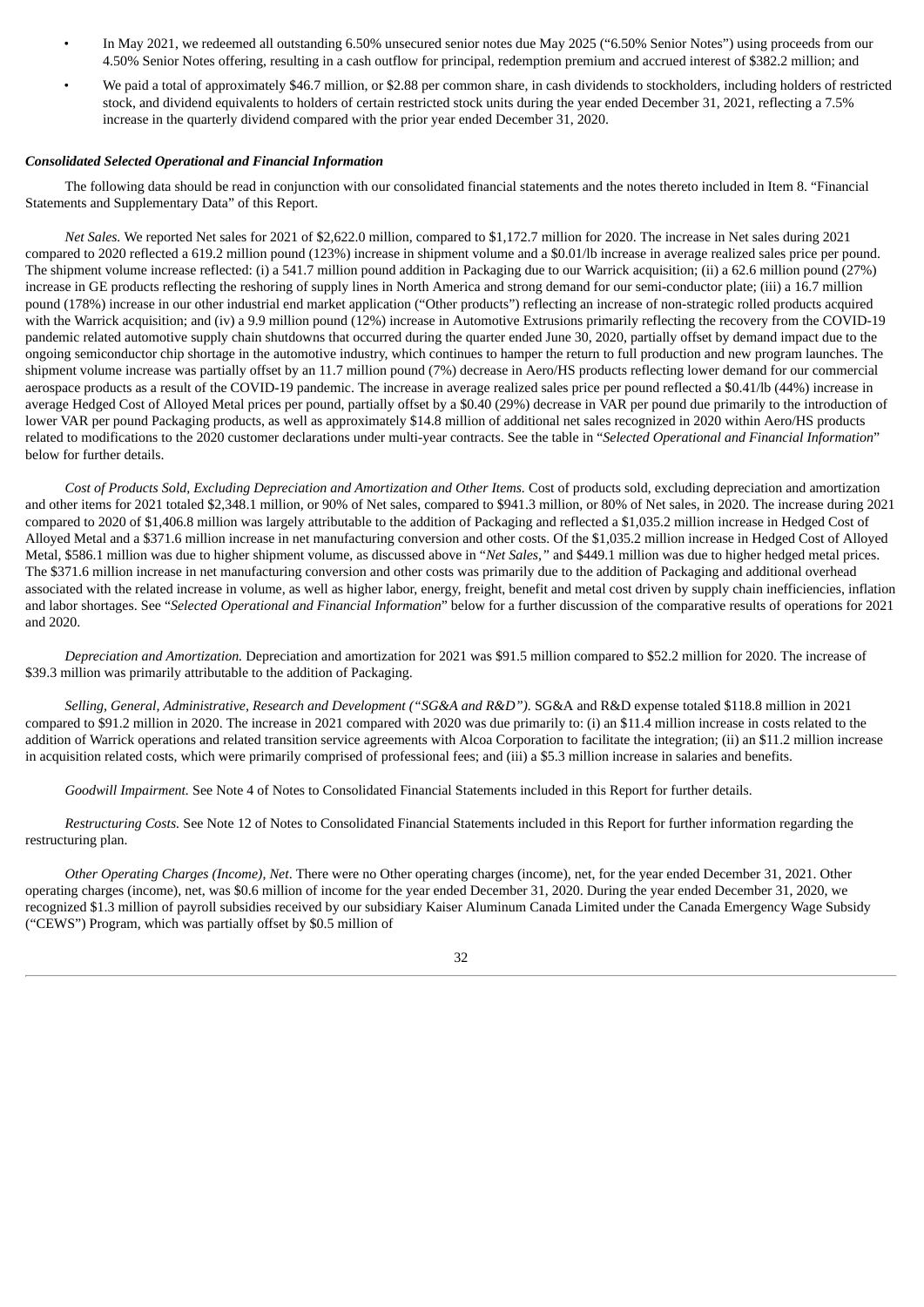- In May 2021, we redeemed all outstanding 6.50% unsecured senior notes due May 2025 ("6.50% Senior Notes") using proceeds from our 4.50% Senior Notes offering, resulting in a cash outflow for principal, redemption premium and accrued interest of \$382.2 million; and
- We paid a total of approximately \$46.7 million, or \$2.88 per common share, in cash dividends to stockholders, including holders of restricted stock, and dividend equivalents to holders of certain restricted stock units during the year ended December 31, 2021, reflecting a 7.5% increase in the quarterly dividend compared with the prior year ended December 31, 2020.

# *Consolidated Selected Operational and Financial Information*

The following data should be read in conjunction with our consolidated financial statements and the notes thereto included in Item 8. "Financial Statements and Supplementary Data" of this Report.

*Net Sales.* We reported Net sales for 2021 of \$2,622.0 million, compared to \$1,172.7 million for 2020. The increase in Net sales during 2021 compared to 2020 reflected a 619.2 million pound (123%) increase in shipment volume and a \$0.01/lb increase in average realized sales price per pound. The shipment volume increase reflected: (i) a 541.7 million pound addition in Packaging due to our Warrick acquisition; (ii) a 62.6 million pound (27%) increase in GE products reflecting the reshoring of supply lines in North America and strong demand for our semi-conductor plate; (iii) a 16.7 million pound (178%) increase in our other industrial end market application ("Other products") reflecting an increase of non-strategic rolled products acquired with the Warrick acquisition; and (iv) a 9.9 million pound (12%) increase in Automotive Extrusions primarily reflecting the recovery from the COVID-19 pandemic related automotive supply chain shutdowns that occurred during the quarter ended June 30, 2020, partially offset by demand impact due to the ongoing semiconductor chip shortage in the automotive industry, which continues to hamper the return to full production and new program launches. The shipment volume increase was partially offset by an 11.7 million pound (7%) decrease in Aero/HS products reflecting lower demand for our commercial aerospace products as a result of the COVID-19 pandemic. The increase in average realized sales price per pound reflected a \$0.41/lb (44%) increase in average Hedged Cost of Alloyed Metal prices per pound, partially offset by a \$0.40 (29%) decrease in VAR per pound due primarily to the introduction of lower VAR per pound Packaging products, as well as approximately \$14.8 million of additional net sales recognized in 2020 within Aero/HS products related to modifications to the 2020 customer declarations under multi-year contracts. See the table in "*Selected Operational and Financial Information*" below for further details.

*Cost of Products Sold, Excluding Depreciation and Amortization and Other Items.* Cost of products sold, excluding depreciation and amortization and other items for 2021 totaled \$2,348.1 million, or 90% of Net sales, compared to \$941.3 million, or 80% of Net sales, in 2020. The increase during 2021 compared to 2020 of \$1,406.8 million was largely attributable to the addition of Packaging and reflected a \$1,035.2 million increase in Hedged Cost of Alloyed Metal and a \$371.6 million increase in net manufacturing conversion and other costs. Of the \$1,035.2 million increase in Hedged Cost of Alloyed Metal, \$586.1 million was due to higher shipment volume, as discussed above in "*Net Sales,"* and \$449.1 million was due to higher hedged metal prices. The \$371.6 million increase in net manufacturing conversion and other costs was primarily due to the addition of Packaging and additional overhead associated with the related increase in volume, as well as higher labor, energy, freight, benefit and metal cost driven by supply chain inefficiencies, inflation and labor shortages. See "*Selected Operational and Financial Information*" below for a further discussion of the comparative results of operations for 2021 and 2020.

*Depreciation and Amortization.* Depreciation and amortization for 2021 was \$91.5 million compared to \$52.2 million for 2020. The increase of \$39.3 million was primarily attributable to the addition of Packaging.

*Selling, General, Administrative, Research and Development ("SG&A and R&D").* SG&A and R&D expense totaled \$118.8 million in 2021 compared to \$91.2 million in 2020. The increase in 2021 compared with 2020 was due primarily to: (i) an \$11.4 million increase in costs related to the addition of Warrick operations and related transition service agreements with Alcoa Corporation to facilitate the integration; (ii) an \$11.2 million increase in acquisition related costs, which were primarily comprised of professional fees; and (iii) a \$5.3 million increase in salaries and benefits.

*Goodwill Impairment.* See Note 4 of Notes to Consolidated Financial Statements included in this Report for further details.

*Restructuring Costs.* See Note 12 of Notes to Consolidated Financial Statements included in this Report for further information regarding the restructuring plan.

*Other Operating Charges (Income), Net*. There were no Other operating charges (income), net, for the year ended December 31, 2021. Other operating charges (income), net, was \$0.6 million of income for the year ended December 31, 2020. During the year ended December 31, 2020, we recognized \$1.3 million of payroll subsidies received by our subsidiary Kaiser Aluminum Canada Limited under the Canada Emergency Wage Subsidy ("CEWS") Program, which was partially offset by \$0.5 million of

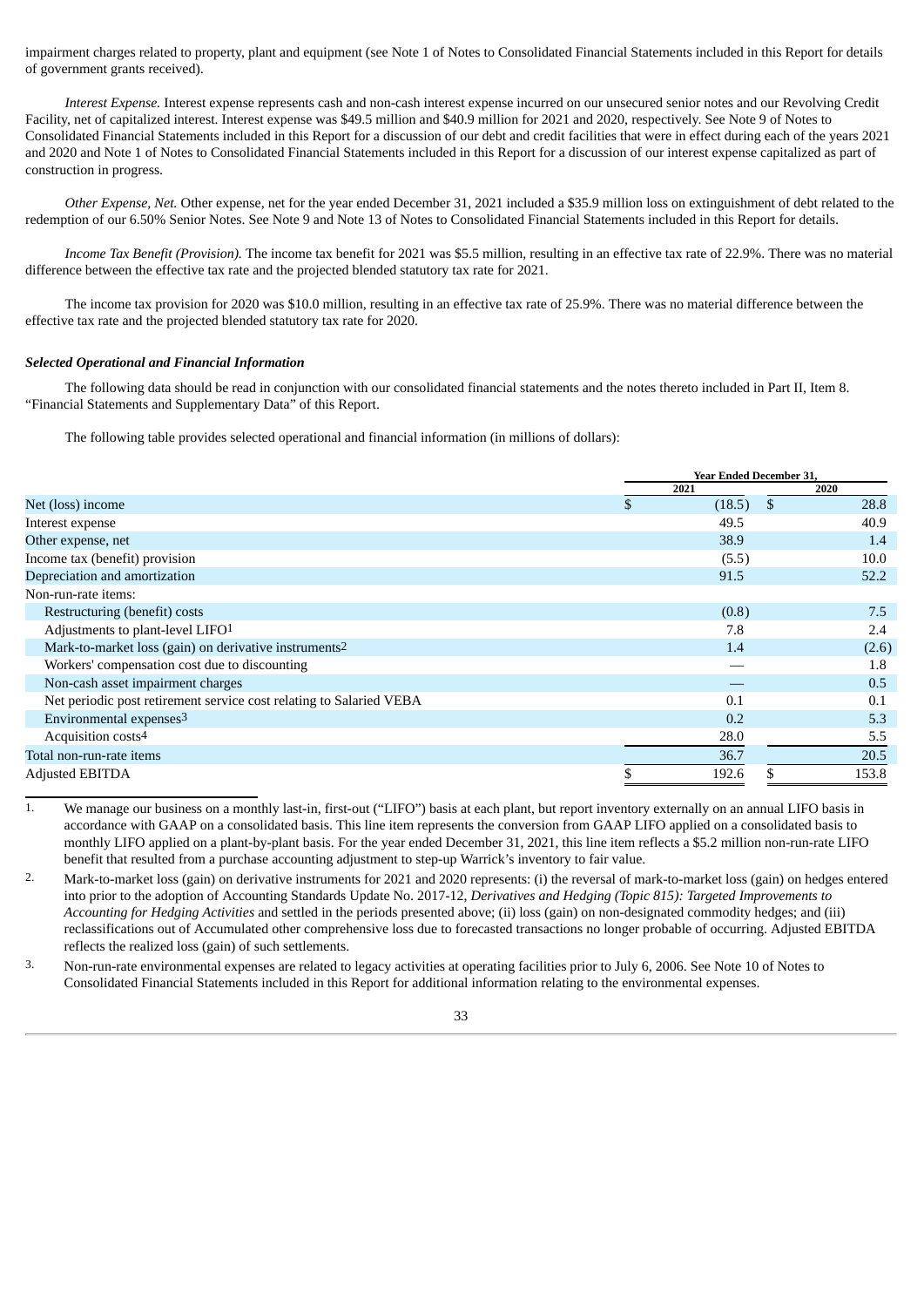impairment charges related to property, plant and equipment (see Note 1 of Notes to Consolidated Financial Statements included in this Report for details of government grants received).

*Interest Expense.* Interest expense represents cash and non-cash interest expense incurred on our unsecured senior notes and our Revolving Credit Facility, net of capitalized interest. Interest expense was \$49.5 million and \$40.9 million for 2021 and 2020, respectively. See Note 9 of Notes to Consolidated Financial Statements included in this Report for a discussion of our debt and credit facilities that were in effect during each of the years 2021 and 2020 and Note 1 of Notes to Consolidated Financial Statements included in this Report for a discussion of our interest expense capitalized as part of construction in progress.

*Other Expense, Net.* Other expense, net for the year ended December 31, 2021 included a \$35.9 million loss on extinguishment of debt related to the redemption of our 6.50% Senior Notes. See Note 9 and Note 13 of Notes to Consolidated Financial Statements included in this Report for details.

*Income Tax Benefit (Provision).* The income tax benefit for 2021 was \$5.5 million, resulting in an effective tax rate of 22.9%. There was no material difference between the effective tax rate and the projected blended statutory tax rate for 2021.

The income tax provision for 2020 was \$10.0 million, resulting in an effective tax rate of 25.9%. There was no material difference between the effective tax rate and the projected blended statutory tax rate for 2020.

#### *Selected Operational and Financial Information*

The following data should be read in conjunction with our consolidated financial statements and the notes thereto included in Part II, Item 8. "Financial Statements and Supplementary Data" of this Report.

The following table provides selected operational and financial information (in millions of dollars):

|                                                                     |    | <b>Year Ended December 31.</b> |               |       |  |
|---------------------------------------------------------------------|----|--------------------------------|---------------|-------|--|
|                                                                     |    | 2021                           |               | 2020  |  |
| Net (loss) income                                                   | S. | (18.5)                         | <sup>\$</sup> | 28.8  |  |
| Interest expense                                                    |    | 49.5                           |               | 40.9  |  |
| Other expense, net                                                  |    | 38.9                           |               | 1.4   |  |
| Income tax (benefit) provision                                      |    | (5.5)                          |               | 10.0  |  |
| Depreciation and amortization                                       |    | 91.5                           |               | 52.2  |  |
| Non-run-rate items:                                                 |    |                                |               |       |  |
| Restructuring (benefit) costs                                       |    | (0.8)                          |               | 7.5   |  |
| Adjustments to plant-level LIFO1                                    |    | 7.8                            |               | 2.4   |  |
| Mark-to-market loss (gain) on derivative instruments <sup>2</sup>   |    | 1.4                            |               | (2.6) |  |
| Workers' compensation cost due to discounting                       |    |                                |               | 1.8   |  |
| Non-cash asset impairment charges                                   |    |                                |               | 0.5   |  |
| Net periodic post retirement service cost relating to Salaried VEBA |    | 0.1                            |               | 0.1   |  |
| Environmental expenses <sup>3</sup>                                 |    | 0.2                            |               | 5.3   |  |
| Acquisition costs <sup>4</sup>                                      |    | 28.0                           |               | 5.5   |  |
| Total non-run-rate items                                            |    | 36.7                           |               | 20.5  |  |
| <b>Adjusted EBITDA</b>                                              |    | 192.6                          |               | 153.8 |  |

1. We manage our business on a monthly last-in, first-out ("LIFO") basis at each plant, but report inventory externally on an annual LIFO basis in accordance with GAAP on a consolidated basis. This line item represents the conversion from GAAP LIFO applied on a consolidated basis to monthly LIFO applied on a plant-by-plant basis. For the year ended December 31, 2021, this line item reflects a \$5.2 million non-run-rate LIFO benefit that resulted from a purchase accounting adjustment to step-up Warrick's inventory to fair value.

2. Mark-to-market loss (gain) on derivative instruments for 2021 and 2020 represents: (i) the reversal of mark-to-market loss (gain) on hedges entered into prior to the adoption of Accounting Standards Update No. 2017-12, *Derivatives and Hedging (Topic 815): Targeted Improvements to Accounting for Hedging Activities* and settled in the periods presented above; (ii) loss (gain) on non-designated commodity hedges; and (iii) reclassifications out of Accumulated other comprehensive loss due to forecasted transactions no longer probable of occurring. Adjusted EBITDA reflects the realized loss (gain) of such settlements.

3. Non-run-rate environmental expenses are related to legacy activities at operating facilities prior to July 6, 2006. See Note 10 of Notes to Consolidated Financial Statements included in this Report for additional information relating to the environmental expenses.

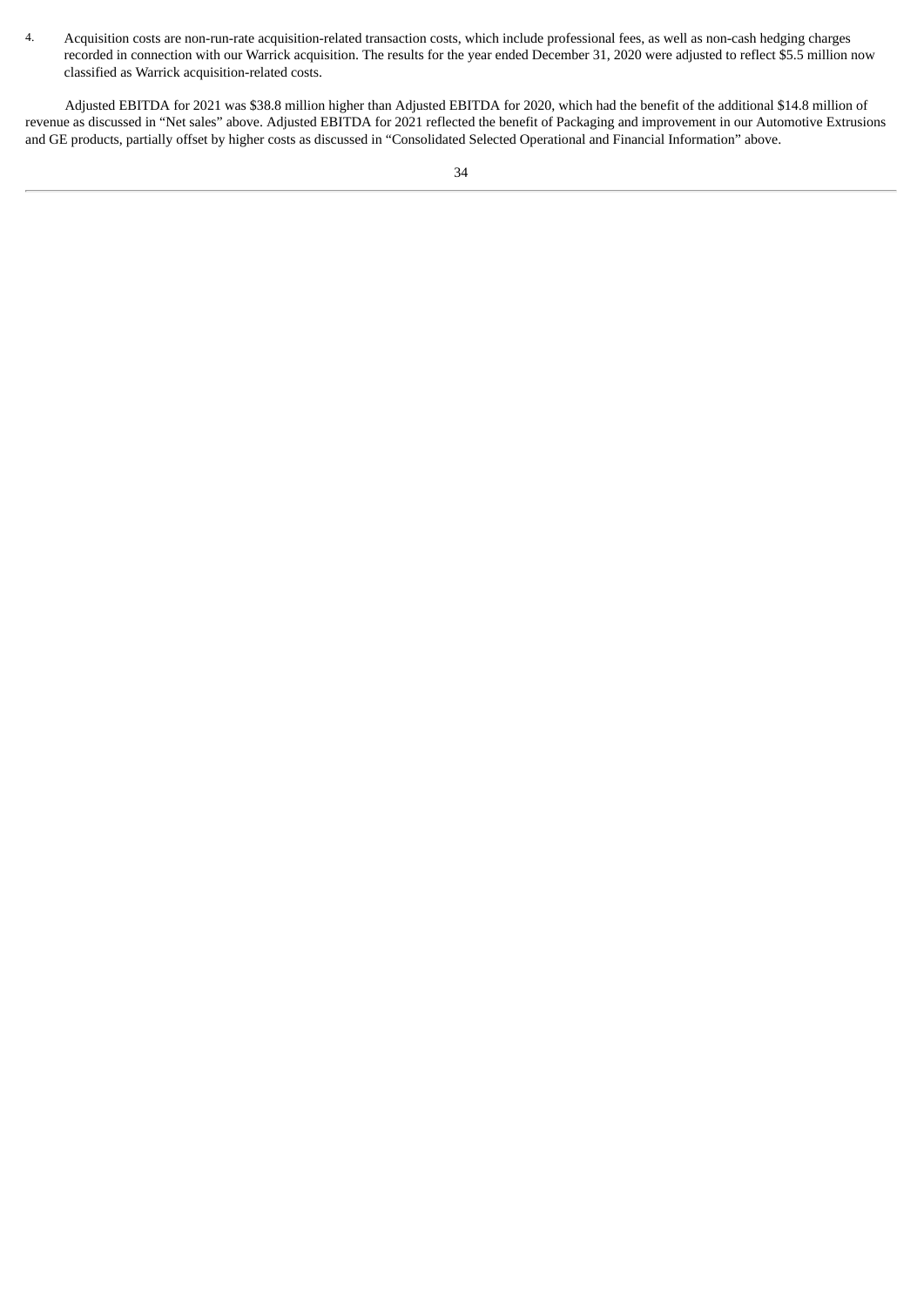4. Acquisition costs are non-run-rate acquisition-related transaction costs, which include professional fees, as well as non-cash hedging charges recorded in connection with our Warrick acquisition. The results for the year ended December 31, 2020 were adjusted to reflect \$5.5 million now classified as Warrick acquisition-related costs.

Adjusted EBITDA for 2021 was \$38.8 million higher than Adjusted EBITDA for 2020, which had the benefit of the additional \$14.8 million of revenue as discussed in "Net sales" above. Adjusted EBITDA for 2021 reflected the benefit of Packaging and improvement in our Automotive Extrusions and GE products, partially offset by higher costs as discussed in "Consolidated Selected Operational and Financial Information" above.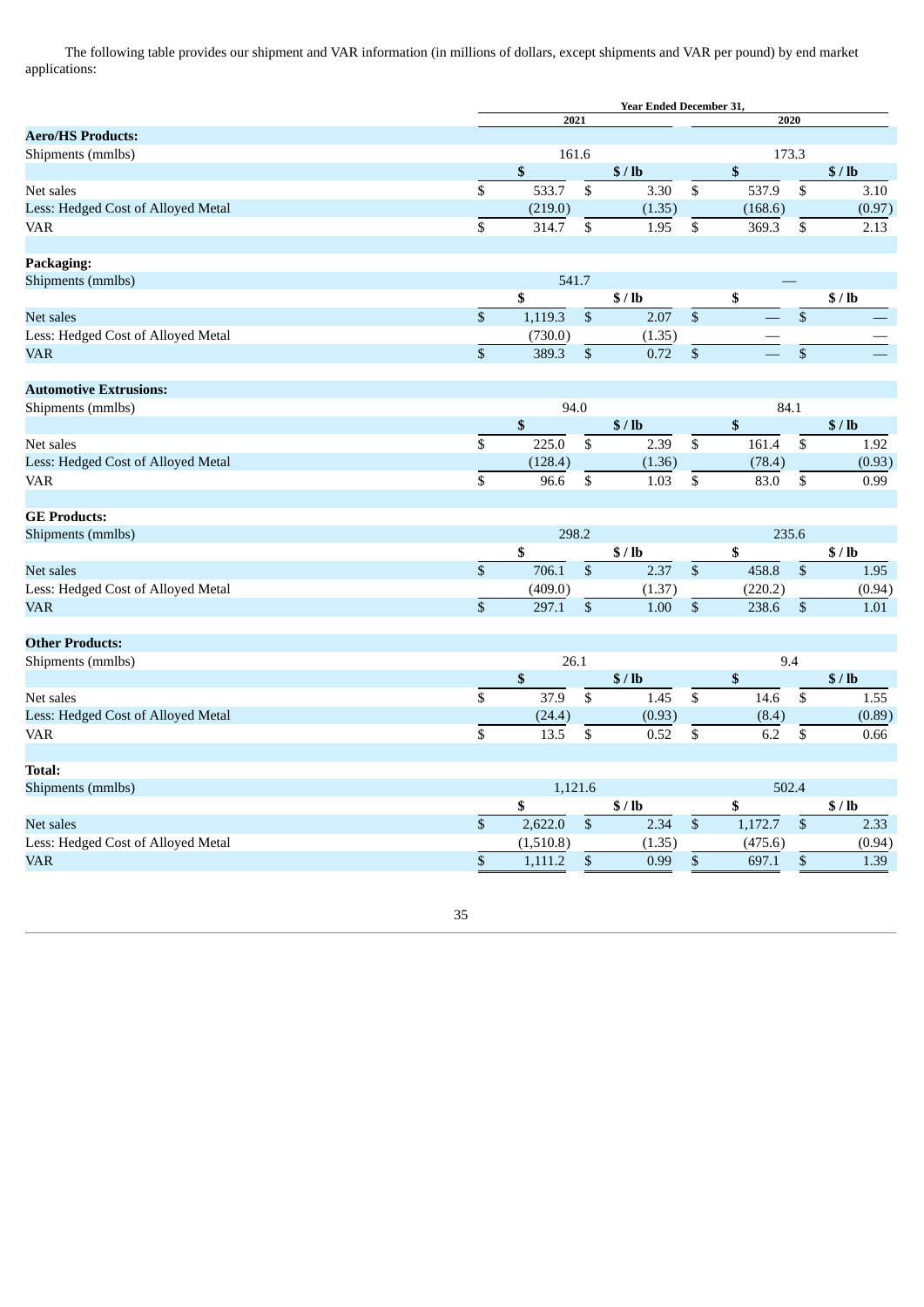The following table provides our shipment and VAR information (in millions of dollars, except shipments and VAR per pound) by end market applications:

|                                    |                 | <b>Year Ended December 31,</b> |                 |        |                          |                    |                 |        |
|------------------------------------|-----------------|--------------------------------|-----------------|--------|--------------------------|--------------------|-----------------|--------|
|                                    |                 | 2021                           |                 |        |                          | 2020               |                 |        |
| <b>Aero/HS Products:</b>           |                 |                                |                 |        |                          |                    |                 |        |
| Shipments (mmlbs)                  |                 | 161.6                          |                 |        |                          | 173.3              |                 |        |
|                                    |                 | \$                             |                 | \$/lb  |                          | \$                 |                 | \$/lb  |
| Net sales                          | \$              | 533.7                          | $\mathbb S$     | 3.30   | \$                       | 537.9              | \$              | 3.10   |
| Less: Hedged Cost of Alloyed Metal |                 | (219.0)                        |                 | (1.35) |                          | (168.6)            |                 | (0.97) |
| VAR                                | \$              | 314.7                          | \$              | 1.95   | \$                       | 369.3              | \$              | 2.13   |
| Packaging:                         |                 |                                |                 |        |                          |                    |                 |        |
| Shipments (mmlbs)                  |                 | 541.7                          |                 |        |                          |                    |                 |        |
|                                    |                 | \$                             |                 | \$/lb  |                          | \$                 |                 | \$/lb  |
| Net sales                          | \$              | 1,119.3                        | $\mathbb{S}$    | 2.07   | $\overline{\$}$          |                    | \$              |        |
| Less: Hedged Cost of Alloyed Metal |                 | (730.0)                        |                 | (1.35) |                          |                    |                 |        |
| VAR                                | \$              | 389.3                          | $\mathbb{S}$    | 0.72   | \$                       |                    | $\sqrt{3}$      |        |
| <b>Automotive Extrusions:</b>      |                 |                                |                 |        |                          |                    |                 |        |
| Shipments (mmlbs)                  |                 | 94.0                           |                 |        |                          | 84.1               |                 |        |
|                                    |                 | \$                             |                 | \$/lb  |                          | \$                 |                 | \$/lb  |
| Net sales                          | \$              | 225.0                          | $\overline{\$}$ | 2.39   | $\overline{\$}$          | 161.4              | $\overline{\$}$ | 1.92   |
| Less: Hedged Cost of Alloyed Metal |                 | (128.4)                        |                 | (1.36) |                          | (78.4)             |                 | (0.93) |
| VAR                                | \$              | 96.6                           | \$              | 1.03   | \$                       | 83.0               | \$              | 0.99   |
|                                    |                 |                                |                 |        |                          |                    |                 |        |
| <b>GE Products:</b>                |                 |                                |                 |        |                          |                    |                 |        |
| Shipments (mmlbs)                  |                 | 298.2                          |                 |        |                          | 235.6              |                 |        |
|                                    |                 | \$                             |                 | \$/lb  |                          | \$                 |                 | \$/lb  |
| Net sales                          | \$              | 706.1                          | $\overline{\$}$ | 2.37   | $\overline{\mathcal{S}}$ | 458.8              | $\overline{\$}$ | 1.95   |
| Less: Hedged Cost of Alloyed Metal |                 | (409.0)                        |                 | (1.37) |                          | (220.2)            |                 | (0.94) |
| VAR                                | \$              | 297.1                          | \$              | 1.00   | \$                       | 238.6              | $\mathbb{S}$    | 1.01   |
| <b>Other Products:</b>             |                 |                                |                 |        |                          |                    |                 |        |
| Shipments (mmlbs)                  |                 | 26.1                           |                 |        |                          | 9.4                |                 |        |
|                                    |                 | \$                             |                 | \$/lb  |                          | $\pmb{\mathbb{S}}$ |                 | \$/lb  |
| Net sales                          | \$              | 37.9                           | ${\mathbb S}$   | 1.45   | $\overline{\$}$          | 14.6               | \$              | 1.55   |
| Less: Hedged Cost of Alloyed Metal |                 | (24.4)                         |                 | (0.93) |                          | (8.4)              |                 | (0.89) |
| VAR                                | $\overline{\$}$ | 13.5                           | \$              | 0.52   | $\overline{\$}$          | 6.2                | \$              | 0.66   |
|                                    |                 |                                |                 |        |                          |                    |                 |        |
| Total:                             |                 |                                |                 |        |                          |                    |                 |        |
| Shipments (mmlbs)                  |                 | 1,121.6                        |                 | 502.4  |                          |                    |                 |        |
|                                    |                 | \$                             |                 | \$/lb  |                          | \$                 |                 | \$/lb  |
| Net sales                          | \$              | 2,622.0                        | $\overline{\$}$ | 2.34   | $\overline{\$}$          | 1,172.7            | $\mathbb{S}$    | 2.33   |
| Less: Hedged Cost of Alloyed Metal |                 | (1,510.8)                      |                 | (1.35) |                          | (475.6)            |                 | (0.94) |
| VAR                                | \$              | 1,111.2                        | $\mathbb{S}$    | 0.99   | \$                       | 697.1              | $\mathbb{S}$    | 1.39   |

35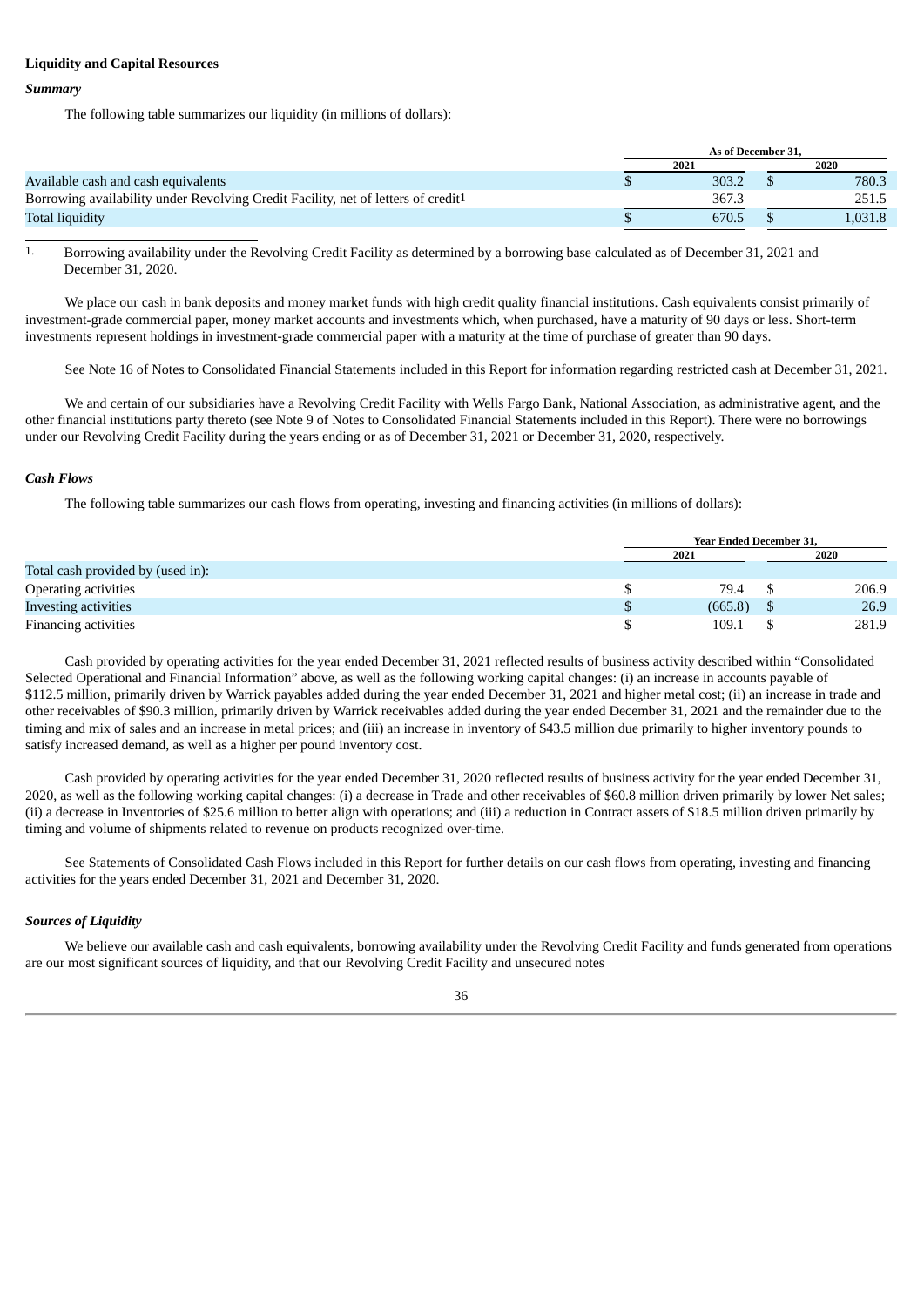#### **Liquidity and Capital Resources**

#### *Summary*

The following table summarizes our liquidity (in millions of dollars):

|                                                                                               | As of December 31. |  |         |  |
|-----------------------------------------------------------------------------------------------|--------------------|--|---------|--|
|                                                                                               | 2021               |  | 2020    |  |
| Available cash and cash equivalents                                                           | 303.2              |  | 780.3   |  |
| Borrowing availability under Revolving Credit Facility, net of letters of credit <sup>1</sup> | 367.3              |  | 251.5   |  |
| Total liquidity                                                                               | 670.5              |  | 0.031.8 |  |

1. Borrowing availability under the Revolving Credit Facility as determined by a borrowing base calculated as of December 31, 2021 and December 31, 2020.

We place our cash in bank deposits and money market funds with high credit quality financial institutions. Cash equivalents consist primarily of investment-grade commercial paper, money market accounts and investments which, when purchased, have a maturity of 90 days or less. Short-term investments represent holdings in investment-grade commercial paper with a maturity at the time of purchase of greater than 90 days.

See Note 16 of Notes to Consolidated Financial Statements included in this Report for information regarding restricted cash at December 31, 2021.

We and certain of our subsidiaries have a Revolving Credit Facility with Wells Fargo Bank, National Association, as administrative agent, and the other financial institutions party thereto (see Note 9 of Notes to Consolidated Financial Statements included in this Report). There were no borrowings under our Revolving Credit Facility during the years ending or as of December 31, 2021 or December 31, 2020, respectively.

#### *Cash Flows*

The following table summarizes our cash flows from operating, investing and financing activities (in millions of dollars):

|                                   | <b>Year Ended December 31.</b> |  |       |  |  |  |
|-----------------------------------|--------------------------------|--|-------|--|--|--|
|                                   | 2021                           |  | 2020  |  |  |  |
| Total cash provided by (used in): |                                |  |       |  |  |  |
| Operating activities              | 79.4                           |  | 206.9 |  |  |  |
| Investing activities              | (665.8)                        |  | 26.9  |  |  |  |
| Financing activities              | 109.1                          |  | 281.9 |  |  |  |

Cash provided by operating activities for the year ended December 31, 2021 reflected results of business activity described within "Consolidated Selected Operational and Financial Information" above, as well as the following working capital changes: (i) an increase in accounts payable of \$112.5 million, primarily driven by Warrick payables added during the year ended December 31, 2021 and higher metal cost; (ii) an increase in trade and other receivables of \$90.3 million, primarily driven by Warrick receivables added during the year ended December 31, 2021 and the remainder due to the timing and mix of sales and an increase in metal prices; and (iii) an increase in inventory of \$43.5 million due primarily to higher inventory pounds to satisfy increased demand, as well as a higher per pound inventory cost.

Cash provided by operating activities for the year ended December 31, 2020 reflected results of business activity for the year ended December 31, 2020, as well as the following working capital changes: (i) a decrease in Trade and other receivables of \$60.8 million driven primarily by lower Net sales; (ii) a decrease in Inventories of \$25.6 million to better align with operations; and (iii) a reduction in Contract assets of \$18.5 million driven primarily by timing and volume of shipments related to revenue on products recognized over-time.

See Statements of Consolidated Cash Flows included in this Report for further details on our cash flows from operating, investing and financing activities for the years ended December 31, 2021 and December 31, 2020.

### *Sources of Liquidity*

We believe our available cash and cash equivalents, borrowing availability under the Revolving Credit Facility and funds generated from operations are our most significant sources of liquidity, and that our Revolving Credit Facility and unsecured notes

#### 36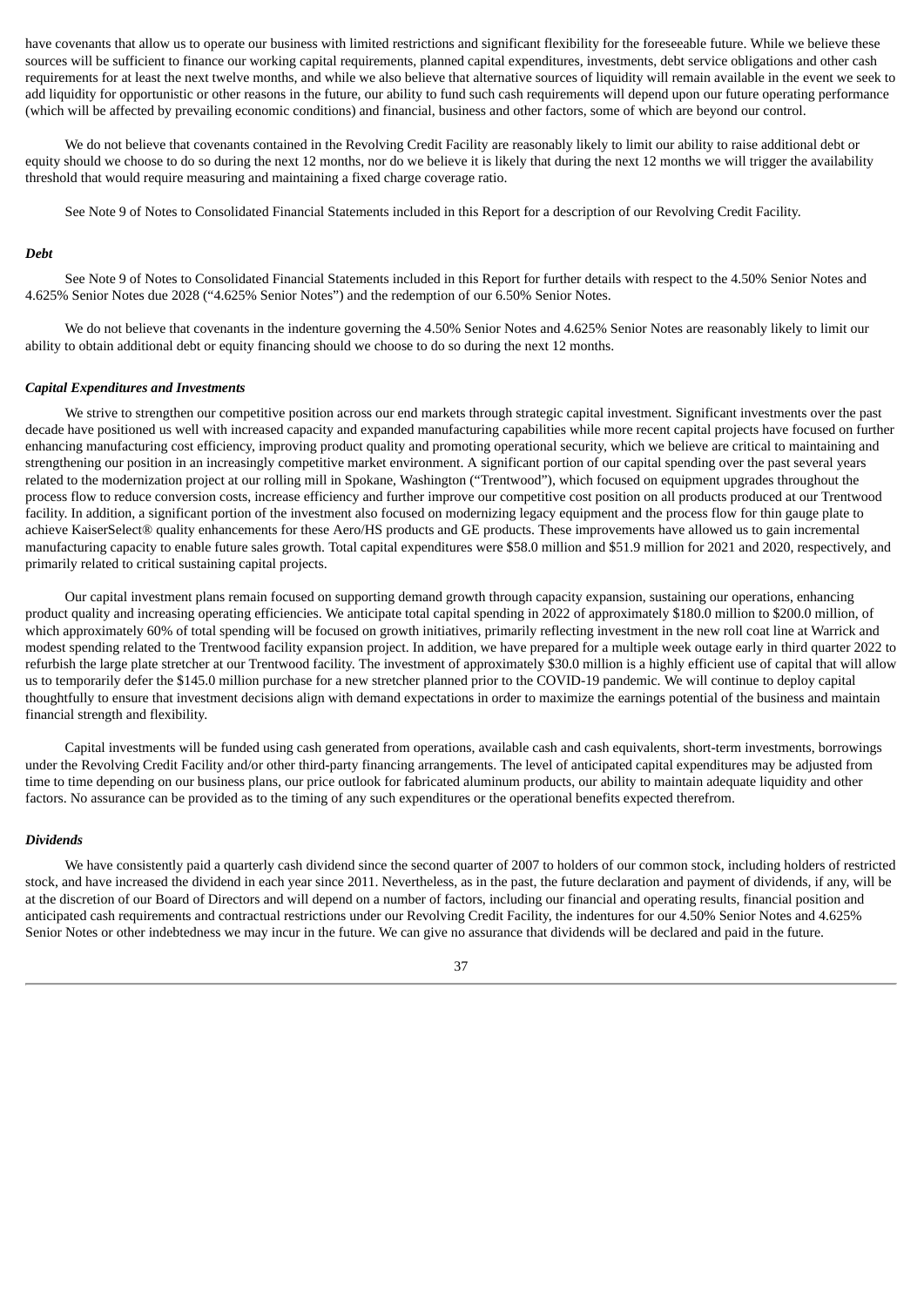have covenants that allow us to operate our business with limited restrictions and significant flexibility for the foreseeable future. While we believe these sources will be sufficient to finance our working capital requirements, planned capital expenditures, investments, debt service obligations and other cash requirements for at least the next twelve months, and while we also believe that alternative sources of liquidity will remain available in the event we seek to add liquidity for opportunistic or other reasons in the future, our ability to fund such cash requirements will depend upon our future operating performance (which will be affected by prevailing economic conditions) and financial, business and other factors, some of which are beyond our control.

We do not believe that covenants contained in the Revolving Credit Facility are reasonably likely to limit our ability to raise additional debt or equity should we choose to do so during the next 12 months, nor do we believe it is likely that during the next 12 months we will trigger the availability threshold that would require measuring and maintaining a fixed charge coverage ratio.

See Note 9 of Notes to Consolidated Financial Statements included in this Report for a description of our Revolving Credit Facility.

#### *Debt*

See Note 9 of Notes to Consolidated Financial Statements included in this Report for further details with respect to the 4.50% Senior Notes and 4.625% Senior Notes due 2028 ("4.625% Senior Notes") and the redemption of our 6.50% Senior Notes.

We do not believe that covenants in the indenture governing the 4.50% Senior Notes and 4.625% Senior Notes are reasonably likely to limit our ability to obtain additional debt or equity financing should we choose to do so during the next 12 months.

#### *Capital Expenditures and Investments*

We strive to strengthen our competitive position across our end markets through strategic capital investment. Significant investments over the past decade have positioned us well with increased capacity and expanded manufacturing capabilities while more recent capital projects have focused on further enhancing manufacturing cost efficiency, improving product quality and promoting operational security, which we believe are critical to maintaining and strengthening our position in an increasingly competitive market environment. A significant portion of our capital spending over the past several years related to the modernization project at our rolling mill in Spokane, Washington ("Trentwood"), which focused on equipment upgrades throughout the process flow to reduce conversion costs, increase efficiency and further improve our competitive cost position on all products produced at our Trentwood facility. In addition, a significant portion of the investment also focused on modernizing legacy equipment and the process flow for thin gauge plate to achieve KaiserSelect® quality enhancements for these Aero/HS products and GE products. These improvements have allowed us to gain incremental manufacturing capacity to enable future sales growth. Total capital expenditures were \$58.0 million and \$51.9 million for 2021 and 2020, respectively, and primarily related to critical sustaining capital projects.

Our capital investment plans remain focused on supporting demand growth through capacity expansion, sustaining our operations, enhancing product quality and increasing operating efficiencies. We anticipate total capital spending in 2022 of approximately \$180.0 million to \$200.0 million, of which approximately 60% of total spending will be focused on growth initiatives, primarily reflecting investment in the new roll coat line at Warrick and modest spending related to the Trentwood facility expansion project. In addition, we have prepared for a multiple week outage early in third quarter 2022 to refurbish the large plate stretcher at our Trentwood facility. The investment of approximately \$30.0 million is a highly efficient use of capital that will allow us to temporarily defer the \$145.0 million purchase for a new stretcher planned prior to the COVID-19 pandemic. We will continue to deploy capital thoughtfully to ensure that investment decisions align with demand expectations in order to maximize the earnings potential of the business and maintain financial strength and flexibility.

Capital investments will be funded using cash generated from operations, available cash and cash equivalents, short-term investments, borrowings under the Revolving Credit Facility and/or other third-party financing arrangements. The level of anticipated capital expenditures may be adjusted from time to time depending on our business plans, our price outlook for fabricated aluminum products, our ability to maintain adequate liquidity and other factors. No assurance can be provided as to the timing of any such expenditures or the operational benefits expected therefrom.

#### *Dividends*

We have consistently paid a quarterly cash dividend since the second quarter of 2007 to holders of our common stock, including holders of restricted stock, and have increased the dividend in each year since 2011. Nevertheless, as in the past, the future declaration and payment of dividends, if any, will be at the discretion of our Board of Directors and will depend on a number of factors, including our financial and operating results, financial position and anticipated cash requirements and contractual restrictions under our Revolving Credit Facility, the indentures for our 4.50% Senior Notes and 4.625% Senior Notes or other indebtedness we may incur in the future. We can give no assurance that dividends will be declared and paid in the future.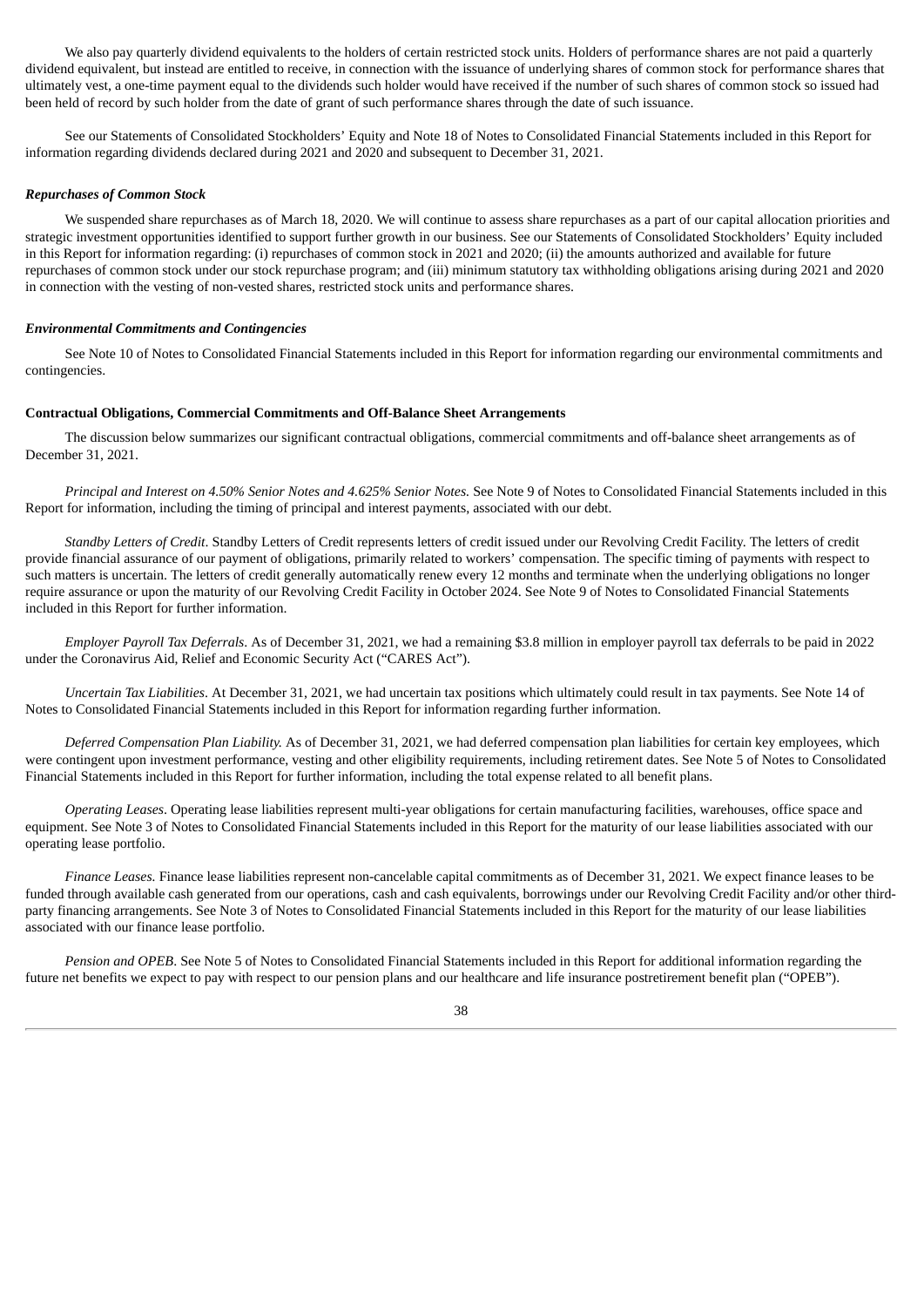We also pay quarterly dividend equivalents to the holders of certain restricted stock units. Holders of performance shares are not paid a quarterly dividend equivalent, but instead are entitled to receive, in connection with the issuance of underlying shares of common stock for performance shares that ultimately vest, a one-time payment equal to the dividends such holder would have received if the number of such shares of common stock so issued had been held of record by such holder from the date of grant of such performance shares through the date of such issuance.

See our Statements of Consolidated Stockholders' Equity and Note 18 of Notes to Consolidated Financial Statements included in this Report for information regarding dividends declared during 2021 and 2020 and subsequent to December 31, 2021.

#### *Repurchases of Common Stock*

We suspended share repurchases as of March 18, 2020. We will continue to assess share repurchases as a part of our capital allocation priorities and strategic investment opportunities identified to support further growth in our business. See our Statements of Consolidated Stockholders' Equity included in this Report for information regarding: (i) repurchases of common stock in 2021 and 2020; (ii) the amounts authorized and available for future repurchases of common stock under our stock repurchase program; and (iii) minimum statutory tax withholding obligations arising during 2021 and 2020 in connection with the vesting of non-vested shares, restricted stock units and performance shares.

#### *Environmental Commitments and Contingencies*

See Note 10 of Notes to Consolidated Financial Statements included in this Report for information regarding our environmental commitments and contingencies.

#### **Contractual Obligations, Commercial Commitments and Off-Balance Sheet Arrangements**

The discussion below summarizes our significant contractual obligations, commercial commitments and off-balance sheet arrangements as of December 31, 2021.

*Principal and Interest on 4.50% Senior Notes and 4.625% Senior Notes.* See Note 9 of Notes to Consolidated Financial Statements included in this Report for information, including the timing of principal and interest payments, associated with our debt.

*Standby Letters of Credit*. Standby Letters of Credit represents letters of credit issued under our Revolving Credit Facility. The letters of credit provide financial assurance of our payment of obligations, primarily related to workers' compensation. The specific timing of payments with respect to such matters is uncertain. The letters of credit generally automatically renew every 12 months and terminate when the underlying obligations no longer require assurance or upon the maturity of our Revolving Credit Facility in October 2024. See Note 9 of Notes to Consolidated Financial Statements included in this Report for further information.

*Employer Payroll Tax Deferrals*. As of December 31, 2021, we had a remaining \$3.8 million in employer payroll tax deferrals to be paid in 2022 under the Coronavirus Aid, Relief and Economic Security Act ("CARES Act").

*Uncertain Tax Liabilities*. At December 31, 2021, we had uncertain tax positions which ultimately could result in tax payments. See Note 14 of Notes to Consolidated Financial Statements included in this Report for information regarding further information.

*Deferred Compensation Plan Liability.* As of December 31, 2021, we had deferred compensation plan liabilities for certain key employees, which were contingent upon investment performance, vesting and other eligibility requirements, including retirement dates. See Note 5 of Notes to Consolidated Financial Statements included in this Report for further information, including the total expense related to all benefit plans.

*Operating Leases*. Operating lease liabilities represent multi-year obligations for certain manufacturing facilities, warehouses, office space and equipment. See Note 3 of Notes to Consolidated Financial Statements included in this Report for the maturity of our lease liabilities associated with our operating lease portfolio.

*Finance Leases.* Finance lease liabilities represent non-cancelable capital commitments as of December 31, 2021. We expect finance leases to be funded through available cash generated from our operations, cash and cash equivalents, borrowings under our Revolving Credit Facility and/or other thirdparty financing arrangements. See Note 3 of Notes to Consolidated Financial Statements included in this Report for the maturity of our lease liabilities associated with our finance lease portfolio.

*Pension and OPEB*. See Note 5 of Notes to Consolidated Financial Statements included in this Report for additional information regarding the future net benefits we expect to pay with respect to our pension plans and our healthcare and life insurance postretirement benefit plan ("OPEB").

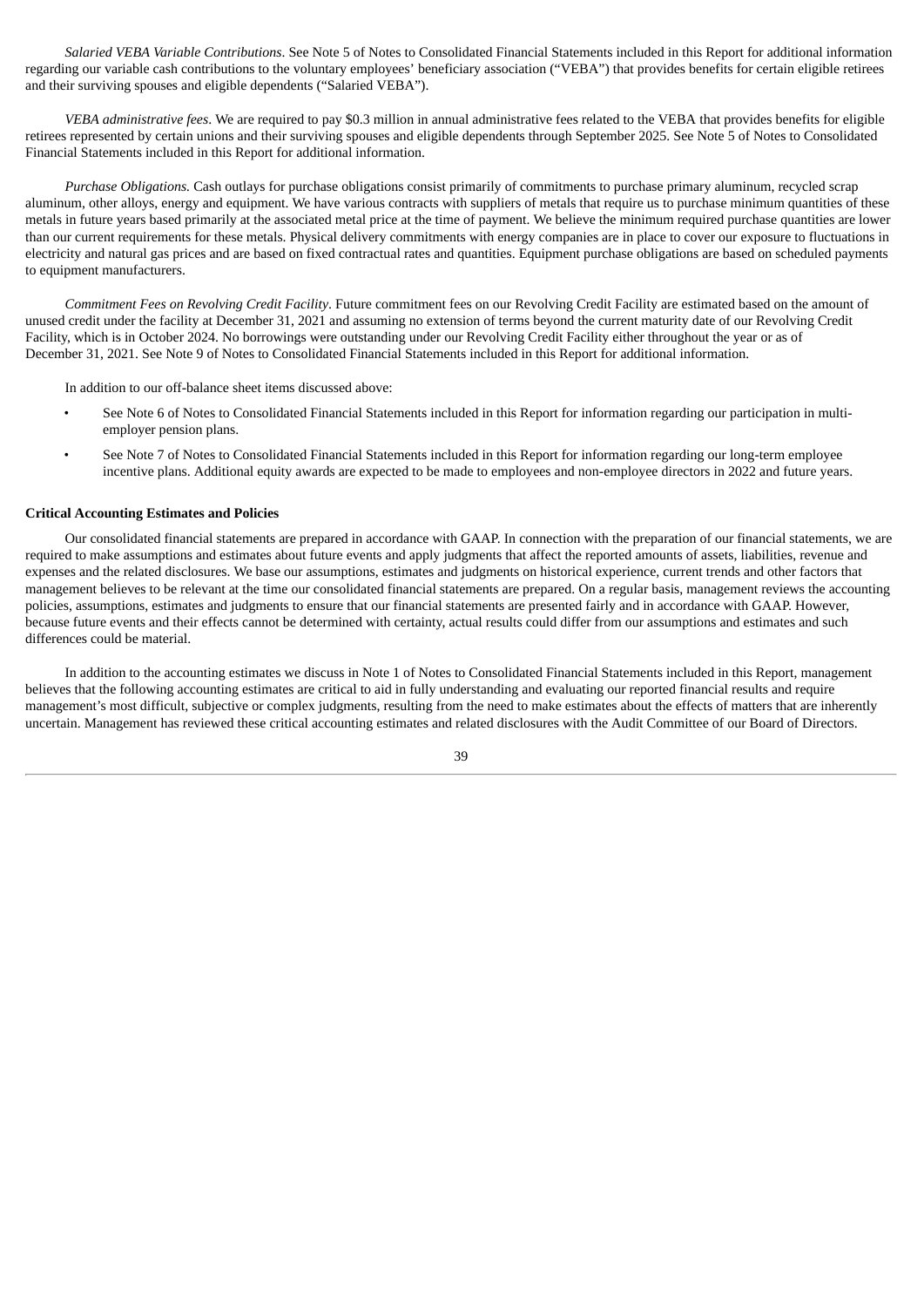*Salaried VEBA Variable Contributions*. See Note 5 of Notes to Consolidated Financial Statements included in this Report for additional information regarding our variable cash contributions to the voluntary employees' beneficiary association ("VEBA") that provides benefits for certain eligible retirees and their surviving spouses and eligible dependents ("Salaried VEBA").

*VEBA administrative fees*. We are required to pay \$0.3 million in annual administrative fees related to the VEBA that provides benefits for eligible retirees represented by certain unions and their surviving spouses and eligible dependents through September 2025. See Note 5 of Notes to Consolidated Financial Statements included in this Report for additional information.

*Purchase Obligations.* Cash outlays for purchase obligations consist primarily of commitments to purchase primary aluminum, recycled scrap aluminum, other alloys, energy and equipment. We have various contracts with suppliers of metals that require us to purchase minimum quantities of these metals in future years based primarily at the associated metal price at the time of payment. We believe the minimum required purchase quantities are lower than our current requirements for these metals. Physical delivery commitments with energy companies are in place to cover our exposure to fluctuations in electricity and natural gas prices and are based on fixed contractual rates and quantities. Equipment purchase obligations are based on scheduled payments to equipment manufacturers.

*Commitment Fees on Revolving Credit Facility*. Future commitment fees on our Revolving Credit Facility are estimated based on the amount of unused credit under the facility at December 31, 2021 and assuming no extension of terms beyond the current maturity date of our Revolving Credit Facility, which is in October 2024. No borrowings were outstanding under our Revolving Credit Facility either throughout the year or as of December 31, 2021. See Note 9 of Notes to Consolidated Financial Statements included in this Report for additional information.

In addition to our off-balance sheet items discussed above:

- See Note 6 of Notes to Consolidated Financial Statements included in this Report for information regarding our participation in multiemployer pension plans.
- See Note 7 of Notes to Consolidated Financial Statements included in this Report for information regarding our long-term employee incentive plans. Additional equity awards are expected to be made to employees and non-employee directors in 2022 and future years.

#### **Critical Accounting Estimates and Policies**

Our consolidated financial statements are prepared in accordance with GAAP. In connection with the preparation of our financial statements, we are required to make assumptions and estimates about future events and apply judgments that affect the reported amounts of assets, liabilities, revenue and expenses and the related disclosures. We base our assumptions, estimates and judgments on historical experience, current trends and other factors that management believes to be relevant at the time our consolidated financial statements are prepared. On a regular basis, management reviews the accounting policies, assumptions, estimates and judgments to ensure that our financial statements are presented fairly and in accordance with GAAP. However, because future events and their effects cannot be determined with certainty, actual results could differ from our assumptions and estimates and such differences could be material.

In addition to the accounting estimates we discuss in Note 1 of Notes to Consolidated Financial Statements included in this Report, management believes that the following accounting estimates are critical to aid in fully understanding and evaluating our reported financial results and require management's most difficult, subjective or complex judgments, resulting from the need to make estimates about the effects of matters that are inherently uncertain. Management has reviewed these critical accounting estimates and related disclosures with the Audit Committee of our Board of Directors.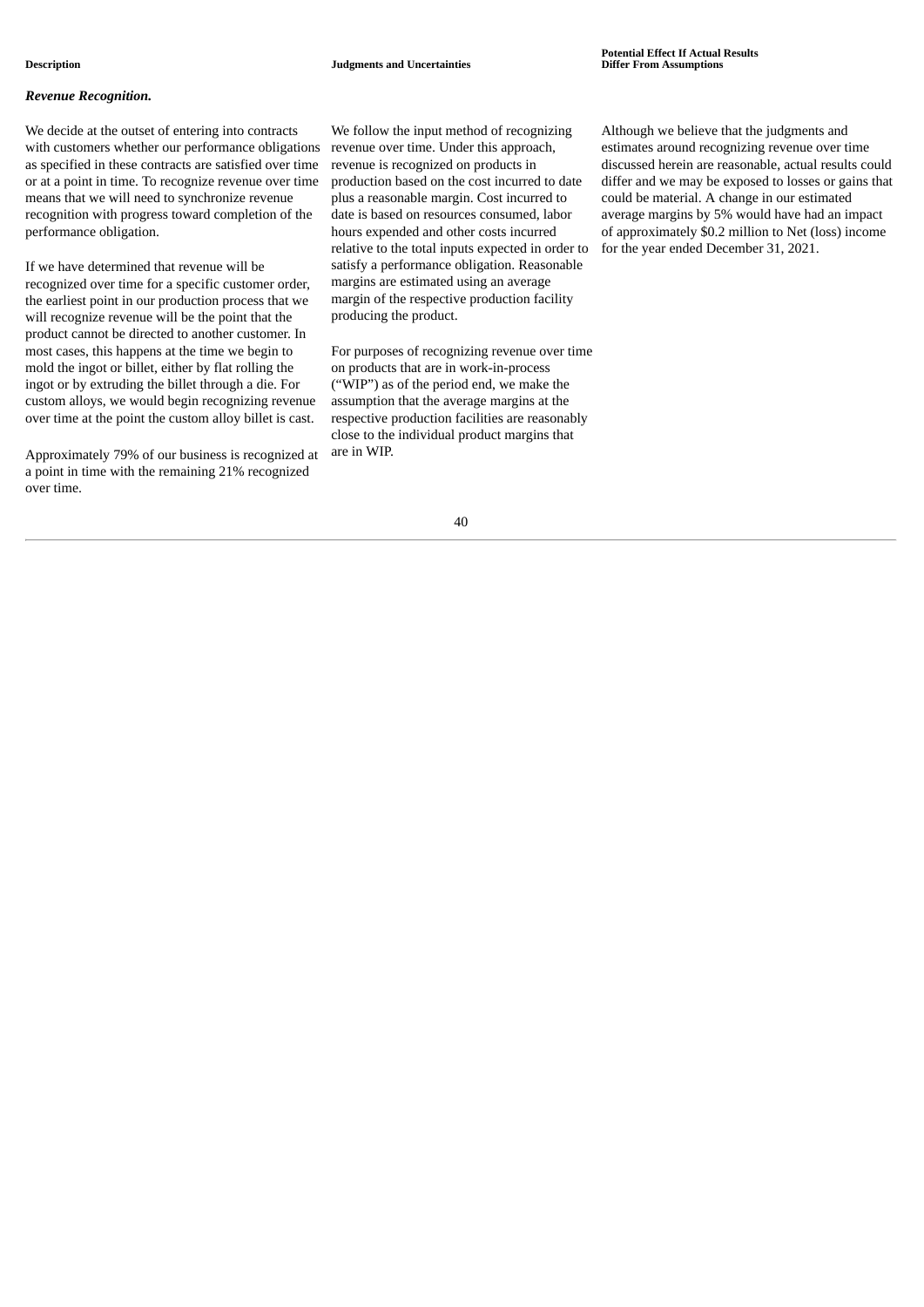#### *Revenue Recognition.*

We decide at the outset of entering into contracts with customers whether our performance obligations as specified in these contracts are satisfied over time or at a point in time. To recognize revenue over time means that we will need to synchronize revenue recognition with progress toward completion of the performance obligation.

If we have determined that revenue will be recognized over time for a specific customer order, the earliest point in our production process that we will recognize revenue will be the point that the product cannot be directed to another customer. In most cases, this happens at the time we begin to mold the ingot or billet, either by flat rolling the ingot or by extruding the billet through a die. For custom alloys, we would begin recognizing revenue over time at the point the custom alloy billet is cast.

Approximately 79% of our business is recognized at a point in time with the remaining 21% recognized over time.

We follow the input method of recognizing revenue over time. Under this approach, revenue is recognized on products in production based on the cost incurred to date plus a reasonable margin. Cost incurred to date is based on resources consumed, labor hours expended and other costs incurred relative to the total inputs expected in order to satisfy a performance obligation. Reasonable margins are estimated using an average margin of the respective production facility producing the product.

For purposes of recognizing revenue over time on products that are in work‑in-process ("WIP") as of the period end, we make the assumption that the average margins at the respective production facilities are reasonably close to the individual product margins that are in WIP.

Although we believe that the judgments and estimates around recognizing revenue over time discussed herein are reasonable, actual results could differ and we may be exposed to losses or gains that could be material. A change in our estimated average margins by 5% would have had an impact of approximately \$0.2 million to Net (loss) income for the year ended December 31, 2021.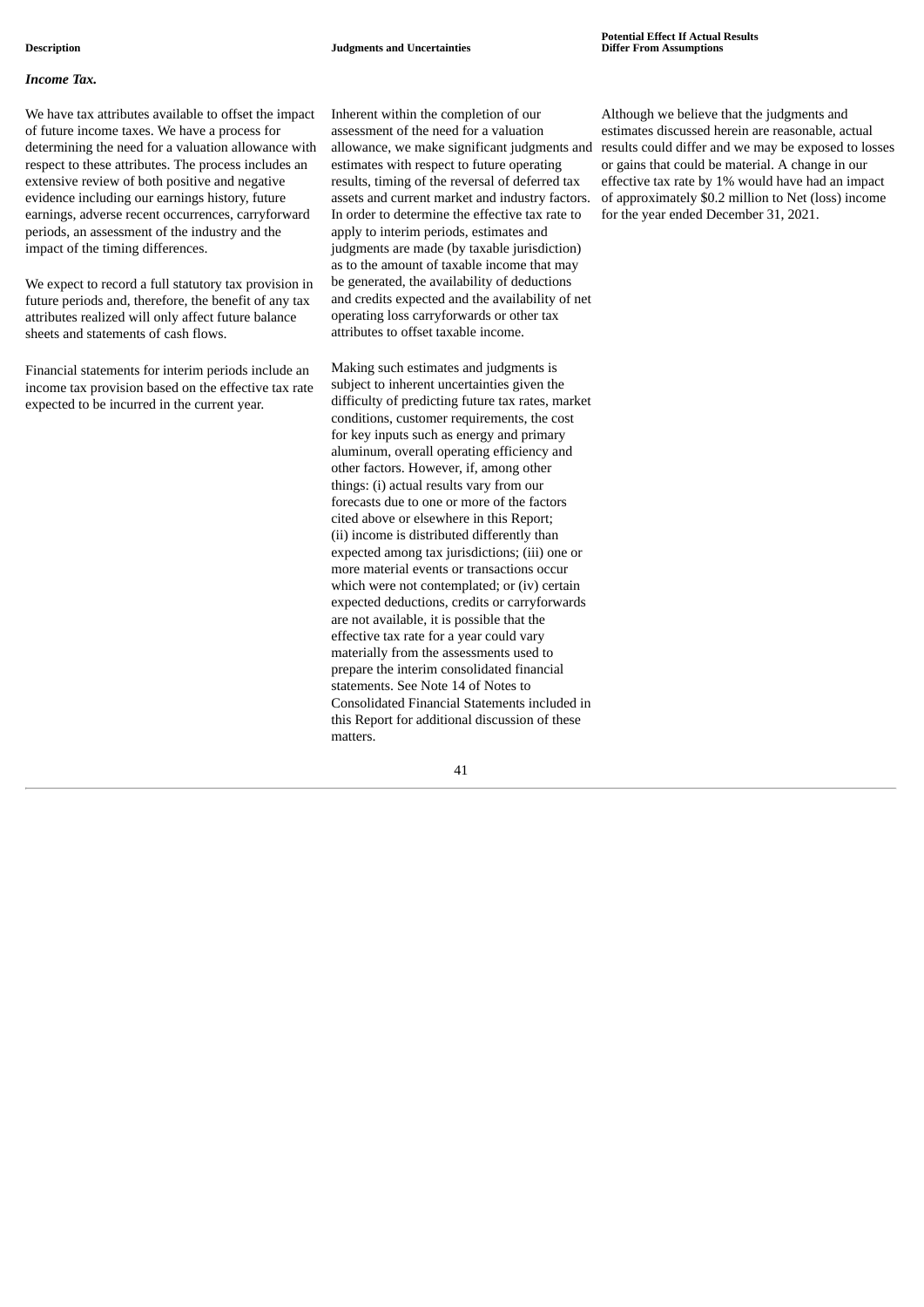#### *Income Tax.*

We have tax attributes available to offset the impact of future income taxes. We have a process for determining the need for a valuation allowance with respect to these attributes. The process includes an extensive review of both positive and negative evidence including our earnings history, future earnings, adverse recent occurrences, carryforward periods, an assessment of the industry and the impact of the timing differences.

We expect to record a full statutory tax provision in future periods and, therefore, the benefit of any tax attributes realized will only affect future balance sheets and statements of cash flows.

Financial statements for interim periods include an income tax provision based on the effective tax rate expected to be incurred in the current year.

Inherent within the completion of our assessment of the need for a valuation allowance, we make significant judgments and estimates with respect to future operating results, timing of the reversal of deferred tax assets and current market and industry factors. In order to determine the effective tax rate to apply to interim periods, estimates and judgments are made (by taxable jurisdiction) as to the amount of taxable income that may be generated, the availability of deductions and credits expected and the availability of net operating loss carryforwards or other tax attributes to offset taxable income.

Making such estimates and judgments is subject to inherent uncertainties given the difficulty of predicting future tax rates, market conditions, customer requirements, the cost for key inputs such as energy and primary aluminum, overall operating efficiency and other factors. However, if, among other things: (i) actual results vary from our forecasts due to one or more of the factors cited above or elsewhere in this Report; (ii) income is distributed differently than expected among tax jurisdictions; (iii) one or more material events or transactions occur which were not contemplated; or (iv) certain expected deductions, credits or carryforwards are not available, it is possible that the effective tax rate for a year could vary materially from the assessments used to prepare the interim consolidated financial statements. See Note 14 of Notes to Consolidated Financial Statements included in this Report for additional discussion of these matters.

Although we believe that the judgments and estimates discussed herein are reasonable, actual results could differ and we may be exposed to losses or gains that could be material. A change in our effective tax rate by 1% would have had an impact of approximately \$0.2 million to Net (loss) income for the year ended December 31, 2021.

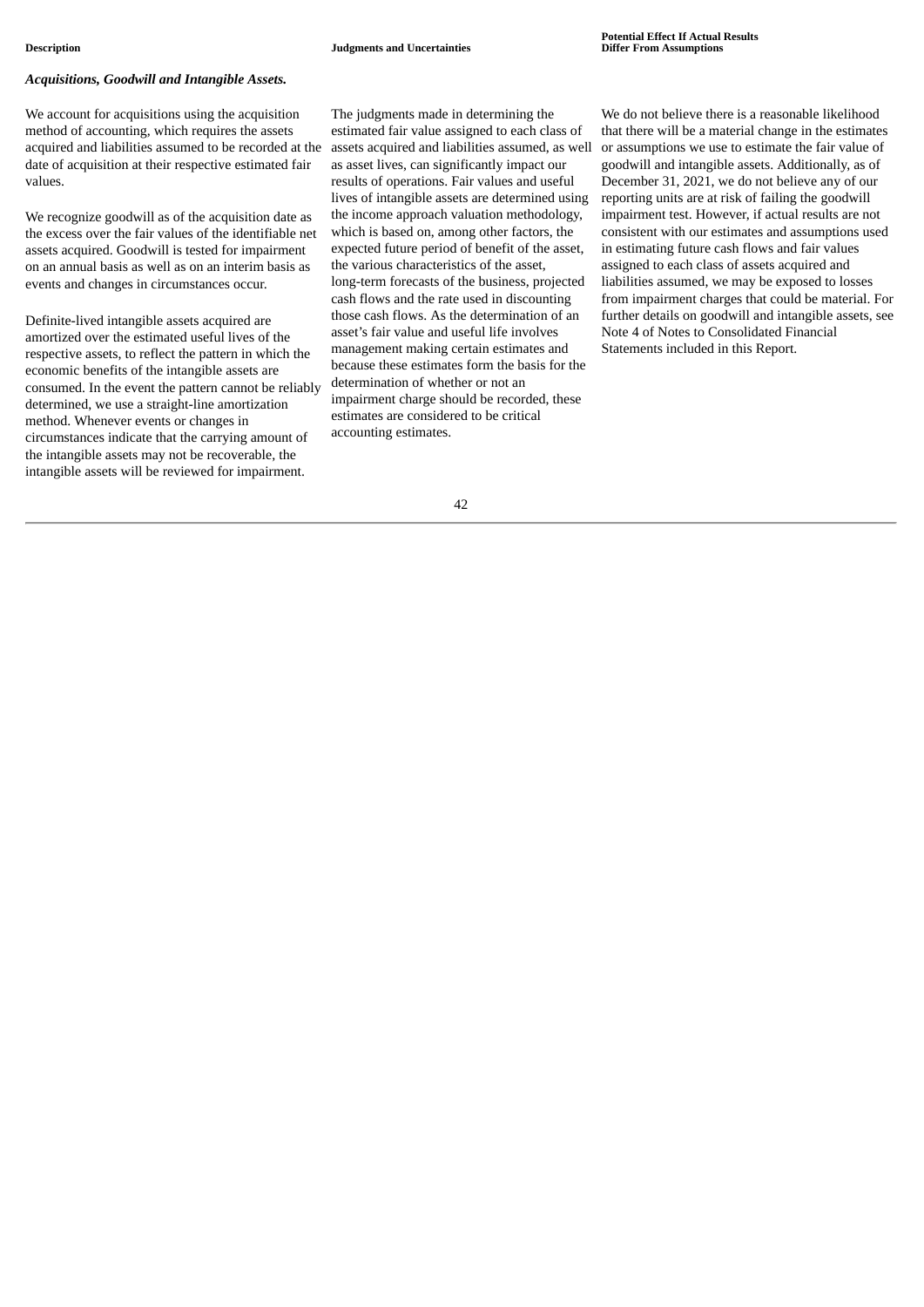#### *Acquisitions, Goodwill and Intangible Assets.*

We account for acquisitions using the acquisition method of accounting, which requires the assets acquired and liabilities assumed to be recorded at the date of acquisition at their respective estimated fair values.

We recognize goodwill as of the acquisition date as the excess over the fair values of the identifiable net assets acquired. Goodwill is tested for impairment on an annual basis as well as on an interim basis as events and changes in circumstances occur.

Definite-lived intangible assets acquired are amortized over the estimated useful lives of the respective assets, to reflect the pattern in which the economic benefits of the intangible assets are consumed. In the event the pattern cannot be reliably determined, we use a straight-line amortization method. Whenever events or changes in circumstances indicate that the carrying amount of the intangible assets may not be recoverable, the intangible assets will be reviewed for impairment.

The judgments made in determining the estimated fair value assigned to each class of assets acquired and liabilities assumed, as well as asset lives, can significantly impact our results of operations. Fair values and useful lives of intangible assets are determined using the income approach valuation methodology, which is based on, among other factors, the expected future period of benefit of the asset, the various characteristics of the asset, long‑term forecasts of the business, projected cash flows and the rate used in discounting those cash flows. As the determination of an asset's fair value and useful life involves management making certain estimates and because these estimates form the basis for the determination of whether or not an impairment charge should be recorded, these estimates are considered to be critical accounting estimates.

We do not believe there is a reasonable likelihood that there will be a material change in the estimates or assumptions we use to estimate the fair value of goodwill and intangible assets. Additionally, as of December 31, 2021, we do not believe any of our reporting units are at risk of failing the goodwill impairment test. However, if actual results are not consistent with our estimates and assumptions used in estimating future cash flows and fair values assigned to each class of assets acquired and liabilities assumed, we may be exposed to losses from impairment charges that could be material. For further details on goodwill and intangible assets, see Note 4 of Notes to Consolidated Financial Statements included in this Report.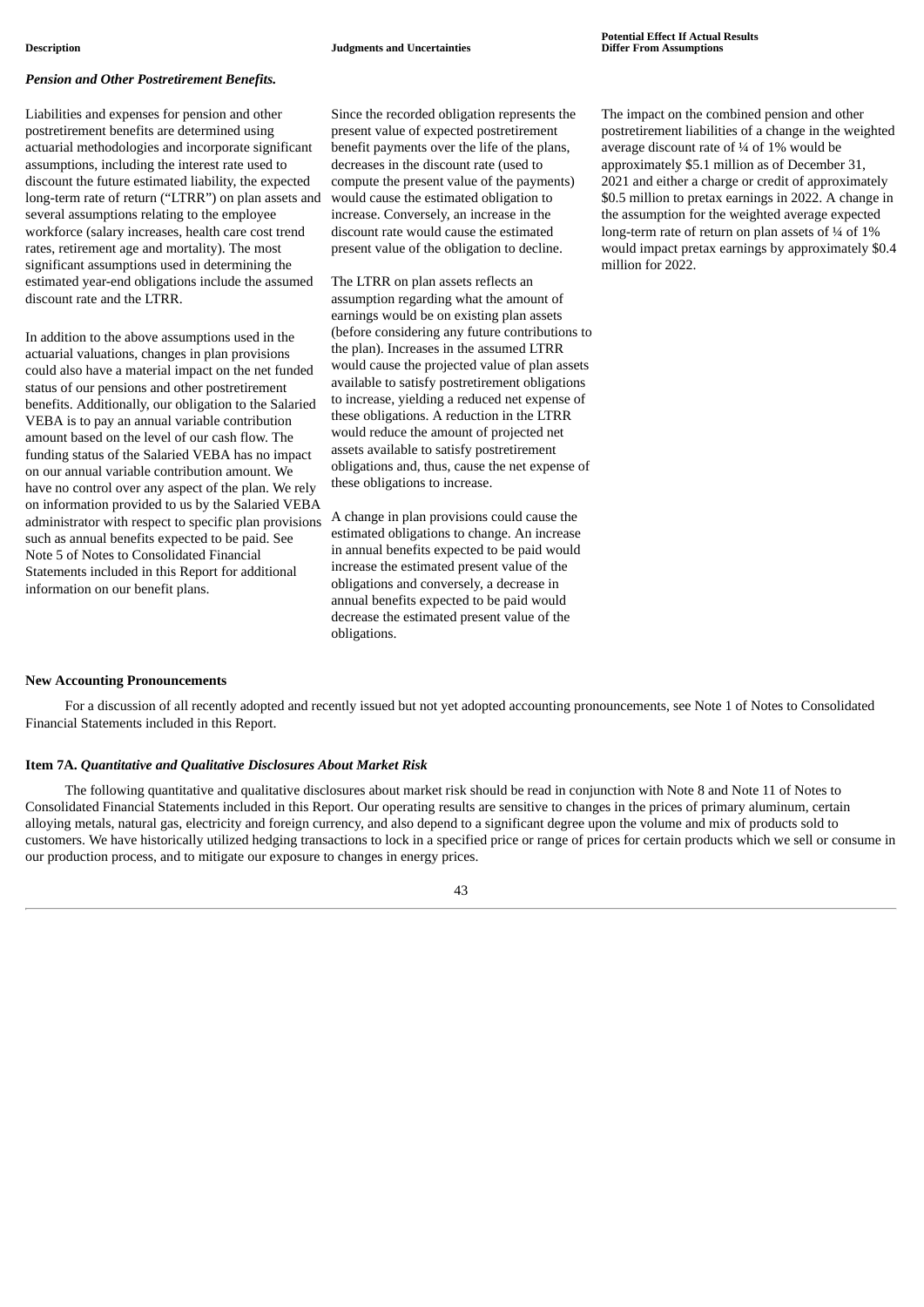#### *Pension and Other Postretirement Benefits.*

Liabilities and expenses for pension and other postretirement benefits are determined using actuarial methodologies and incorporate significant assumptions, including the interest rate used to discount the future estimated liability, the expected long-term rate of return ("LTRR") on plan assets and several assumptions relating to the employee workforce (salary increases, health care cost trend rates, retirement age and mortality). The most significant assumptions used in determining the estimated year-end obligations include the assumed discount rate and the LTRR.

In addition to the above assumptions used in the actuarial valuations, changes in plan provisions could also have a material impact on the net funded status of our pensions and other postretirement benefits. Additionally, our obligation to the Salaried VEBA is to pay an annual variable contribution amount based on the level of our cash flow. The funding status of the Salaried VEBA has no impact on our annual variable contribution amount. We have no control over any aspect of the plan. We rely on information provided to us by the Salaried VEBA administrator with respect to specific plan provisions such as annual benefits expected to be paid. See Note 5 of Notes to Consolidated Financial Statements included in this Report for additional information on our benefit plans.

Since the recorded obligation represents the present value of expected postretirement benefit payments over the life of the plans, decreases in the discount rate (used to compute the present value of the payments) would cause the estimated obligation to increase. Conversely, an increase in the discount rate would cause the estimated present value of the obligation to decline.

The LTRR on plan assets reflects an assumption regarding what the amount of earnings would be on existing plan assets (before considering any future contributions to the plan). Increases in the assumed LTRR would cause the projected value of plan assets available to satisfy postretirement obligations to increase, yielding a reduced net expense of these obligations. A reduction in the LTRR would reduce the amount of projected net assets available to satisfy postretirement obligations and, thus, cause the net expense of these obligations to increase.

A change in plan provisions could cause the estimated obligations to change. An increase in annual benefits expected to be paid would increase the estimated present value of the obligations and conversely, a decrease in annual benefits expected to be paid would decrease the estimated present value of the obligations.

The impact on the combined pension and other postretirement liabilities of a change in the weighted average discount rate of ¼ of 1% would be approximately \$5.1 million as of December 31, 2021 and either a charge or credit of approximately \$0.5 million to pretax earnings in 2022. A change in the assumption for the weighted average expected long-term rate of return on plan assets of  $\frac{1}{4}$  of  $1\%$ would impact pretax earnings by approximately \$0.4 million for 2022.

#### **New Accounting Pronouncements**

For a discussion of all recently adopted and recently issued but not yet adopted accounting pronouncements, see Note 1 of Notes to Consolidated Financial Statements included in this Report.

#### **Item 7A.** *Quantitative and Qualitative Disclosures About Market Risk*

The following quantitative and qualitative disclosures about market risk should be read in conjunction with Note 8 and Note 11 of Notes to Consolidated Financial Statements included in this Report. Our operating results are sensitive to changes in the prices of primary aluminum, certain alloying metals, natural gas, electricity and foreign currency, and also depend to a significant degree upon the volume and mix of products sold to customers. We have historically utilized hedging transactions to lock in a specified price or range of prices for certain products which we sell or consume in our production process, and to mitigate our exposure to changes in energy prices.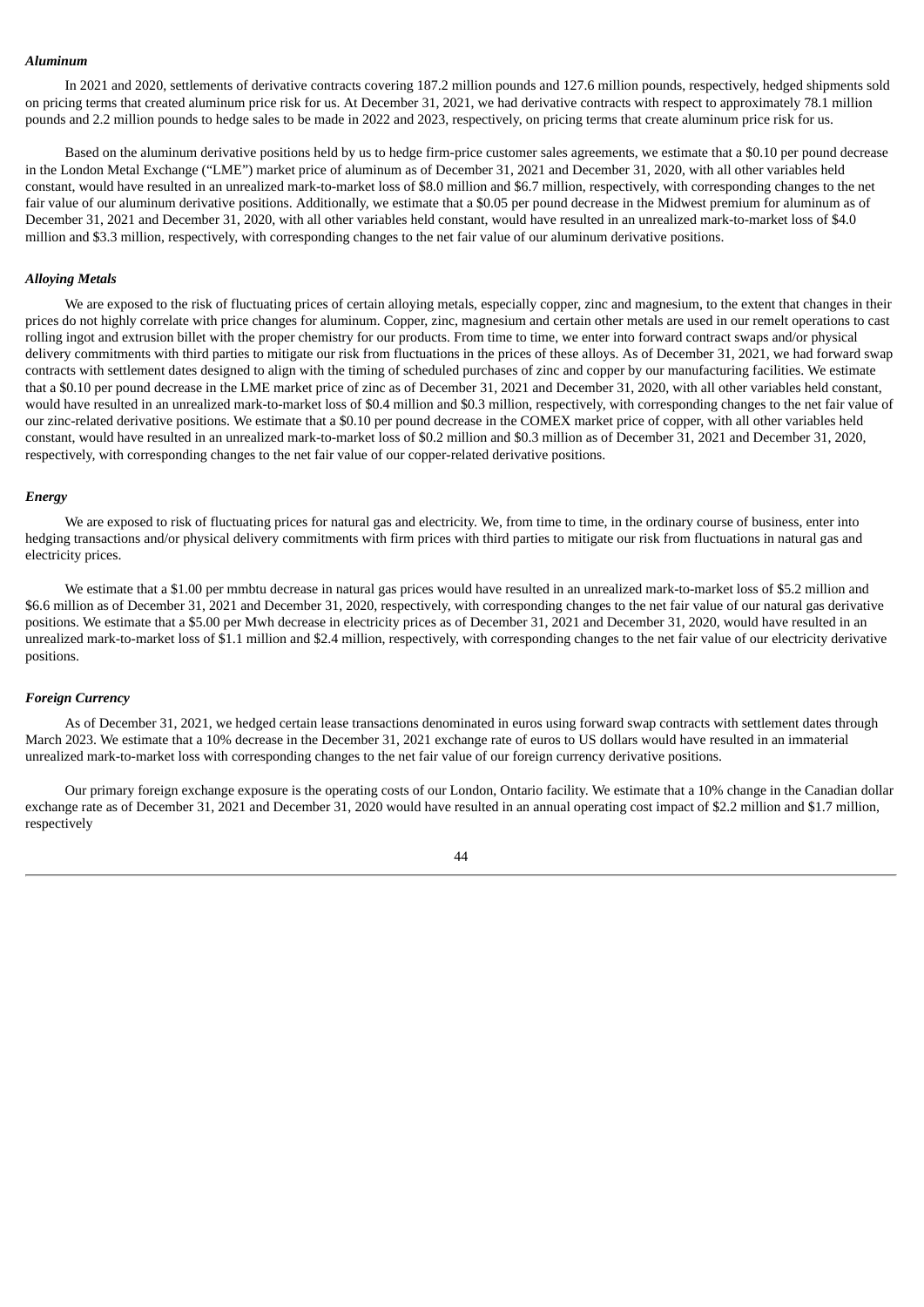#### *Aluminum*

In 2021 and 2020, settlements of derivative contracts covering 187.2 million pounds and 127.6 million pounds, respectively, hedged shipments sold on pricing terms that created aluminum price risk for us. At December 31, 2021, we had derivative contracts with respect to approximately 78.1 million pounds and 2.2 million pounds to hedge sales to be made in 2022 and 2023, respectively, on pricing terms that create aluminum price risk for us.

Based on the aluminum derivative positions held by us to hedge firm-price customer sales agreements, we estimate that a \$0.10 per pound decrease in the London Metal Exchange ("LME") market price of aluminum as of December 31, 2021 and December 31, 2020, with all other variables held constant, would have resulted in an unrealized mark-to-market loss of \$8.0 million and \$6.7 million, respectively, with corresponding changes to the net fair value of our aluminum derivative positions. Additionally, we estimate that a \$0.05 per pound decrease in the Midwest premium for aluminum as of December 31, 2021 and December 31, 2020, with all other variables held constant, would have resulted in an unrealized mark-to-market loss of \$4.0 million and \$3.3 million, respectively, with corresponding changes to the net fair value of our aluminum derivative positions.

#### *Alloying Metals*

We are exposed to the risk of fluctuating prices of certain alloying metals, especially copper, zinc and magnesium, to the extent that changes in their prices do not highly correlate with price changes for aluminum. Copper, zinc, magnesium and certain other metals are used in our remelt operations to cast rolling ingot and extrusion billet with the proper chemistry for our products. From time to time, we enter into forward contract swaps and/or physical delivery commitments with third parties to mitigate our risk from fluctuations in the prices of these alloys. As of December 31, 2021, we had forward swap contracts with settlement dates designed to align with the timing of scheduled purchases of zinc and copper by our manufacturing facilities. We estimate that a \$0.10 per pound decrease in the LME market price of zinc as of December 31, 2021 and December 31, 2020, with all other variables held constant, would have resulted in an unrealized mark-to-market loss of \$0.4 million and \$0.3 million, respectively, with corresponding changes to the net fair value of our zinc-related derivative positions. We estimate that a \$0.10 per pound decrease in the COMEX market price of copper, with all other variables held constant, would have resulted in an unrealized mark-to-market loss of \$0.2 million and \$0.3 million as of December 31, 2021 and December 31, 2020, respectively, with corresponding changes to the net fair value of our copper-related derivative positions.

#### *Energy*

We are exposed to risk of fluctuating prices for natural gas and electricity. We, from time to time, in the ordinary course of business, enter into hedging transactions and/or physical delivery commitments with firm prices with third parties to mitigate our risk from fluctuations in natural gas and electricity prices.

We estimate that a \$1.00 per mmbtu decrease in natural gas prices would have resulted in an unrealized mark-to-market loss of \$5.2 million and \$6.6 million as of December 31, 2021 and December 31, 2020, respectively, with corresponding changes to the net fair value of our natural gas derivative positions. We estimate that a \$5.00 per Mwh decrease in electricity prices as of December 31, 2021 and December 31, 2020, would have resulted in an unrealized mark-to-market loss of \$1.1 million and \$2.4 million, respectively, with corresponding changes to the net fair value of our electricity derivative positions.

#### *Foreign Currency*

As of December 31, 2021, we hedged certain lease transactions denominated in euros using forward swap contracts with settlement dates through March 2023. We estimate that a 10% decrease in the December 31, 2021 exchange rate of euros to US dollars would have resulted in an immaterial unrealized mark-to-market loss with corresponding changes to the net fair value of our foreign currency derivative positions.

Our primary foreign exchange exposure is the operating costs of our London, Ontario facility. We estimate that a 10% change in the Canadian dollar exchange rate as of December 31, 2021 and December 31, 2020 would have resulted in an annual operating cost impact of \$2.2 million and \$1.7 million, respectively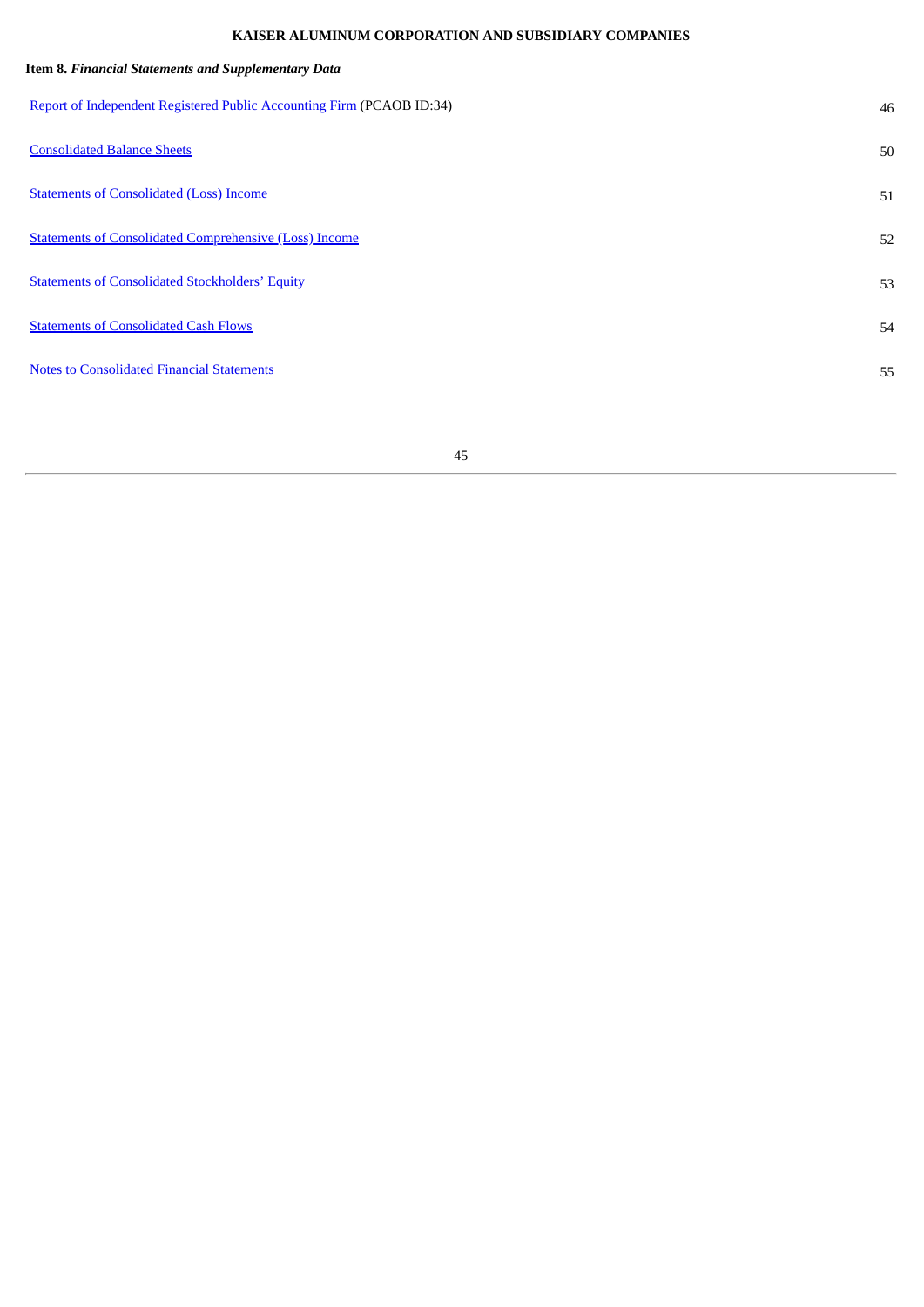# **KAISER ALUMINUM CORPORATION AND SUBSIDIARY COMPANIES**

| Item 8. Financial Statements and Supplementary Data                   |    |
|-----------------------------------------------------------------------|----|
| Report of Independent Registered Public Accounting Firm (PCAOB ID:34) | 46 |
| <b>Consolidated Balance Sheets</b>                                    | 50 |
| <b>Statements of Consolidated (Loss) Income</b>                       | 51 |
| <b>Statements of Consolidated Comprehensive (Loss) Income</b>         | 52 |
| <b>Statements of Consolidated Stockholders' Equity</b>                | 53 |
| <b>Statements of Consolidated Cash Flows</b>                          | 54 |
| <b>Notes to Consolidated Financial Statements</b>                     | 55 |
|                                                                       |    |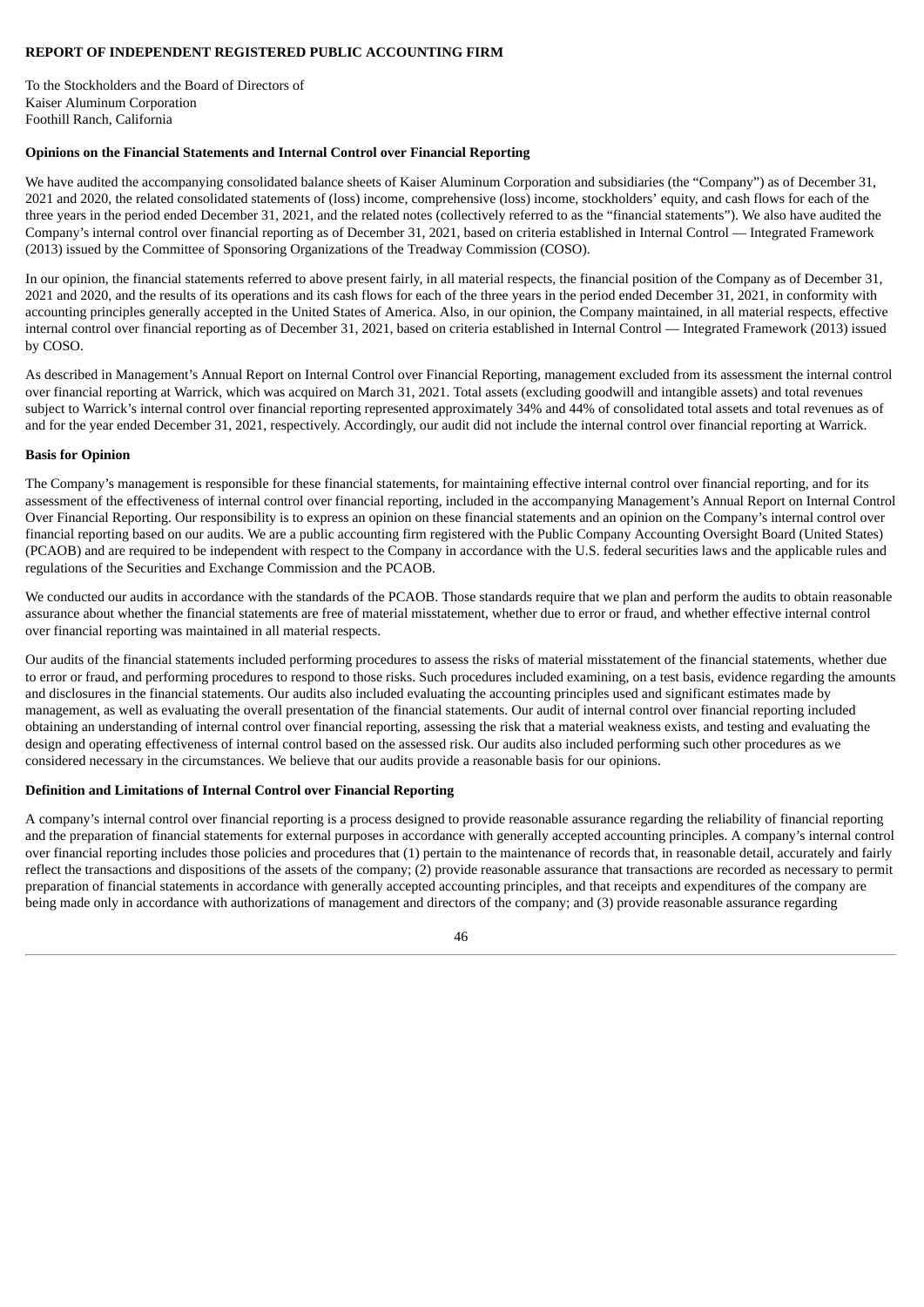## <span id="page-45-0"></span>**REPORT OF INDEPENDENT REGISTERED PUBLIC ACCOUNTING FIRM**

To the Stockholders and the Board of Directors of Kaiser Aluminum Corporation Foothill Ranch, California

## **Opinions on the Financial Statements and Internal Control over Financial Reporting**

We have audited the accompanying consolidated balance sheets of Kaiser Aluminum Corporation and subsidiaries (the "Company") as of December 31, 2021 and 2020, the related consolidated statements of (loss) income, comprehensive (loss) income, stockholders' equity, and cash flows for each of the three years in the period ended December 31, 2021, and the related notes (collectively referred to as the "financial statements"). We also have audited the Company's internal control over financial reporting as of December 31, 2021, based on criteria established in Internal Control — Integrated Framework (2013) issued by the Committee of Sponsoring Organizations of the Treadway Commission (COSO).

In our opinion, the financial statements referred to above present fairly, in all material respects, the financial position of the Company as of December 31, 2021 and 2020, and the results of its operations and its cash flows for each of the three years in the period ended December 31, 2021, in conformity with accounting principles generally accepted in the United States of America. Also, in our opinion, the Company maintained, in all material respects, effective internal control over financial reporting as of December 31, 2021, based on criteria established in Internal Control — Integrated Framework (2013) issued by COSO.

As described in Management's Annual Report on Internal Control over Financial Reporting, management excluded from its assessment the internal control over financial reporting at Warrick, which was acquired on March 31, 2021. Total assets (excluding goodwill and intangible assets) and total revenues subject to Warrick's internal control over financial reporting represented approximately 34% and 44% of consolidated total assets and total revenues as of and for the year ended December 31, 2021, respectively. Accordingly, our audit did not include the internal control over financial reporting at Warrick.

#### **Basis for Opinion**

The Company's management is responsible for these financial statements, for maintaining effective internal control over financial reporting, and for its assessment of the effectiveness of internal control over financial reporting, included in the accompanying Management's Annual Report on Internal Control Over Financial Reporting. Our responsibility is to express an opinion on these financial statements and an opinion on the Company's internal control over financial reporting based on our audits. We are a public accounting firm registered with the Public Company Accounting Oversight Board (United States) (PCAOB) and are required to be independent with respect to the Company in accordance with the U.S. federal securities laws and the applicable rules and regulations of the Securities and Exchange Commission and the PCAOB.

We conducted our audits in accordance with the standards of the PCAOB. Those standards require that we plan and perform the audits to obtain reasonable assurance about whether the financial statements are free of material misstatement, whether due to error or fraud, and whether effective internal control over financial reporting was maintained in all material respects.

Our audits of the financial statements included performing procedures to assess the risks of material misstatement of the financial statements, whether due to error or fraud, and performing procedures to respond to those risks. Such procedures included examining, on a test basis, evidence regarding the amounts and disclosures in the financial statements. Our audits also included evaluating the accounting principles used and significant estimates made by management, as well as evaluating the overall presentation of the financial statements. Our audit of internal control over financial reporting included obtaining an understanding of internal control over financial reporting, assessing the risk that a material weakness exists, and testing and evaluating the design and operating effectiveness of internal control based on the assessed risk. Our audits also included performing such other procedures as we considered necessary in the circumstances. We believe that our audits provide a reasonable basis for our opinions.

## **Definition and Limitations of Internal Control over Financial Reporting**

A company's internal control over financial reporting is a process designed to provide reasonable assurance regarding the reliability of financial reporting and the preparation of financial statements for external purposes in accordance with generally accepted accounting principles. A company's internal control over financial reporting includes those policies and procedures that (1) pertain to the maintenance of records that, in reasonable detail, accurately and fairly reflect the transactions and dispositions of the assets of the company; (2) provide reasonable assurance that transactions are recorded as necessary to permit preparation of financial statements in accordance with generally accepted accounting principles, and that receipts and expenditures of the company are being made only in accordance with authorizations of management and directors of the company; and (3) provide reasonable assurance regarding

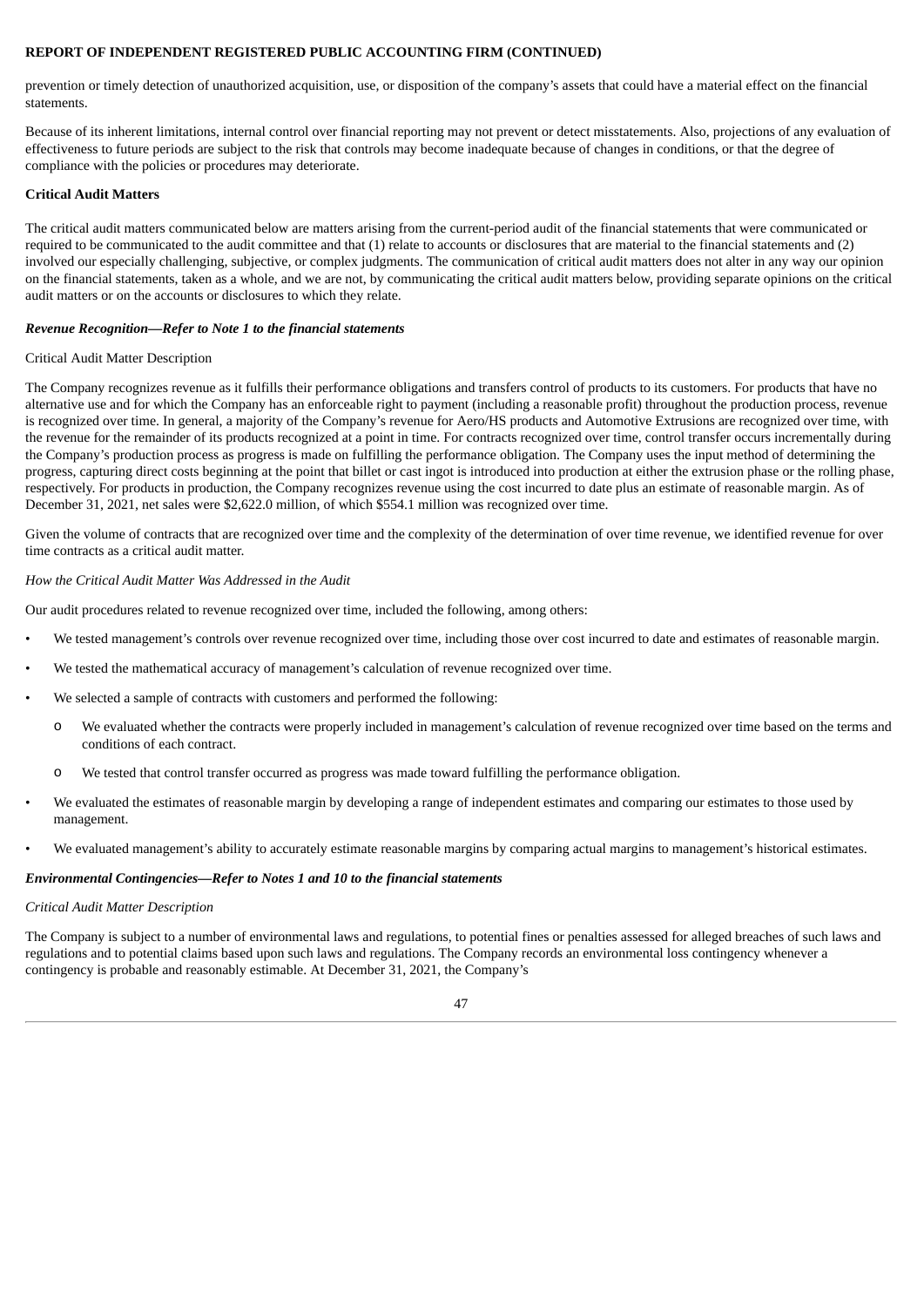### **REPORT OF INDEPENDENT REGISTERED PUBLIC ACCOUNTING FIRM (CONTINUED)**

prevention or timely detection of unauthorized acquisition, use, or disposition of the company's assets that could have a material effect on the financial statements.

Because of its inherent limitations, internal control over financial reporting may not prevent or detect misstatements. Also, projections of any evaluation of effectiveness to future periods are subject to the risk that controls may become inadequate because of changes in conditions, or that the degree of compliance with the policies or procedures may deteriorate.

#### **Critical Audit Matters**

The critical audit matters communicated below are matters arising from the current-period audit of the financial statements that were communicated or required to be communicated to the audit committee and that (1) relate to accounts or disclosures that are material to the financial statements and (2) involved our especially challenging, subjective, or complex judgments. The communication of critical audit matters does not alter in any way our opinion on the financial statements, taken as a whole, and we are not, by communicating the critical audit matters below, providing separate opinions on the critical audit matters or on the accounts or disclosures to which they relate.

#### *Revenue Recognition—Refer to Note 1 to the financial statements*

#### Critical Audit Matter Description

The Company recognizes revenue as it fulfills their performance obligations and transfers control of products to its customers. For products that have no alternative use and for which the Company has an enforceable right to payment (including a reasonable profit) throughout the production process, revenue is recognized over time. In general, a majority of the Company's revenue for Aero/HS products and Automotive Extrusions are recognized over time, with the revenue for the remainder of its products recognized at a point in time. For contracts recognized over time, control transfer occurs incrementally during the Company's production process as progress is made on fulfilling the performance obligation. The Company uses the input method of determining the progress, capturing direct costs beginning at the point that billet or cast ingot is introduced into production at either the extrusion phase or the rolling phase, respectively. For products in production, the Company recognizes revenue using the cost incurred to date plus an estimate of reasonable margin. As of December 31, 2021, net sales were \$2,622.0 million, of which \$554.1 million was recognized over time.

Given the volume of contracts that are recognized over time and the complexity of the determination of over time revenue, we identified revenue for over time contracts as a critical audit matter.

#### *How the Critical Audit Matter Was Addressed in the Audit*

Our audit procedures related to revenue recognized over time, included the following, among others:

- We tested management's controls over revenue recognized over time, including those over cost incurred to date and estimates of reasonable margin.
- We tested the mathematical accuracy of management's calculation of revenue recognized over time.
- We selected a sample of contracts with customers and performed the following:
	- o We evaluated whether the contracts were properly included in management's calculation of revenue recognized over time based on the terms and conditions of each contract.
	- o We tested that control transfer occurred as progress was made toward fulfilling the performance obligation.
- We evaluated the estimates of reasonable margin by developing a range of independent estimates and comparing our estimates to those used by management.
- We evaluated management's ability to accurately estimate reasonable margins by comparing actual margins to management's historical estimates.

#### *Environmental Contingencies—Refer to Notes 1 and 10 to the financial statements*

#### *Critical Audit Matter Description*

The Company is subject to a number of environmental laws and regulations, to potential fines or penalties assessed for alleged breaches of such laws and regulations and to potential claims based upon such laws and regulations. The Company records an environmental loss contingency whenever a contingency is probable and reasonably estimable. At December 31, 2021, the Company's

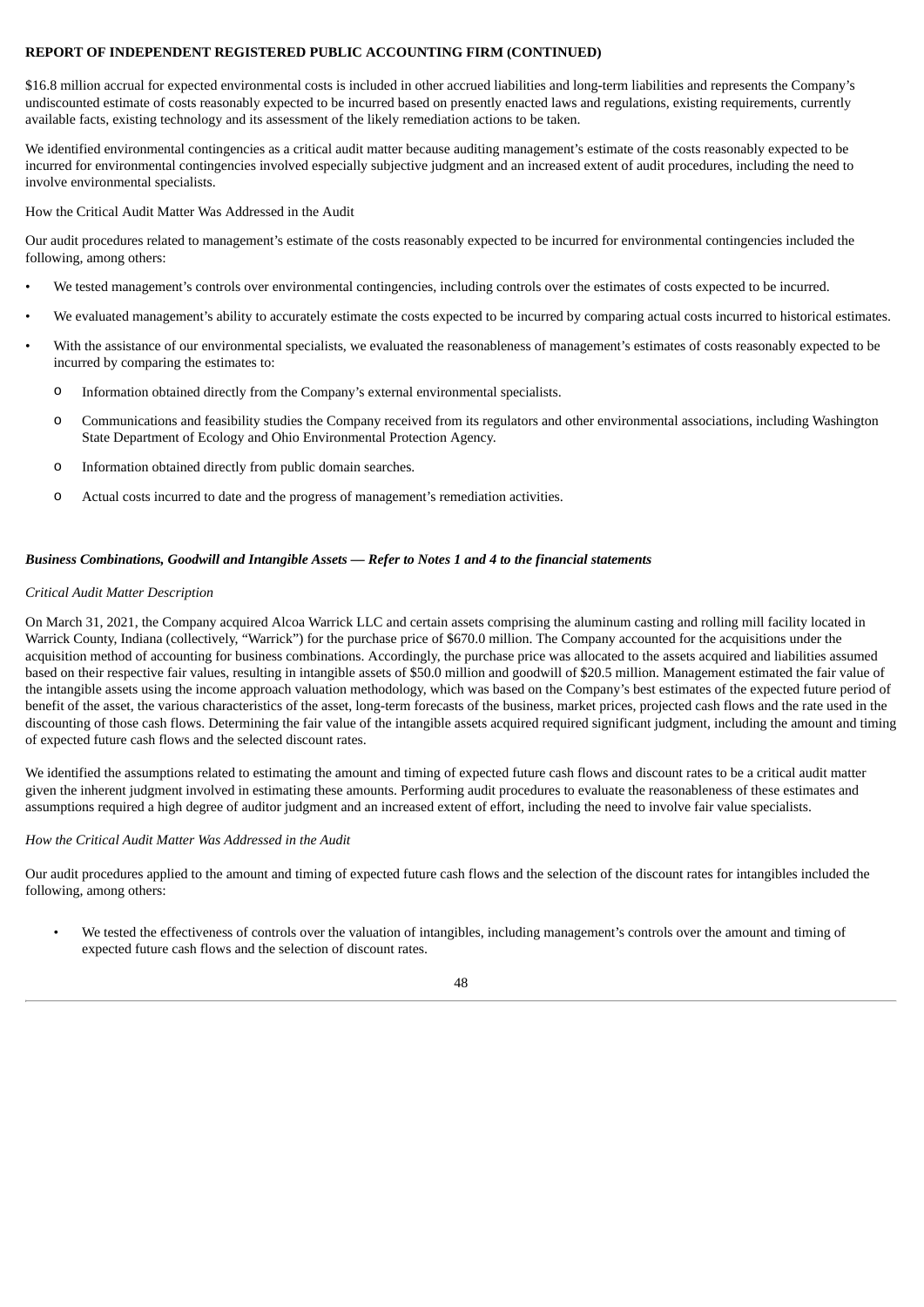## **REPORT OF INDEPENDENT REGISTERED PUBLIC ACCOUNTING FIRM (CONTINUED)**

\$16.8 million accrual for expected environmental costs is included in other accrued liabilities and long-term liabilities and represents the Company's undiscounted estimate of costs reasonably expected to be incurred based on presently enacted laws and regulations, existing requirements, currently available facts, existing technology and its assessment of the likely remediation actions to be taken.

We identified environmental contingencies as a critical audit matter because auditing management's estimate of the costs reasonably expected to be incurred for environmental contingencies involved especially subjective judgment and an increased extent of audit procedures, including the need to involve environmental specialists.

How the Critical Audit Matter Was Addressed in the Audit

Our audit procedures related to management's estimate of the costs reasonably expected to be incurred for environmental contingencies included the following, among others:

- We tested management's controls over environmental contingencies, including controls over the estimates of costs expected to be incurred.
- We evaluated management's ability to accurately estimate the costs expected to be incurred by comparing actual costs incurred to historical estimates.
- With the assistance of our environmental specialists, we evaluated the reasonableness of management's estimates of costs reasonably expected to be incurred by comparing the estimates to:
	- o Information obtained directly from the Company's external environmental specialists.
	- o Communications and feasibility studies the Company received from its regulators and other environmental associations, including Washington State Department of Ecology and Ohio Environmental Protection Agency.
	- o Information obtained directly from public domain searches.
	- o Actual costs incurred to date and the progress of management's remediation activities.

## Business Combinations, Goodwill and Intangible Assets - Refer to Notes 1 and 4 to the financial statements

#### *Critical Audit Matter Description*

On March 31, 2021, the Company acquired Alcoa Warrick LLC and certain assets comprising the aluminum casting and rolling mill facility located in Warrick County, Indiana (collectively, "Warrick") for the purchase price of \$670.0 million. The Company accounted for the acquisitions under the acquisition method of accounting for business combinations. Accordingly, the purchase price was allocated to the assets acquired and liabilities assumed based on their respective fair values, resulting in intangible assets of \$50.0 million and goodwill of \$20.5 million. Management estimated the fair value of the intangible assets using the income approach valuation methodology, which was based on the Company's best estimates of the expected future period of benefit of the asset, the various characteristics of the asset, long-term forecasts of the business, market prices, projected cash flows and the rate used in the discounting of those cash flows. Determining the fair value of the intangible assets acquired required significant judgment, including the amount and timing of expected future cash flows and the selected discount rates.

We identified the assumptions related to estimating the amount and timing of expected future cash flows and discount rates to be a critical audit matter given the inherent judgment involved in estimating these amounts. Performing audit procedures to evaluate the reasonableness of these estimates and assumptions required a high degree of auditor judgment and an increased extent of effort, including the need to involve fair value specialists.

#### *How the Critical Audit Matter Was Addressed in the Audit*

Our audit procedures applied to the amount and timing of expected future cash flows and the selection of the discount rates for intangibles included the following, among others:

• We tested the effectiveness of controls over the valuation of intangibles, including management's controls over the amount and timing of expected future cash flows and the selection of discount rates.

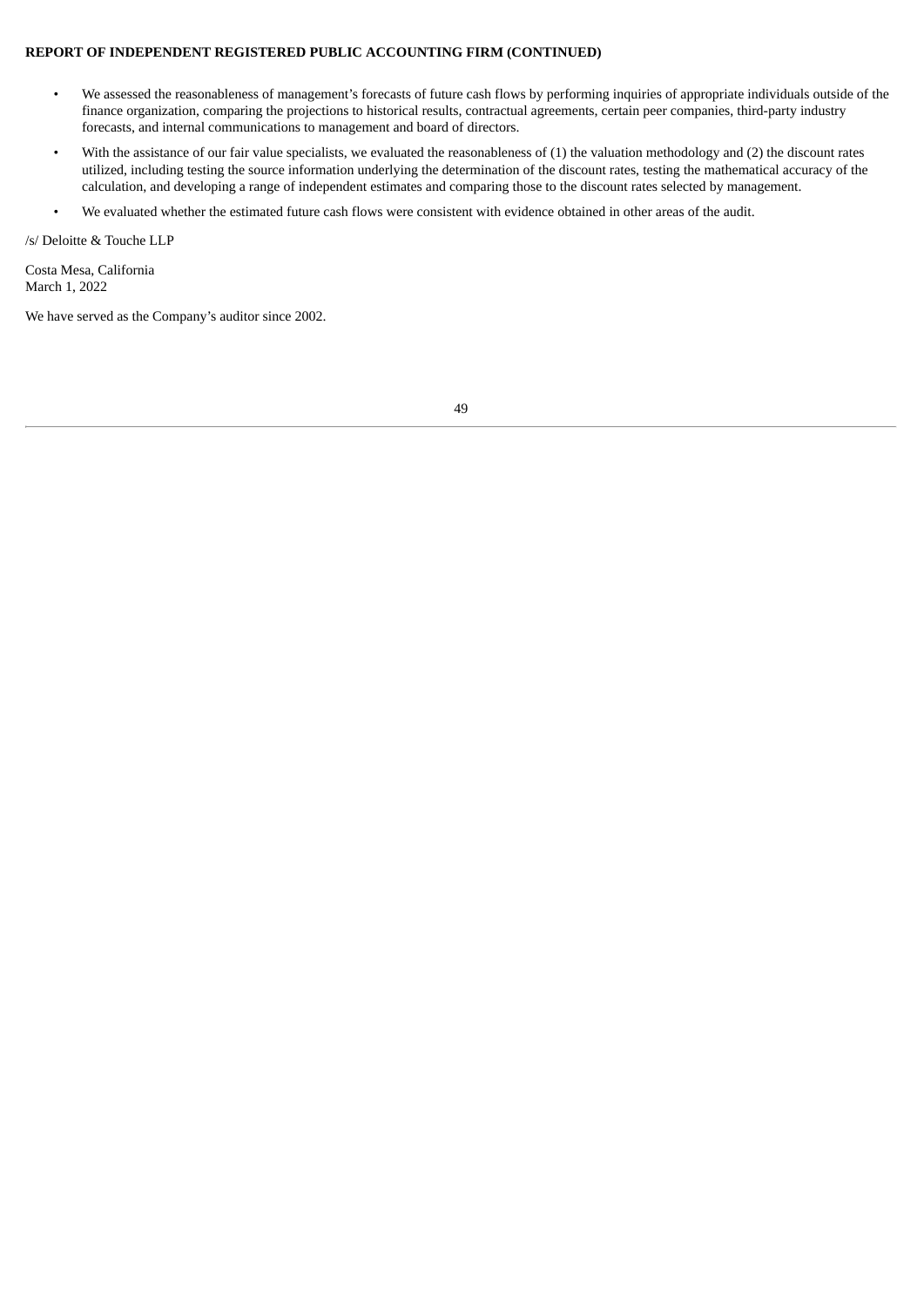### **REPORT OF INDEPENDENT REGISTERED PUBLIC ACCOUNTING FIRM (CONTINUED)**

- We assessed the reasonableness of management's forecasts of future cash flows by performing inquiries of appropriate individuals outside of the finance organization, comparing the projections to historical results, contractual agreements, certain peer companies, third-party industry forecasts, and internal communications to management and board of directors.
- With the assistance of our fair value specialists, we evaluated the reasonableness of (1) the valuation methodology and (2) the discount rates utilized, including testing the source information underlying the determination of the discount rates, testing the mathematical accuracy of the calculation, and developing a range of independent estimates and comparing those to the discount rates selected by management.
- We evaluated whether the estimated future cash flows were consistent with evidence obtained in other areas of the audit.

/s/ Deloitte & Touche LLP

Costa Mesa, California March 1, 2022

We have served as the Company's auditor since 2002.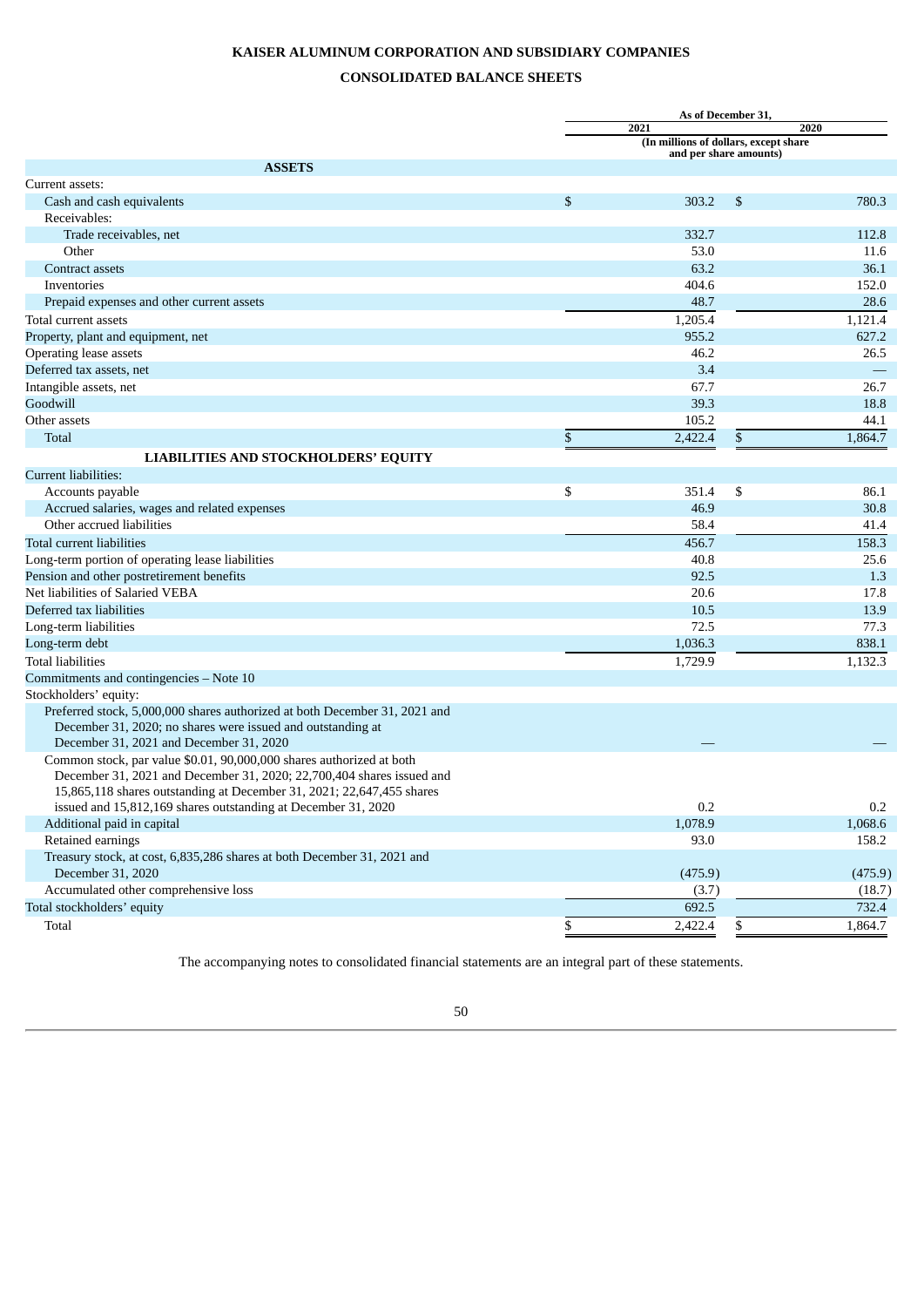# **KAISER ALUMINUM CORPORATION AND SUBSIDIARY COMPANIES**

# **CONSOLIDATED BALANCE SHEETS**

<span id="page-49-0"></span>

|                                                                            |                                       | As of December 31,     |         |
|----------------------------------------------------------------------------|---------------------------------------|------------------------|---------|
|                                                                            | 2021                                  |                        | 2020    |
|                                                                            | (In millions of dollars, except share | and per share amounts) |         |
| <b>ASSETS</b>                                                              |                                       |                        |         |
| Current assets:                                                            |                                       |                        |         |
| Cash and cash equivalents                                                  | \$<br>303.2                           | \$                     | 780.3   |
| Receivables:                                                               |                                       |                        |         |
| Trade receivables, net                                                     | 332.7                                 |                        | 112.8   |
| Other                                                                      | 53.0                                  |                        | 11.6    |
| Contract assets                                                            | 63.2                                  |                        | 36.1    |
| Inventories                                                                | 404.6                                 |                        | 152.0   |
| Prepaid expenses and other current assets                                  | 48.7                                  |                        | 28.6    |
| Total current assets                                                       | 1,205.4                               |                        | 1,121.4 |
| Property, plant and equipment, net                                         | 955.2                                 |                        | 627.2   |
| Operating lease assets                                                     | 46.2                                  |                        | 26.5    |
| Deferred tax assets, net                                                   | 3.4                                   |                        |         |
| Intangible assets, net                                                     | 67.7                                  |                        | 26.7    |
| Goodwill                                                                   | 39.3                                  |                        | 18.8    |
| Other assets                                                               | 105.2                                 |                        | 44.1    |
| Total                                                                      | \$<br>2,422.4                         | \$                     | 1,864.7 |
| LIABILITIES AND STOCKHOLDERS' EQUITY                                       |                                       |                        |         |
| Current liabilities:                                                       |                                       |                        |         |
| Accounts payable                                                           | \$<br>351.4                           | \$                     | 86.1    |
| Accrued salaries, wages and related expenses                               | 46.9                                  |                        | 30.8    |
| Other accrued liabilities                                                  | 58.4                                  |                        | 41.4    |
| Total current liabilities                                                  | 456.7                                 |                        | 158.3   |
| Long-term portion of operating lease liabilities                           | 40.8                                  |                        | 25.6    |
| Pension and other postretirement benefits                                  | 92.5                                  |                        | 1.3     |
| Net liabilities of Salaried VEBA                                           | 20.6                                  |                        | 17.8    |
| Deferred tax liabilities                                                   | 10.5                                  |                        | 13.9    |
| Long-term liabilities                                                      | 72.5                                  |                        | 77.3    |
| Long-term debt                                                             | 1,036.3                               |                        | 838.1   |
| <b>Total liabilities</b>                                                   | 1,729.9                               |                        | 1,132.3 |
| Commitments and contingencies - Note 10                                    |                                       |                        |         |
| Stockholders' equity:                                                      |                                       |                        |         |
| Preferred stock, 5,000,000 shares authorized at both December 31, 2021 and |                                       |                        |         |
| December 31, 2020; no shares were issued and outstanding at                |                                       |                        |         |
| December 31, 2021 and December 31, 2020                                    |                                       |                        |         |
| Common stock, par value \$0.01, 90,000,000 shares authorized at both       |                                       |                        |         |
| December 31, 2021 and December 31, 2020; 22,700,404 shares issued and      |                                       |                        |         |
| 15,865,118 shares outstanding at December 31, 2021; 22,647,455 shares      |                                       |                        |         |
| issued and 15,812,169 shares outstanding at December 31, 2020              | 0.2                                   |                        | $0.2\,$ |
| Additional paid in capital                                                 | 1,078.9                               |                        | 1,068.6 |
| Retained earnings                                                          | 93.0                                  |                        | 158.2   |
| Treasury stock, at cost, 6,835,286 shares at both December 31, 2021 and    |                                       |                        |         |
| December 31, 2020                                                          | (475.9)                               |                        | (475.9) |
| Accumulated other comprehensive loss                                       | (3.7)                                 |                        | (18.7)  |
| Total stockholders' equity                                                 | 692.5                                 |                        | 732.4   |
| Total                                                                      | \$<br>2,422.4                         | \$                     | 1,864.7 |
|                                                                            |                                       |                        |         |

The accompanying notes to consolidated financial statements are an integral part of these statements.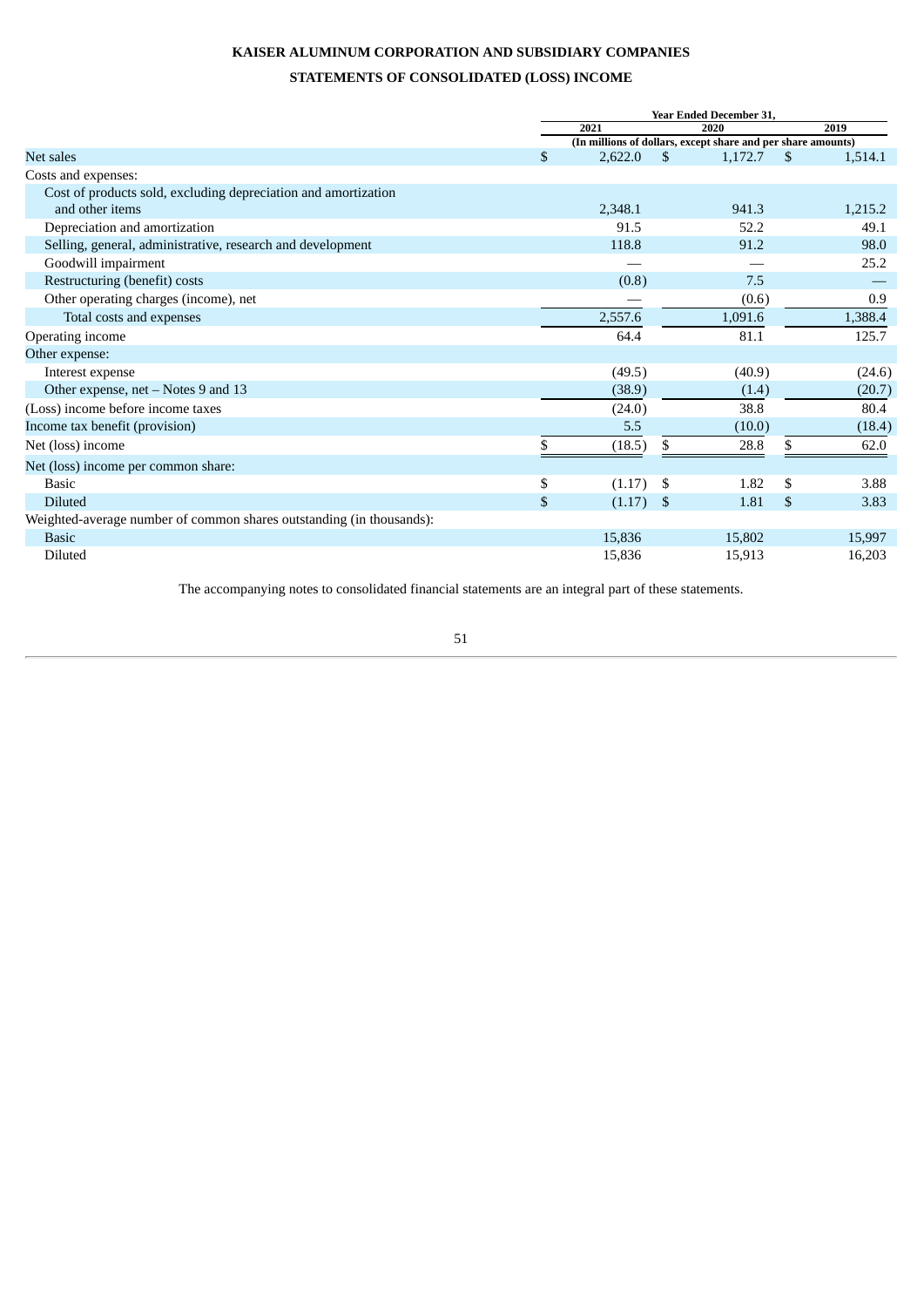# **KAISER ALUMINUM CORPORATION AND SUBSIDIARY COMPANIES**

# **STATEMENTS OF CONSOLIDATED (LOSS) INCOME**

<span id="page-50-0"></span>

|                                                                      | <b>Year Ended December 31,</b> |                                                              |                       |  |  |  |
|----------------------------------------------------------------------|--------------------------------|--------------------------------------------------------------|-----------------------|--|--|--|
|                                                                      | 2021                           | 2020                                                         | 2019                  |  |  |  |
|                                                                      |                                | (In millions of dollars, except share and per share amounts) |                       |  |  |  |
| Net sales                                                            | $\mathfrak{S}$<br>2,622.0      | \$<br>1,172.7                                                | \$.<br>1,514.1        |  |  |  |
| Costs and expenses:                                                  |                                |                                                              |                       |  |  |  |
| Cost of products sold, excluding depreciation and amortization       |                                |                                                              |                       |  |  |  |
| and other items                                                      | 2,348.1                        | 941.3                                                        | 1,215.2               |  |  |  |
| Depreciation and amortization                                        | 91.5                           | 52.2                                                         | 49.1                  |  |  |  |
| Selling, general, administrative, research and development           | 118.8                          | 91.2                                                         | 98.0                  |  |  |  |
| Goodwill impairment                                                  |                                |                                                              | 25.2                  |  |  |  |
| Restructuring (benefit) costs                                        | (0.8)                          | 7.5                                                          |                       |  |  |  |
| Other operating charges (income), net                                |                                | (0.6)                                                        | 0.9                   |  |  |  |
| Total costs and expenses                                             | 2,557.6                        | 1,091.6                                                      | 1,388.4               |  |  |  |
| Operating income                                                     | 64.4                           | 81.1                                                         | 125.7                 |  |  |  |
| Other expense:                                                       |                                |                                                              |                       |  |  |  |
| Interest expense                                                     | (49.5)                         | (40.9)                                                       | (24.6)                |  |  |  |
| Other expense, net - Notes 9 and 13                                  | (38.9)                         | (1.4)                                                        | (20.7)                |  |  |  |
| (Loss) income before income taxes                                    | (24.0)                         | 38.8                                                         | 80.4                  |  |  |  |
| Income tax benefit (provision)                                       | 5.5                            | (10.0)                                                       | (18.4)                |  |  |  |
| Net (loss) income                                                    | \$<br>(18.5)                   | \$<br>28.8                                                   | \$<br>62.0            |  |  |  |
| Net (loss) income per common share:                                  |                                |                                                              |                       |  |  |  |
| <b>Basic</b>                                                         | \$<br>(1.17)                   | \$<br>1.82                                                   | \$<br>3.88            |  |  |  |
| <b>Diluted</b>                                                       | $\mathfrak{S}$<br>(1.17)       | \$<br>1.81                                                   | <sup>\$</sup><br>3.83 |  |  |  |
| Weighted-average number of common shares outstanding (in thousands): |                                |                                                              |                       |  |  |  |
| <b>Basic</b>                                                         | 15,836                         | 15,802                                                       | 15,997                |  |  |  |
| Diluted                                                              | 15,836                         | 15,913                                                       | 16,203                |  |  |  |

The accompanying notes to consolidated financial statements are an integral part of these statements.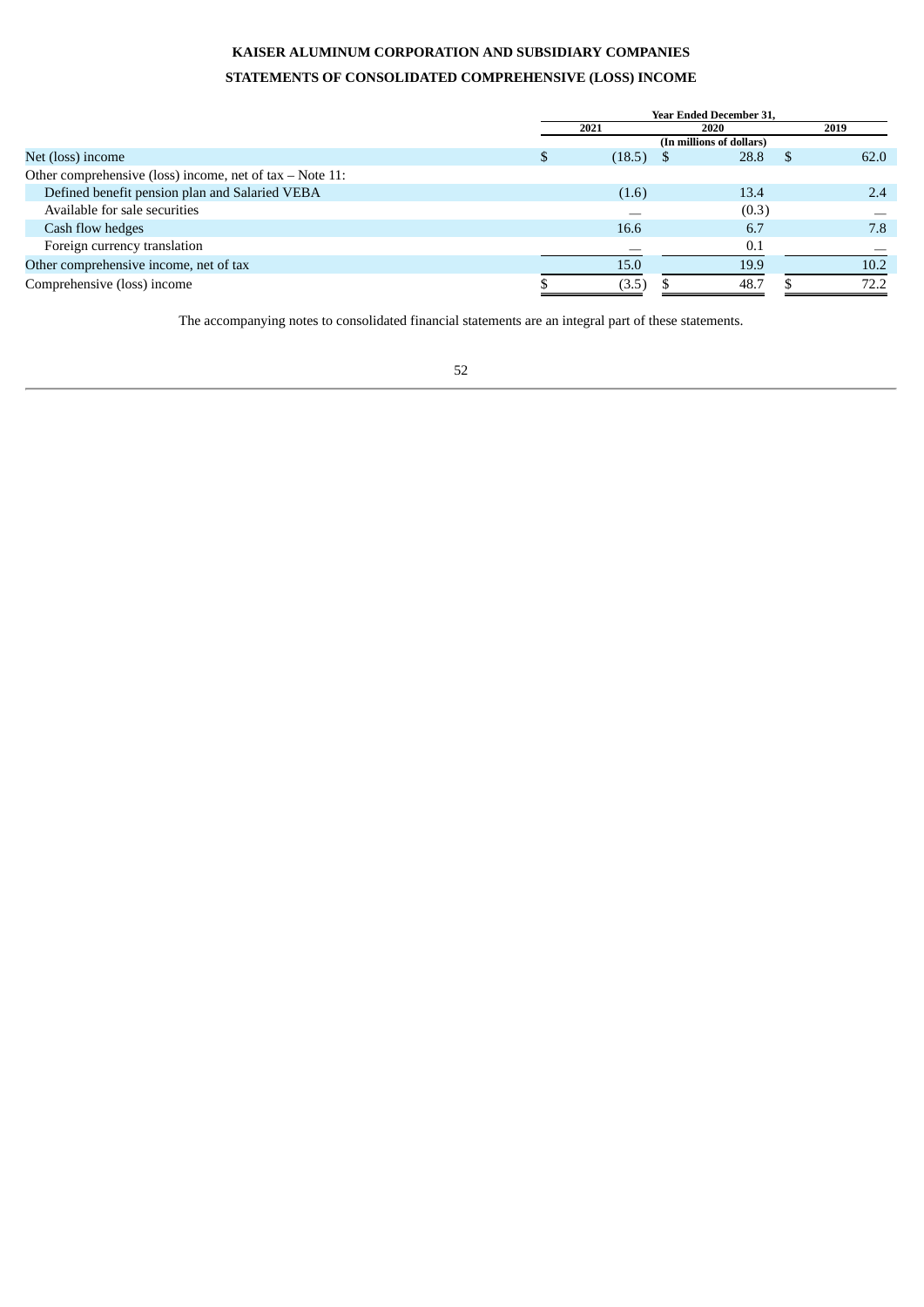# **KAISER ALUMINUM CORPORATION AND SUBSIDIARY COMPANIES STATEMENTS OF CONSOLIDATED COMPREHENSIVE (LOSS) INCOME**

<span id="page-51-0"></span>

|                                                          | <b>Year Ended December 31.</b> |                          |      |  |  |  |
|----------------------------------------------------------|--------------------------------|--------------------------|------|--|--|--|
|                                                          | 2021                           | 2020                     | 2019 |  |  |  |
|                                                          |                                | (In millions of dollars) |      |  |  |  |
| Net (loss) income                                        | (18.5)                         | 28.8                     | 62.0 |  |  |  |
| Other comprehensive (loss) income, net of tax - Note 11: |                                |                          |      |  |  |  |
| Defined benefit pension plan and Salaried VEBA           | (1.6)                          | 13.4                     | 2.4  |  |  |  |
| Available for sale securities                            |                                | (0.3)                    |      |  |  |  |
| Cash flow hedges                                         | 16.6                           | 6.7                      | 7.8  |  |  |  |
| Foreign currency translation                             |                                | 0.1                      |      |  |  |  |
| Other comprehensive income, net of tax                   | 15.0                           | 19.9                     | 10.2 |  |  |  |
| Comprehensive (loss) income                              | (3.5)                          | 48.7                     | 72.2 |  |  |  |

The accompanying notes to consolidated financial statements are an integral part of these statements.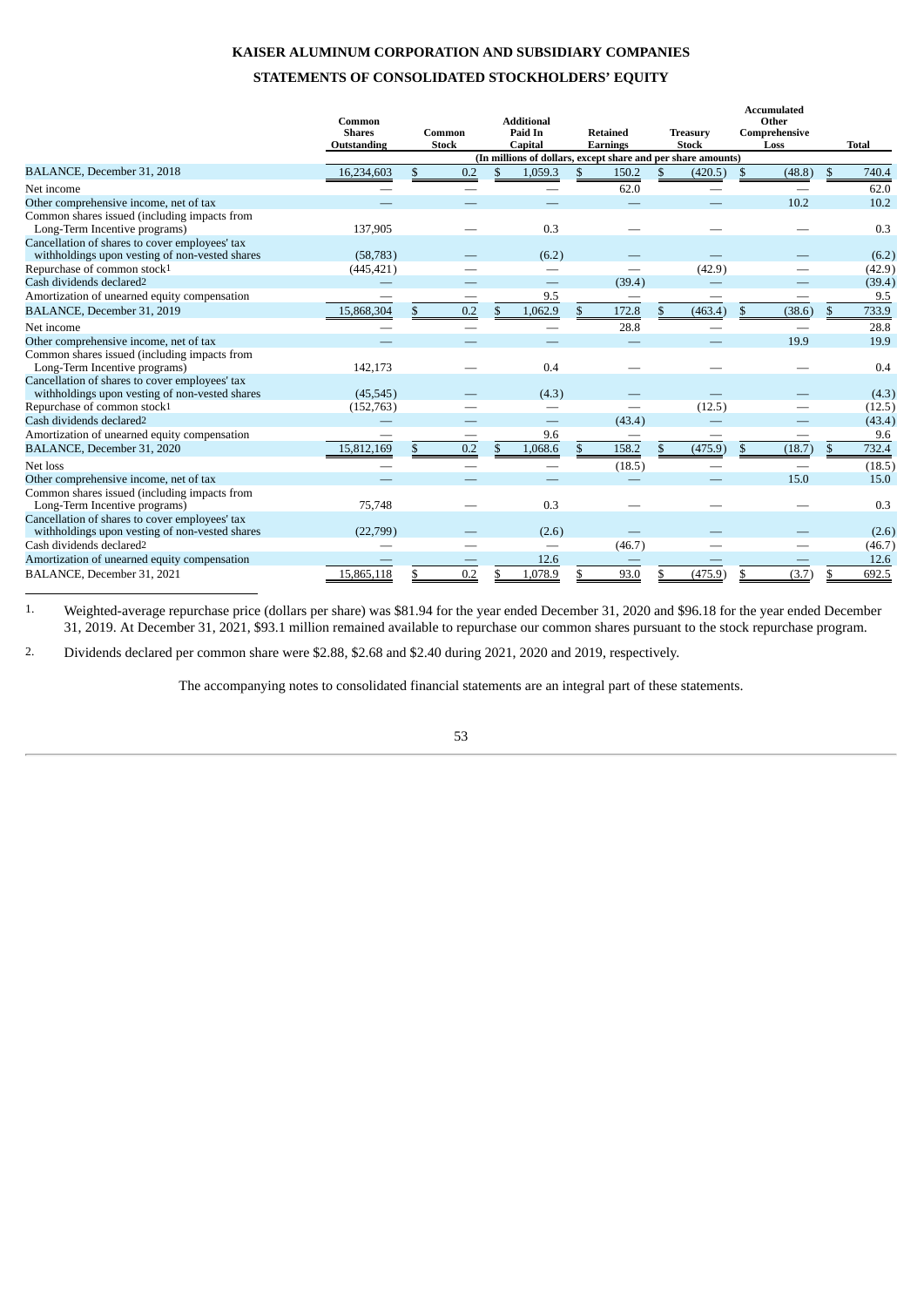# **KAISER ALUMINUM CORPORATION AND SUBSIDIARY COMPANIES**

# **STATEMENTS OF CONSOLIDATED STOCKHOLDERS' EQUITY**

<span id="page-52-0"></span>

|                                                                                                  | Common<br><b>Shares</b><br>Outstanding |     | Common<br><b>Stock</b> | <b>Additional</b><br>Paid In<br><b>Capital</b>               | <b>Retained</b><br><b>Earnings</b> | <b>Treasury</b><br><b>Stock</b> |                | <b>Accumulated</b><br>Other<br>Comprehensive<br>Loss |     | <b>Total</b> |
|--------------------------------------------------------------------------------------------------|----------------------------------------|-----|------------------------|--------------------------------------------------------------|------------------------------------|---------------------------------|----------------|------------------------------------------------------|-----|--------------|
|                                                                                                  |                                        |     |                        | (In millions of dollars, except share and per share amounts) |                                    |                                 |                |                                                      |     |              |
| BALANCE, December 31, 2018                                                                       | 16,234,603                             | \$. | 0.2                    | \$<br>1,059.3                                                | \$<br>150.2                        | \$<br>(420.5)                   | $\mathfrak{F}$ | (48.8)                                               | \$  | 740.4        |
| Net income                                                                                       |                                        |     |                        |                                                              | 62.0                               |                                 |                |                                                      |     | 62.0         |
| Other comprehensive income, net of tax                                                           |                                        |     |                        |                                                              |                                    |                                 |                | 10.2                                                 |     | 10.2         |
| Common shares issued (including impacts from<br>Long-Term Incentive programs)                    | 137,905                                |     |                        | 0.3                                                          |                                    |                                 |                |                                                      |     | 0.3          |
| Cancellation of shares to cover employees' tax<br>withholdings upon vesting of non-vested shares | (58, 783)                              |     |                        | (6.2)                                                        |                                    |                                 |                |                                                      |     | (6.2)        |
| Repurchase of common stock1                                                                      | (445, 421)                             |     |                        | -                                                            |                                    | (42.9)                          |                |                                                      |     | (42.9)       |
| Cash dividends declared2                                                                         |                                        |     |                        |                                                              | (39.4)                             |                                 |                |                                                      |     | (39.4)       |
| Amortization of unearned equity compensation                                                     |                                        |     |                        | 9.5                                                          | –                                  |                                 |                |                                                      |     | 9.5          |
| BALANCE, December 31, 2019                                                                       | 15,868,304                             |     | 0.2                    | \$<br>1,062.9                                                | 172.8                              | (463.4)                         | \$             | (38.6)                                               | \$  | 733.9        |
| Net income                                                                                       |                                        |     |                        |                                                              | 28.8                               |                                 |                |                                                      |     | 28.8         |
| Other comprehensive income, net of tax                                                           |                                        |     |                        |                                                              |                                    |                                 |                | 19.9                                                 |     | 19.9         |
| Common shares issued (including impacts from<br>Long-Term Incentive programs)                    | 142,173                                |     |                        | 0.4                                                          |                                    |                                 |                |                                                      |     | 0.4          |
| Cancellation of shares to cover employees' tax<br>withholdings upon vesting of non-vested shares | (45, 545)                              |     |                        | (4.3)                                                        |                                    |                                 |                |                                                      |     | (4.3)        |
| Repurchase of common stock1                                                                      | (152, 763)                             |     |                        |                                                              |                                    | (12.5)                          |                |                                                      |     | (12.5)       |
| Cash dividends declared <sup>2</sup>                                                             |                                        |     |                        |                                                              | (43.4)                             |                                 |                |                                                      |     | (43.4)       |
| Amortization of unearned equity compensation                                                     |                                        |     |                        | 9.6                                                          |                                    |                                 |                |                                                      |     | 9.6          |
| BALANCE, December 31, 2020                                                                       | 15,812,169                             | \$. | 0.2                    | \$<br>1,068.6                                                | 158.2                              | (475.9)                         | \$             | (18.7)                                               | \$. | 732.4        |
| Net loss                                                                                         |                                        |     |                        | -                                                            | (18.5)                             |                                 |                |                                                      |     | (18.5)       |
| Other comprehensive income, net of tax                                                           |                                        |     |                        |                                                              |                                    |                                 |                | 15.0                                                 |     | 15.0         |
| Common shares issued (including impacts from<br>Long-Term Incentive programs)                    | 75,748                                 |     |                        | 0.3                                                          |                                    |                                 |                |                                                      |     | 0.3          |
| Cancellation of shares to cover employees' tax<br>withholdings upon vesting of non-vested shares | (22,799)                               |     |                        | (2.6)                                                        |                                    |                                 |                |                                                      |     | (2.6)        |
| Cash dividends declared2                                                                         |                                        |     |                        | $\overline{\phantom{0}}$                                     | (46.7)                             |                                 |                |                                                      |     | (46.7)       |
| Amortization of unearned equity compensation                                                     |                                        |     |                        | 12.6                                                         |                                    |                                 |                |                                                      |     | 12.6         |
| BALANCE, December 31, 2021                                                                       | 15,865,118                             |     | 0.2                    | 1,078.9                                                      | 93.0                               | (475.9)                         | \$             | (3.7)                                                |     | 692.5        |

1. Weighted-average repurchase price (dollars per share) was \$81.94 for the year ended December 31, 2020 and \$96.18 for the year ended December 31, 2019. At December 31, 2021, \$93.1 million remained available to repurchase our common shares pursuant to the stock repurchase program.

2. Dividends declared per common share were \$2.88, \$2.68 and \$2.40 during 2021, 2020 and 2019, respectively.

The accompanying notes to consolidated financial statements are an integral part of these statements.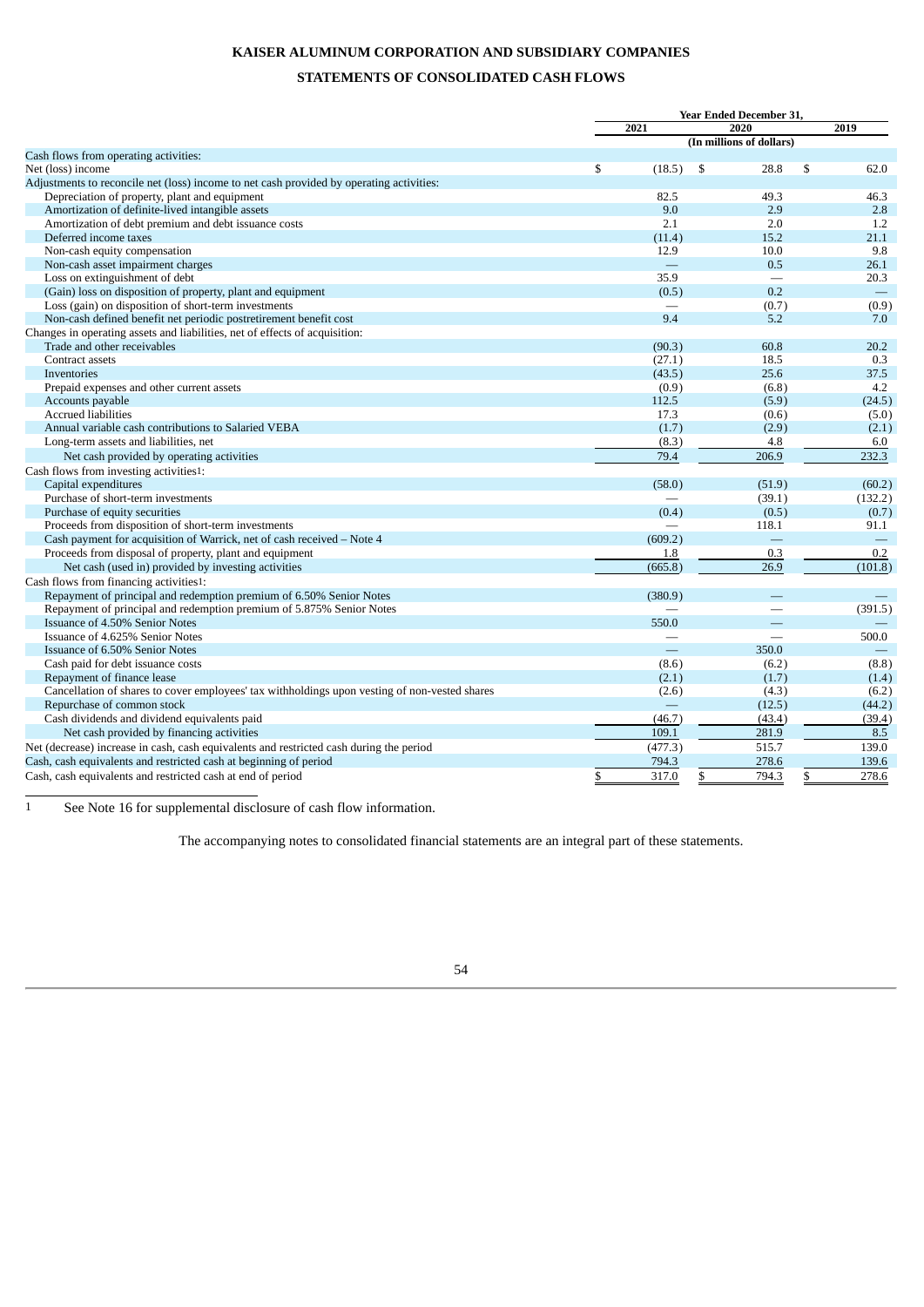# **KAISER ALUMINUM CORPORATION AND SUBSIDIARY COMPANIES**

# **STATEMENTS OF CONSOLIDATED CASH FLOWS**

<span id="page-53-0"></span>

|                                                                                               |              | <b>Year Ended December 31,</b> |                   |
|-----------------------------------------------------------------------------------------------|--------------|--------------------------------|-------------------|
|                                                                                               | 2021         | 2020                           | 2019              |
|                                                                                               |              | (In millions of dollars)       |                   |
| Cash flows from operating activities:                                                         |              |                                |                   |
| Net (loss) income                                                                             | \$<br>(18.5) | \$<br>28.8                     | \$<br>62.0        |
| Adjustments to reconcile net (loss) income to net cash provided by operating activities:      |              |                                |                   |
| Depreciation of property, plant and equipment                                                 | 82.5         | 49.3                           | 46.3              |
| Amortization of definite-lived intangible assets                                              | 9.0          | 2.9                            | 2.8               |
| Amortization of debt premium and debt issuance costs                                          | 2.1          | 2.0                            | 1.2               |
| Deferred income taxes                                                                         | (11.4)       | 15.2                           | 21.1              |
| Non-cash equity compensation                                                                  | 12.9         | 10.0                           | 9.8               |
| Non-cash asset impairment charges                                                             |              | 0.5                            | 26.1              |
| Loss on extinguishment of debt                                                                | 35.9         | $\overline{\phantom{0}}$       | 20.3              |
| (Gain) loss on disposition of property, plant and equipment                                   | (0.5)        | 0.2                            | $\qquad \qquad -$ |
| Loss (gain) on disposition of short-term investments                                          |              | (0.7)                          | (0.9)             |
| Non-cash defined benefit net periodic postretirement benefit cost                             | 9.4          | 5.2                            | 7.0               |
| Changes in operating assets and liabilities, net of effects of acquisition:                   |              |                                |                   |
| Trade and other receivables                                                                   | (90.3)       | 60.8                           | 20.2              |
| Contract assets                                                                               | (27.1)       | 18.5                           | 0.3               |
| Inventories                                                                                   | (43.5)       | 25.6                           | 37.5              |
| Prepaid expenses and other current assets                                                     | (0.9)        | (6.8)                          | 4.2               |
| Accounts payable                                                                              | 112.5        | (5.9)                          | (24.5)            |
| <b>Accrued liabilities</b>                                                                    | 17.3         | (0.6)                          | (5.0)             |
| Annual variable cash contributions to Salaried VEBA                                           | (1.7)        | (2.9)                          | (2.1)             |
| Long-term assets and liabilities, net                                                         | (8.3)        | 4.8                            | 6.0               |
| Net cash provided by operating activities                                                     | 79.4         | 206.9                          | 232.3             |
| Cash flows from investing activities1:                                                        |              |                                |                   |
| Capital expenditures                                                                          | (58.0)       | (51.9)                         | (60.2)            |
| Purchase of short-term investments                                                            |              | (39.1)                         | (132.2)           |
| Purchase of equity securities                                                                 | (0.4)        | (0.5)                          | (0.7)             |
| Proceeds from disposition of short-term investments                                           |              | 118.1                          | 91.1              |
| Cash payment for acquisition of Warrick, net of cash received - Note 4                        | (609.2)      |                                |                   |
| Proceeds from disposal of property, plant and equipment                                       | 1.8          | 0.3                            | 0.2               |
| Net cash (used in) provided by investing activities                                           | (665.8)      | 26.9                           | (101.8)           |
| Cash flows from financing activities1:                                                        |              |                                |                   |
| Repayment of principal and redemption premium of 6.50% Senior Notes                           | (380.9)      |                                |                   |
| Repayment of principal and redemption premium of 5.875% Senior Notes                          |              |                                | (391.5)           |
| Issuance of 4.50% Senior Notes                                                                | 550.0        |                                |                   |
| Issuance of 4.625% Senior Notes                                                               |              |                                | 500.0             |
| Issuance of 6.50% Senior Notes                                                                |              | 350.0                          |                   |
| Cash paid for debt issuance costs                                                             | (8.6)        | (6.2)                          | (8.8)             |
| Repayment of finance lease                                                                    | (2.1)        | (1.7)                          | (1.4)             |
| Cancellation of shares to cover employees' tax withholdings upon vesting of non-vested shares | (2.6)        | (4.3)                          | (6.2)             |
| Repurchase of common stock                                                                    |              | (12.5)                         | (44.2)            |
| Cash dividends and dividend equivalents paid                                                  | (46.7)       | (43.4)                         | (39.4)            |
| Net cash provided by financing activities                                                     | 109.1        | 281.9                          | 8.5               |
| Net (decrease) increase in cash, cash equivalents and restricted cash during the period       | (477.3)      | 515.7                          | 139.0             |
|                                                                                               | 794.3        |                                |                   |
| Cash, cash equivalents and restricted cash at beginning of period                             |              | 278.6                          | 139.6             |
| Cash, cash equivalents and restricted cash at end of period                                   | \$<br>317.0  | \$<br>794.3                    | \$<br>278.6       |

1 See Note 16 for supplemental disclosure of cash flow information.

The accompanying notes to consolidated financial statements are an integral part of these statements.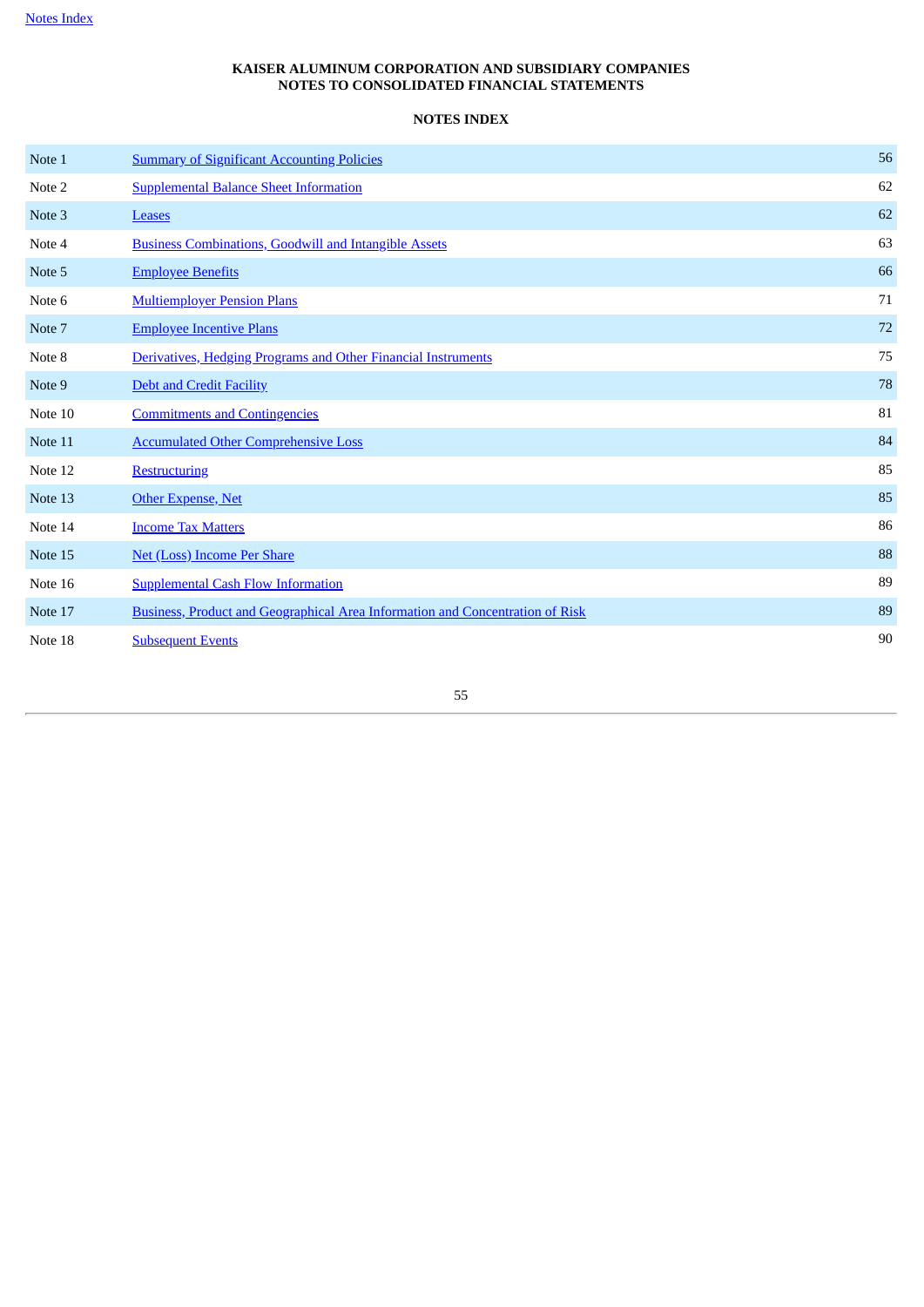# **NOTES INDEX**

<span id="page-54-1"></span><span id="page-54-0"></span>

| Note 1  | <b>Summary of Significant Accounting Policies</b>                             | 56 |
|---------|-------------------------------------------------------------------------------|----|
| Note 2  | <b>Supplemental Balance Sheet Information</b>                                 | 62 |
| Note 3  | <b>Leases</b>                                                                 | 62 |
| Note 4  | <b>Business Combinations, Goodwill and Intangible Assets</b>                  | 63 |
| Note 5  | <b>Employee Benefits</b>                                                      | 66 |
| Note 6  | <b>Multiemployer Pension Plans</b>                                            | 71 |
| Note 7  | <b>Employee Incentive Plans</b>                                               | 72 |
| Note 8  | Derivatives, Hedging Programs and Other Financial Instruments                 | 75 |
| Note 9  | <b>Debt and Credit Facility</b>                                               | 78 |
| Note 10 | <b>Commitments and Contingencies</b>                                          | 81 |
| Note 11 | <b>Accumulated Other Comprehensive Loss</b>                                   | 84 |
| Note 12 | <b>Restructuring</b>                                                          | 85 |
| Note 13 | Other Expense, Net                                                            | 85 |
| Note 14 | <b>Income Tax Matters</b>                                                     | 86 |
| Note 15 | <b>Net (Loss) Income Per Share</b>                                            | 88 |
| Note 16 | <b>Supplemental Cash Flow Information</b>                                     | 89 |
| Note 17 | Business, Product and Geographical Area Information and Concentration of Risk | 89 |
| Note 18 | <b>Subsequent Events</b>                                                      | 90 |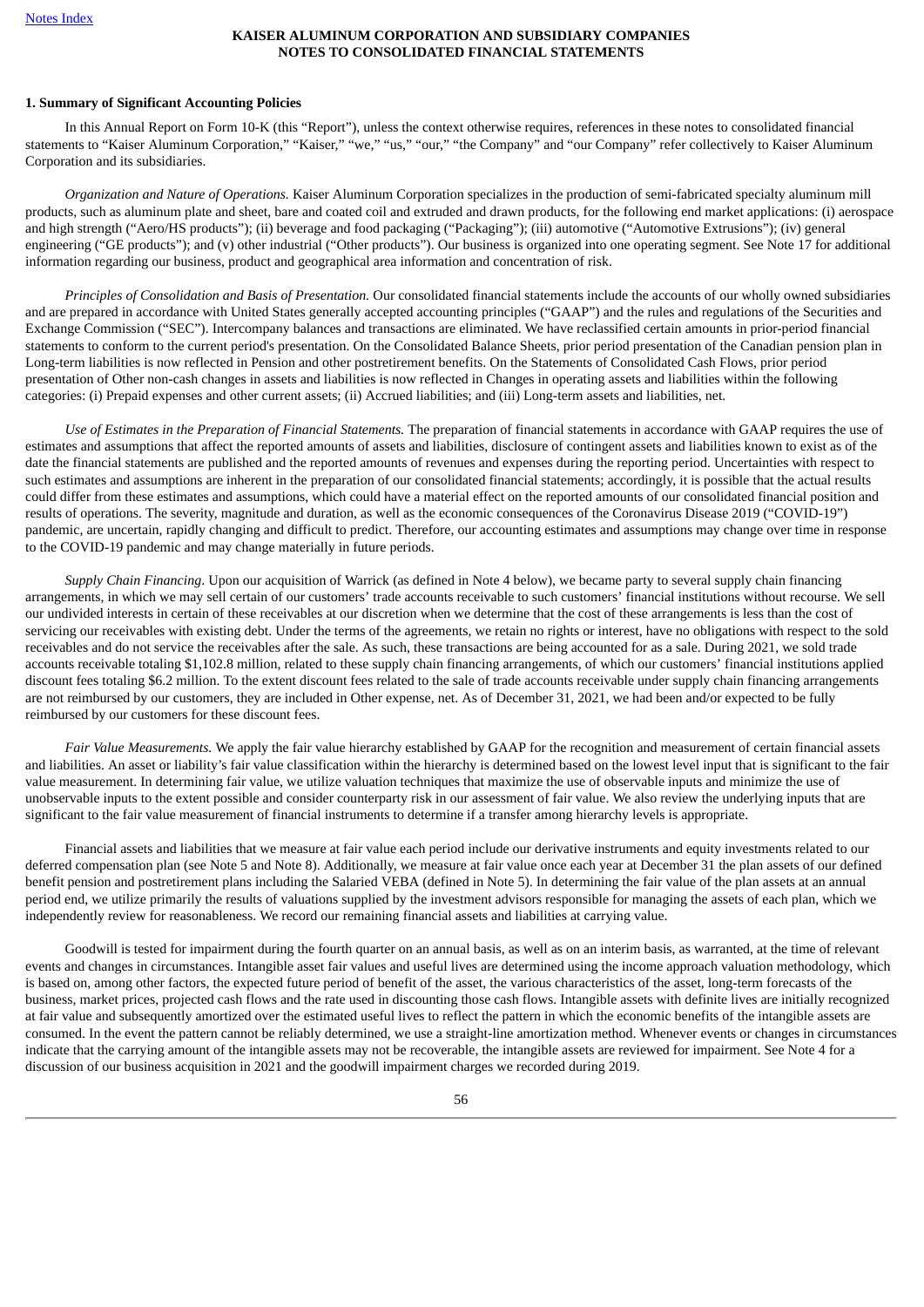### <span id="page-55-0"></span>**1. Summary of Significant Accounting Policies**

In this Annual Report on Form 10-K (this "Report"), unless the context otherwise requires, references in these notes to consolidated financial statements to "Kaiser Aluminum Corporation," "Kaiser," "we," "us," "our," "the Company" and "our Company" refer collectively to Kaiser Aluminum Corporation and its subsidiaries.

*Organization and Nature of Operations.* Kaiser Aluminum Corporation specializes in the production of semi-fabricated specialty aluminum mill products, such as aluminum plate and sheet, bare and coated coil and extruded and drawn products, for the following end market applications: (i) aerospace and high strength ("Aero/HS products"); (ii) beverage and food packaging ("Packaging"); (iii) automotive ("Automotive Extrusions"); (iv) general engineering ("GE products"); and (v) other industrial ("Other products"). Our business is organized into one operating segment. See Note 17 for additional information regarding our business, product and geographical area information and concentration of risk.

*Principles of Consolidation and Basis of Presentation.* Our consolidated financial statements include the accounts of our wholly owned subsidiaries and are prepared in accordance with United States generally accepted accounting principles ("GAAP") and the rules and regulations of the Securities and Exchange Commission ("SEC"). Intercompany balances and transactions are eliminated. We have reclassified certain amounts in prior-period financial statements to conform to the current period's presentation. On the Consolidated Balance Sheets, prior period presentation of the Canadian pension plan in Long-term liabilities is now reflected in Pension and other postretirement benefits. On the Statements of Consolidated Cash Flows, prior period presentation of Other non-cash changes in assets and liabilities is now reflected in Changes in operating assets and liabilities within the following categories: (i) Prepaid expenses and other current assets; (ii) Accrued liabilities; and (iii) Long-term assets and liabilities, net.

*Use of Estimates in the Preparation of Financial Statements.* The preparation of financial statements in accordance with GAAP requires the use of estimates and assumptions that affect the reported amounts of assets and liabilities, disclosure of contingent assets and liabilities known to exist as of the date the financial statements are published and the reported amounts of revenues and expenses during the reporting period. Uncertainties with respect to such estimates and assumptions are inherent in the preparation of our consolidated financial statements; accordingly, it is possible that the actual results could differ from these estimates and assumptions, which could have a material effect on the reported amounts of our consolidated financial position and results of operations. The severity, magnitude and duration, as well as the economic consequences of the Coronavirus Disease 2019 ("COVID-19") pandemic, are uncertain, rapidly changing and difficult to predict. Therefore, our accounting estimates and assumptions may change over time in response to the COVID-19 pandemic and may change materially in future periods.

*Supply Chain Financing*. Upon our acquisition of Warrick (as defined in Note 4 below), we became party to several supply chain financing arrangements, in which we may sell certain of our customers' trade accounts receivable to such customers' financial institutions without recourse. We sell our undivided interests in certain of these receivables at our discretion when we determine that the cost of these arrangements is less than the cost of servicing our receivables with existing debt. Under the terms of the agreements, we retain no rights or interest, have no obligations with respect to the sold receivables and do not service the receivables after the sale. As such, these transactions are being accounted for as a sale. During 2021, we sold trade accounts receivable totaling \$1,102.8 million, related to these supply chain financing arrangements, of which our customers' financial institutions applied discount fees totaling \$6.2 million. To the extent discount fees related to the sale of trade accounts receivable under supply chain financing arrangements are not reimbursed by our customers, they are included in Other expense, net. As of December 31, 2021, we had been and/or expected to be fully reimbursed by our customers for these discount fees.

*Fair Value Measurements.* We apply the fair value hierarchy established by GAAP for the recognition and measurement of certain financial assets and liabilities. An asset or liability's fair value classification within the hierarchy is determined based on the lowest level input that is significant to the fair value measurement. In determining fair value, we utilize valuation techniques that maximize the use of observable inputs and minimize the use of unobservable inputs to the extent possible and consider counterparty risk in our assessment of fair value. We also review the underlying inputs that are significant to the fair value measurement of financial instruments to determine if a transfer among hierarchy levels is appropriate.

Financial assets and liabilities that we measure at fair value each period include our derivative instruments and equity investments related to our deferred compensation plan (see Note 5 and Note 8). Additionally, we measure at fair value once each year at December 31 the plan assets of our defined benefit pension and postretirement plans including the Salaried VEBA (defined in Note 5). In determining the fair value of the plan assets at an annual period end, we utilize primarily the results of valuations supplied by the investment advisors responsible for managing the assets of each plan, which we independently review for reasonableness. We record our remaining financial assets and liabilities at carrying value.

Goodwill is tested for impairment during the fourth quarter on an annual basis, as well as on an interim basis, as warranted, at the time of relevant events and changes in circumstances. Intangible asset fair values and useful lives are determined using the income approach valuation methodology, which is based on, among other factors, the expected future period of benefit of the asset, the various characteristics of the asset, long-term forecasts of the business, market prices, projected cash flows and the rate used in discounting those cash flows. Intangible assets with definite lives are initially recognized at fair value and subsequently amortized over the estimated useful lives to reflect the pattern in which the economic benefits of the intangible assets are consumed. In the event the pattern cannot be reliably determined, we use a straight-line amortization method. Whenever events or changes in circumstances indicate that the carrying amount of the intangible assets may not be recoverable, the intangible assets are reviewed for impairment. See Note 4 for a discussion of our business acquisition in 2021 and the goodwill impairment charges we recorded during 2019.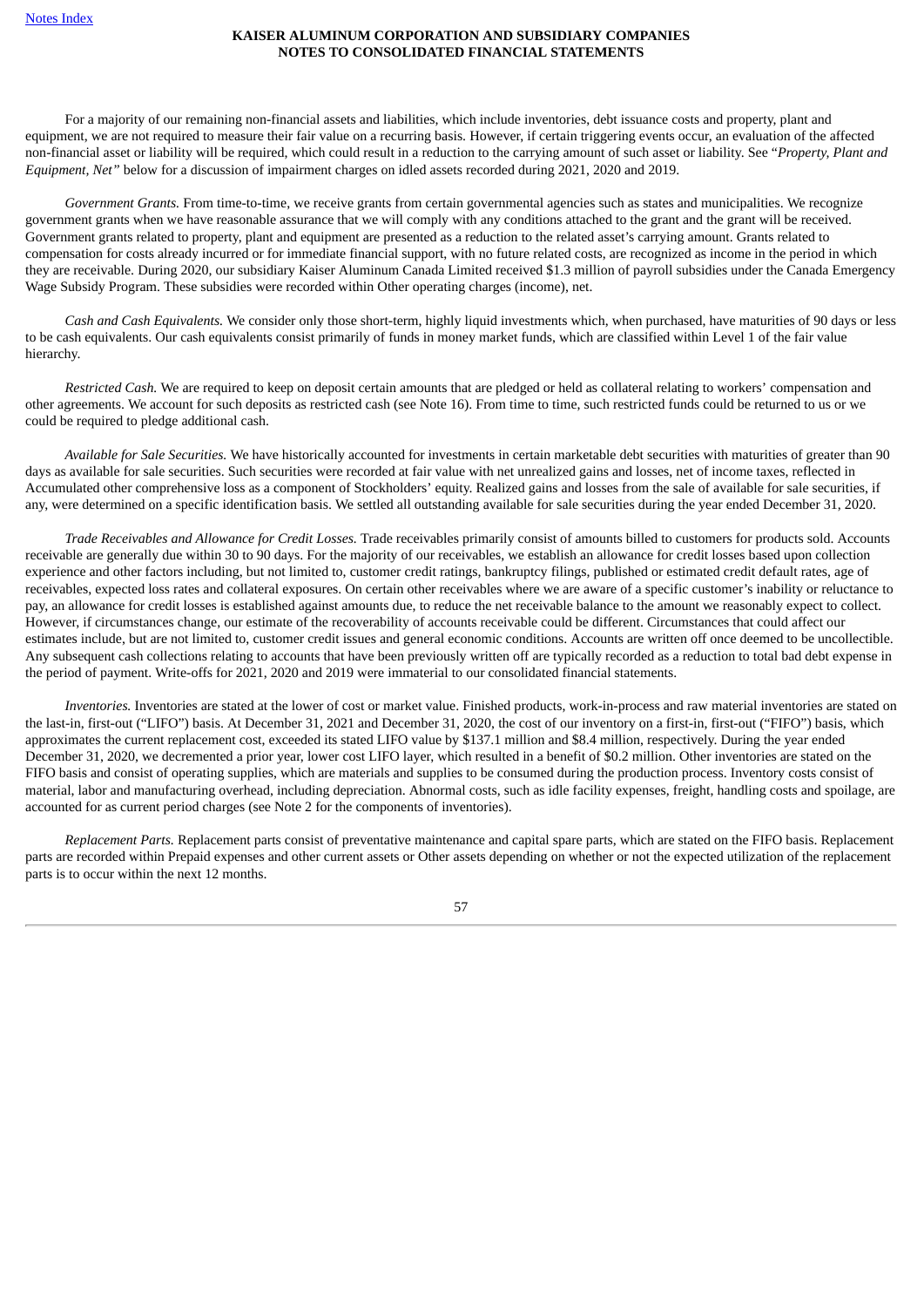For a majority of our remaining non-financial assets and liabilities, which include inventories, debt issuance costs and property, plant and equipment, we are not required to measure their fair value on a recurring basis. However, if certain triggering events occur, an evaluation of the affected non-financial asset or liability will be required, which could result in a reduction to the carrying amount of such asset or liability. See "*Property, Plant and Equipment, Net"* below for a discussion of impairment charges on idled assets recorded during 2021, 2020 and 2019.

*Government Grants.* From time-to-time, we receive grants from certain governmental agencies such as states and municipalities. We recognize government grants when we have reasonable assurance that we will comply with any conditions attached to the grant and the grant will be received. Government grants related to property, plant and equipment are presented as a reduction to the related asset's carrying amount. Grants related to compensation for costs already incurred or for immediate financial support, with no future related costs, are recognized as income in the period in which they are receivable. During 2020, our subsidiary Kaiser Aluminum Canada Limited received \$1.3 million of payroll subsidies under the Canada Emergency Wage Subsidy Program. These subsidies were recorded within Other operating charges (income), net.

*Cash and Cash Equivalents.* We consider only those short-term, highly liquid investments which, when purchased, have maturities of 90 days or less to be cash equivalents. Our cash equivalents consist primarily of funds in money market funds, which are classified within Level 1 of the fair value hierarchy.

*Restricted Cash.* We are required to keep on deposit certain amounts that are pledged or held as collateral relating to workers' compensation and other agreements. We account for such deposits as restricted cash (see Note 16). From time to time, such restricted funds could be returned to us or we could be required to pledge additional cash.

*Available for Sale Securities.* We have historically accounted for investments in certain marketable debt securities with maturities of greater than 90 days as available for sale securities. Such securities were recorded at fair value with net unrealized gains and losses, net of income taxes, reflected in Accumulated other comprehensive loss as a component of Stockholders' equity. Realized gains and losses from the sale of available for sale securities, if any, were determined on a specific identification basis. We settled all outstanding available for sale securities during the year ended December 31, 2020.

*Trade Receivables and Allowance for Credit Losses.* Trade receivables primarily consist of amounts billed to customers for products sold. Accounts receivable are generally due within 30 to 90 days. For the majority of our receivables, we establish an allowance for credit losses based upon collection experience and other factors including, but not limited to, customer credit ratings, bankruptcy filings, published or estimated credit default rates, age of receivables, expected loss rates and collateral exposures. On certain other receivables where we are aware of a specific customer's inability or reluctance to pay, an allowance for credit losses is established against amounts due, to reduce the net receivable balance to the amount we reasonably expect to collect. However, if circumstances change, our estimate of the recoverability of accounts receivable could be different. Circumstances that could affect our estimates include, but are not limited to, customer credit issues and general economic conditions. Accounts are written off once deemed to be uncollectible. Any subsequent cash collections relating to accounts that have been previously written off are typically recorded as a reduction to total bad debt expense in the period of payment. Write-offs for 2021, 2020 and 2019 were immaterial to our consolidated financial statements.

*Inventories.* Inventories are stated at the lower of cost or market value. Finished products, work-in-process and raw material inventories are stated on the last-in, first-out ("LIFO") basis. At December 31, 2021 and December 31, 2020, the cost of our inventory on a first-in, first-out ("FIFO") basis, which approximates the current replacement cost, exceeded its stated LIFO value by \$137.1 million and \$8.4 million, respectively. During the year ended December 31, 2020, we decremented a prior year, lower cost LIFO layer, which resulted in a benefit of \$0.2 million. Other inventories are stated on the FIFO basis and consist of operating supplies, which are materials and supplies to be consumed during the production process. Inventory costs consist of material, labor and manufacturing overhead, including depreciation. Abnormal costs, such as idle facility expenses, freight, handling costs and spoilage, are accounted for as current period charges (see Note 2 for the components of inventories).

*Replacement Parts.* Replacement parts consist of preventative maintenance and capital spare parts, which are stated on the FIFO basis. Replacement parts are recorded within Prepaid expenses and other current assets or Other assets depending on whether or not the expected utilization of the replacement parts is to occur within the next 12 months.

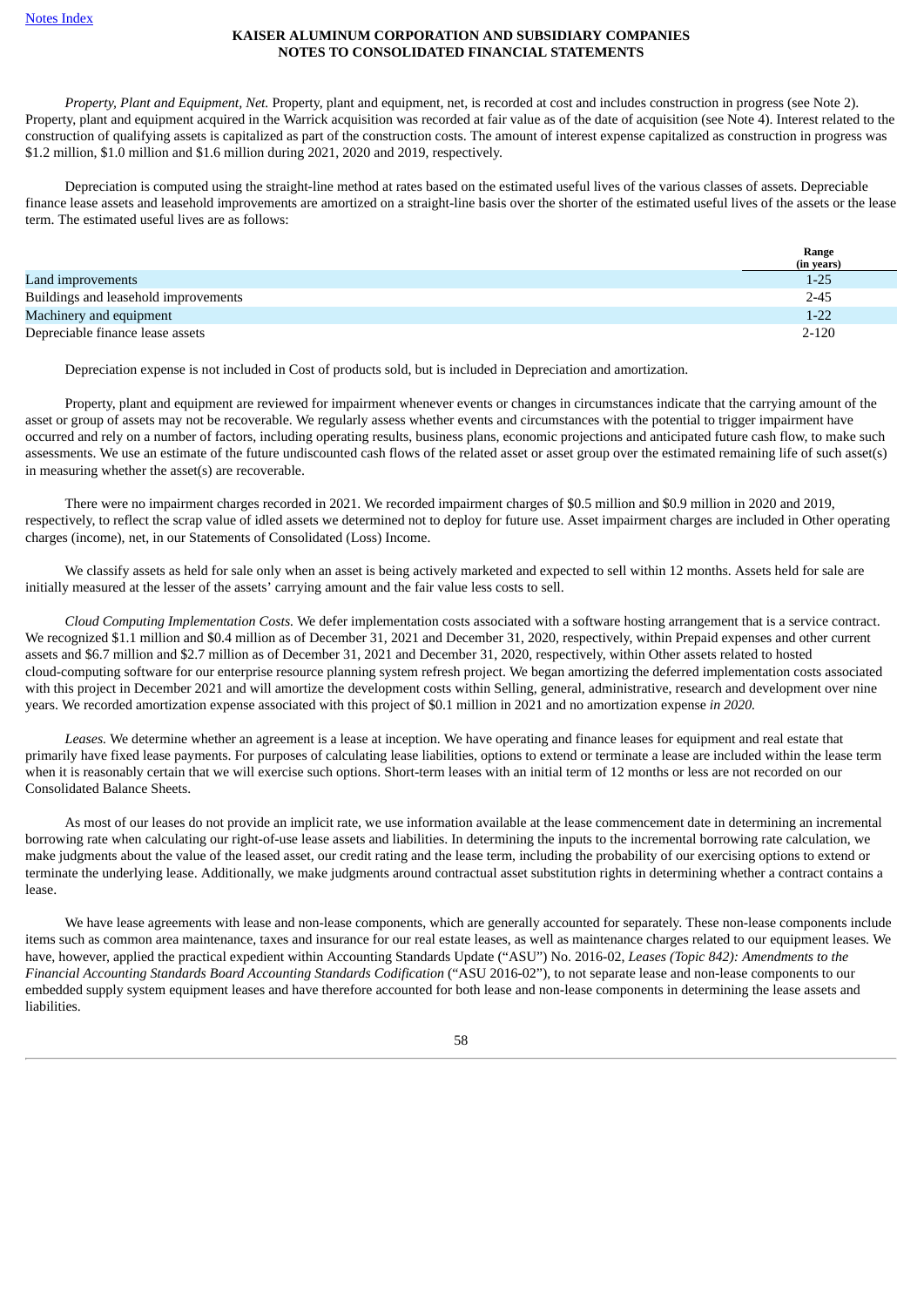*Property, Plant and Equipment, Net.* Property, plant and equipment, net, is recorded at cost and includes construction in progress (see Note 2). Property, plant and equipment acquired in the Warrick acquisition was recorded at fair value as of the date of acquisition (see Note 4). Interest related to the construction of qualifying assets is capitalized as part of the construction costs. The amount of interest expense capitalized as construction in progress was \$1.2 million, \$1.0 million and \$1.6 million during 2021, 2020 and 2019, respectively.

Depreciation is computed using the straight-line method at rates based on the estimated useful lives of the various classes of assets. Depreciable finance lease assets and leasehold improvements are amortized on a straight-line basis over the shorter of the estimated useful lives of the assets or the lease term. The estimated useful lives are as follows:

|                                      | Range      |
|--------------------------------------|------------|
|                                      | (in years) |
| Land improvements                    | $1 - 25$   |
| Buildings and leasehold improvements | $2 - 45$   |
| Machinery and equipment              | $1 - 22$   |
| Depreciable finance lease assets     | $2 - 120$  |

Depreciation expense is not included in Cost of products sold, but is included in Depreciation and amortization.

Property, plant and equipment are reviewed for impairment whenever events or changes in circumstances indicate that the carrying amount of the asset or group of assets may not be recoverable. We regularly assess whether events and circumstances with the potential to trigger impairment have occurred and rely on a number of factors, including operating results, business plans, economic projections and anticipated future cash flow, to make such assessments. We use an estimate of the future undiscounted cash flows of the related asset or asset group over the estimated remaining life of such asset(s) in measuring whether the asset(s) are recoverable.

There were no impairment charges recorded in 2021. We recorded impairment charges of \$0.5 million and \$0.9 million in 2020 and 2019, respectively, to reflect the scrap value of idled assets we determined not to deploy for future use. Asset impairment charges are included in Other operating charges (income), net, in our Statements of Consolidated (Loss) Income.

We classify assets as held for sale only when an asset is being actively marketed and expected to sell within 12 months. Assets held for sale are initially measured at the lesser of the assets' carrying amount and the fair value less costs to sell.

*Cloud Computing Implementation Costs.* We defer implementation costs associated with a software hosting arrangement that is a service contract. We recognized \$1.1 million and \$0.4 million as of December 31, 2021 and December 31, 2020, respectively, within Prepaid expenses and other current assets and \$6.7 million and \$2.7 million as of December 31, 2021 and December 31, 2020, respectively, within Other assets related to hosted cloud‑computing software for our enterprise resource planning system refresh project. We began amortizing the deferred implementation costs associated with this project in December 2021 and will amortize the development costs within Selling, general, administrative, research and development over nine years. We recorded amortization expense associated with this project of \$0.1 million in 2021 and no amortization expense *in 2020.*

*Leases.* We determine whether an agreement is a lease at inception. We have operating and finance leases for equipment and real estate that primarily have fixed lease payments. For purposes of calculating lease liabilities, options to extend or terminate a lease are included within the lease term when it is reasonably certain that we will exercise such options. Short-term leases with an initial term of 12 months or less are not recorded on our Consolidated Balance Sheets.

As most of our leases do not provide an implicit rate, we use information available at the lease commencement date in determining an incremental borrowing rate when calculating our right-of-use lease assets and liabilities. In determining the inputs to the incremental borrowing rate calculation, we make judgments about the value of the leased asset, our credit rating and the lease term, including the probability of our exercising options to extend or terminate the underlying lease. Additionally, we make judgments around contractual asset substitution rights in determining whether a contract contains a lease.

We have lease agreements with lease and non-lease components, which are generally accounted for separately. These non-lease components include items such as common area maintenance, taxes and insurance for our real estate leases, as well as maintenance charges related to our equipment leases. We have, however, applied the practical expedient within Accounting Standards Update ("ASU") No. 2016-02, *Leases (Topic 842): Amendments to the Financial Accounting Standards Board Accounting Standards Codification* ("ASU 2016-02"), to not separate lease and non-lease components to our embedded supply system equipment leases and have therefore accounted for both lease and non-lease components in determining the lease assets and liabilities.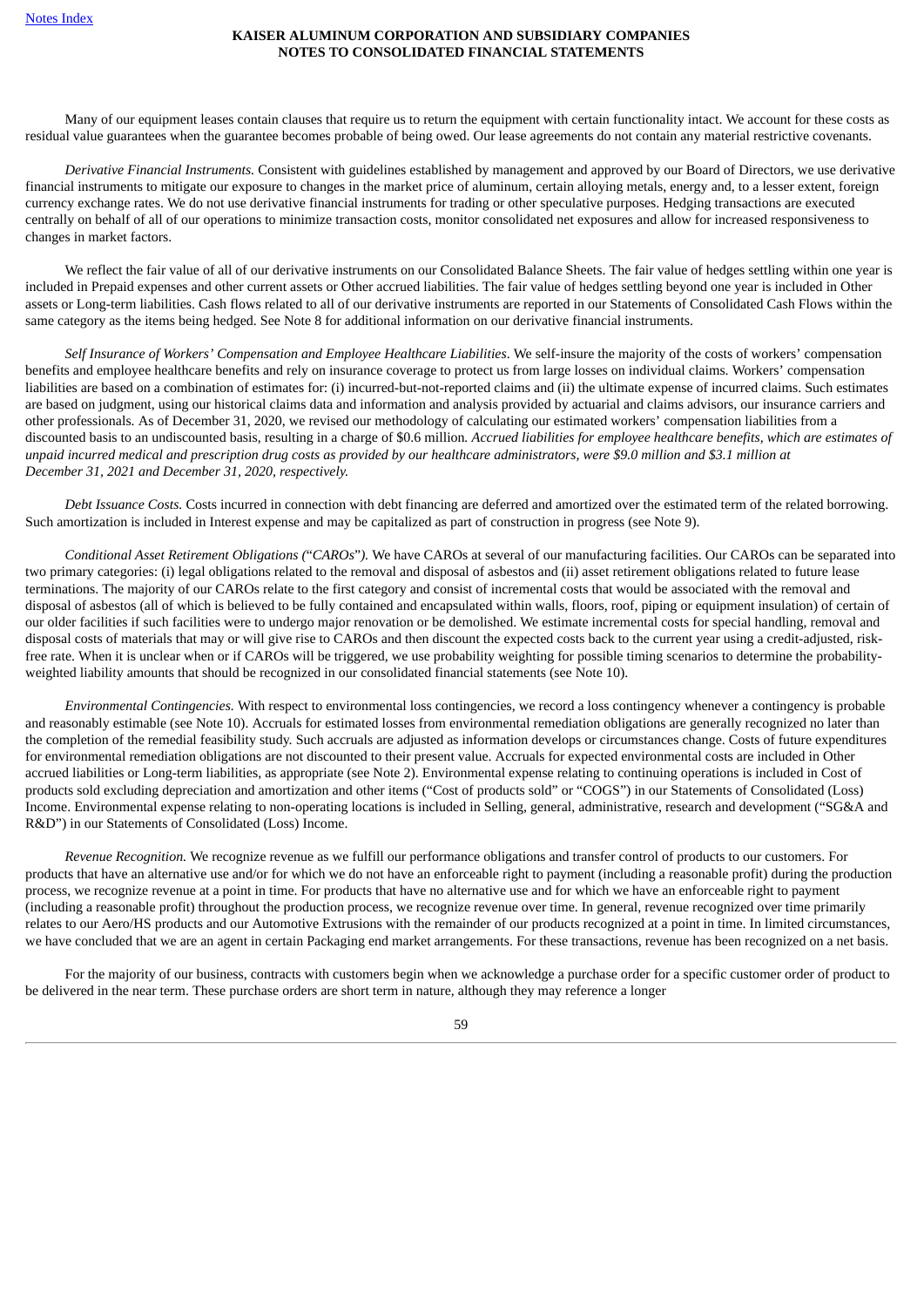Many of our equipment leases contain clauses that require us to return the equipment with certain functionality intact. We account for these costs as residual value guarantees when the guarantee becomes probable of being owed. Our lease agreements do not contain any material restrictive covenants.

*Derivative Financial Instruments.* Consistent with guidelines established by management and approved by our Board of Directors, we use derivative financial instruments to mitigate our exposure to changes in the market price of aluminum, certain alloying metals, energy and, to a lesser extent, foreign currency exchange rates. We do not use derivative financial instruments for trading or other speculative purposes. Hedging transactions are executed centrally on behalf of all of our operations to minimize transaction costs, monitor consolidated net exposures and allow for increased responsiveness to changes in market factors.

We reflect the fair value of all of our derivative instruments on our Consolidated Balance Sheets. The fair value of hedges settling within one year is included in Prepaid expenses and other current assets or Other accrued liabilities. The fair value of hedges settling beyond one year is included in Other assets or Long-term liabilities. Cash flows related to all of our derivative instruments are reported in our Statements of Consolidated Cash Flows within the same category as the items being hedged. See Note 8 for additional information on our derivative financial instruments.

*Self Insurance of Workers' Compensation and Employee Healthcare Liabilities*. We self-insure the majority of the costs of workers' compensation benefits and employee healthcare benefits and rely on insurance coverage to protect us from large losses on individual claims. Workers' compensation liabilities are based on a combination of estimates for: (i) incurred-but-not-reported claims and (ii) the ultimate expense of incurred claims. Such estimates are based on judgment, using our historical claims data and information and analysis provided by actuarial and claims advisors, our insurance carriers and other professionals. As of December 31, 2020, we revised our methodology of calculating our estimated workers' compensation liabilities from a discounted basis to an undiscounted basis, resulting in a charge of \$0.6 million. Accrued liabilities for employee healthcare benefits, which are estimates of unpaid incurred medical and prescription drug costs as provided by our healthcare administrators, were \$9.0 million and \$3.1 million at *December 31, 2021 and December 31, 2020, respectively.*

*Debt Issuance Costs.* Costs incurred in connection with debt financing are deferred and amortized over the estimated term of the related borrowing. Such amortization is included in Interest expense and may be capitalized as part of construction in progress (see Note 9).

*Conditional Asset Retirement Obligations (*"*CAROs*"*).* We have CAROs at several of our manufacturing facilities. Our CAROs can be separated into two primary categories: (i) legal obligations related to the removal and disposal of asbestos and (ii) asset retirement obligations related to future lease terminations. The majority of our CAROs relate to the first category and consist of incremental costs that would be associated with the removal and disposal of asbestos (all of which is believed to be fully contained and encapsulated within walls, floors, roof, piping or equipment insulation) of certain of our older facilities if such facilities were to undergo major renovation or be demolished. We estimate incremental costs for special handling, removal and disposal costs of materials that may or will give rise to CAROs and then discount the expected costs back to the current year using a credit-adjusted, riskfree rate. When it is unclear when or if CAROs will be triggered, we use probability weighting for possible timing scenarios to determine the probabilityweighted liability amounts that should be recognized in our consolidated financial statements (see Note 10).

*Environmental Contingencies.* With respect to environmental loss contingencies, we record a loss contingency whenever a contingency is probable and reasonably estimable (see Note 10). Accruals for estimated losses from environmental remediation obligations are generally recognized no later than the completion of the remedial feasibility study. Such accruals are adjusted as information develops or circumstances change. Costs of future expenditures for environmental remediation obligations are not discounted to their present value. Accruals for expected environmental costs are included in Other accrued liabilities or Long-term liabilities, as appropriate (see Note 2). Environmental expense relating to continuing operations is included in Cost of products sold excluding depreciation and amortization and other items ("Cost of products sold" or "COGS") in our Statements of Consolidated (Loss) Income. Environmental expense relating to non-operating locations is included in Selling, general, administrative, research and development ("SG&A and R&D") in our Statements of Consolidated (Loss) Income.

*Revenue Recognition.* We recognize revenue as we fulfill our performance obligations and transfer control of products to our customers. For products that have an alternative use and/or for which we do not have an enforceable right to payment (including a reasonable profit) during the production process, we recognize revenue at a point in time. For products that have no alternative use and for which we have an enforceable right to payment (including a reasonable profit) throughout the production process, we recognize revenue over time. In general, revenue recognized over time primarily relates to our Aero/HS products and our Automotive Extrusions with the remainder of our products recognized at a point in time. In limited circumstances, we have concluded that we are an agent in certain Packaging end market arrangements. For these transactions, revenue has been recognized on a net basis.

For the majority of our business, contracts with customers begin when we acknowledge a purchase order for a specific customer order of product to be delivered in the near term. These purchase orders are short term in nature, although they may reference a longer

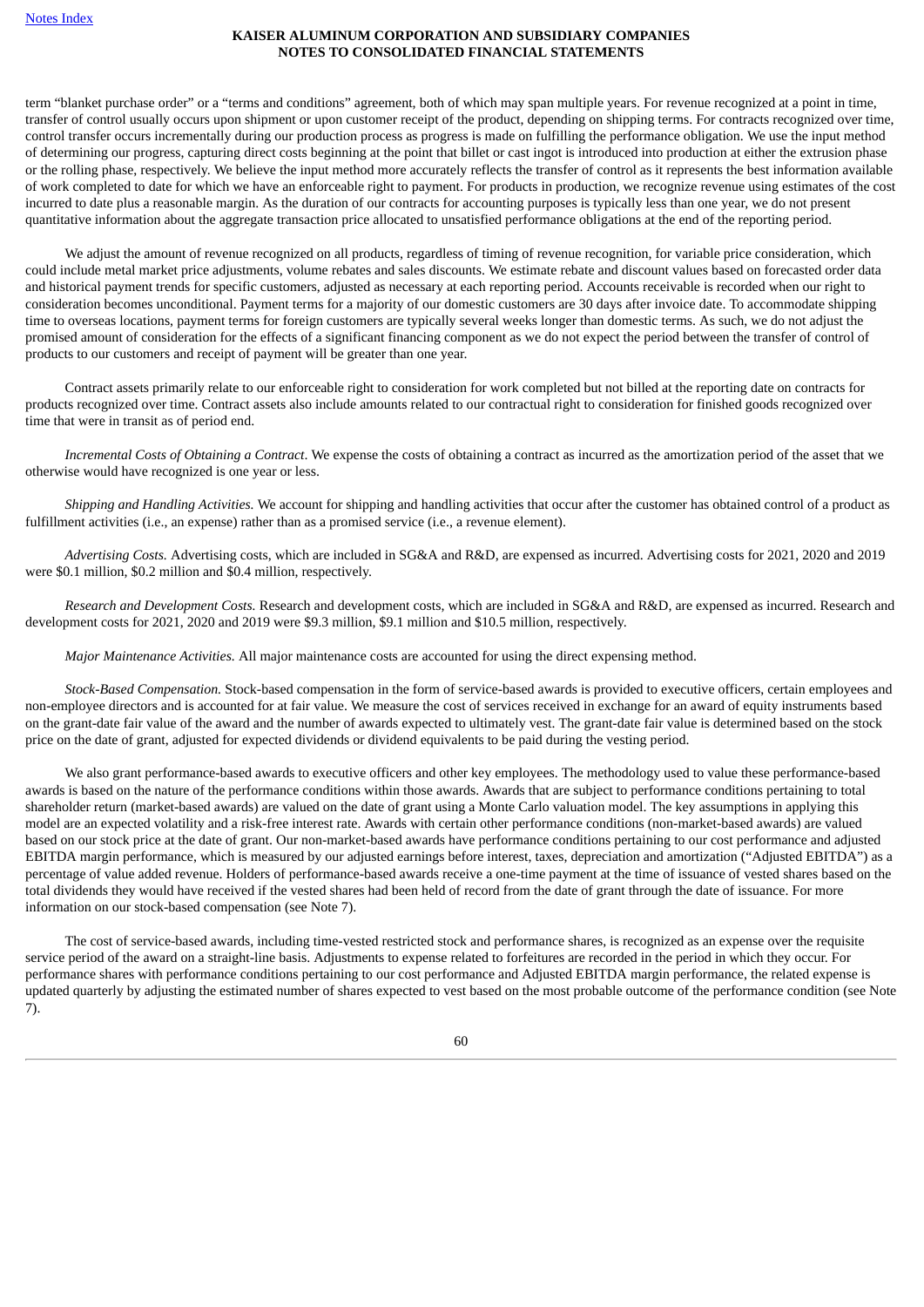term "blanket purchase order" or a "terms and conditions" agreement, both of which may span multiple years. For revenue recognized at a point in time, transfer of control usually occurs upon shipment or upon customer receipt of the product, depending on shipping terms. For contracts recognized over time, control transfer occurs incrementally during our production process as progress is made on fulfilling the performance obligation. We use the input method of determining our progress, capturing direct costs beginning at the point that billet or cast ingot is introduced into production at either the extrusion phase or the rolling phase, respectively. We believe the input method more accurately reflects the transfer of control as it represents the best information available of work completed to date for which we have an enforceable right to payment. For products in production, we recognize revenue using estimates of the cost incurred to date plus a reasonable margin. As the duration of our contracts for accounting purposes is typically less than one year, we do not present quantitative information about the aggregate transaction price allocated to unsatisfied performance obligations at the end of the reporting period.

We adjust the amount of revenue recognized on all products, regardless of timing of revenue recognition, for variable price consideration, which could include metal market price adjustments, volume rebates and sales discounts. We estimate rebate and discount values based on forecasted order data and historical payment trends for specific customers, adjusted as necessary at each reporting period. Accounts receivable is recorded when our right to consideration becomes unconditional. Payment terms for a majority of our domestic customers are 30 days after invoice date. To accommodate shipping time to overseas locations, payment terms for foreign customers are typically several weeks longer than domestic terms. As such, we do not adjust the promised amount of consideration for the effects of a significant financing component as we do not expect the period between the transfer of control of products to our customers and receipt of payment will be greater than one year.

Contract assets primarily relate to our enforceable right to consideration for work completed but not billed at the reporting date on contracts for products recognized over time. Contract assets also include amounts related to our contractual right to consideration for finished goods recognized over time that were in transit as of period end.

*Incremental Costs of Obtaining a Contract*. We expense the costs of obtaining a contract as incurred as the amortization period of the asset that we otherwise would have recognized is one year or less.

*Shipping and Handling Activities.* We account for shipping and handling activities that occur after the customer has obtained control of a product as fulfillment activities (i.e., an expense) rather than as a promised service (i.e., a revenue element).

*Advertising Costs.* Advertising costs, which are included in SG&A and R&D, are expensed as incurred. Advertising costs for 2021, 2020 and 2019 were \$0.1 million, \$0.2 million and \$0.4 million, respectively.

*Research and Development Costs.* Research and development costs, which are included in SG&A and R&D, are expensed as incurred. Research and development costs for 2021, 2020 and 2019 were \$9.3 million, \$9.1 million and \$10.5 million, respectively.

*Major Maintenance Activities.* All major maintenance costs are accounted for using the direct expensing method.

*Stock-Based Compensation.* Stock-based compensation in the form of service-based awards is provided to executive officers, certain employees and non-employee directors and is accounted for at fair value. We measure the cost of services received in exchange for an award of equity instruments based on the grant-date fair value of the award and the number of awards expected to ultimately vest. The grant-date fair value is determined based on the stock price on the date of grant, adjusted for expected dividends or dividend equivalents to be paid during the vesting period.

We also grant performance-based awards to executive officers and other key employees. The methodology used to value these performance-based awards is based on the nature of the performance conditions within those awards. Awards that are subject to performance conditions pertaining to total shareholder return (market-based awards) are valued on the date of grant using a Monte Carlo valuation model. The key assumptions in applying this model are an expected volatility and a risk-free interest rate. Awards with certain other performance conditions (non-market-based awards) are valued based on our stock price at the date of grant. Our non‑market-based awards have performance conditions pertaining to our cost performance and adjusted EBITDA margin performance, which is measured by our adjusted earnings before interest, taxes, depreciation and amortization ("Adjusted EBITDA") as a percentage of value added revenue. Holders of performance-based awards receive a one-time payment at the time of issuance of vested shares based on the total dividends they would have received if the vested shares had been held of record from the date of grant through the date of issuance. For more information on our stock-based compensation (see Note 7).

The cost of service-based awards, including time-vested restricted stock and performance shares, is recognized as an expense over the requisite service period of the award on a straight-line basis. Adjustments to expense related to forfeitures are recorded in the period in which they occur. For performance shares with performance conditions pertaining to our cost performance and Adjusted EBITDA margin performance, the related expense is updated quarterly by adjusting the estimated number of shares expected to vest based on the most probable outcome of the performance condition (see Note 7).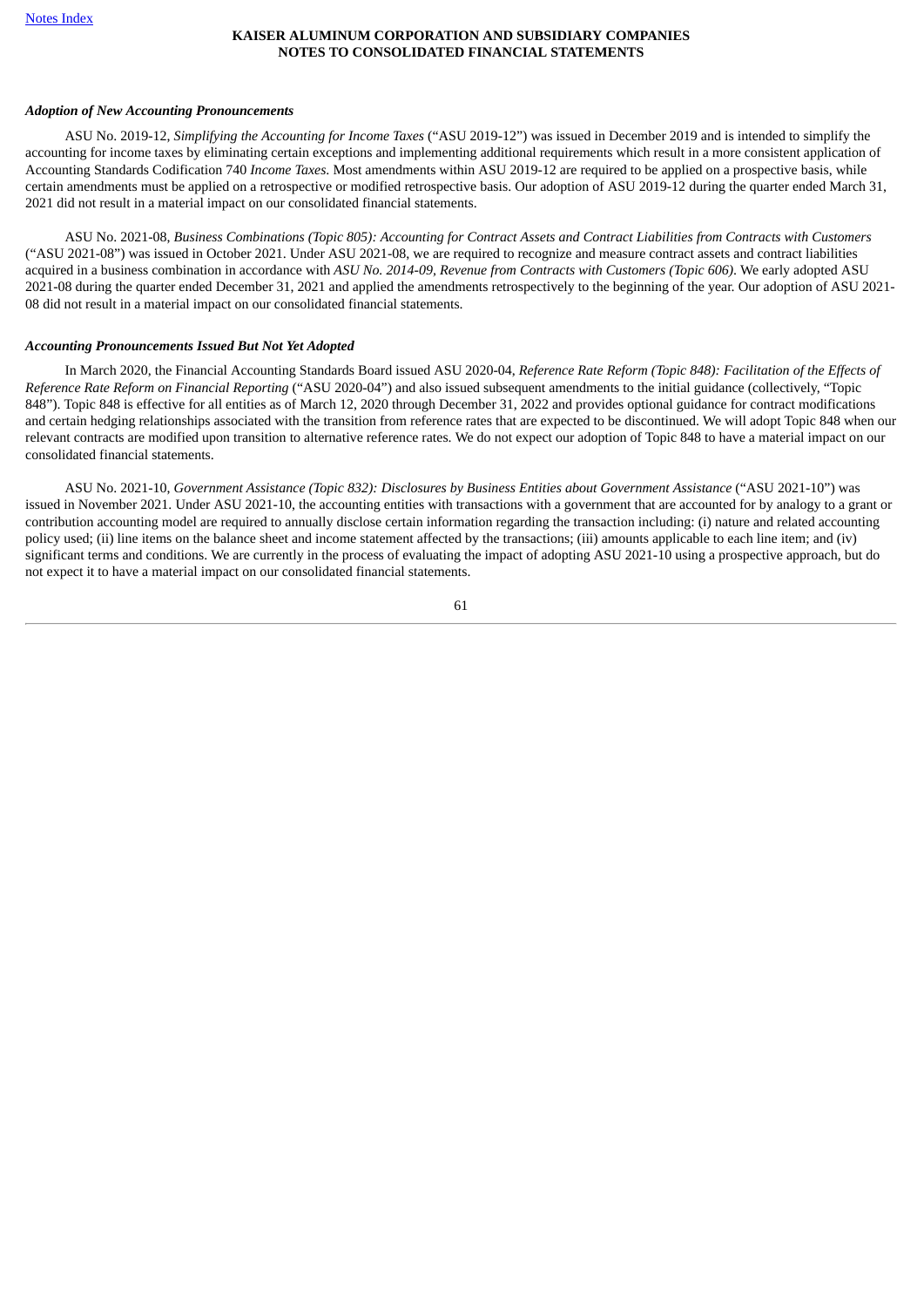### *Adoption of New Accounting Pronouncements*

ASU No. 2019-12, *Simplifying the Accounting for Income Taxes* ("ASU 2019-12") was issued in December 2019 and is intended to simplify the accounting for income taxes by eliminating certain exceptions and implementing additional requirements which result in a more consistent application of Accounting Standards Codification 740 *Income Taxes*. Most amendments within ASU 2019-12 are required to be applied on a prospective basis, while certain amendments must be applied on a retrospective or modified retrospective basis. Our adoption of ASU 2019-12 during the quarter ended March 31, 2021 did not result in a material impact on our consolidated financial statements.

ASU No. 2021-08. Business Combinations (Topic 805): Accounting for Contract Assets and Contract Liabilities from Contracts with Customers ("ASU 2021-08") was issued in October 2021. Under ASU 2021-08, we are required to recognize and measure contract assets and contract liabilities acquired in a business combination in accordance with *ASU No. 2014-09, Revenue from Contracts with Customers (Topic 606)*. We early adopted ASU 2021-08 during the quarter ended December 31, 2021 and applied the amendments retrospectively to the beginning of the year. Our adoption of ASU 2021- 08 did not result in a material impact on our consolidated financial statements.

#### *Accounting Pronouncements Issued But Not Yet Adopted*

In March 2020, the Financial Accounting Standards Board issued ASU 2020-04, *Reference Rate Reform (Topic 848): Facilitation of the Effects of Reference Rate Reform on Financial Reporting* ("ASU 2020-04") and also issued subsequent amendments to the initial guidance (collectively, "Topic 848"). Topic 848 is effective for all entities as of March 12, 2020 through December 31, 2022 and provides optional guidance for contract modifications and certain hedging relationships associated with the transition from reference rates that are expected to be discontinued. We will adopt Topic 848 when our relevant contracts are modified upon transition to alternative reference rates. We do not expect our adoption of Topic 848 to have a material impact on our consolidated financial statements.

ASU No. 2021-10, *Government Assistance (Topic 832): Disclosures by Business Entities about Government Assistance* ("ASU 2021-10") was issued in November 2021. Under ASU 2021-10, the accounting entities with transactions with a government that are accounted for by analogy to a grant or contribution accounting model are required to annually disclose certain information regarding the transaction including: (i) nature and related accounting policy used; (ii) line items on the balance sheet and income statement affected by the transactions; (iii) amounts applicable to each line item; and (iv) significant terms and conditions. We are currently in the process of evaluating the impact of adopting ASU 2021-10 using a prospective approach, but do not expect it to have a material impact on our consolidated financial statements.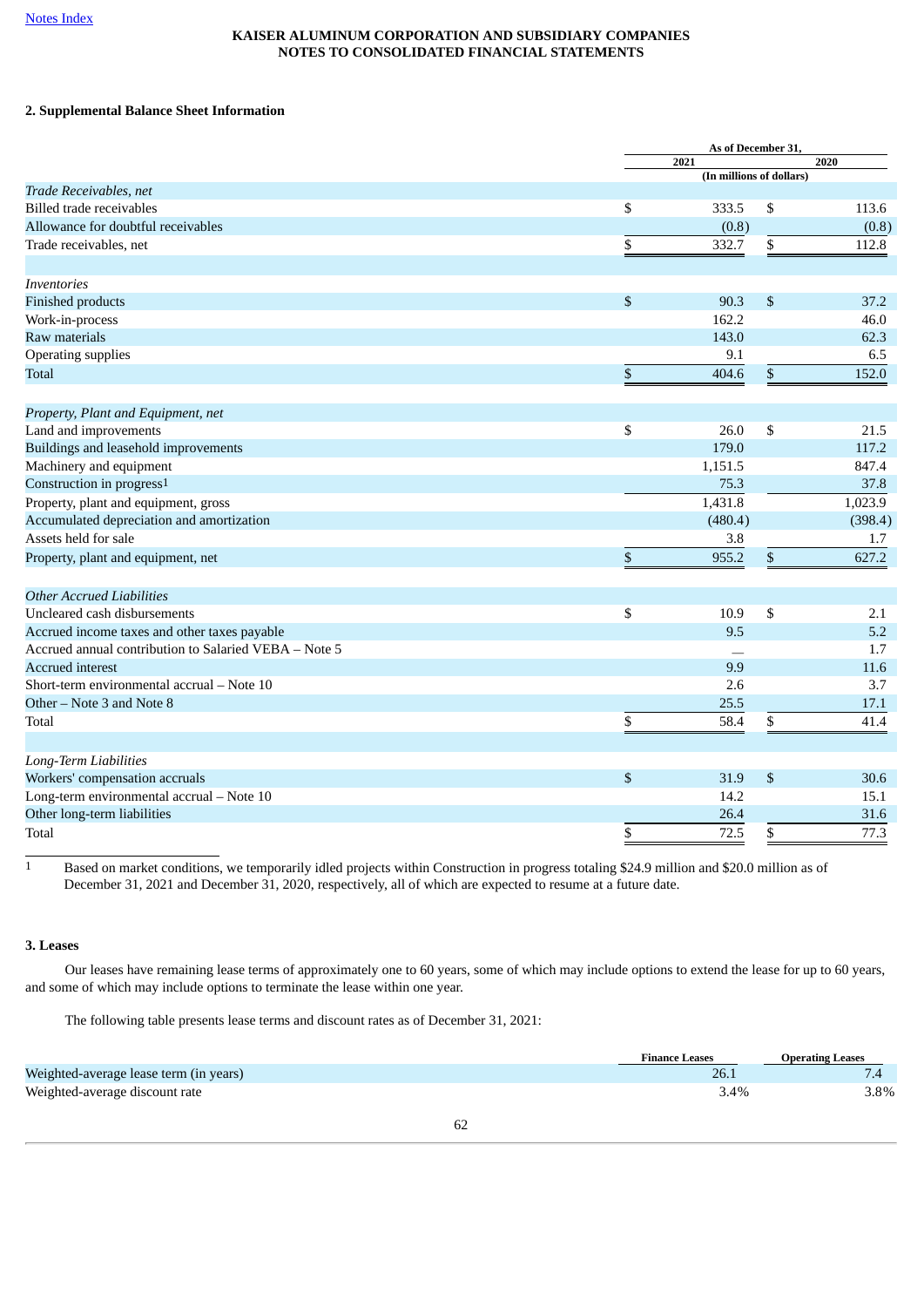# <span id="page-61-0"></span>**2. Supplemental Balance Sheet Information**

| 2021<br>2020<br>(In millions of dollars)<br>Trade Receivables, net<br>\$<br>\$<br><b>Billed trade receivables</b><br>333.5<br>113.6<br>Allowance for doubtful receivables<br>(0.8)<br>(0.8)<br>\$<br>\$<br>Trade receivables, net<br>332.7<br>112.8<br>\$<br>\$<br>90.3<br>37.2<br><b>Finished products</b><br>162.2<br>46.0<br>143.0<br>62.3<br>9.1<br>6.5<br>\$<br>$\mathbb S$<br>404.6<br>152.0<br>Property, Plant and Equipment, net<br>\$<br>\$<br>Land and improvements<br>26.0<br>21.5<br>Buildings and leasehold improvements<br>179.0<br>117.2<br>Machinery and equipment<br>1,151.5<br>847.4<br>Construction in progress <sup>1</sup><br>75.3<br>37.8<br>1,431.8<br>1,023.9<br>Property, plant and equipment, gross<br>Accumulated depreciation and amortization<br>(480.4)<br>(398.4)<br>3.8<br>1.7<br>\$<br>\$<br>955.2<br>627.2<br><b>Other Accrued Liabilities</b><br>Uncleared cash disbursements<br>\$<br>10.9<br>\$<br>2.1<br>5.2<br>Accrued income taxes and other taxes payable<br>9.5<br>Accrued annual contribution to Salaried VEBA - Note 5<br>1.7<br><b>Accrued interest</b><br>9.9<br>11.6<br>3.7<br>Short-term environmental accrual - Note 10<br>2.6<br>Other – Note 3 and Note 8<br>25.5<br>17.1<br>\$<br>Total<br>\$<br>41.4<br>58.4<br>\$<br>31.9<br>\$<br>30.6<br>14.2<br>15.1<br>26.4<br>31.6<br>72.5<br>77.3<br>\$<br>\$ |                                           | As of December 31, |  |
|-----------------------------------------------------------------------------------------------------------------------------------------------------------------------------------------------------------------------------------------------------------------------------------------------------------------------------------------------------------------------------------------------------------------------------------------------------------------------------------------------------------------------------------------------------------------------------------------------------------------------------------------------------------------------------------------------------------------------------------------------------------------------------------------------------------------------------------------------------------------------------------------------------------------------------------------------------------------------------------------------------------------------------------------------------------------------------------------------------------------------------------------------------------------------------------------------------------------------------------------------------------------------------------------------------------------------------------------------------------|-------------------------------------------|--------------------|--|
|                                                                                                                                                                                                                                                                                                                                                                                                                                                                                                                                                                                                                                                                                                                                                                                                                                                                                                                                                                                                                                                                                                                                                                                                                                                                                                                                                           |                                           |                    |  |
|                                                                                                                                                                                                                                                                                                                                                                                                                                                                                                                                                                                                                                                                                                                                                                                                                                                                                                                                                                                                                                                                                                                                                                                                                                                                                                                                                           |                                           |                    |  |
|                                                                                                                                                                                                                                                                                                                                                                                                                                                                                                                                                                                                                                                                                                                                                                                                                                                                                                                                                                                                                                                                                                                                                                                                                                                                                                                                                           |                                           |                    |  |
|                                                                                                                                                                                                                                                                                                                                                                                                                                                                                                                                                                                                                                                                                                                                                                                                                                                                                                                                                                                                                                                                                                                                                                                                                                                                                                                                                           |                                           |                    |  |
|                                                                                                                                                                                                                                                                                                                                                                                                                                                                                                                                                                                                                                                                                                                                                                                                                                                                                                                                                                                                                                                                                                                                                                                                                                                                                                                                                           |                                           |                    |  |
|                                                                                                                                                                                                                                                                                                                                                                                                                                                                                                                                                                                                                                                                                                                                                                                                                                                                                                                                                                                                                                                                                                                                                                                                                                                                                                                                                           |                                           |                    |  |
|                                                                                                                                                                                                                                                                                                                                                                                                                                                                                                                                                                                                                                                                                                                                                                                                                                                                                                                                                                                                                                                                                                                                                                                                                                                                                                                                                           | <b>Inventories</b>                        |                    |  |
|                                                                                                                                                                                                                                                                                                                                                                                                                                                                                                                                                                                                                                                                                                                                                                                                                                                                                                                                                                                                                                                                                                                                                                                                                                                                                                                                                           |                                           |                    |  |
|                                                                                                                                                                                                                                                                                                                                                                                                                                                                                                                                                                                                                                                                                                                                                                                                                                                                                                                                                                                                                                                                                                                                                                                                                                                                                                                                                           | Work-in-process                           |                    |  |
|                                                                                                                                                                                                                                                                                                                                                                                                                                                                                                                                                                                                                                                                                                                                                                                                                                                                                                                                                                                                                                                                                                                                                                                                                                                                                                                                                           | Raw materials                             |                    |  |
|                                                                                                                                                                                                                                                                                                                                                                                                                                                                                                                                                                                                                                                                                                                                                                                                                                                                                                                                                                                                                                                                                                                                                                                                                                                                                                                                                           | <b>Operating supplies</b>                 |                    |  |
|                                                                                                                                                                                                                                                                                                                                                                                                                                                                                                                                                                                                                                                                                                                                                                                                                                                                                                                                                                                                                                                                                                                                                                                                                                                                                                                                                           | <b>Total</b>                              |                    |  |
|                                                                                                                                                                                                                                                                                                                                                                                                                                                                                                                                                                                                                                                                                                                                                                                                                                                                                                                                                                                                                                                                                                                                                                                                                                                                                                                                                           |                                           |                    |  |
|                                                                                                                                                                                                                                                                                                                                                                                                                                                                                                                                                                                                                                                                                                                                                                                                                                                                                                                                                                                                                                                                                                                                                                                                                                                                                                                                                           |                                           |                    |  |
|                                                                                                                                                                                                                                                                                                                                                                                                                                                                                                                                                                                                                                                                                                                                                                                                                                                                                                                                                                                                                                                                                                                                                                                                                                                                                                                                                           |                                           |                    |  |
|                                                                                                                                                                                                                                                                                                                                                                                                                                                                                                                                                                                                                                                                                                                                                                                                                                                                                                                                                                                                                                                                                                                                                                                                                                                                                                                                                           |                                           |                    |  |
|                                                                                                                                                                                                                                                                                                                                                                                                                                                                                                                                                                                                                                                                                                                                                                                                                                                                                                                                                                                                                                                                                                                                                                                                                                                                                                                                                           |                                           |                    |  |
|                                                                                                                                                                                                                                                                                                                                                                                                                                                                                                                                                                                                                                                                                                                                                                                                                                                                                                                                                                                                                                                                                                                                                                                                                                                                                                                                                           |                                           |                    |  |
|                                                                                                                                                                                                                                                                                                                                                                                                                                                                                                                                                                                                                                                                                                                                                                                                                                                                                                                                                                                                                                                                                                                                                                                                                                                                                                                                                           |                                           |                    |  |
|                                                                                                                                                                                                                                                                                                                                                                                                                                                                                                                                                                                                                                                                                                                                                                                                                                                                                                                                                                                                                                                                                                                                                                                                                                                                                                                                                           | Assets held for sale                      |                    |  |
|                                                                                                                                                                                                                                                                                                                                                                                                                                                                                                                                                                                                                                                                                                                                                                                                                                                                                                                                                                                                                                                                                                                                                                                                                                                                                                                                                           | Property, plant and equipment, net        |                    |  |
|                                                                                                                                                                                                                                                                                                                                                                                                                                                                                                                                                                                                                                                                                                                                                                                                                                                                                                                                                                                                                                                                                                                                                                                                                                                                                                                                                           |                                           |                    |  |
|                                                                                                                                                                                                                                                                                                                                                                                                                                                                                                                                                                                                                                                                                                                                                                                                                                                                                                                                                                                                                                                                                                                                                                                                                                                                                                                                                           |                                           |                    |  |
|                                                                                                                                                                                                                                                                                                                                                                                                                                                                                                                                                                                                                                                                                                                                                                                                                                                                                                                                                                                                                                                                                                                                                                                                                                                                                                                                                           |                                           |                    |  |
|                                                                                                                                                                                                                                                                                                                                                                                                                                                                                                                                                                                                                                                                                                                                                                                                                                                                                                                                                                                                                                                                                                                                                                                                                                                                                                                                                           |                                           |                    |  |
|                                                                                                                                                                                                                                                                                                                                                                                                                                                                                                                                                                                                                                                                                                                                                                                                                                                                                                                                                                                                                                                                                                                                                                                                                                                                                                                                                           |                                           |                    |  |
|                                                                                                                                                                                                                                                                                                                                                                                                                                                                                                                                                                                                                                                                                                                                                                                                                                                                                                                                                                                                                                                                                                                                                                                                                                                                                                                                                           |                                           |                    |  |
|                                                                                                                                                                                                                                                                                                                                                                                                                                                                                                                                                                                                                                                                                                                                                                                                                                                                                                                                                                                                                                                                                                                                                                                                                                                                                                                                                           |                                           |                    |  |
|                                                                                                                                                                                                                                                                                                                                                                                                                                                                                                                                                                                                                                                                                                                                                                                                                                                                                                                                                                                                                                                                                                                                                                                                                                                                                                                                                           |                                           |                    |  |
|                                                                                                                                                                                                                                                                                                                                                                                                                                                                                                                                                                                                                                                                                                                                                                                                                                                                                                                                                                                                                                                                                                                                                                                                                                                                                                                                                           |                                           |                    |  |
|                                                                                                                                                                                                                                                                                                                                                                                                                                                                                                                                                                                                                                                                                                                                                                                                                                                                                                                                                                                                                                                                                                                                                                                                                                                                                                                                                           | Long-Term Liabilities                     |                    |  |
|                                                                                                                                                                                                                                                                                                                                                                                                                                                                                                                                                                                                                                                                                                                                                                                                                                                                                                                                                                                                                                                                                                                                                                                                                                                                                                                                                           | Workers' compensation accruals            |                    |  |
|                                                                                                                                                                                                                                                                                                                                                                                                                                                                                                                                                                                                                                                                                                                                                                                                                                                                                                                                                                                                                                                                                                                                                                                                                                                                                                                                                           | Long-term environmental accrual - Note 10 |                    |  |
|                                                                                                                                                                                                                                                                                                                                                                                                                                                                                                                                                                                                                                                                                                                                                                                                                                                                                                                                                                                                                                                                                                                                                                                                                                                                                                                                                           | Other long-term liabilities               |                    |  |
|                                                                                                                                                                                                                                                                                                                                                                                                                                                                                                                                                                                                                                                                                                                                                                                                                                                                                                                                                                                                                                                                                                                                                                                                                                                                                                                                                           | <b>Total</b>                              |                    |  |

1 Based on market conditions, we temporarily idled projects within Construction in progress totaling \$24.9 million and \$20.0 million as of December 31, 2021 and December 31, 2020, respectively, all of which are expected to resume at a future date.

## <span id="page-61-1"></span>**3. Leases**

Our leases have remaining lease terms of approximately one to 60 years, some of which may include options to extend the lease for up to 60 years, and some of which may include options to terminate the lease within one year.

The following table presents lease terms and discount rates as of December 31, 2021:

|                                        | <b>Finance Leases</b> | Operating Leases |
|----------------------------------------|-----------------------|------------------|
| Weighted-average lease term (in years) | 26.1                  |                  |
| Weighted-average discount rate         | 3.4%                  | 3.8%             |
|                                        |                       |                  |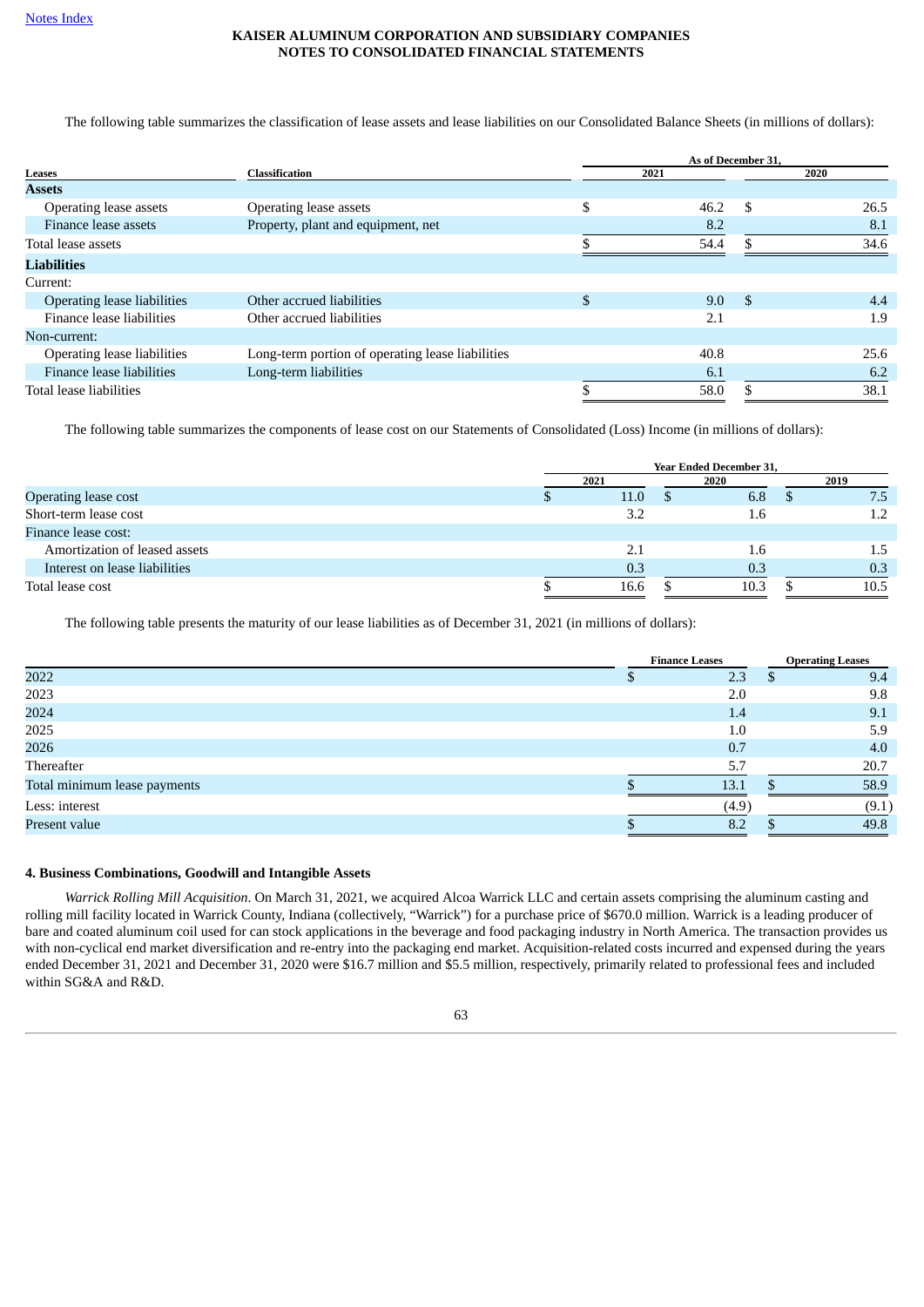The following table summarizes the classification of lease assets and lease liabilities on our Consolidated Balance Sheets (in millions of dollars):

|                                    |                                                  |    | As of December 31. |      |      |  |
|------------------------------------|--------------------------------------------------|----|--------------------|------|------|--|
| <b>Leases</b>                      | <b>Classification</b>                            |    | 2021               | 2020 |      |  |
| <b>Assets</b>                      |                                                  |    |                    |      |      |  |
| Operating lease assets             | Operating lease assets                           | \$ | 46.2               | \$   | 26.5 |  |
| Finance lease assets               | Property, plant and equipment, net               |    | 8.2                |      | 8.1  |  |
| Total lease assets                 |                                                  |    | 54.4               |      | 34.6 |  |
| Liabilities                        |                                                  |    |                    |      |      |  |
| Current:                           |                                                  |    |                    |      |      |  |
| <b>Operating lease liabilities</b> | Other accrued liabilities                        | \$ | 9.0                | \$   | 4.4  |  |
| Finance lease liabilities          | Other accrued liabilities                        |    | 2.1                |      | 1.9  |  |
| Non-current:                       |                                                  |    |                    |      |      |  |
| Operating lease liabilities        | Long-term portion of operating lease liabilities |    | 40.8               |      | 25.6 |  |
| Finance lease liabilities          | Long-term liabilities                            |    | 6.1                |      | 6.2  |  |
| Total lease liabilities            |                                                  |    | 58.0               |      | 38.1 |  |

The following table summarizes the components of lease cost on our Statements of Consolidated (Loss) Income (in millions of dollars):

|                               |      |      | <b>Year Ended December 31,</b> |               |      |      |
|-------------------------------|------|------|--------------------------------|---------------|------|------|
|                               | 2021 |      | 2020                           |               | 2019 |      |
| Operating lease cost          |      | 11.0 |                                | 6.8           |      | 7.5  |
| Short-term lease cost         |      | 3.2  |                                | $1.6^{\circ}$ |      | 1.2  |
| Finance lease cost:           |      |      |                                |               |      |      |
| Amortization of leased assets |      | 2.1  |                                | 1.6           |      | 1.5  |
| Interest on lease liabilities |      | 0.3  | 0.3                            |               |      | 0.3  |
| Total lease cost              |      | 16.6 | 10.3                           |               |      | 10.5 |

The following table presents the maturity of our lease liabilities as of December 31, 2021 (in millions of dollars):

|                              | <b>Finance Leases</b> |       |  | <b>Operating Leases</b> |  |  |
|------------------------------|-----------------------|-------|--|-------------------------|--|--|
| 2022                         |                       | 2.3   |  | 9.4                     |  |  |
| 2023                         |                       | 2.0   |  | 9.8                     |  |  |
| 2024                         |                       | 1.4   |  | 9.1                     |  |  |
| 2025                         |                       | 1.0   |  | 5.9                     |  |  |
| 2026                         |                       | 0.7   |  | 4.0                     |  |  |
| Thereafter                   |                       | 5.7   |  | 20.7                    |  |  |
| Total minimum lease payments |                       | 13.1  |  | 58.9                    |  |  |
| Less: interest               |                       | (4.9) |  | (9.1)                   |  |  |
| Present value                |                       | 8.2   |  | 49.8                    |  |  |
|                              |                       |       |  |                         |  |  |

### <span id="page-62-0"></span>**4. Business Combinations, Goodwill and Intangible Assets**

*Warrick Rolling Mill Acquisition*. On March 31, 2021, we acquired Alcoa Warrick LLC and certain assets comprising the aluminum casting and rolling mill facility located in Warrick County, Indiana (collectively, "Warrick") for a purchase price of \$670.0 million. Warrick is a leading producer of bare and coated aluminum coil used for can stock applications in the beverage and food packaging industry in North America. The transaction provides us with non-cyclical end market diversification and re-entry into the packaging end market. Acquisition-related costs incurred and expensed during the years ended December 31, 2021 and December 31, 2020 were \$16.7 million and \$5.5 million, respectively, primarily related to professional fees and included within SG&A and R&D.

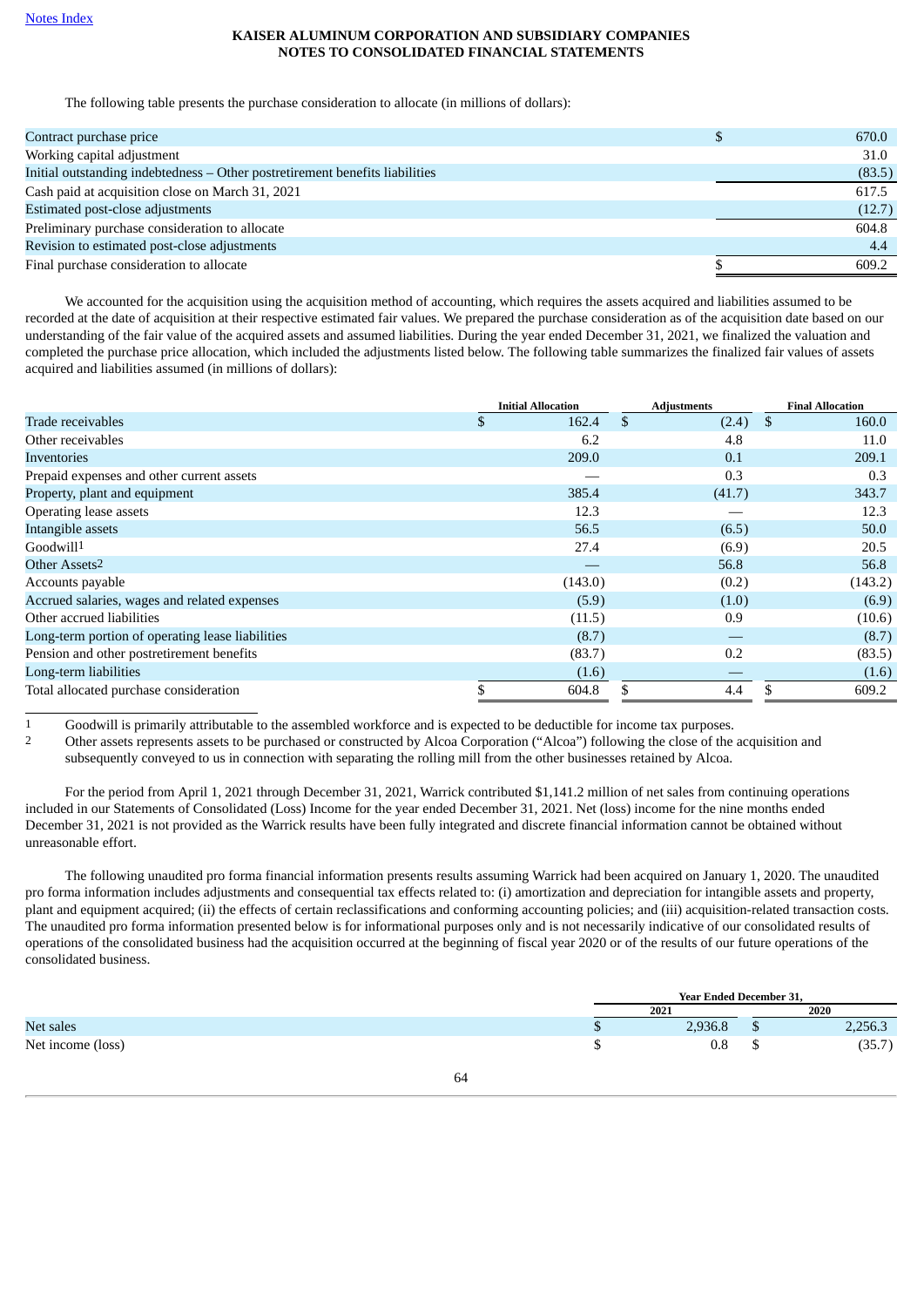The following table presents the purchase consideration to allocate (in millions of dollars):

| Contract purchase price                                                      | 670.0  |
|------------------------------------------------------------------------------|--------|
| Working capital adjustment                                                   | 31.0   |
| Initial outstanding indebtedness – Other postretirement benefits liabilities | (83.5) |
| Cash paid at acquisition close on March 31, 2021                             | 617.5  |
| Estimated post-close adjustments                                             | (12.7) |
| Preliminary purchase consideration to allocate                               | 604.8  |
| Revision to estimated post-close adjustments                                 | 4.4    |
| Final purchase consideration to allocate                                     | 609.2  |

We accounted for the acquisition using the acquisition method of accounting, which requires the assets acquired and liabilities assumed to be recorded at the date of acquisition at their respective estimated fair values. We prepared the purchase consideration as of the acquisition date based on our understanding of the fair value of the acquired assets and assumed liabilities. During the year ended December 31, 2021, we finalized the valuation and completed the purchase price allocation, which included the adjustments listed below. The following table summarizes the finalized fair values of assets acquired and liabilities assumed (in millions of dollars):

|                                                  | <b>Initial Allocation</b> | <b>Adiustments</b> | <b>Final Allocation</b> |
|--------------------------------------------------|---------------------------|--------------------|-------------------------|
| Trade receivables                                | \$<br>162.4               | \$<br>$(2.4)$ \$   | 160.0                   |
| Other receivables                                | 6.2                       | 4.8                | 11.0                    |
| Inventories                                      | 209.0                     | 0.1                | 209.1                   |
| Prepaid expenses and other current assets        |                           | 0.3                | 0.3                     |
| Property, plant and equipment                    | 385.4                     | (41.7)             | 343.7                   |
| Operating lease assets                           | 12.3                      |                    | 12.3                    |
| Intangible assets                                | 56.5                      | (6.5)              | 50.0                    |
| Goodwill <sup>1</sup>                            | 27.4                      | (6.9)              | 20.5                    |
| Other Assets <sup>2</sup>                        |                           | 56.8               | 56.8                    |
| Accounts payable                                 | (143.0)                   | (0.2)              | (143.2)                 |
| Accrued salaries, wages and related expenses     | (5.9)                     | (1.0)              | (6.9)                   |
| Other accrued liabilities                        | (11.5)                    | 0.9                | (10.6)                  |
| Long-term portion of operating lease liabilities | (8.7)                     |                    | (8.7)                   |
| Pension and other postretirement benefits        | (83.7)                    | 0.2                | (83.5)                  |
| Long-term liabilities                            | (1.6)                     |                    | (1.6)                   |
| Total allocated purchase consideration           | 604.8                     | 4.4                | 609.2                   |

1 Goodwill is primarily attributable to the assembled workforce and is expected to be deductible for income tax purposes.<br>2 Other assets represents assets to be purchased or constructed by Alcoa Corporation ("Alcoa") follo

2 Other assets represents assets to be purchased or constructed by Alcoa Corporation ("Alcoa") following the close of the acquisition and subsequently conveyed to us in connection with separating the rolling mill from the other businesses retained by Alcoa.

For the period from April 1, 2021 through December 31, 2021, Warrick contributed \$1,141.2 million of net sales from continuing operations included in our Statements of Consolidated (Loss) Income for the year ended December 31, 2021. Net (loss) income for the nine months ended December 31, 2021 is not provided as the Warrick results have been fully integrated and discrete financial information cannot be obtained without unreasonable effort.

The following unaudited pro forma financial information presents results assuming Warrick had been acquired on January 1, 2020. The unaudited pro forma information includes adjustments and consequential tax effects related to: (i) amortization and depreciation for intangible assets and property, plant and equipment acquired; (ii) the effects of certain reclassifications and conforming accounting policies; and (iii) acquisition-related transaction costs. The unaudited pro forma information presented below is for informational purposes only and is not necessarily indicative of our consolidated results of operations of the consolidated business had the acquisition occurred at the beginning of fiscal year 2020 or of the results of our future operations of the consolidated business.

|                   | <b>Year Ended December 31,</b> |   |         |
|-------------------|--------------------------------|---|---------|
|                   | 2021                           |   | 2020    |
| Net sales         | 2,936.8                        | ш | 2,256.3 |
| Net income (loss) | $_{0.8}$                       |   | (35.7)  |
|                   |                                |   |         |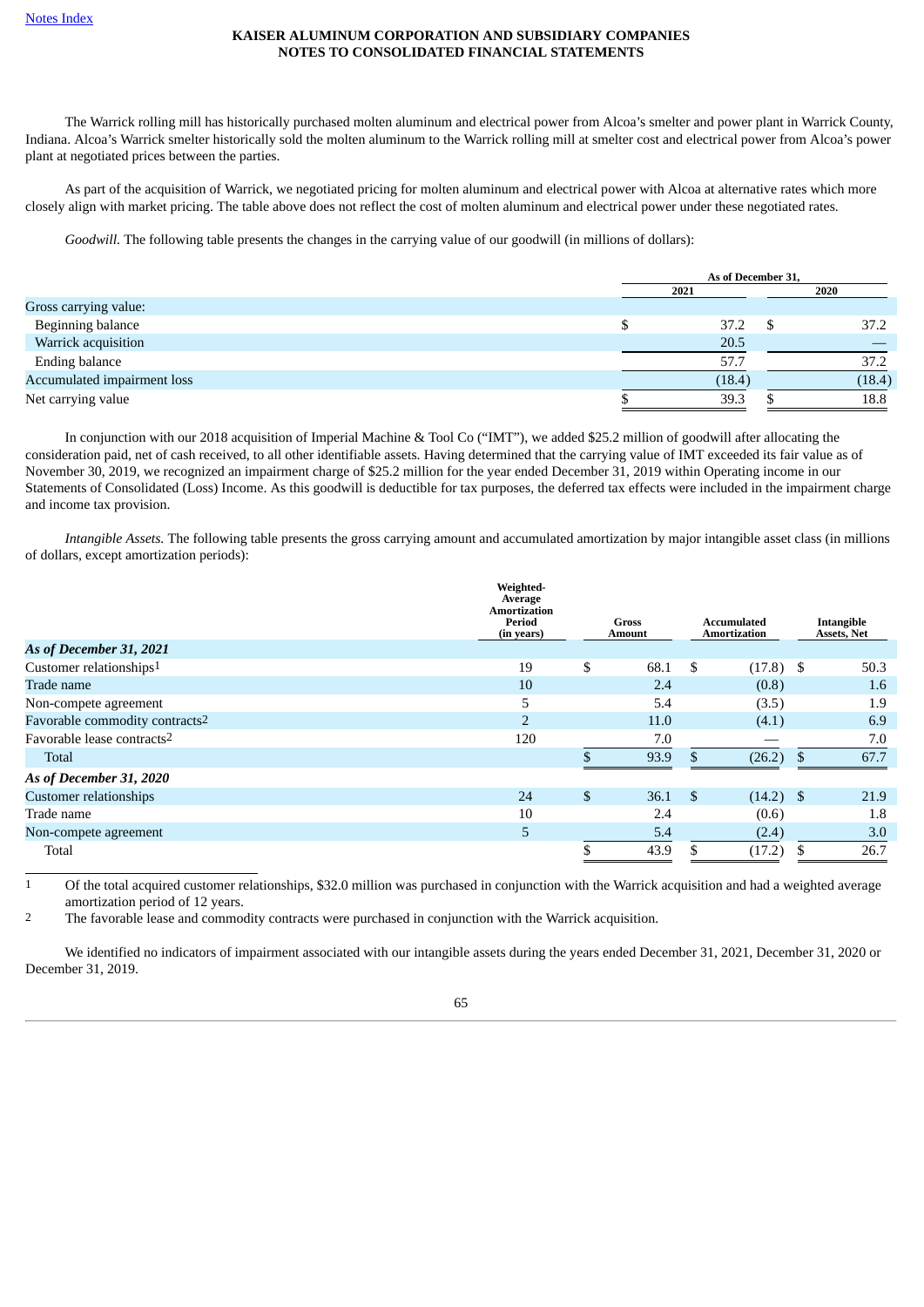The Warrick rolling mill has historically purchased molten aluminum and electrical power from Alcoa's smelter and power plant in Warrick County, Indiana. Alcoa's Warrick smelter historically sold the molten aluminum to the Warrick rolling mill at smelter cost and electrical power from Alcoa's power plant at negotiated prices between the parties.

As part of the acquisition of Warrick, we negotiated pricing for molten aluminum and electrical power with Alcoa at alternative rates which more closely align with market pricing. The table above does not reflect the cost of molten aluminum and electrical power under these negotiated rates.

*Goodwill.* The following table presents the changes in the carrying value of our goodwill (in millions of dollars):

|                             | As of December 31, |  |        |  |  |  |
|-----------------------------|--------------------|--|--------|--|--|--|
|                             | 2021               |  | 2020   |  |  |  |
| Gross carrying value:       |                    |  |        |  |  |  |
| Beginning balance           | 37.2               |  | 37.2   |  |  |  |
| Warrick acquisition         | 20.5               |  |        |  |  |  |
| <b>Ending balance</b>       | 57.7               |  | 37.2   |  |  |  |
| Accumulated impairment loss | (18.4)             |  | (18.4) |  |  |  |
| Net carrying value          | 39.3               |  | 18.8   |  |  |  |

In conjunction with our 2018 acquisition of Imperial Machine & Tool Co ("IMT"), we added \$25.2 million of goodwill after allocating the consideration paid, net of cash received, to all other identifiable assets. Having determined that the carrying value of IMT exceeded its fair value as of November 30, 2019, we recognized an impairment charge of \$25.2 million for the year ended December 31, 2019 within Operating income in our Statements of Consolidated (Loss) Income. As this goodwill is deductible for tax purposes, the deferred tax effects were included in the impairment charge and income tax provision.

*Intangible Assets.* The following table presents the gross carrying amount and accumulated amortization by major intangible asset class (in millions of dollars, except amortization periods):

|                                            | Weighted-<br>Average<br><b>Amortization</b><br>Period<br>(in years) | Gross<br>Amount |     | Accumulated<br>Amortization | Intangible<br>Assets, Net |
|--------------------------------------------|---------------------------------------------------------------------|-----------------|-----|-----------------------------|---------------------------|
| As of December 31, 2021                    |                                                                     |                 |     |                             |                           |
| Customer relationships <sup>1</sup>        | 19                                                                  | \$<br>68.1      | \$  | $(17.8)$ \$                 | 50.3                      |
| Trade name                                 | 10                                                                  | 2.4             |     | (0.8)                       | 1.6                       |
| Non-compete agreement                      | 5                                                                   | 5.4             |     | (3.5)                       | 1.9                       |
| Favorable commodity contracts <sup>2</sup> | $\overline{2}$                                                      | 11.0            |     | (4.1)                       | 6.9                       |
| Favorable lease contracts2                 | 120                                                                 | 7.0             |     |                             | 7.0                       |
| Total                                      |                                                                     | 93.9            |     | (26.2)                      | 67.7                      |
| As of December 31, 2020                    |                                                                     |                 |     |                             |                           |
| <b>Customer relationships</b>              | 24                                                                  | \$<br>36.1      | -\$ | $(14.2)$ \$                 | 21.9                      |
| Trade name                                 | 10                                                                  | 2.4             |     | (0.6)                       | 1.8                       |
| Non-compete agreement                      | 5                                                                   | 5.4             |     | (2.4)                       | 3.0                       |
| Total                                      |                                                                     | 43.9            |     | (17.2)                      | 26.7                      |

1 Of the total acquired customer relationships, \$32.0 million was purchased in conjunction with the Warrick acquisition and had a weighted average amortization period of 12 years.

2 The favorable lease and commodity contracts were purchased in conjunction with the Warrick acquisition.

We identified no indicators of impairment associated with our intangible assets during the years ended December 31, 2021, December 31, 2020 or December 31, 2019.

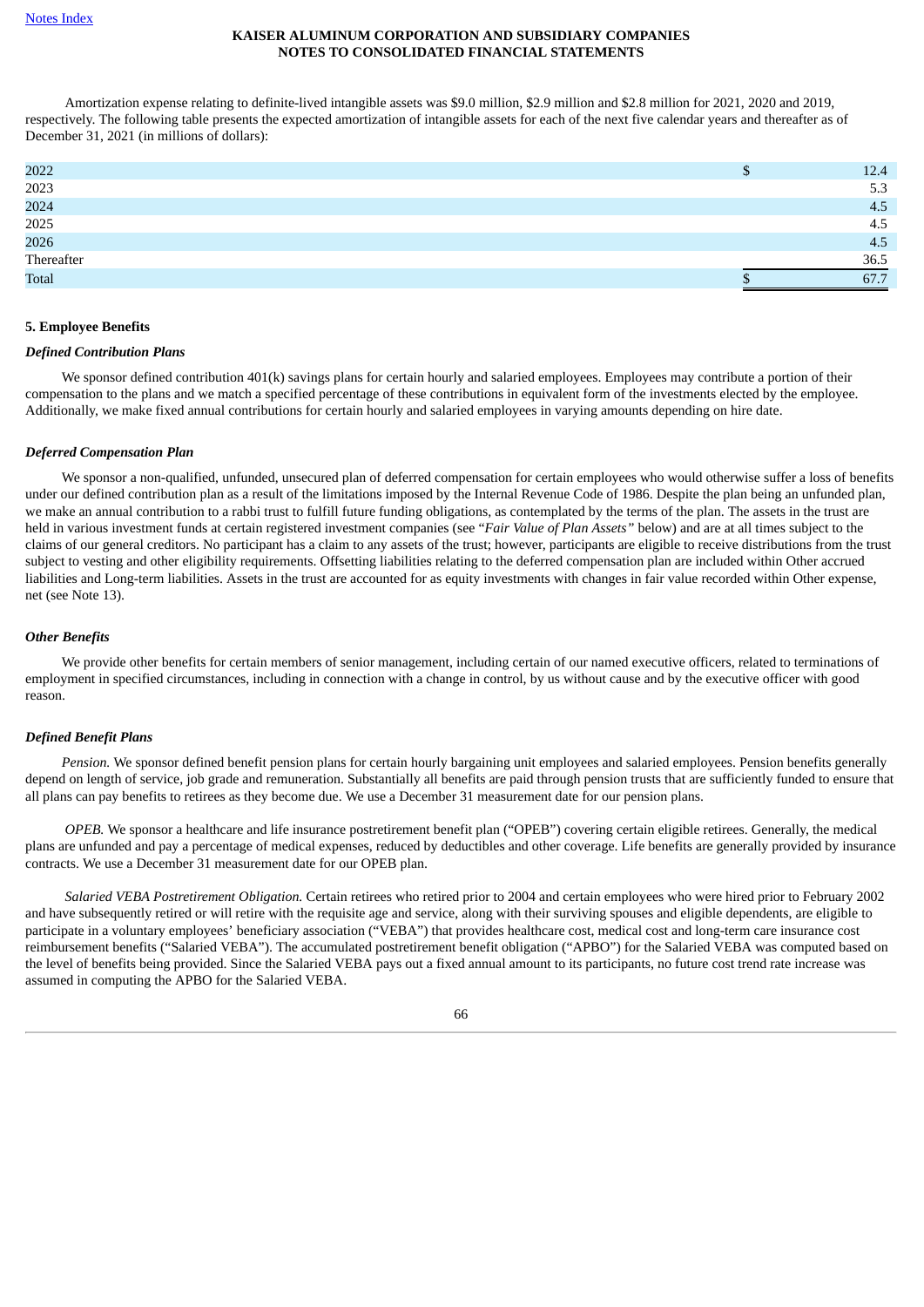Amortization expense relating to definite-lived intangible assets was \$9.0 million, \$2.9 million and \$2.8 million for 2021, 2020 and 2019, respectively. The following table presents the expected amortization of intangible assets for each of the next five calendar years and thereafter as of December 31, 2021 (in millions of dollars):

| 2022         | 12.4 |
|--------------|------|
| 2023         | 5.3  |
| 2024         | 4.5  |
| 2025         | 4.5  |
| 2026         | 4.5  |
| Thereafter   | 36.5 |
| <b>Total</b> | 67.7 |
|              |      |

## <span id="page-65-0"></span>**5. Employee Benefits**

## *Defined Contribution Plans*

We sponsor defined contribution 401(k) savings plans for certain hourly and salaried employees. Employees may contribute a portion of their compensation to the plans and we match a specified percentage of these contributions in equivalent form of the investments elected by the employee. Additionally, we make fixed annual contributions for certain hourly and salaried employees in varying amounts depending on hire date.

## *Deferred Compensation Plan*

We sponsor a non-qualified, unfunded, unsecured plan of deferred compensation for certain employees who would otherwise suffer a loss of benefits under our defined contribution plan as a result of the limitations imposed by the Internal Revenue Code of 1986. Despite the plan being an unfunded plan, we make an annual contribution to a rabbi trust to fulfill future funding obligations, as contemplated by the terms of the plan. The assets in the trust are held in various investment funds at certain registered investment companies (see "*Fair Value of Plan Assets"* below) and are at all times subject to the claims of our general creditors. No participant has a claim to any assets of the trust; however, participants are eligible to receive distributions from the trust subject to vesting and other eligibility requirements. Offsetting liabilities relating to the deferred compensation plan are included within Other accrued liabilities and Long-term liabilities. Assets in the trust are accounted for as equity investments with changes in fair value recorded within Other expense, net (see Note 13).

## *Other Benefits*

We provide other benefits for certain members of senior management, including certain of our named executive officers, related to terminations of employment in specified circumstances, including in connection with a change in control, by us without cause and by the executive officer with good reason.

## *Defined Benefit Plans*

*Pension.* We sponsor defined benefit pension plans for certain hourly bargaining unit employees and salaried employees. Pension benefits generally depend on length of service, job grade and remuneration. Substantially all benefits are paid through pension trusts that are sufficiently funded to ensure that all plans can pay benefits to retirees as they become due. We use a December 31 measurement date for our pension plans.

*OPEB.* We sponsor a healthcare and life insurance postretirement benefit plan ("OPEB") covering certain eligible retirees. Generally, the medical plans are unfunded and pay a percentage of medical expenses, reduced by deductibles and other coverage. Life benefits are generally provided by insurance contracts. We use a December 31 measurement date for our OPEB plan.

*Salaried VEBA Postretirement Obligation.* Certain retirees who retired prior to 2004 and certain employees who were hired prior to February 2002 and have subsequently retired or will retire with the requisite age and service, along with their surviving spouses and eligible dependents, are eligible to participate in a voluntary employees' beneficiary association ("VEBA") that provides healthcare cost, medical cost and long-term care insurance cost reimbursement benefits ("Salaried VEBA"). The accumulated postretirement benefit obligation ("APBO") for the Salaried VEBA was computed based on the level of benefits being provided. Since the Salaried VEBA pays out a fixed annual amount to its participants, no future cost trend rate increase was assumed in computing the APBO for the Salaried VEBA.

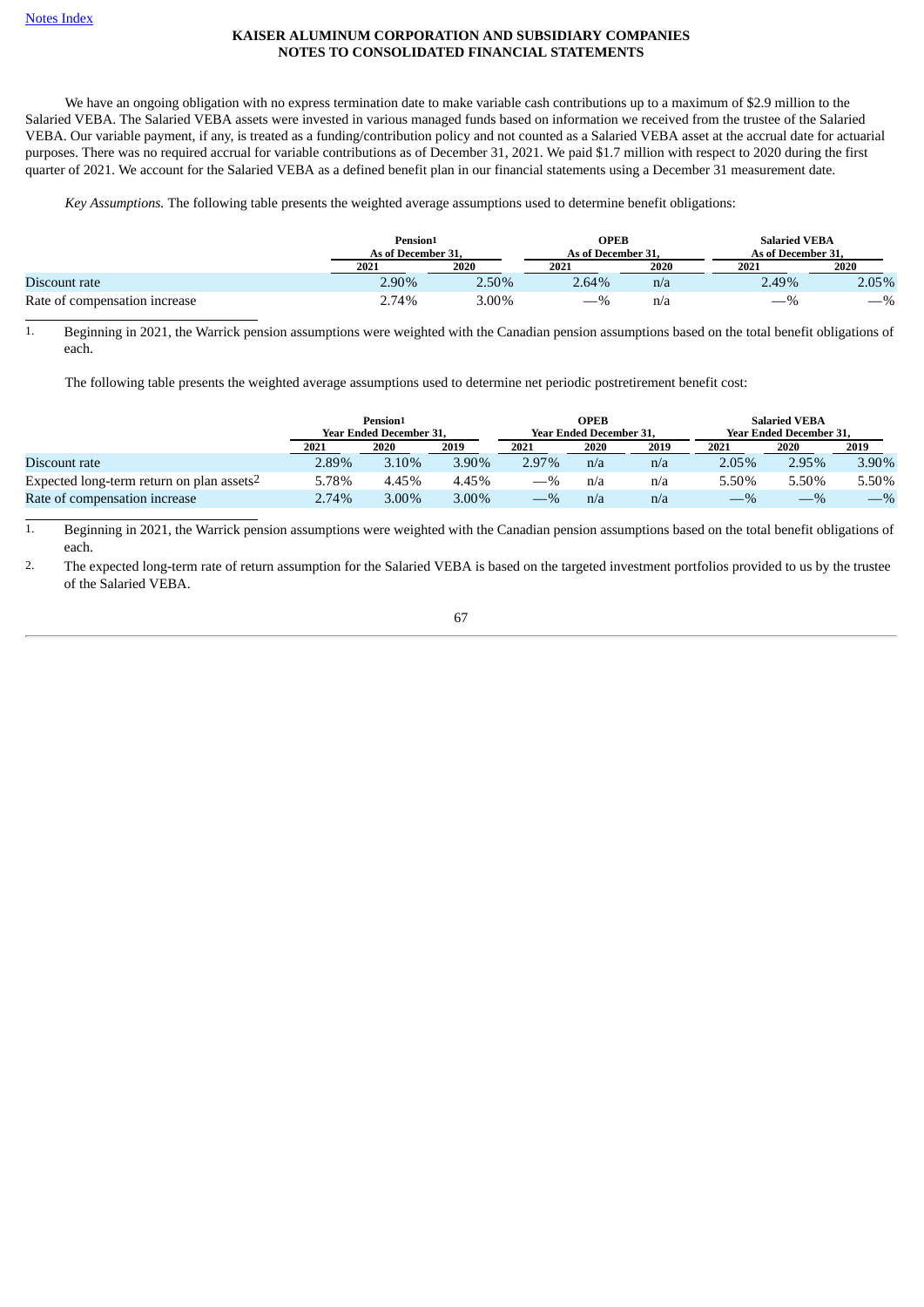We have an ongoing obligation with no express termination date to make variable cash contributions up to a maximum of \$2.9 million to the Salaried VEBA. The Salaried VEBA assets were invested in various managed funds based on information we received from the trustee of the Salaried VEBA. Our variable payment, if any, is treated as a funding/contribution policy and not counted as a Salaried VEBA asset at the accrual date for actuarial purposes. There was no required accrual for variable contributions as of December 31, 2021. We paid \$1.7 million with respect to 2020 during the first quarter of 2021. We account for the Salaried VEBA as a defined benefit plan in our financial statements using a December 31 measurement date.

*Key Assumptions.* The following table presents the weighted average assumptions used to determine benefit obligations:

|                               | Pension <sub>1</sub><br>As of December 31. |       | <b>OPEB</b><br>As of December 31. |      | <b>Salaried VEBA</b><br>As of December 31. |       |
|-------------------------------|--------------------------------------------|-------|-----------------------------------|------|--------------------------------------------|-------|
|                               | 2021                                       | 2020  | 2021                              | 2020 | 2021                                       | 2020  |
| Discount rate                 | 2.90%                                      | 2.50% | 2.64%                             | n/a  | 2.49%                                      | 2.05% |
| Rate of compensation increase | 2.74%                                      | 3.00% | $-$ %                             | n/a  | _                                          | $-$ % |

1. Beginning in 2021, the Warrick pension assumptions were weighted with the Canadian pension assumptions based on the total benefit obligations of each.

The following table presents the weighted average assumptions used to determine net periodic postretirement benefit cost:

|                                                       | Pension <sup>1</sup><br><b>Year Ended December 31.</b> |          |       |       | <b>OPEB</b><br><b>Year Ended December 31.</b> |      | <b>Salaried VEBA</b><br><b>Year Ended December 31.</b> |       |       |  |  |
|-------------------------------------------------------|--------------------------------------------------------|----------|-------|-------|-----------------------------------------------|------|--------------------------------------------------------|-------|-------|--|--|
|                                                       | 2021                                                   | 2020     | 2019  | 2021  | 2020                                          | 2019 | 2021                                                   | 2020  | 2019  |  |  |
| Discount rate                                         | 2.89%                                                  | 3.10%    | 3.90% | 2.97% | n/a                                           | n/a  | $2.05\%$                                               | 2.95% | 3.90% |  |  |
| Expected long-term return on plan assets <sup>2</sup> | 5.78%                                                  | 4.45%    | 4.45% | $-$ % | n/a                                           | n/a  | 5.50%                                                  | 5.50% | 5.50% |  |  |
| Rate of compensation increase                         | 2.74%                                                  | $3.00\%$ | 3.00% | $-$ % | n/a                                           | n/a  | $-$ %                                                  | $-$ % | $-$ % |  |  |

<sup>1.</sup> Beginning in 2021, the Warrick pension assumptions were weighted with the Canadian pension assumptions based on the total benefit obligations of each.

2. The expected long-term rate of return assumption for the Salaried VEBA is based on the targeted investment portfolios provided to us by the trustee of the Salaried VEBA.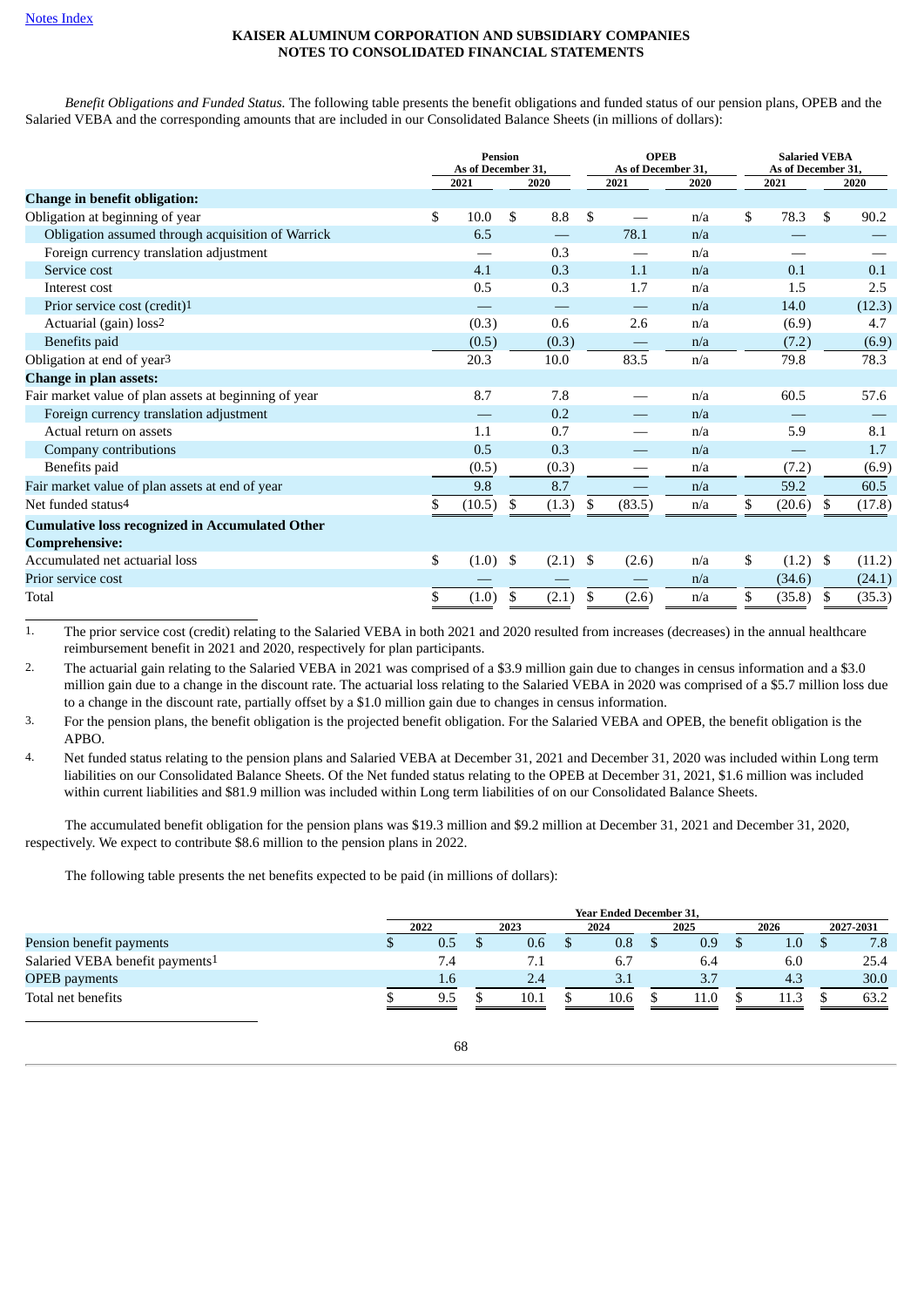*Benefit Obligations and Funded Status.* The following table presents the benefit obligations and funded status of our pension plans, OPEB and the Salaried VEBA and the corresponding amounts that are included in our Consolidated Balance Sheets (in millions of dollars):

|                                                        | <b>Pension</b><br>As of December 31, |        |     | <b>OPEB</b><br>As of December 31, |    | <b>Salaried VEBA</b><br>As of December 31, |      |              |      |        |
|--------------------------------------------------------|--------------------------------------|--------|-----|-----------------------------------|----|--------------------------------------------|------|--------------|------|--------|
|                                                        |                                      | 2021   |     | 2020                              |    | 2021                                       | 2020 | 2021         |      | 2020   |
| <b>Change in benefit obligation:</b>                   |                                      |        |     |                                   |    |                                            |      |              |      |        |
| Obligation at beginning of year                        | \$                                   | 10.0   | \$  | 8.8                               | \$ |                                            | n/a  | \$<br>78.3   | £.   | 90.2   |
| Obligation assumed through acquisition of Warrick      |                                      | 6.5    |     |                                   |    | 78.1                                       | n/a  |              |      |        |
| Foreign currency translation adjustment                |                                      |        |     | 0.3                               |    |                                            | n/a  |              |      |        |
| Service cost                                           |                                      | 4.1    |     | 0.3                               |    | 1.1                                        | n/a  | 0.1          |      | 0.1    |
| Interest cost                                          |                                      | 0.5    |     | 0.3                               |    | 1.7                                        | n/a  | 1.5          |      | 2.5    |
| Prior service cost (credit) <sup>1</sup>               |                                      |        |     |                                   |    |                                            | n/a  | 14.0         |      | (12.3) |
| Actuarial (gain) loss <sup>2</sup>                     |                                      | (0.3)  |     | 0.6                               |    | 2.6                                        | n/a  | (6.9)        |      | 4.7    |
| Benefits paid                                          |                                      | (0.5)  |     | (0.3)                             |    |                                            | n/a  | (7.2)        |      | (6.9)  |
| Obligation at end of year <sup>3</sup>                 |                                      | 20.3   |     | 10.0                              |    | 83.5                                       | n/a  | 79.8         |      | 78.3   |
| <b>Change in plan assets:</b>                          |                                      |        |     |                                   |    |                                            |      |              |      |        |
| Fair market value of plan assets at beginning of year  |                                      | 8.7    |     | 7.8                               |    |                                            | n/a  | 60.5         |      | 57.6   |
| Foreign currency translation adjustment                |                                      |        |     | 0.2                               |    |                                            | n/a  |              |      |        |
| Actual return on assets                                |                                      | 1.1    |     | 0.7                               |    |                                            | n/a  | 5.9          |      | 8.1    |
| Company contributions                                  |                                      | 0.5    |     | 0.3                               |    |                                            | n/a  |              |      | 1.7    |
| Benefits paid                                          |                                      | (0.5)  |     | (0.3)                             |    |                                            | n/a  | (7.2)        |      | (6.9)  |
| Fair market value of plan assets at end of year        |                                      | 9.8    |     | 8.7                               |    |                                            | n/a  | 59.2         |      | 60.5   |
| Net funded status <sup>4</sup>                         |                                      | (10.5) | \$  | (1.3)                             | \$ | (83.5)                                     | n/a  | \$<br>(20.6) | S.   | (17.8) |
| <b>Cumulative loss recognized in Accumulated Other</b> |                                      |        |     |                                   |    |                                            |      |              |      |        |
| <b>Comprehensive:</b>                                  |                                      |        |     |                                   |    |                                            |      |              |      |        |
| Accumulated net actuarial loss                         | \$                                   | (1.0)  | -\$ | (2.1)                             | \$ | (2.6)                                      | n/a  | \$<br>(1.2)  | - \$ | (11.2) |
| Prior service cost                                     |                                      |        |     |                                   |    |                                            | n/a  | (34.6)       |      | (24.1) |
| Total                                                  |                                      | (1.0)  | \$  | (2.1)                             | S  | (2.6)                                      | n/a  | \$<br>(35.8) | \$.  | (35.3) |

1. The prior service cost (credit) relating to the Salaried VEBA in both 2021 and 2020 resulted from increases (decreases) in the annual healthcare reimbursement benefit in 2021 and 2020, respectively for plan participants.

2. The actuarial gain relating to the Salaried VEBA in 2021 was comprised of a \$3.9 million gain due to changes in census information and a \$3.0 million gain due to a change in the discount rate. The actuarial loss relating to the Salaried VEBA in 2020 was comprised of a \$5.7 million loss due to a change in the discount rate, partially offset by a \$1.0 million gain due to changes in census information.

3. For the pension plans, the benefit obligation is the projected benefit obligation. For the Salaried VEBA and OPEB, the benefit obligation is the APBO.

4. Net funded status relating to the pension plans and Salaried VEBA at December 31, 2021 and December 31, 2020 was included within Long term liabilities on our Consolidated Balance Sheets. Of the Net funded status relating to the OPEB at December 31, 2021, \$1.6 million was included within current liabilities and \$81.9 million was included within Long term liabilities of on our Consolidated Balance Sheets.

The accumulated benefit obligation for the pension plans was \$19.3 million and \$9.2 million at December 31, 2021 and December 31, 2020, respectively. We expect to contribute \$8.6 million to the pension plans in 2022.

The following table presents the net benefits expected to be paid (in millions of dollars):

|                                             | <b>Year Ended December 31.</b> |     |  |      |  |      |  |      |  |         |  |           |
|---------------------------------------------|--------------------------------|-----|--|------|--|------|--|------|--|---------|--|-----------|
|                                             | 2022                           |     |  | 2023 |  | 2024 |  | 2025 |  | 2026    |  | 2027-2031 |
| Pension benefit payments                    |                                | 0.5 |  | 0.6  |  | 0.8  |  | 0.9  |  | $1.0\,$ |  | 7.8       |
| Salaried VEBA benefit payments <sup>1</sup> |                                | 7.4 |  | 7.1  |  | 6.7  |  | 6.4  |  | 6.0     |  | 25.4      |
| <b>OPEB</b> payments                        |                                | 1.6 |  | 2.4  |  | 3.1  |  |      |  | 4.3     |  | 30.0      |
| Total net benefits                          |                                | 9.5 |  | 10.1 |  | 10.6 |  | 11.C |  |         |  | 63.2      |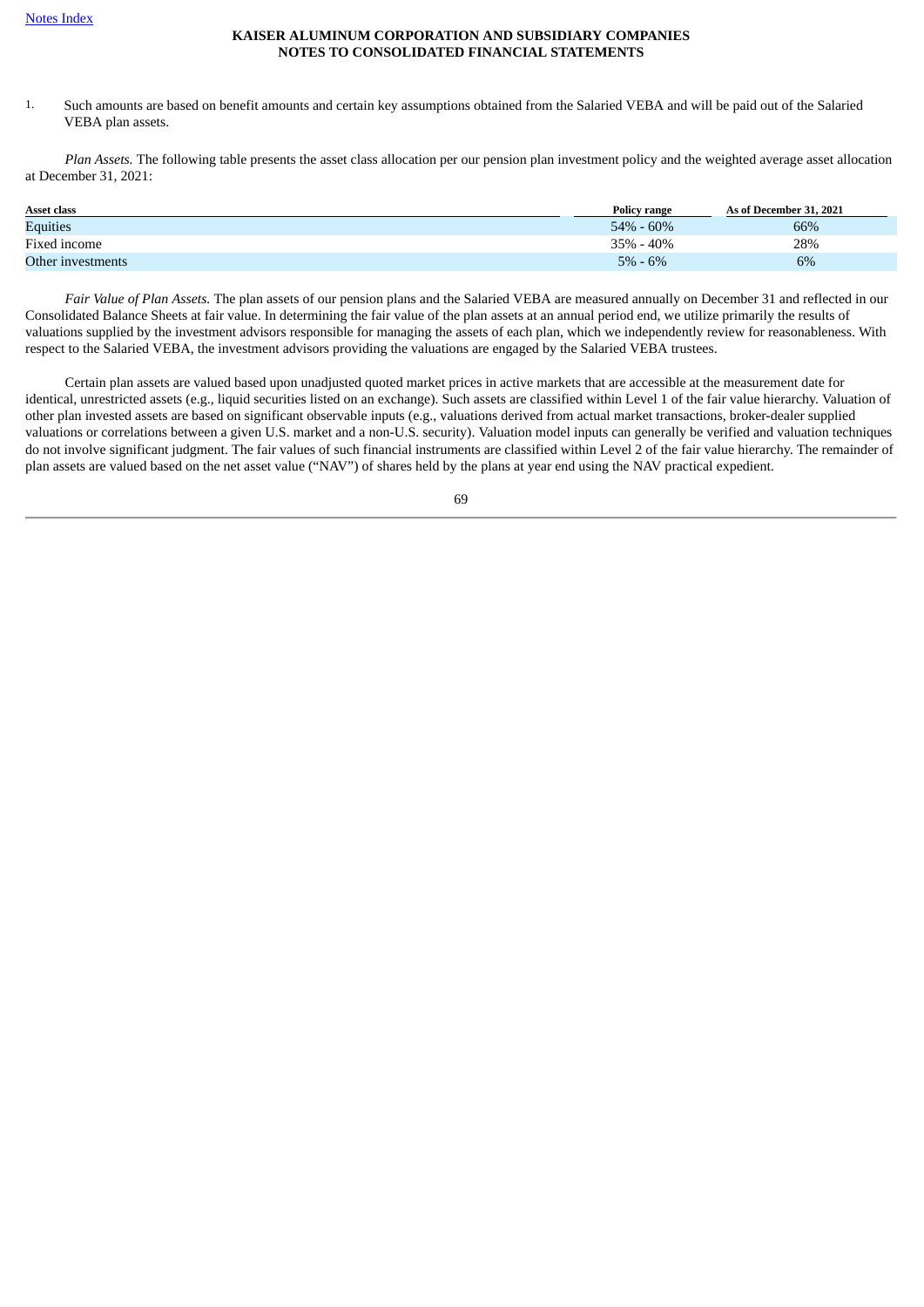1. Such amounts are based on benefit amounts and certain key assumptions obtained from the Salaried VEBA and will be paid out of the Salaried VEBA plan assets.

*Plan Assets.* The following table presents the asset class allocation per our pension plan investment policy and the weighted average asset allocation at December 31, 2021:

| <b>Asset class</b> | <b>Policy range</b> | As of December 31, 2021 |
|--------------------|---------------------|-------------------------|
| <b>Equities</b>    | $54\% - 60\%$       | 66%                     |
| Fixed income       | 35% - 40%           | 28%                     |
| Other investments  | $5\% - 6\%$         | 6%                      |

*Fair Value of Plan Assets.* The plan assets of our pension plans and the Salaried VEBA are measured annually on December 31 and reflected in our Consolidated Balance Sheets at fair value. In determining the fair value of the plan assets at an annual period end, we utilize primarily the results of valuations supplied by the investment advisors responsible for managing the assets of each plan, which we independently review for reasonableness. With respect to the Salaried VEBA, the investment advisors providing the valuations are engaged by the Salaried VEBA trustees.

Certain plan assets are valued based upon unadjusted quoted market prices in active markets that are accessible at the measurement date for identical, unrestricted assets (e.g., liquid securities listed on an exchange). Such assets are classified within Level 1 of the fair value hierarchy. Valuation of other plan invested assets are based on significant observable inputs (e.g., valuations derived from actual market transactions, broker-dealer supplied valuations or correlations between a given U.S. market and a non-U.S. security). Valuation model inputs can generally be verified and valuation techniques do not involve significant judgment. The fair values of such financial instruments are classified within Level 2 of the fair value hierarchy. The remainder of plan assets are valued based on the net asset value ("NAV") of shares held by the plans at year end using the NAV practical expedient.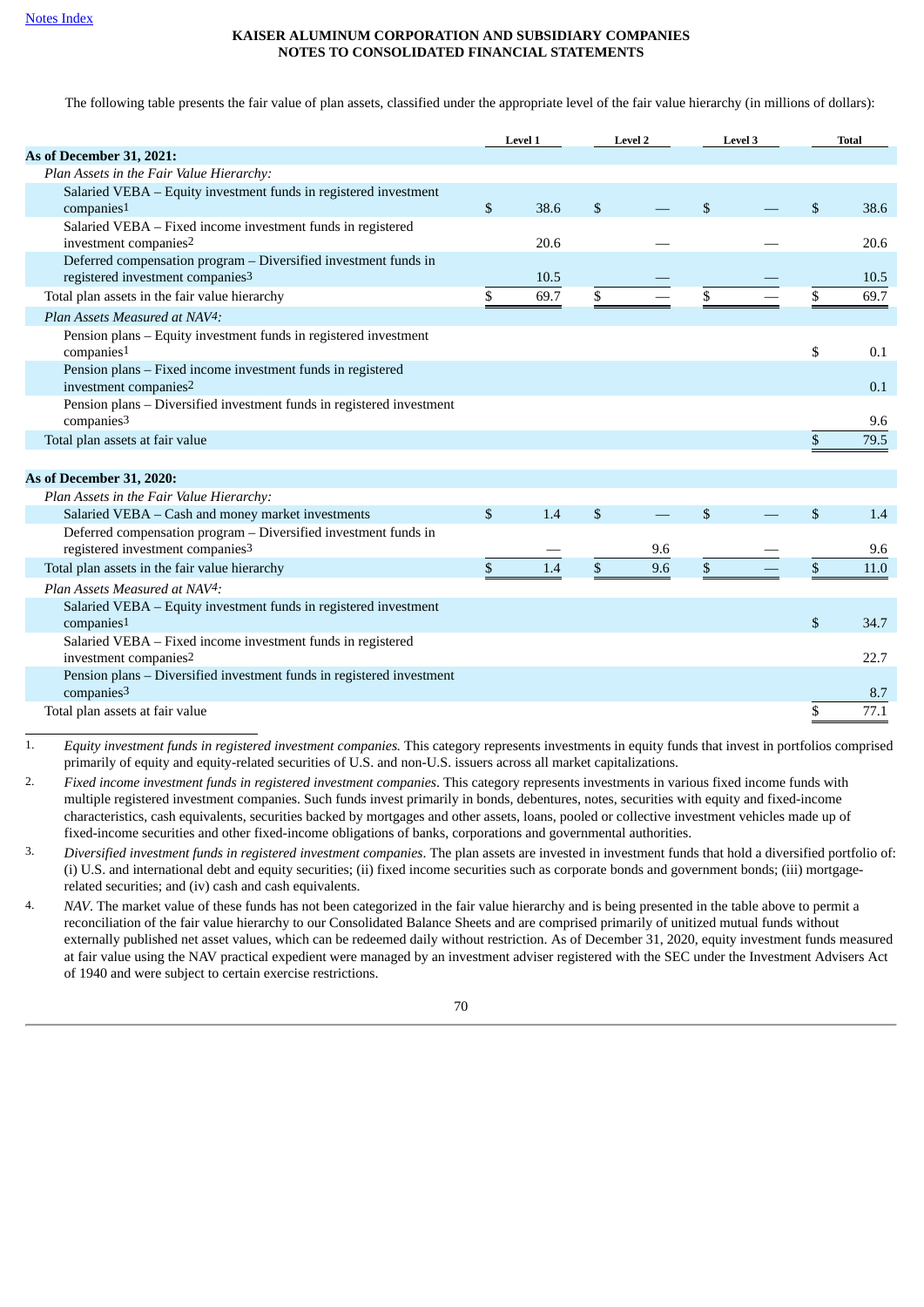The following table presents the fair value of plan assets, classified under the appropriate level of the fair value hierarchy (in millions of dollars):

|                                                                                                                 | Level 1    |                           | <b>Level 2</b> |              | <b>Level 3</b> | <b>Total</b> |
|-----------------------------------------------------------------------------------------------------------------|------------|---------------------------|----------------|--------------|----------------|--------------|
| As of December 31, 2021:                                                                                        |            |                           |                |              |                |              |
| Plan Assets in the Fair Value Hierarchy:                                                                        |            |                           |                |              |                |              |
| Salaried VEBA - Equity investment funds in registered investment                                                |            |                           |                |              |                |              |
| companies <sup>1</sup>                                                                                          | \$<br>38.6 | $\boldsymbol{\mathsf{S}}$ |                | $\mathbb{S}$ |                | \$<br>38.6   |
| Salaried VEBA - Fixed income investment funds in registered<br>investment companies <sup>2</sup>                | 20.6       |                           |                |              |                | 20.6         |
| Deferred compensation program - Diversified investment funds in<br>registered investment companies <sup>3</sup> | 10.5       |                           |                |              |                | 10.5         |
| Total plan assets in the fair value hierarchy                                                                   | \$<br>69.7 | \$                        |                | \$           |                | \$<br>69.7   |
| Plan Assets Measured at NAV4:                                                                                   |            |                           |                |              |                |              |
| Pension plans - Equity investment funds in registered investment<br>comparies <sup>1</sup>                      |            |                           |                |              |                | \$<br>0.1    |
| Pension plans - Fixed income investment funds in registered<br>investment companies <sup>2</sup>                |            |                           |                |              |                | 0.1          |
| Pension plans - Diversified investment funds in registered investment<br>companies <sup>3</sup>                 |            |                           |                |              |                | 9.6          |
| Total plan assets at fair value                                                                                 |            |                           |                |              |                | \$<br>79.5   |
|                                                                                                                 |            |                           |                |              |                |              |
| As of December 31, 2020:                                                                                        |            |                           |                |              |                |              |
| Plan Assets in the Fair Value Hierarchy:                                                                        |            |                           |                |              |                |              |
| Salaried VEBA - Cash and money market investments                                                               | \$<br>1.4  | \$                        |                | \$           |                | \$<br>1.4    |
| Deferred compensation program - Diversified investment funds in<br>registered investment companies3             |            |                           | 9.6            |              |                | 9.6          |
| Total plan assets in the fair value hierarchy                                                                   | \$<br>1.4  | $\mathbb{S}$              | 9.6            | \$           |                | \$<br>11.0   |
| Plan Assets Measured at NAV4:                                                                                   |            |                           |                |              |                |              |
| Salaried VEBA - Equity investment funds in registered investment<br>companies1                                  |            |                           |                |              |                | \$<br>34.7   |
| Salaried VEBA - Fixed income investment funds in registered                                                     |            |                           |                |              |                |              |
| investment companies <sup>2</sup>                                                                               |            |                           |                |              |                | 22.7         |
| Pension plans - Diversified investment funds in registered investment<br>companies <sup>3</sup>                 |            |                           |                |              |                | 8.7          |
| Total plan assets at fair value                                                                                 |            |                           |                |              |                | \$<br>77.1   |

1. *Equity investment funds in registered investment companies.* This category represents investments in equity funds that invest in portfolios comprised primarily of equity and equity-related securities of U.S. and non-U.S. issuers across all market capitalizations.

2. *Fixed income investment funds in registered investment companies*. This category represents investments in various fixed income funds with multiple registered investment companies. Such funds invest primarily in bonds, debentures, notes, securities with equity and fixed-income characteristics, cash equivalents, securities backed by mortgages and other assets, loans, pooled or collective investment vehicles made up of fixed-income securities and other fixed-income obligations of banks, corporations and governmental authorities.

3. *Diversified investment funds in registered investment companies*. The plan assets are invested in investment funds that hold a diversified portfolio of: (i) U.S. and international debt and equity securities; (ii) fixed income securities such as corporate bonds and government bonds; (iii) mortgagerelated securities; and (iv) cash and cash equivalents.

4. *NAV*. The market value of these funds has not been categorized in the fair value hierarchy and is being presented in the table above to permit a reconciliation of the fair value hierarchy to our Consolidated Balance Sheets and are comprised primarily of unitized mutual funds without externally published net asset values, which can be redeemed daily without restriction. As of December 31, 2020, equity investment funds measured at fair value using the NAV practical expedient were managed by an investment adviser registered with the SEC under the Investment Advisers Act of 1940 and were subject to certain exercise restrictions.

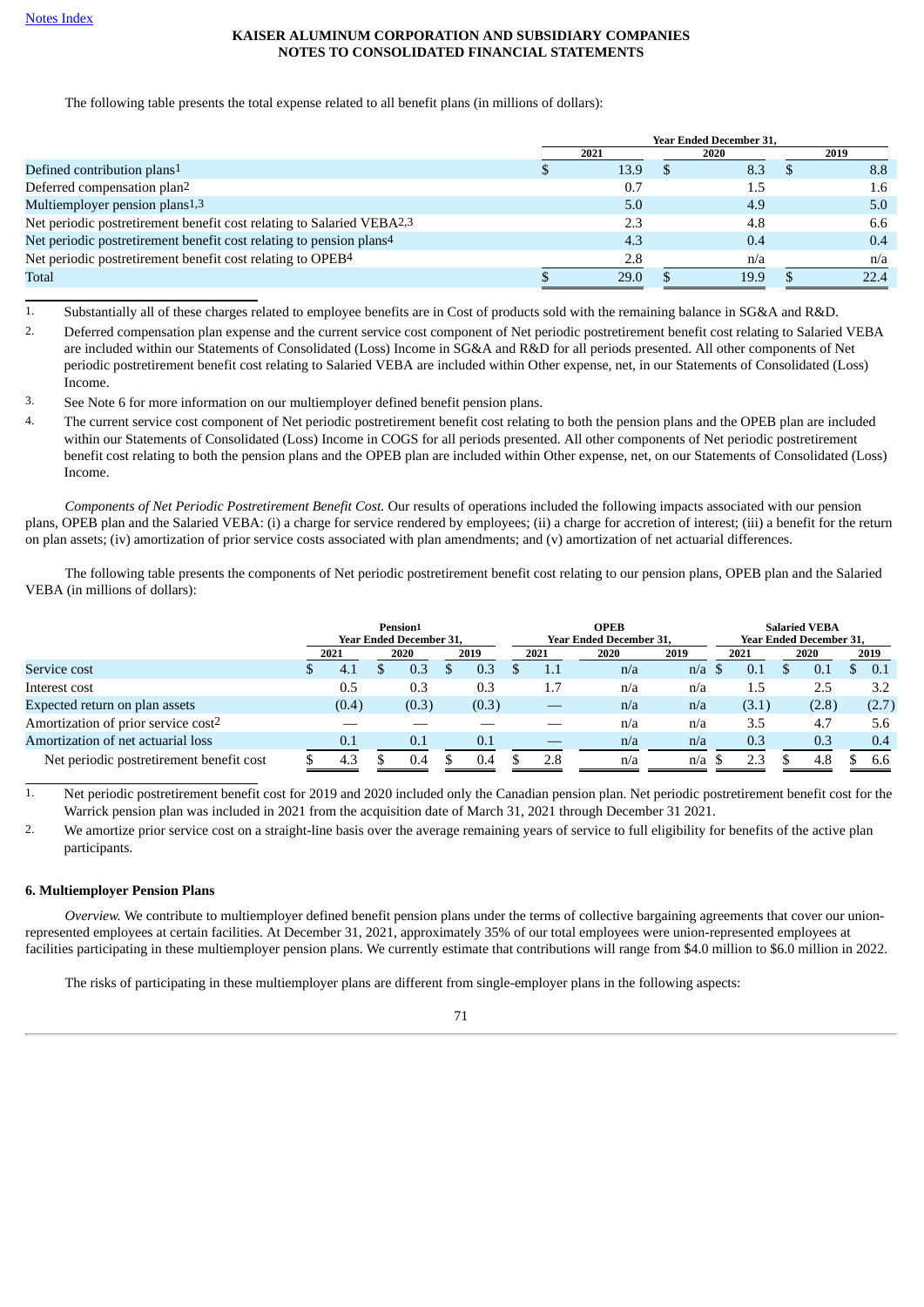The following table presents the total expense related to all benefit plans (in millions of dollars):

|                                                                                 | <b>Year Ended December 31,</b> |  |      |  |      |  |  |
|---------------------------------------------------------------------------------|--------------------------------|--|------|--|------|--|--|
|                                                                                 | 2021                           |  | 2020 |  | 2019 |  |  |
| Defined contribution plans <sup>1</sup>                                         | 13.9                           |  | 8.3  |  | 8.8  |  |  |
| Deferred compensation plan <sup>2</sup>                                         | 0.7                            |  | 1.5  |  | 1.6  |  |  |
| Multiemployer pension plans <sup>1,3</sup>                                      | 5.0                            |  | 4.9  |  | 5.0  |  |  |
| Net periodic postretirement benefit cost relating to Salaried VEBA2,3           | 2.3                            |  | 4.8  |  | 6.6  |  |  |
| Net periodic postretirement benefit cost relating to pension plans <sup>4</sup> | 4.3                            |  | 0.4  |  | 0.4  |  |  |
| Net periodic postretirement benefit cost relating to OPEB <sup>4</sup>          | 2.8                            |  | n/a  |  | n/a  |  |  |
| Total                                                                           | 29.0                           |  | 19.9 |  | 22.4 |  |  |

1. Substantially all of these charges related to employee benefits are in Cost of products sold with the remaining balance in SG&A and R&D.

2. Deferred compensation plan expense and the current service cost component of Net periodic postretirement benefit cost relating to Salaried VEBA are included within our Statements of Consolidated (Loss) Income in SG&A and R&D for all periods presented. All other components of Net periodic postretirement benefit cost relating to Salaried VEBA are included within Other expense, net, in our Statements of Consolidated (Loss) Income.

3. See Note 6 for more information on our multiemployer defined benefit pension plans.

4. The current service cost component of Net periodic postretirement benefit cost relating to both the pension plans and the OPEB plan are included within our Statements of Consolidated (Loss) Income in COGS for all periods presented. All other components of Net periodic postretirement benefit cost relating to both the pension plans and the OPEB plan are included within Other expense, net, on our Statements of Consolidated (Loss) Income.

*Components of Net Periodic Postretirement Benefit Cost.* Our results of operations included the following impacts associated with our pension plans, OPEB plan and the Salaried VEBA: (i) a charge for service rendered by employees; (ii) a charge for accretion of interest; (iii) a benefit for the return on plan assets; (iv) amortization of prior service costs associated with plan amendments; and (v) amortization of net actuarial differences.

The following table presents the components of Net periodic postretirement benefit cost relating to our pension plans, OPEB plan and the Salaried VEBA (in millions of dollars):

|                                          | Pension1<br>Year Ended December 31, |       |  |              |  |       |      | <b>OPEB</b><br><b>Year Ended December 31.</b> | <b>Salaried VEBA</b><br><b>Year Ended December 31.</b> |      |  |       |  |       |  |       |
|------------------------------------------|-------------------------------------|-------|--|--------------|--|-------|------|-----------------------------------------------|--------------------------------------------------------|------|--|-------|--|-------|--|-------|
|                                          | 2021<br>2019<br>2020                |       |  | 2020<br>2021 |  |       | 2019 | 2021                                          |                                                        | 2020 |  | 2019  |  |       |  |       |
| Service cost                             |                                     | 4.1   |  | 0.3          |  | 0.3   |      | $1.1\,$                                       | n/a                                                    | n/a  |  | 0.1   |  | 0.1   |  | 0.1   |
| Interest cost                            |                                     | 0.5   |  | 0.3          |  | 0.3   |      | 1.7                                           | n/a                                                    | n/a  |  | 1.5   |  | 2.5   |  | 3.2   |
| Expected return on plan assets           |                                     | (0.4) |  | (0.3)        |  | (0.3) |      |                                               | n/a                                                    | n/a  |  | (3.1) |  | (2.8) |  | (2.7) |
| Amortization of prior service cost2      |                                     |       |  |              |  |       |      |                                               | n/a                                                    | n/a  |  | 3.5   |  | 4.7   |  | 5.6   |
| Amortization of net actuarial loss       |                                     | 0.1   |  | 0.1          |  | 0.1   |      |                                               | n/a                                                    | n/a  |  | 0.3   |  | 0.3   |  | 0.4   |
| Net periodic postretirement benefit cost |                                     | 4.3   |  | 0.4          |  | 0.4   |      | 2.8                                           | n/a                                                    | n/a  |  | 2.3   |  | 4.8   |  | 6.6   |

1. Net periodic postretirement benefit cost for 2019 and 2020 included only the Canadian pension plan. Net periodic postretirement benefit cost for the Warrick pension plan was included in 2021 from the acquisition date of March 31, 2021 through December 31 2021.

2. We amortize prior service cost on a straight-line basis over the average remaining years of service to full eligibility for benefits of the active plan participants.

## <span id="page-70-0"></span>**6. Multiemployer Pension Plans**

*Overview.* We contribute to multiemployer defined benefit pension plans under the terms of collective bargaining agreements that cover our unionrepresented employees at certain facilities. At December 31, 2021, approximately 35% of our total employees were union-represented employees at facilities participating in these multiemployer pension plans. We currently estimate that contributions will range from \$4.0 million to \$6.0 million in 2022.

The risks of participating in these multiemployer plans are different from single-employer plans in the following aspects: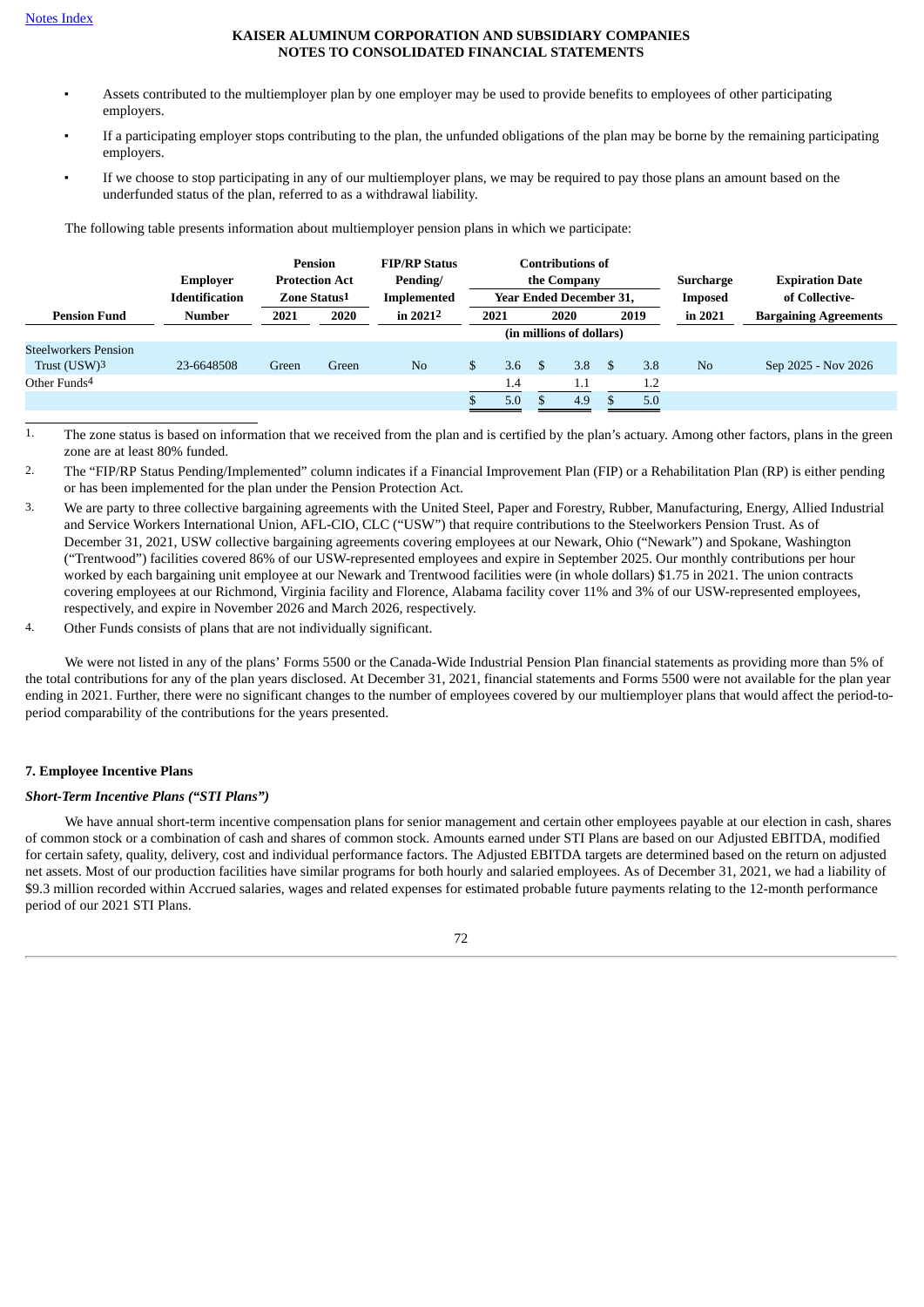- Assets contributed to the multiemployer plan by one employer may be used to provide benefits to employees of other participating employers.
- If a participating employer stops contributing to the plan, the unfunded obligations of the plan may be borne by the remaining participating employers.
- If we choose to stop participating in any of our multiemployer plans, we may be required to pay those plans an amount based on the underfunded status of the plan, referred to as a withdrawal liability.

The following table presents information about multiemployer pension plans in which we participate:

|                                             | Emplover<br><b>Identification</b> | Pension<br>Zone Status1 | <b>Protection Act</b> | <b>FIP/RP Status</b><br>Pending/<br>Implemented |    | <b>Contributions of</b><br>the Company<br><b>Year Ended December 31.</b> |  |     | Surcharge<br>Imposed |      |                |                              | <b>Expiration Date</b><br>of Collective- |  |
|---------------------------------------------|-----------------------------------|-------------------------|-----------------------|-------------------------------------------------|----|--------------------------------------------------------------------------|--|-----|----------------------|------|----------------|------------------------------|------------------------------------------|--|
| <b>Pension Fund</b>                         | Number                            | 2021                    | 2020                  | in $20212$                                      |    | 2021<br>2020                                                             |  |     |                      | 2019 | in 2021        | <b>Bargaining Agreements</b> |                                          |  |
|                                             |                                   |                         |                       |                                                 |    | (in millions of dollars)                                                 |  |     |                      |      |                |                              |                                          |  |
| <b>Steelworkers Pension</b><br>Trust (USW)3 | 23-6648508                        | Green                   | Green                 | N <sub>o</sub>                                  | \$ | 3.6                                                                      |  | 3.8 |                      | 3.8  | N <sub>o</sub> | Sep 2025 - Nov 2026          |                                          |  |
| Other Funds <sup>4</sup>                    |                                   |                         |                       |                                                 |    | 1.4                                                                      |  | 1.1 |                      | 1.2  |                |                              |                                          |  |
|                                             |                                   |                         |                       |                                                 |    | 5.0                                                                      |  | 4.9 |                      | 5.0  |                |                              |                                          |  |

1. The zone status is based on information that we received from the plan and is certified by the plan's actuary. Among other factors, plans in the green zone are at least 80% funded.

2. The "FIP/RP Status Pending/Implemented" column indicates if a Financial Improvement Plan (FIP) or a Rehabilitation Plan (RP) is either pending or has been implemented for the plan under the Pension Protection Act.

3. We are party to three collective bargaining agreements with the United Steel, Paper and Forestry, Rubber, Manufacturing, Energy, Allied Industrial and Service Workers International Union, AFL-CIO, CLC ("USW") that require contributions to the Steelworkers Pension Trust. As of December 31, 2021, USW collective bargaining agreements covering employees at our Newark, Ohio ("Newark") and Spokane, Washington ("Trentwood") facilities covered 86% of our USW-represented employees and expire in September 2025. Our monthly contributions per hour worked by each bargaining unit employee at our Newark and Trentwood facilities were (in whole dollars) \$1.75 in 2021. The union contracts covering employees at our Richmond, Virginia facility and Florence, Alabama facility cover 11% and 3% of our USW-represented employees, respectively, and expire in November 2026 and March 2026, respectively.

4. Other Funds consists of plans that are not individually significant.

We were not listed in any of the plans' Forms 5500 or the Canada-Wide Industrial Pension Plan financial statements as providing more than 5% of the total contributions for any of the plan years disclosed. At December 31, 2021, financial statements and Forms 5500 were not available for the plan year ending in 2021. Further, there were no significant changes to the number of employees covered by our multiemployer plans that would affect the period-toperiod comparability of the contributions for the years presented.

## <span id="page-71-0"></span>**7. Employee Incentive Plans**

#### *Short-Term Incentive Plans ("STI Plans")*

We have annual short-term incentive compensation plans for senior management and certain other employees payable at our election in cash, shares of common stock or a combination of cash and shares of common stock. Amounts earned under STI Plans are based on our Adjusted EBITDA, modified for certain safety, quality, delivery, cost and individual performance factors. The Adjusted EBITDA targets are determined based on the return on adjusted net assets. Most of our production facilities have similar programs for both hourly and salaried employees. As of December 31, 2021, we had a liability of \$9.3 million recorded within Accrued salaries, wages and related expenses for estimated probable future payments relating to the 12-month performance period of our 2021 STI Plans.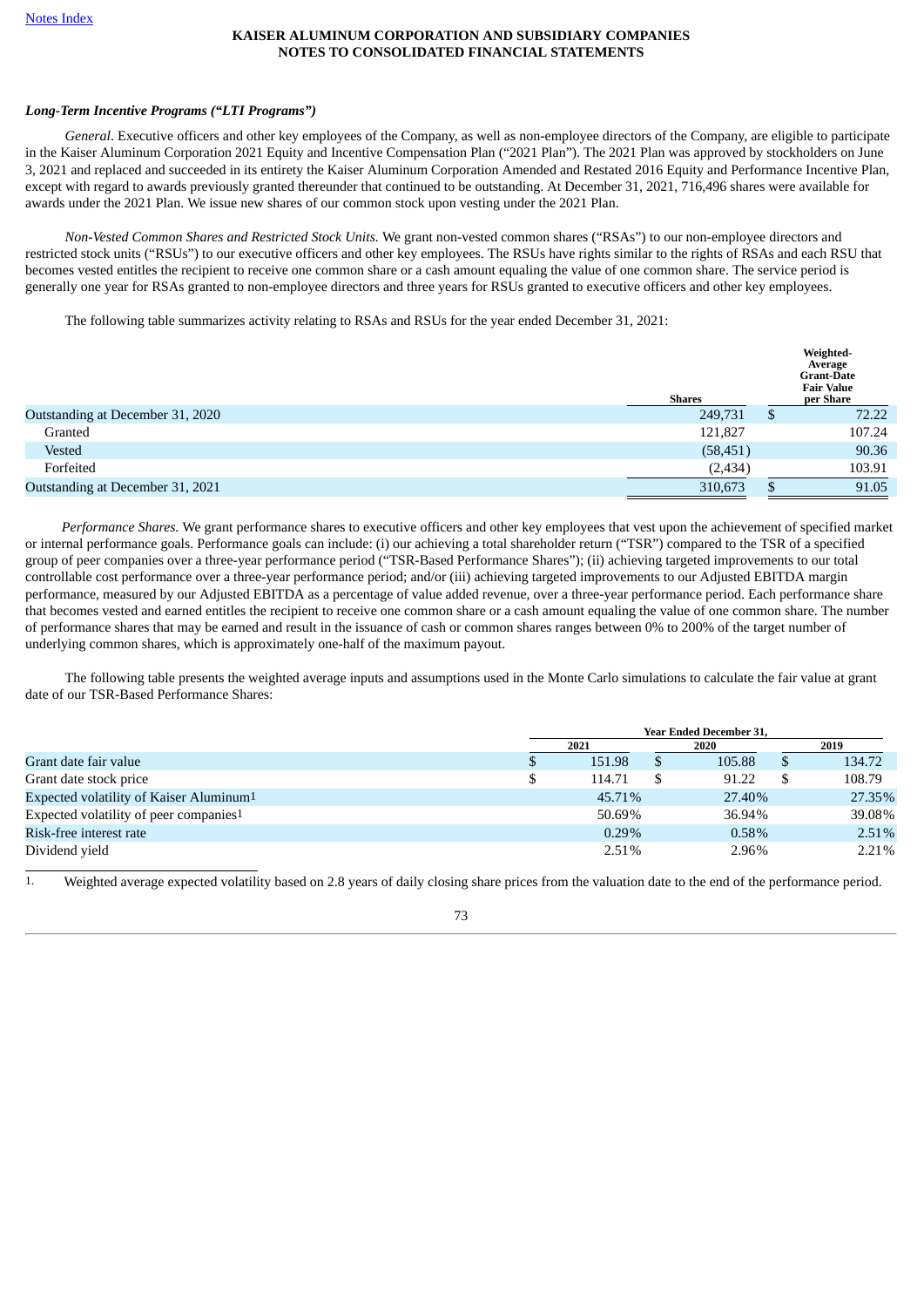# *Long-Term Incentive Programs ("LTI Programs")*

*General*. Executive officers and other key employees of the Company, as well as non-employee directors of the Company, are eligible to participate in the Kaiser Aluminum Corporation 2021 Equity and Incentive Compensation Plan ("2021 Plan"). The 2021 Plan was approved by stockholders on June 3, 2021 and replaced and succeeded in its entirety the Kaiser Aluminum Corporation Amended and Restated 2016 Equity and Performance Incentive Plan, except with regard to awards previously granted thereunder that continued to be outstanding. At December 31, 2021, 716,496 shares were available for awards under the 2021 Plan. We issue new shares of our common stock upon vesting under the 2021 Plan.

*Non-Vested Common Shares and Restricted Stock Units.* We grant non-vested common shares ("RSAs") to our non-employee directors and restricted stock units ("RSUs") to our executive officers and other key employees. The RSUs have rights similar to the rights of RSAs and each RSU that becomes vested entitles the recipient to receive one common share or a cash amount equaling the value of one common share. The service period is generally one year for RSAs granted to non-employee directors and three years for RSUs granted to executive officers and other key employees.

The following table summarizes activity relating to RSAs and RSUs for the year ended December 31, 2021:

|                                  | <b>Shares</b> |   | Weighted-<br>Average<br><b>Grant-Date</b><br><b>Fair Value</b><br>per Share |
|----------------------------------|---------------|---|-----------------------------------------------------------------------------|
| Outstanding at December 31, 2020 | 249,731       | S | 72.22                                                                       |
| Granted                          | 121,827       |   | 107.24                                                                      |
| Vested                           | (58, 451)     |   | 90.36                                                                       |
| Forfeited                        | (2, 434)      |   | 103.91                                                                      |
| Outstanding at December 31, 2021 | 310,673       |   | 91.05                                                                       |

*Performance Shares.* We grant performance shares to executive officers and other key employees that vest upon the achievement of specified market or internal performance goals. Performance goals can include: (i) our achieving a total shareholder return ("TSR") compared to the TSR of a specified group of peer companies over a three-year performance period ("TSR-Based Performance Shares"); (ii) achieving targeted improvements to our total controllable cost performance over a three-year performance period; and/or (iii) achieving targeted improvements to our Adjusted EBITDA margin performance, measured by our Adjusted EBITDA as a percentage of value added revenue, over a three-year performance period. Each performance share that becomes vested and earned entitles the recipient to receive one common share or a cash amount equaling the value of one common share. The number of performance shares that may be earned and result in the issuance of cash or common shares ranges between 0% to 200% of the target number of underlying common shares, which is approximately one-half of the maximum payout.

The following table presents the weighted average inputs and assumptions used in the Monte Carlo simulations to calculate the fair value at grant date of our TSR-Based Performance Shares:

|                                                     | <b>Year Ended December 31,</b> |          |   |        |  |        |  |  |
|-----------------------------------------------------|--------------------------------|----------|---|--------|--|--------|--|--|
|                                                     | 2021                           |          |   | 2020   |  | 2019   |  |  |
| Grant date fair value                               |                                | 151.98   | S | 105.88 |  | 134.72 |  |  |
| Grant date stock price                              |                                | 114.71   |   | 91.22  |  | 108.79 |  |  |
| Expected volatility of Kaiser Aluminum <sup>1</sup> |                                | 45.71%   |   | 27.40% |  | 27.35% |  |  |
| Expected volatility of peer companies <sup>1</sup>  |                                | 50.69%   |   | 36.94% |  | 39.08% |  |  |
| Risk-free interest rate                             |                                | $0.29\%$ |   | 0.58%  |  | 2.51%  |  |  |
| Dividend yield                                      |                                | 2.51%    |   | 2.96%  |  | 2.21%  |  |  |

1. Weighted average expected volatility based on 2.8 years of daily closing share prices from the valuation date to the end of the performance period.

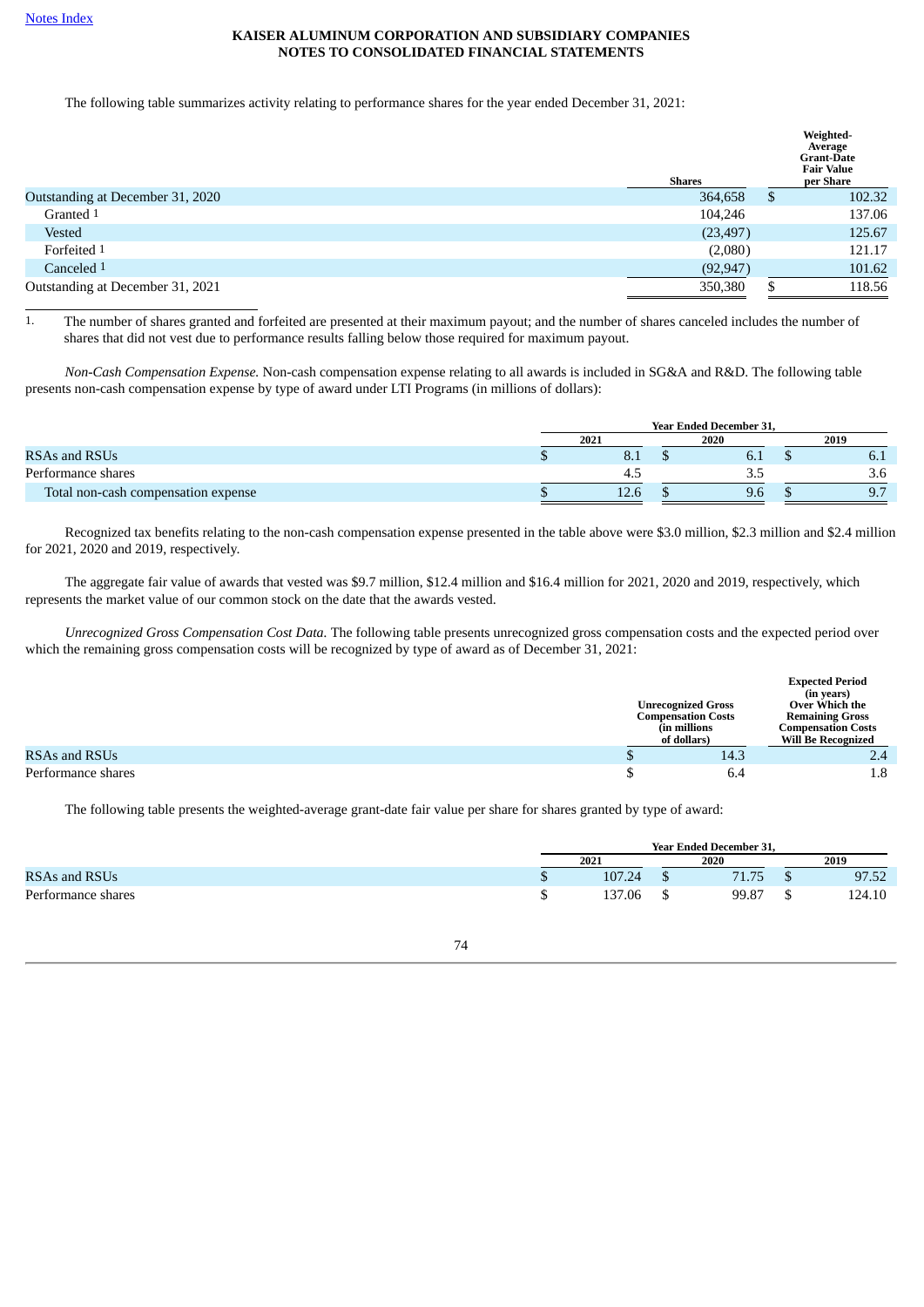The following table summarizes activity relating to performance shares for the year ended December 31, 2021:

|                                  | <b>Shares</b> | Weighted-<br>Average<br><b>Grant-Date</b><br><b>Fair Value</b><br>per Share |
|----------------------------------|---------------|-----------------------------------------------------------------------------|
| Outstanding at December 31, 2020 | 364,658       | \$<br>102.32                                                                |
| Granted 1                        | 104,246       | 137.06                                                                      |
| Vested                           | (23, 497)     | 125.67                                                                      |
| Forfeited 1                      | (2,080)       | 121.17                                                                      |
| Canceled 1                       | (92, 947)     | 101.62                                                                      |
| Outstanding at December 31, 2021 | 350,380       | 118.56                                                                      |

1. The number of shares granted and forfeited are presented at their maximum payout; and the number of shares canceled includes the number of shares that did not vest due to performance results falling below those required for maximum payout.

*Non-Cash Compensation Expense.* Non-cash compensation expense relating to all awards is included in SG&A and R&D. The following table presents non-cash compensation expense by type of award under LTI Programs (in millions of dollars):

|                                     | <b>Year Ended December 31.</b> |                |  |      |  |              |  |
|-------------------------------------|--------------------------------|----------------|--|------|--|--------------|--|
|                                     | 2021                           |                |  | 2020 |  | 2019         |  |
| RSAs and RSUs                       |                                | 8.1            |  | b. I |  | 0. I         |  |
| Performance shares                  |                                | 4.5            |  | ے دف |  | 3.6          |  |
| Total non-cash compensation expense |                                | $12.6^{\circ}$ |  | 9.6  |  | Q 7<br>، ، ب |  |

Recognized tax benefits relating to the non-cash compensation expense presented in the table above were \$3.0 million, \$2.3 million and \$2.4 million for 2021, 2020 and 2019, respectively.

The aggregate fair value of awards that vested was \$9.7 million, \$12.4 million and \$16.4 million for 2021, 2020 and 2019, respectively, which represents the market value of our common stock on the date that the awards vested.

*Unrecognized Gross Compensation Cost Data.* The following table presents unrecognized gross compensation costs and the expected period over which the remaining gross compensation costs will be recognized by type of award as of December 31, 2021:

|                    |  |                                                                                        | <b>Expected Period</b><br>(in years)                                                               |
|--------------------|--|----------------------------------------------------------------------------------------|----------------------------------------------------------------------------------------------------|
|                    |  | <b>Unrecognized Gross</b><br><b>Compensation Costs</b><br>(in millions)<br>of dollars) | Over Which the<br><b>Remaining Gross</b><br><b>Compensation Costs</b><br><b>Will Be Recognized</b> |
| RSAs and RSUs      |  | 14.3                                                                                   | 2.4                                                                                                |
| Performance shares |  | 6.4                                                                                    | $1.8\,$                                                                                            |

The following table presents the weighted-average grant-date fair value per share for shares granted by type of award:

|                    | <b>Year Ended December 31.</b> |        |  |       |  |        |  |
|--------------------|--------------------------------|--------|--|-------|--|--------|--|
|                    | 2021                           |        |  | 2020  |  | 2019   |  |
| RSAs and RSUs      |                                | 107.24 |  | 71 75 |  | 97.52  |  |
| Performance shares |                                | 137.06 |  | 99.87 |  | 124.10 |  |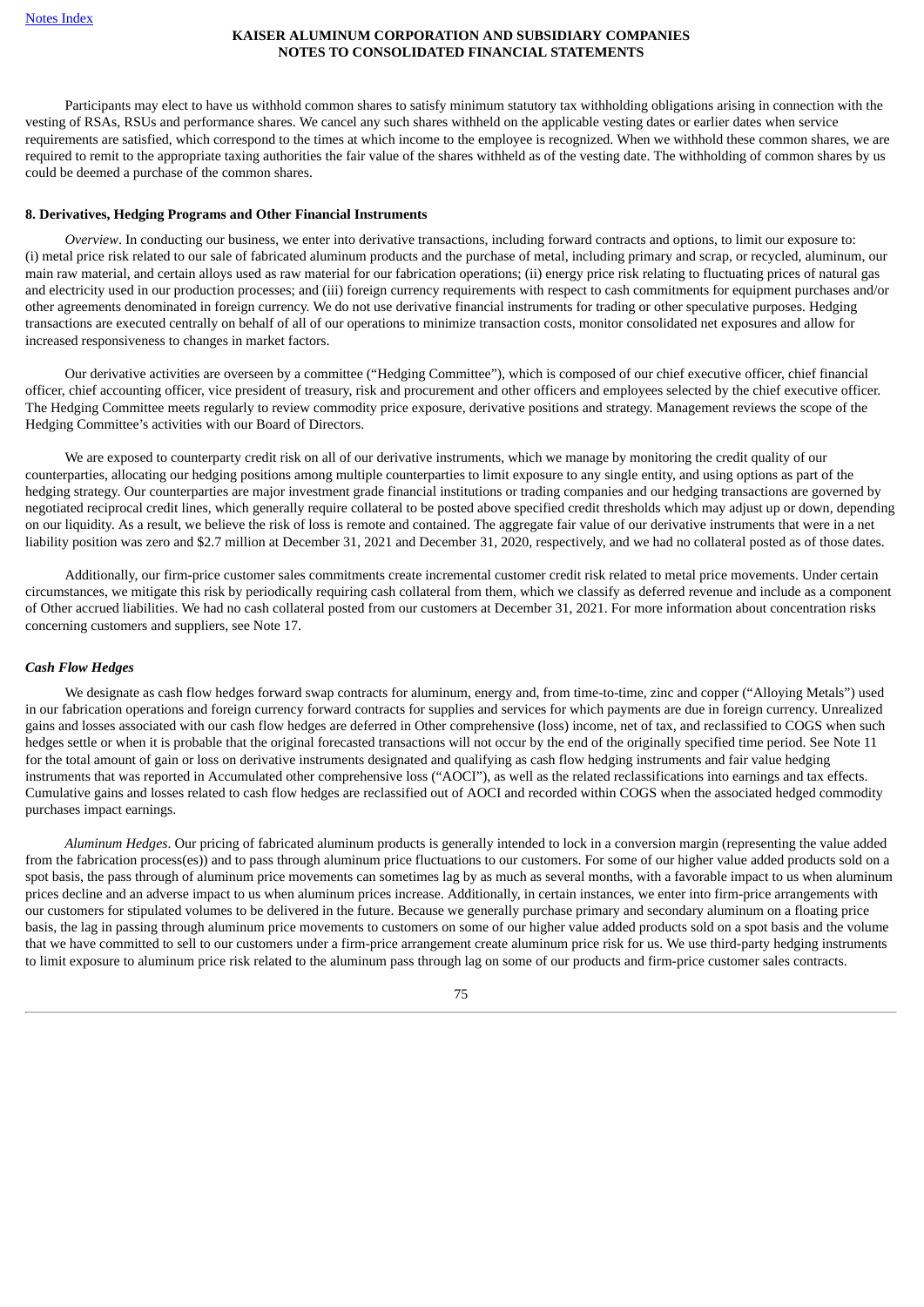Participants may elect to have us withhold common shares to satisfy minimum statutory tax withholding obligations arising in connection with the vesting of RSAs, RSUs and performance shares. We cancel any such shares withheld on the applicable vesting dates or earlier dates when service requirements are satisfied, which correspond to the times at which income to the employee is recognized. When we withhold these common shares, we are required to remit to the appropriate taxing authorities the fair value of the shares withheld as of the vesting date. The withholding of common shares by us could be deemed a purchase of the common shares.

#### **8. Derivatives, Hedging Programs and Other Financial Instruments**

*Overview*. In conducting our business, we enter into derivative transactions, including forward contracts and options, to limit our exposure to: (i) metal price risk related to our sale of fabricated aluminum products and the purchase of metal, including primary and scrap, or recycled, aluminum, our main raw material, and certain alloys used as raw material for our fabrication operations; (ii) energy price risk relating to fluctuating prices of natural gas and electricity used in our production processes; and (iii) foreign currency requirements with respect to cash commitments for equipment purchases and/or other agreements denominated in foreign currency. We do not use derivative financial instruments for trading or other speculative purposes. Hedging transactions are executed centrally on behalf of all of our operations to minimize transaction costs, monitor consolidated net exposures and allow for increased responsiveness to changes in market factors.

Our derivative activities are overseen by a committee ("Hedging Committee"), which is composed of our chief executive officer, chief financial officer, chief accounting officer, vice president of treasury, risk and procurement and other officers and employees selected by the chief executive officer. The Hedging Committee meets regularly to review commodity price exposure, derivative positions and strategy. Management reviews the scope of the Hedging Committee's activities with our Board of Directors.

We are exposed to counterparty credit risk on all of our derivative instruments, which we manage by monitoring the credit quality of our counterparties, allocating our hedging positions among multiple counterparties to limit exposure to any single entity, and using options as part of the hedging strategy. Our counterparties are major investment grade financial institutions or trading companies and our hedging transactions are governed by negotiated reciprocal credit lines, which generally require collateral to be posted above specified credit thresholds which may adjust up or down, depending on our liquidity. As a result, we believe the risk of loss is remote and contained. The aggregate fair value of our derivative instruments that were in a net liability position was zero and \$2.7 million at December 31, 2021 and December 31, 2020, respectively, and we had no collateral posted as of those dates.

Additionally, our firm-price customer sales commitments create incremental customer credit risk related to metal price movements. Under certain circumstances, we mitigate this risk by periodically requiring cash collateral from them, which we classify as deferred revenue and include as a component of Other accrued liabilities. We had no cash collateral posted from our customers at December 31, 2021. For more information about concentration risks concerning customers and suppliers, see Note 17.

#### *Cash Flow Hedges*

We designate as cash flow hedges forward swap contracts for aluminum, energy and, from time-to-time, zinc and copper ("Alloying Metals") used in our fabrication operations and foreign currency forward contracts for supplies and services for which payments are due in foreign currency. Unrealized gains and losses associated with our cash flow hedges are deferred in Other comprehensive (loss) income, net of tax, and reclassified to COGS when such hedges settle or when it is probable that the original forecasted transactions will not occur by the end of the originally specified time period. See Note 11 for the total amount of gain or loss on derivative instruments designated and qualifying as cash flow hedging instruments and fair value hedging instruments that was reported in Accumulated other comprehensive loss ("AOCI"), as well as the related reclassifications into earnings and tax effects. Cumulative gains and losses related to cash flow hedges are reclassified out of AOCI and recorded within COGS when the associated hedged commodity purchases impact earnings.

*Aluminum Hedges*. Our pricing of fabricated aluminum products is generally intended to lock in a conversion margin (representing the value added from the fabrication process(es)) and to pass through aluminum price fluctuations to our customers. For some of our higher value added products sold on a spot basis, the pass through of aluminum price movements can sometimes lag by as much as several months, with a favorable impact to us when aluminum prices decline and an adverse impact to us when aluminum prices increase. Additionally, in certain instances, we enter into firm-price arrangements with our customers for stipulated volumes to be delivered in the future. Because we generally purchase primary and secondary aluminum on a floating price basis, the lag in passing through aluminum price movements to customers on some of our higher value added products sold on a spot basis and the volume that we have committed to sell to our customers under a firm-price arrangement create aluminum price risk for us. We use third-party hedging instruments to limit exposure to aluminum price risk related to the aluminum pass through lag on some of our products and firm-price customer sales contracts.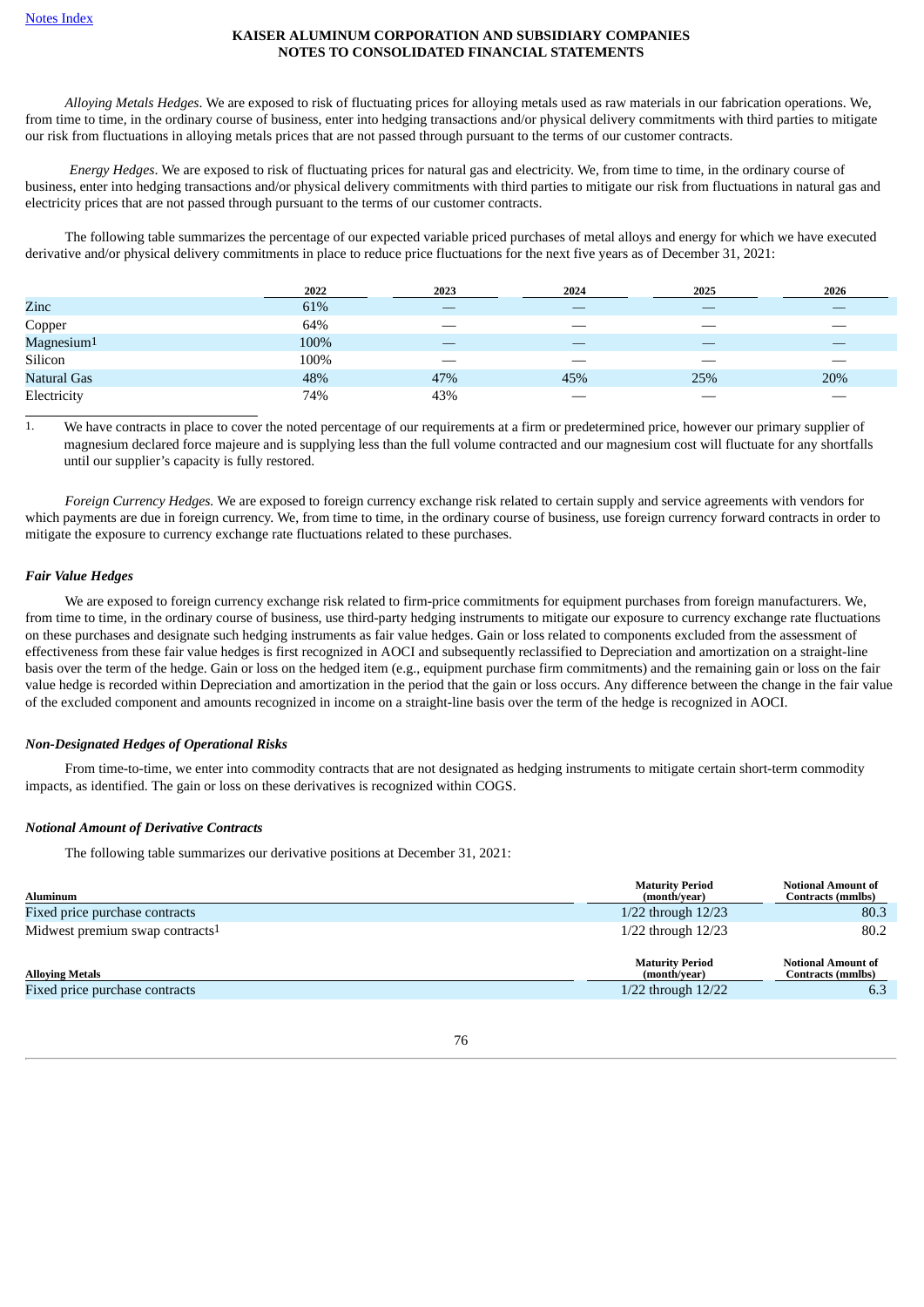*Alloying Metals Hedges*. We are exposed to risk of fluctuating prices for alloying metals used as raw materials in our fabrication operations. We, from time to time, in the ordinary course of business, enter into hedging transactions and/or physical delivery commitments with third parties to mitigate our risk from fluctuations in alloying metals prices that are not passed through pursuant to the terms of our customer contracts.

*Energy Hedges*. We are exposed to risk of fluctuating prices for natural gas and electricity. We, from time to time, in the ordinary course of business, enter into hedging transactions and/or physical delivery commitments with third parties to mitigate our risk from fluctuations in natural gas and electricity prices that are not passed through pursuant to the terms of our customer contracts.

The following table summarizes the percentage of our expected variable priced purchases of metal alloys and energy for which we have executed derivative and/or physical delivery commitments in place to reduce price fluctuations for the next five years as of December 31, 2021:

|                        | 2022 | 2023 | 2024 | 2025 | 2026 |
|------------------------|------|------|------|------|------|
| Zinc                   | 61%  |      | _    |      |      |
| Copper                 | 64%  | __   |      |      |      |
| Magnesium <sup>1</sup> | 100% |      | __   |      |      |
| Silicon                | 100% |      |      |      |      |
| <b>Natural Gas</b>     | 48%  | 47%  | 45%  | 25%  | 20%  |
| Electricity            | 74%  | 43%  |      |      |      |

<sup>1</sup>. We have contracts in place to cover the noted percentage of our requirements at a firm or predetermined price, however our primary supplier of magnesium declared force majeure and is supplying less than the full volume contracted and our magnesium cost will fluctuate for any shortfalls until our supplier's capacity is fully restored.

*Foreign Currency Hedges.* We are exposed to foreign currency exchange risk related to certain supply and service agreements with vendors for which payments are due in foreign currency. We, from time to time, in the ordinary course of business, use foreign currency forward contracts in order to mitigate the exposure to currency exchange rate fluctuations related to these purchases.

#### *Fair Value Hedges*

We are exposed to foreign currency exchange risk related to firm-price commitments for equipment purchases from foreign manufacturers. We, from time to time, in the ordinary course of business, use third-party hedging instruments to mitigate our exposure to currency exchange rate fluctuations on these purchases and designate such hedging instruments as fair value hedges. Gain or loss related to components excluded from the assessment of effectiveness from these fair value hedges is first recognized in AOCI and subsequently reclassified to Depreciation and amortization on a straight-line basis over the term of the hedge. Gain or loss on the hedged item (e.g., equipment purchase firm commitments) and the remaining gain or loss on the fair value hedge is recorded within Depreciation and amortization in the period that the gain or loss occurs. Any difference between the change in the fair value of the excluded component and amounts recognized in income on a straight-line basis over the term of the hedge is recognized in AOCI.

#### *Non-Designated Hedges of Operational Risks*

From time-to-time, we enter into commodity contracts that are not designated as hedging instruments to mitigate certain short-term commodity impacts, as identified. The gain or loss on these derivatives is recognized within COGS.

#### *Notional Amount of Derivative Contracts*

The following table summarizes our derivative positions at December 31, 2021:

| <b>Aluminum</b>                             | <b>Maturity Period</b><br>(month/year) | <b>Notional Amount of</b><br><b>Contracts (mmlbs)</b> |
|---------------------------------------------|----------------------------------------|-------------------------------------------------------|
| Fixed price purchase contracts              | $1/22$ through $12/23$                 | 80.3                                                  |
| Midwest premium swap contracts <sup>1</sup> | $1/22$ through $12/23$                 | 80.2                                                  |
| <b>Alloving Metals</b>                      | <b>Maturity Period</b><br>(month/year) | <b>Notional Amount of</b><br><b>Contracts (mmlbs)</b> |
| Fixed price purchase contracts              | $1/22$ through $12/22$                 | 6.3                                                   |

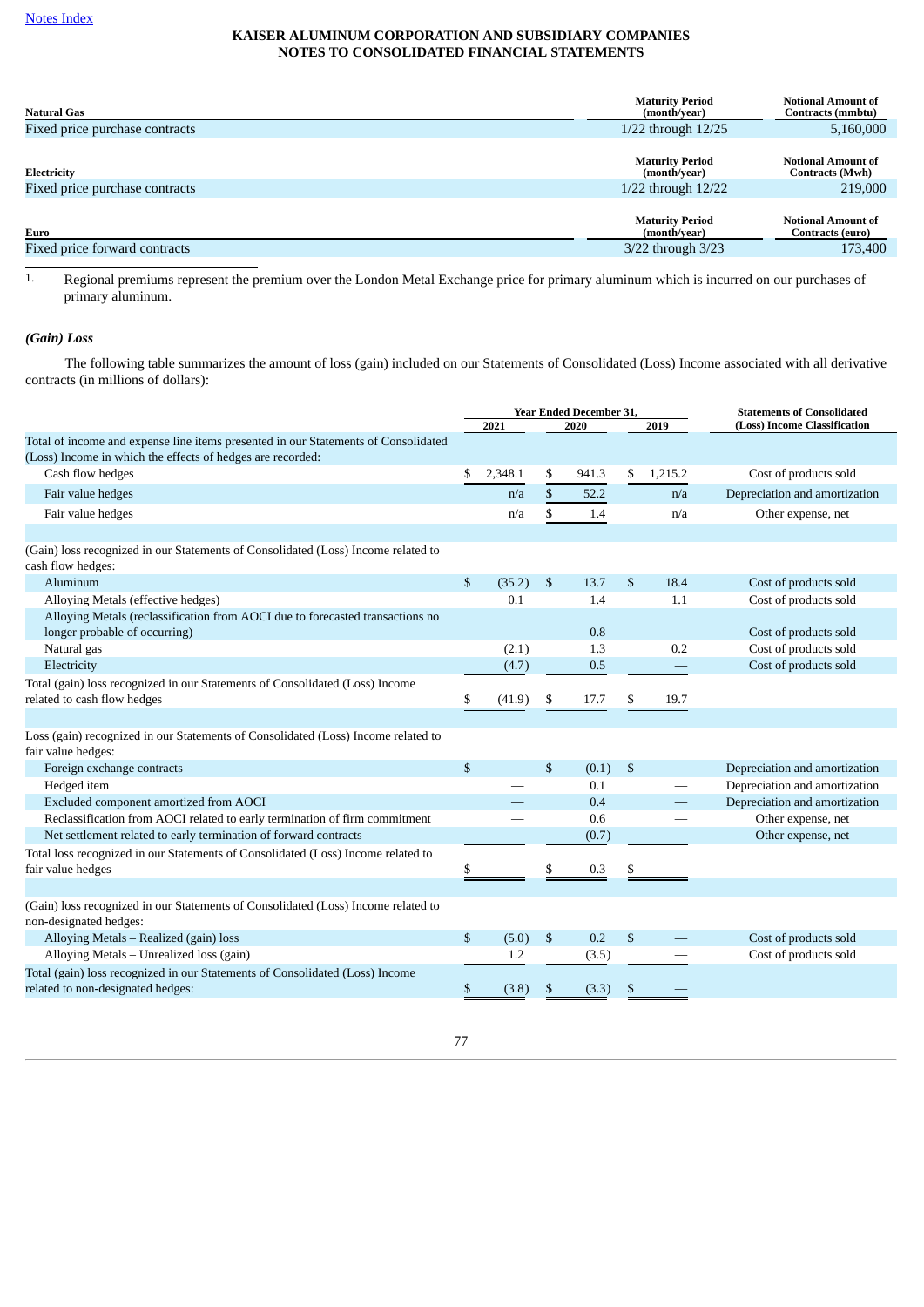| <b>Natural Gas</b>             | <b>Maturity Period</b><br>(month/year) | <b>Notional Amount of</b><br>Contracts (mmbtu) |
|--------------------------------|----------------------------------------|------------------------------------------------|
| Fixed price purchase contracts | $1/22$ through $12/25$                 | 5,160,000                                      |
| Electricity                    | <b>Maturity Period</b><br>(month/year) | <b>Notional Amount of</b><br>Contracts (Mwh)   |
| Fixed price purchase contracts | $1/22$ through $12/22$                 | 219,000                                        |
| Euro                           | <b>Maturity Period</b><br>(month/year) | <b>Notional Amount of</b><br>Contracts (euro)  |
| Fixed price forward contracts  | 3/22 through 3/23                      | 173,400                                        |

<sup>1.</sup> Regional premiums represent the premium over the London Metal Exchange price for primary aluminum which is incurred on our purchases of primary aluminum.

# *(Gain) Loss*

The following table summarizes the amount of loss (gain) included on our Statements of Consolidated (Loss) Income associated with all derivative contracts (in millions of dollars):

|                                                                                                                   |                      |         |    | Year Ended December 31, | <b>Statements of Consolidated</b> |                              |                               |  |  |
|-------------------------------------------------------------------------------------------------------------------|----------------------|---------|----|-------------------------|-----------------------------------|------------------------------|-------------------------------|--|--|
|                                                                                                                   | 2021<br>2020<br>2019 |         |    |                         |                                   | (Loss) Income Classification |                               |  |  |
| Total of income and expense line items presented in our Statements of Consolidated                                |                      |         |    |                         |                                   |                              |                               |  |  |
| (Loss) Income in which the effects of hedges are recorded:                                                        |                      |         |    |                         |                                   |                              |                               |  |  |
| Cash flow hedges                                                                                                  | \$                   | 2,348.1 | \$ | 941.3                   | \$                                | 1,215.2                      | Cost of products sold         |  |  |
| Fair value hedges                                                                                                 |                      | n/a     | \$ | 52.2                    |                                   | n/a                          | Depreciation and amortization |  |  |
| Fair value hedges                                                                                                 |                      | n/a     | \$ | 1.4                     |                                   | n/a                          | Other expense, net            |  |  |
|                                                                                                                   |                      |         |    |                         |                                   |                              |                               |  |  |
| (Gain) loss recognized in our Statements of Consolidated (Loss) Income related to<br>cash flow hedges:            |                      |         |    |                         |                                   |                              |                               |  |  |
| Aluminum                                                                                                          | \$                   | (35.2)  | \$ | 13.7                    | \$                                | 18.4                         | Cost of products sold         |  |  |
| Alloying Metals (effective hedges)                                                                                |                      | 0.1     |    | 1.4                     |                                   | 1.1                          | Cost of products sold         |  |  |
| Alloying Metals (reclassification from AOCI due to forecasted transactions no                                     |                      |         |    |                         |                                   |                              |                               |  |  |
| longer probable of occurring)                                                                                     |                      |         |    | 0.8                     |                                   |                              | Cost of products sold         |  |  |
| Natural gas                                                                                                       |                      | (2.1)   |    | 1.3                     |                                   | 0.2                          | Cost of products sold         |  |  |
| Electricity                                                                                                       |                      | (4.7)   |    | 0.5                     |                                   |                              | Cost of products sold         |  |  |
| Total (gain) loss recognized in our Statements of Consolidated (Loss) Income<br>related to cash flow hedges       | \$                   | (41.9)  | \$ | 17.7                    | \$                                | 19.7                         |                               |  |  |
|                                                                                                                   |                      |         |    |                         |                                   |                              |                               |  |  |
| Loss (gain) recognized in our Statements of Consolidated (Loss) Income related to<br>fair value hedges:           |                      |         |    |                         |                                   |                              |                               |  |  |
| Foreign exchange contracts                                                                                        | $\mathbb{S}$         |         | \$ | (0.1)                   | \$                                |                              | Depreciation and amortization |  |  |
| Hedged item                                                                                                       |                      |         |    | 0.1                     |                                   |                              | Depreciation and amortization |  |  |
| Excluded component amortized from AOCI                                                                            |                      |         |    | 0.4                     |                                   |                              | Depreciation and amortization |  |  |
| Reclassification from AOCI related to early termination of firm commitment                                        |                      |         |    | 0.6                     |                                   |                              | Other expense, net            |  |  |
| Net settlement related to early termination of forward contracts                                                  |                      |         |    | (0.7)                   |                                   |                              | Other expense, net            |  |  |
| Total loss recognized in our Statements of Consolidated (Loss) Income related to                                  |                      |         |    |                         |                                   |                              |                               |  |  |
| fair value hedges                                                                                                 | \$                   |         | \$ | 0.3                     | \$                                |                              |                               |  |  |
|                                                                                                                   |                      |         |    |                         |                                   |                              |                               |  |  |
| (Gain) loss recognized in our Statements of Consolidated (Loss) Income related to<br>non-designated hedges:       |                      |         |    |                         |                                   |                              |                               |  |  |
| Alloying Metals - Realized (gain) loss                                                                            | \$                   | (5.0)   | \$ | 0.2                     | \$                                |                              | Cost of products sold         |  |  |
| Alloying Metals - Unrealized loss (gain)                                                                          |                      | 1.2     |    | (3.5)                   |                                   |                              | Cost of products sold         |  |  |
| Total (gain) loss recognized in our Statements of Consolidated (Loss) Income<br>related to non-designated hedges: | \$                   | (3.8)   | \$ | (3.3)                   | \$                                |                              |                               |  |  |
|                                                                                                                   |                      |         |    |                         |                                   |                              |                               |  |  |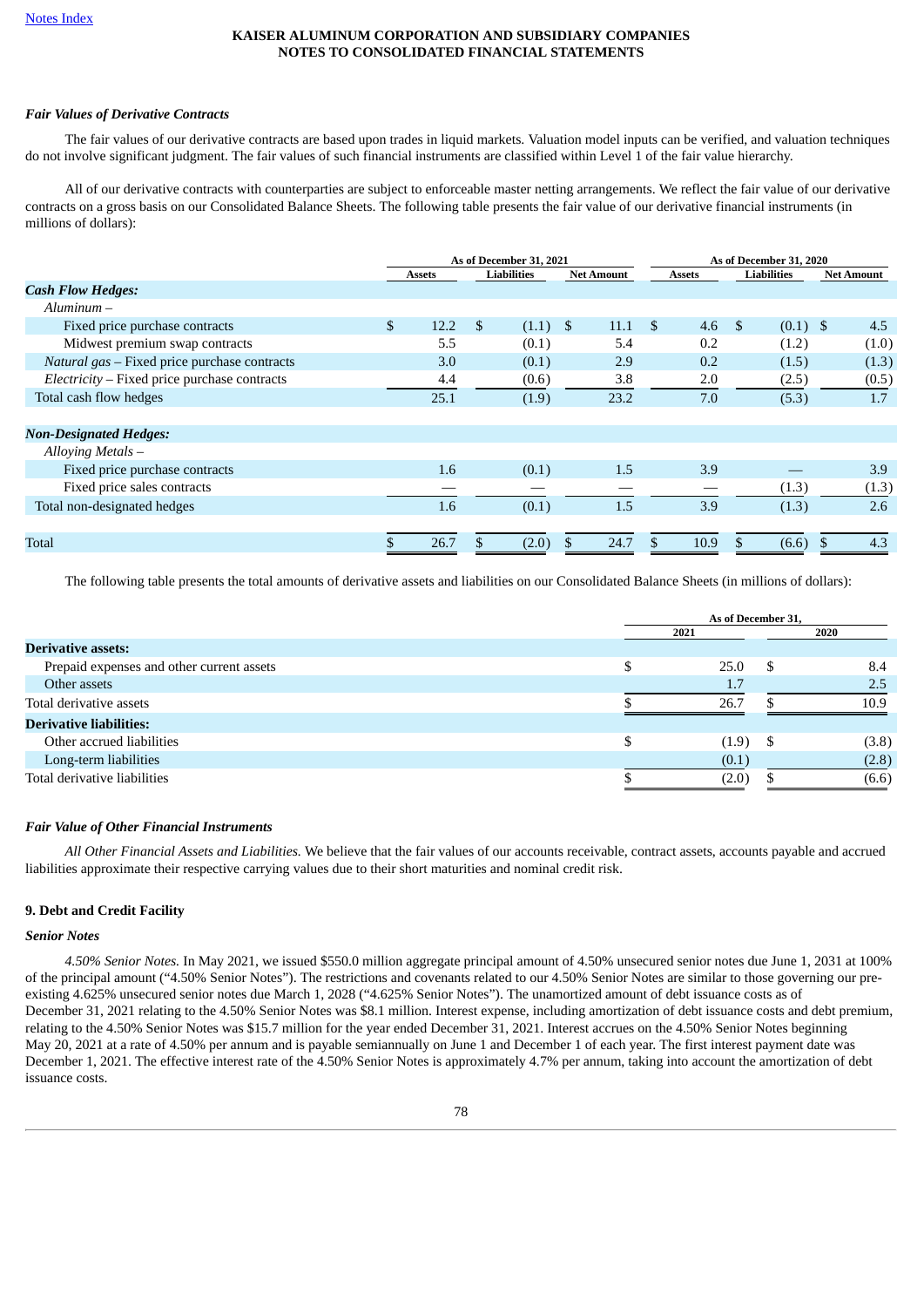## *Fair Values of Derivative Contracts*

The fair values of our derivative contracts are based upon trades in liquid markets. Valuation model inputs can be verified, and valuation techniques do not involve significant judgment. The fair values of such financial instruments are classified within Level 1 of the fair value hierarchy.

All of our derivative contracts with counterparties are subject to enforceable master netting arrangements. We reflect the fair value of our derivative contracts on a gross basis on our Consolidated Balance Sheets. The following table presents the fair value of our derivative financial instruments (in millions of dollars):

|                                              | As of December 31, 2021 |               |    |             |  | As of December 31, 2020 |               |               |            |            |  |                    |  |                   |
|----------------------------------------------|-------------------------|---------------|----|-------------|--|-------------------------|---------------|---------------|------------|------------|--|--------------------|--|-------------------|
|                                              |                         | <b>Assets</b> |    | Liabilities |  | <b>Net Amount</b>       |               | <b>Assets</b> |            |            |  | <b>Liabilities</b> |  | <b>Net Amount</b> |
| <b>Cash Flow Hedges:</b>                     |                         |               |    |             |  |                         |               |               |            |            |  |                    |  |                   |
| $Aluminum -$                                 |                         |               |    |             |  |                         |               |               |            |            |  |                    |  |                   |
| Fixed price purchase contracts               | \$                      | 12.2          | \$ | $(1.1)$ \$  |  | 11.1                    | <sup>\$</sup> | 4.6           | $\sqrt{S}$ | $(0.1)$ \$ |  | 4.5                |  |                   |
| Midwest premium swap contracts               |                         | 5.5           |    | (0.1)       |  | 5.4                     |               | 0.2           |            | (1.2)      |  | (1.0)              |  |                   |
| Natural gas - Fixed price purchase contracts |                         | 3.0           |    | (0.1)       |  | 2.9                     |               | 0.2           |            | (1.5)      |  | (1.3)              |  |                   |
| Electricity - Fixed price purchase contracts |                         | 4.4           |    | (0.6)       |  | 3.8                     |               | 2.0           |            | (2.5)      |  | (0.5)              |  |                   |
| Total cash flow hedges                       |                         | 25.1          |    | (1.9)       |  | 23.2                    |               | 7.0           |            | (5.3)      |  | 1.7                |  |                   |
| <b>Non-Designated Hedges:</b>                |                         |               |    |             |  |                         |               |               |            |            |  |                    |  |                   |
| Alloying Metals -                            |                         |               |    |             |  |                         |               |               |            |            |  |                    |  |                   |
| Fixed price purchase contracts               |                         | 1.6           |    | (0.1)       |  | 1.5                     |               | 3.9           |            |            |  | 3.9                |  |                   |
| Fixed price sales contracts                  |                         |               |    |             |  |                         |               |               |            | (1.3)      |  | (1.3)              |  |                   |
| Total non-designated hedges                  |                         | 1.6           |    | (0.1)       |  | 1.5                     |               | 3.9           |            | (1.3)      |  | 2.6                |  |                   |
|                                              |                         |               |    |             |  |                         |               |               |            |            |  |                    |  |                   |
| Total                                        |                         | 26.7          |    | (2.0)       |  | 24.7                    |               | 10.9          | \$.        | (6.6)      |  | 4.3                |  |                   |

The following table presents the total amounts of derivative assets and liabilities on our Consolidated Balance Sheets (in millions of dollars):

|                                           | As of December 31, |  |       |  |  |
|-------------------------------------------|--------------------|--|-------|--|--|
|                                           | 2021               |  | 2020  |  |  |
| <b>Derivative assets:</b>                 |                    |  |       |  |  |
| Prepaid expenses and other current assets | 25.0               |  | 8.4   |  |  |
| Other assets                              | 1.7                |  | 2.5   |  |  |
| Total derivative assets                   | 26.7               |  | 10.9  |  |  |
| <b>Derivative liabilities:</b>            |                    |  |       |  |  |
| Other accrued liabilities                 | $(1.9)$ \$         |  | (3.8) |  |  |
| Long-term liabilities                     | (0.1)              |  | (2.8) |  |  |
| Total derivative liabilities              | (2.0)              |  | (6.6) |  |  |

#### *Fair Value of Other Financial Instruments*

*All Other Financial Assets and Liabilities.* We believe that the fair values of our accounts receivable, contract assets, accounts payable and accrued liabilities approximate their respective carrying values due to their short maturities and nominal credit risk.

#### **9. Debt and Credit Facility**

#### *Senior Notes*

*4.50% Senior Notes.* In May 2021, we issued \$550.0 million aggregate principal amount of 4.50% unsecured senior notes due June 1, 2031 at 100% of the principal amount ("4.50% Senior Notes"). The restrictions and covenants related to our 4.50% Senior Notes are similar to those governing our preexisting 4.625% unsecured senior notes due March 1, 2028 ("4.625% Senior Notes"). The unamortized amount of debt issuance costs as of December 31, 2021 relating to the 4.50% Senior Notes was \$8.1 million. Interest expense, including amortization of debt issuance costs and debt premium, relating to the 4.50% Senior Notes was \$15.7 million for the year ended December 31, 2021. Interest accrues on the 4.50% Senior Notes beginning May 20, 2021 at a rate of 4.50% per annum and is payable semiannually on June 1 and December 1 of each year. The first interest payment date was December 1, 2021. The effective interest rate of the 4.50% Senior Notes is approximately 4.7% per annum, taking into account the amortization of debt issuance costs.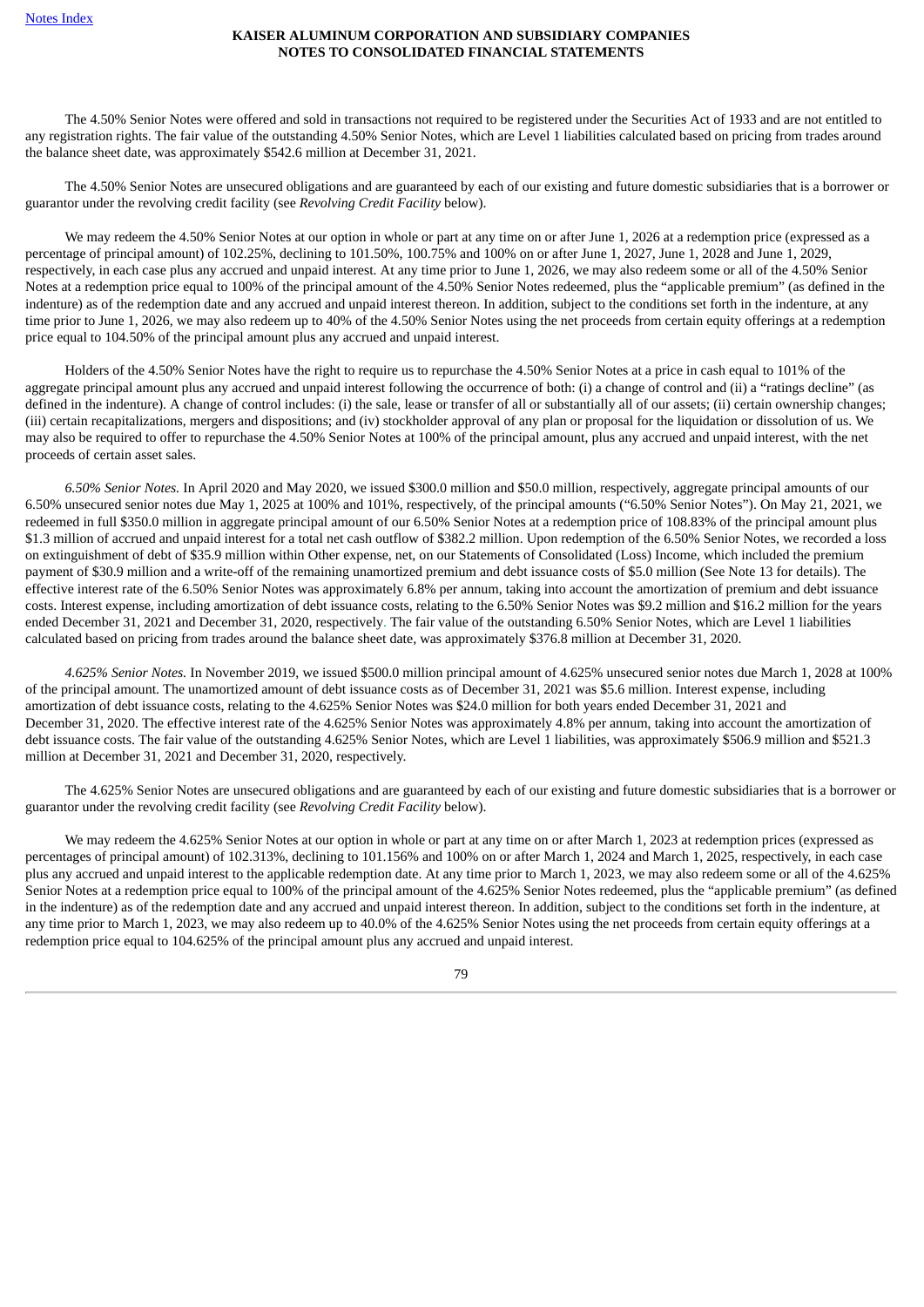The 4.50% Senior Notes were offered and sold in transactions not required to be registered under the Securities Act of 1933 and are not entitled to any registration rights. The fair value of the outstanding 4.50% Senior Notes, which are Level 1 liabilities calculated based on pricing from trades around the balance sheet date, was approximately \$542.6 million at December 31, 2021.

The 4.50% Senior Notes are unsecured obligations and are guaranteed by each of our existing and future domestic subsidiaries that is a borrower or guarantor under the revolving credit facility (see *Revolving Credit Facility* below).

We may redeem the 4.50% Senior Notes at our option in whole or part at any time on or after June 1, 2026 at a redemption price (expressed as a percentage of principal amount) of 102.25%, declining to 101.50%, 100.75% and 100% on or after June 1, 2027, June 1, 2028 and June 1, 2029, respectively, in each case plus any accrued and unpaid interest. At any time prior to June 1, 2026, we may also redeem some or all of the 4.50% Senior Notes at a redemption price equal to 100% of the principal amount of the 4.50% Senior Notes redeemed, plus the "applicable premium" (as defined in the indenture) as of the redemption date and any accrued and unpaid interest thereon. In addition, subject to the conditions set forth in the indenture, at any time prior to June 1, 2026, we may also redeem up to 40% of the 4.50% Senior Notes using the net proceeds from certain equity offerings at a redemption price equal to 104.50% of the principal amount plus any accrued and unpaid interest.

Holders of the 4.50% Senior Notes have the right to require us to repurchase the 4.50% Senior Notes at a price in cash equal to 101% of the aggregate principal amount plus any accrued and unpaid interest following the occurrence of both: (i) a change of control and (ii) a "ratings decline" (as defined in the indenture). A change of control includes: (i) the sale, lease or transfer of all or substantially all of our assets; (ii) certain ownership changes; (iii) certain recapitalizations, mergers and dispositions; and (iv) stockholder approval of any plan or proposal for the liquidation or dissolution of us. We may also be required to offer to repurchase the 4.50% Senior Notes at 100% of the principal amount, plus any accrued and unpaid interest, with the net proceeds of certain asset sales.

*6.50% Senior Notes.* In April 2020 and May 2020, we issued \$300.0 million and \$50.0 million, respectively, aggregate principal amounts of our 6.50% unsecured senior notes due May 1, 2025 at 100% and 101%, respectively, of the principal amounts ("6.50% Senior Notes"). On May 21, 2021, we redeemed in full \$350.0 million in aggregate principal amount of our 6.50% Senior Notes at a redemption price of 108.83% of the principal amount plus \$1.3 million of accrued and unpaid interest for a total net cash outflow of \$382.2 million. Upon redemption of the 6.50% Senior Notes, we recorded a loss on extinguishment of debt of \$35.9 million within Other expense, net, on our Statements of Consolidated (Loss) Income, which included the premium payment of \$30.9 million and a write-off of the remaining unamortized premium and debt issuance costs of \$5.0 million (See Note 13 for details). The effective interest rate of the 6.50% Senior Notes was approximately 6.8% per annum, taking into account the amortization of premium and debt issuance costs. Interest expense, including amortization of debt issuance costs, relating to the 6.50% Senior Notes was \$9.2 million and \$16.2 million for the years ended December 31, 2021 and December 31, 2020, respectively. The fair value of the outstanding 6.50% Senior Notes, which are Level 1 liabilities calculated based on pricing from trades around the balance sheet date, was approximately \$376.8 million at December 31, 2020.

*4.625% Senior Notes.* In November 2019, we issued \$500.0 million principal amount of 4.625% unsecured senior notes due March 1, 2028 at 100% of the principal amount. The unamortized amount of debt issuance costs as of December 31, 2021 was \$5.6 million. Interest expense, including amortization of debt issuance costs, relating to the 4.625% Senior Notes was \$24.0 million for both years ended December 31, 2021 and December 31, 2020. The effective interest rate of the 4.625% Senior Notes was approximately 4.8% per annum, taking into account the amortization of debt issuance costs. The fair value of the outstanding 4.625% Senior Notes, which are Level 1 liabilities, was approximately \$506.9 million and \$521.3 million at December 31, 2021 and December 31, 2020, respectively.

The 4.625% Senior Notes are unsecured obligations and are guaranteed by each of our existing and future domestic subsidiaries that is a borrower or guarantor under the revolving credit facility (see *Revolving Credit Facility* below).

We may redeem the 4.625% Senior Notes at our option in whole or part at any time on or after March 1, 2023 at redemption prices (expressed as percentages of principal amount) of 102.313%, declining to 101.156% and 100% on or after March 1, 2024 and March 1, 2025, respectively, in each case plus any accrued and unpaid interest to the applicable redemption date. At any time prior to March 1, 2023, we may also redeem some or all of the 4.625% Senior Notes at a redemption price equal to 100% of the principal amount of the 4.625% Senior Notes redeemed, plus the "applicable premium" (as defined in the indenture) as of the redemption date and any accrued and unpaid interest thereon. In addition, subject to the conditions set forth in the indenture, at any time prior to March 1, 2023, we may also redeem up to 40.0% of the 4.625% Senior Notes using the net proceeds from certain equity offerings at a redemption price equal to 104.625% of the principal amount plus any accrued and unpaid interest.

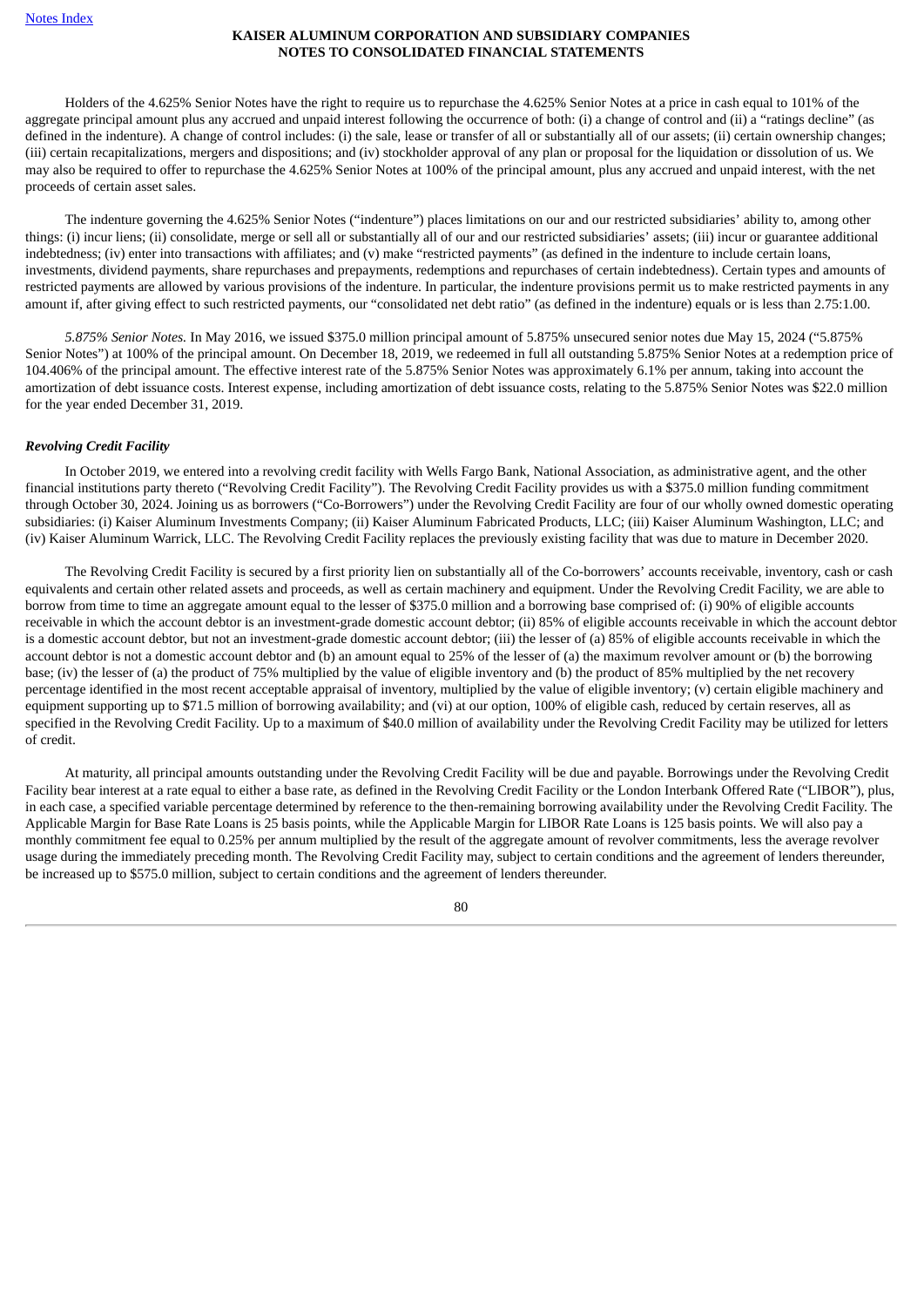Holders of the 4.625% Senior Notes have the right to require us to repurchase the 4.625% Senior Notes at a price in cash equal to 101% of the aggregate principal amount plus any accrued and unpaid interest following the occurrence of both: (i) a change of control and (ii) a "ratings decline" (as defined in the indenture). A change of control includes: (i) the sale, lease or transfer of all or substantially all of our assets; (ii) certain ownership changes; (iii) certain recapitalizations, mergers and dispositions; and (iv) stockholder approval of any plan or proposal for the liquidation or dissolution of us. We may also be required to offer to repurchase the 4.625% Senior Notes at 100% of the principal amount, plus any accrued and unpaid interest, with the net proceeds of certain asset sales.

The indenture governing the 4.625% Senior Notes ("indenture") places limitations on our and our restricted subsidiaries' ability to, among other things: (i) incur liens; (ii) consolidate, merge or sell all or substantially all of our and our restricted subsidiaries' assets; (iii) incur or guarantee additional indebtedness; (iv) enter into transactions with affiliates; and (v) make "restricted payments" (as defined in the indenture to include certain loans, investments, dividend payments, share repurchases and prepayments, redemptions and repurchases of certain indebtedness). Certain types and amounts of restricted payments are allowed by various provisions of the indenture. In particular, the indenture provisions permit us to make restricted payments in any amount if, after giving effect to such restricted payments, our "consolidated net debt ratio" (as defined in the indenture) equals or is less than 2.75:1.00.

*5.875% Senior Notes.* In May 2016, we issued \$375.0 million principal amount of 5.875% unsecured senior notes due May 15, 2024 ("5.875% Senior Notes") at 100% of the principal amount. On December 18, 2019, we redeemed in full all outstanding 5.875% Senior Notes at a redemption price of 104.406% of the principal amount. The effective interest rate of the 5.875% Senior Notes was approximately 6.1% per annum, taking into account the amortization of debt issuance costs. Interest expense, including amortization of debt issuance costs, relating to the 5.875% Senior Notes was \$22.0 million for the year ended December 31, 2019.

#### *Revolving Credit Facility*

In October 2019, we entered into a revolving credit facility with Wells Fargo Bank, National Association, as administrative agent, and the other financial institutions party thereto ("Revolving Credit Facility"). The Revolving Credit Facility provides us with a \$375.0 million funding commitment through October 30, 2024. Joining us as borrowers ("Co-Borrowers") under the Revolving Credit Facility are four of our wholly owned domestic operating subsidiaries: (i) Kaiser Aluminum Investments Company; (ii) Kaiser Aluminum Fabricated Products, LLC; (iii) Kaiser Aluminum Washington, LLC; and (iv) Kaiser Aluminum Warrick, LLC. The Revolving Credit Facility replaces the previously existing facility that was due to mature in December 2020.

The Revolving Credit Facility is secured by a first priority lien on substantially all of the Co-borrowers' accounts receivable, inventory, cash or cash equivalents and certain other related assets and proceeds, as well as certain machinery and equipment. Under the Revolving Credit Facility, we are able to borrow from time to time an aggregate amount equal to the lesser of \$375.0 million and a borrowing base comprised of: (i) 90% of eligible accounts receivable in which the account debtor is an investment-grade domestic account debtor; (ii) 85% of eligible accounts receivable in which the account debtor is a domestic account debtor, but not an investment-grade domestic account debtor; (iii) the lesser of (a) 85% of eligible accounts receivable in which the account debtor is not a domestic account debtor and (b) an amount equal to 25% of the lesser of (a) the maximum revolver amount or (b) the borrowing base; (iv) the lesser of (a) the product of 75% multiplied by the value of eligible inventory and (b) the product of 85% multiplied by the net recovery percentage identified in the most recent acceptable appraisal of inventory, multiplied by the value of eligible inventory; (v) certain eligible machinery and equipment supporting up to \$71.5 million of borrowing availability; and (vi) at our option, 100% of eligible cash, reduced by certain reserves, all as specified in the Revolving Credit Facility. Up to a maximum of \$40.0 million of availability under the Revolving Credit Facility may be utilized for letters of credit.

At maturity, all principal amounts outstanding under the Revolving Credit Facility will be due and payable. Borrowings under the Revolving Credit Facility bear interest at a rate equal to either a base rate, as defined in the Revolving Credit Facility or the London Interbank Offered Rate ("LIBOR"), plus, in each case, a specified variable percentage determined by reference to the then-remaining borrowing availability under the Revolving Credit Facility. The Applicable Margin for Base Rate Loans is 25 basis points, while the Applicable Margin for LIBOR Rate Loans is 125 basis points. We will also pay a monthly commitment fee equal to 0.25% per annum multiplied by the result of the aggregate amount of revolver commitments, less the average revolver usage during the immediately preceding month. The Revolving Credit Facility may, subject to certain conditions and the agreement of lenders thereunder, be increased up to \$575.0 million, subject to certain conditions and the agreement of lenders thereunder.

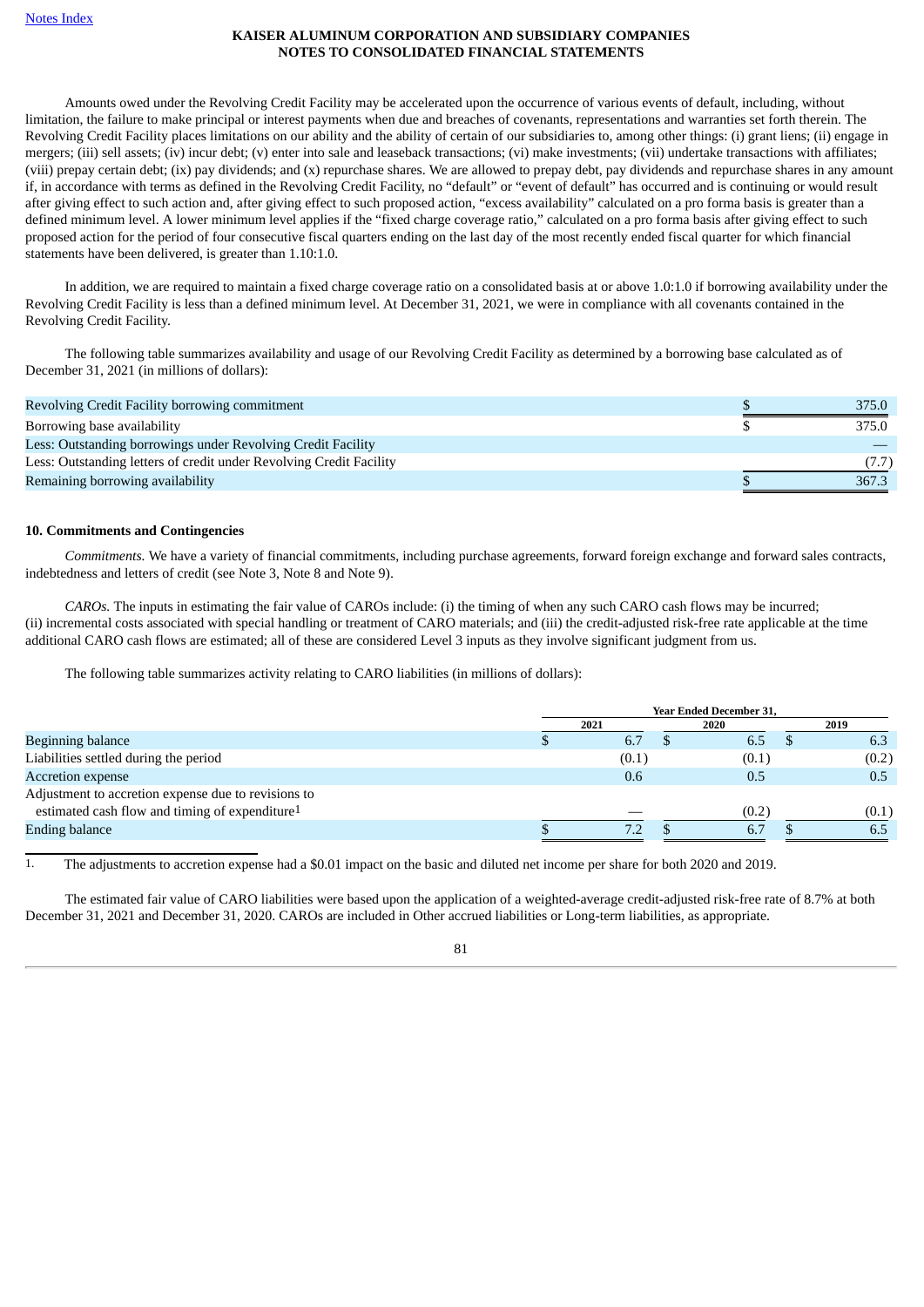Amounts owed under the Revolving Credit Facility may be accelerated upon the occurrence of various events of default, including, without limitation, the failure to make principal or interest payments when due and breaches of covenants, representations and warranties set forth therein. The Revolving Credit Facility places limitations on our ability and the ability of certain of our subsidiaries to, among other things: (i) grant liens; (ii) engage in mergers; (iii) sell assets; (iv) incur debt; (y) enter into sale and leaseback transactions; (vi) make investments; (vii) undertake transactions with affiliates; (viii) prepay certain debt; (ix) pay dividends; and (x) repurchase shares. We are allowed to prepay debt, pay dividends and repurchase shares in any amount if, in accordance with terms as defined in the Revolving Credit Facility, no "default" or "event of default" has occurred and is continuing or would result after giving effect to such action and, after giving effect to such proposed action, "excess availability" calculated on a pro forma basis is greater than a defined minimum level. A lower minimum level applies if the "fixed charge coverage ratio," calculated on a pro forma basis after giving effect to such proposed action for the period of four consecutive fiscal quarters ending on the last day of the most recently ended fiscal quarter for which financial statements have been delivered, is greater than 1.10:1.0.

In addition, we are required to maintain a fixed charge coverage ratio on a consolidated basis at or above 1.0:1.0 if borrowing availability under the Revolving Credit Facility is less than a defined minimum level. At December 31, 2021, we were in compliance with all covenants contained in the Revolving Credit Facility.

The following table summarizes availability and usage of our Revolving Credit Facility as determined by a borrowing base calculated as of December 31, 2021 (in millions of dollars):

| Revolving Credit Facility borrowing commitment                      | 375.0 |
|---------------------------------------------------------------------|-------|
| Borrowing base availability                                         | 375.0 |
| Less: Outstanding borrowings under Revolving Credit Facility        |       |
| Less: Outstanding letters of credit under Revolving Credit Facility |       |
| Remaining borrowing availability                                    | 367.3 |

## **10. Commitments and Contingencies**

*Commitments.* We have a variety of financial commitments, including purchase agreements, forward foreign exchange and forward sales contracts, indebtedness and letters of credit (see Note 3, Note 8 and Note 9).

*CAROs.* The inputs in estimating the fair value of CAROs include: (i) the timing of when any such CARO cash flows may be incurred; (ii) incremental costs associated with special handling or treatment of CARO materials; and (iii) the credit-adjusted risk-free rate applicable at the time additional CARO cash flows are estimated; all of these are considered Level 3 inputs as they involve significant judgment from us.

The following table summarizes activity relating to CARO liabilities (in millions of dollars):

|                                                            | <b>Year Ended December 31,</b> |       |  |       |  |       |  |  |
|------------------------------------------------------------|--------------------------------|-------|--|-------|--|-------|--|--|
|                                                            |                                | 2021  |  | 2020  |  | 2019  |  |  |
| Beginning balance                                          |                                | 6.7   |  | 6.5   |  | 6.3   |  |  |
| Liabilities settled during the period                      |                                | (0.1) |  | (0.1) |  | (0.2) |  |  |
| <b>Accretion expense</b>                                   |                                | 0.6   |  | 0.5   |  | 0.5   |  |  |
| Adjustment to accretion expense due to revisions to        |                                |       |  |       |  |       |  |  |
| estimated cash flow and timing of expenditure <sup>1</sup> |                                |       |  | (0.2) |  | (0.1) |  |  |
| <b>Ending balance</b>                                      |                                | 7.2   |  | 6.7   |  | 6.5   |  |  |

1. The adjustments to accretion expense had a \$0.01 impact on the basic and diluted net income per share for both 2020 and 2019.

The estimated fair value of CARO liabilities were based upon the application of a weighted-average credit-adjusted risk-free rate of 8.7% at both December 31, 2021 and December 31, 2020. CAROs are included in Other accrued liabilities or Long-term liabilities, as appropriate.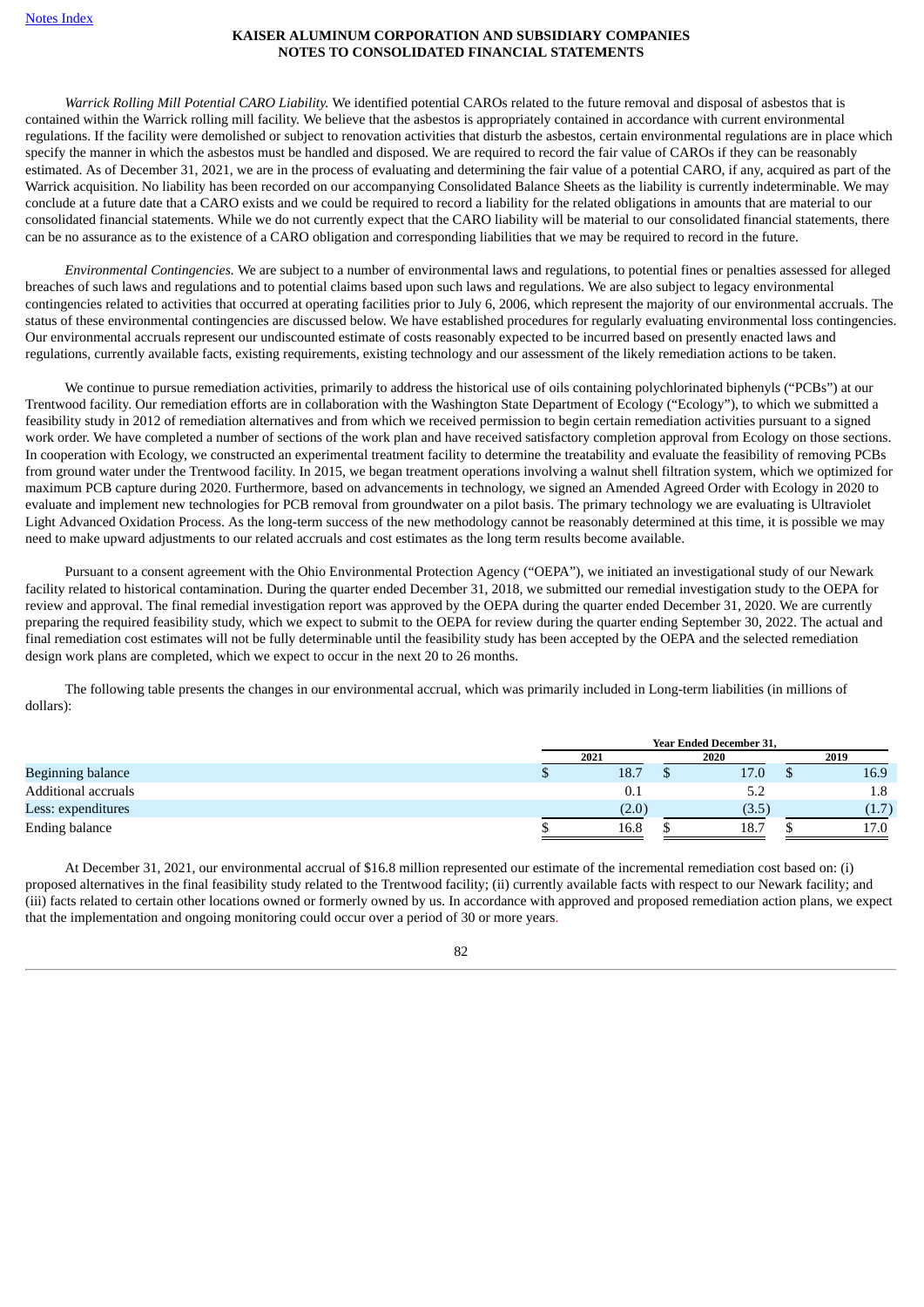*Warrick Rolling Mill Potential CARO Liability.* We identified potential CAROs related to the future removal and disposal of asbestos that is contained within the Warrick rolling mill facility. We believe that the asbestos is appropriately contained in accordance with current environmental regulations. If the facility were demolished or subject to renovation activities that disturb the asbestos, certain environmental regulations are in place which specify the manner in which the asbestos must be handled and disposed. We are required to record the fair value of CAROs if they can be reasonably estimated. As of December 31, 2021, we are in the process of evaluating and determining the fair value of a potential CARO, if any, acquired as part of the Warrick acquisition. No liability has been recorded on our accompanying Consolidated Balance Sheets as the liability is currently indeterminable. We may conclude at a future date that a CARO exists and we could be required to record a liability for the related obligations in amounts that are material to our consolidated financial statements. While we do not currently expect that the CARO liability will be material to our consolidated financial statements, there can be no assurance as to the existence of a CARO obligation and corresponding liabilities that we may be required to record in the future.

*Environmental Contingencies.* We are subject to a number of environmental laws and regulations, to potential fines or penalties assessed for alleged breaches of such laws and regulations and to potential claims based upon such laws and regulations. We are also subject to legacy environmental contingencies related to activities that occurred at operating facilities prior to July 6, 2006, which represent the majority of our environmental accruals. The status of these environmental contingencies are discussed below. We have established procedures for regularly evaluating environmental loss contingencies. Our environmental accruals represent our undiscounted estimate of costs reasonably expected to be incurred based on presently enacted laws and regulations, currently available facts, existing requirements, existing technology and our assessment of the likely remediation actions to be taken.

We continue to pursue remediation activities, primarily to address the historical use of oils containing polychlorinated biphenyls ("PCBs") at our Trentwood facility. Our remediation efforts are in collaboration with the Washington State Department of Ecology ("Ecology"), to which we submitted a feasibility study in 2012 of remediation alternatives and from which we received permission to begin certain remediation activities pursuant to a signed work order. We have completed a number of sections of the work plan and have received satisfactory completion approval from Ecology on those sections. In cooperation with Ecology, we constructed an experimental treatment facility to determine the treatability and evaluate the feasibility of removing PCBs from ground water under the Trentwood facility. In 2015, we began treatment operations involving a walnut shell filtration system, which we optimized for maximum PCB capture during 2020. Furthermore, based on advancements in technology, we signed an Amended Agreed Order with Ecology in 2020 to evaluate and implement new technologies for PCB removal from groundwater on a pilot basis. The primary technology we are evaluating is Ultraviolet Light Advanced Oxidation Process. As the long-term success of the new methodology cannot be reasonably determined at this time, it is possible we may need to make upward adjustments to our related accruals and cost estimates as the long term results become available.

Pursuant to a consent agreement with the Ohio Environmental Protection Agency ("OEPA"), we initiated an investigational study of our Newark facility related to historical contamination. During the quarter ended December 31, 2018, we submitted our remedial investigation study to the OEPA for review and approval. The final remedial investigation report was approved by the OEPA during the quarter ended December 31, 2020. We are currently preparing the required feasibility study, which we expect to submit to the OEPA for review during the quarter ending September 30, 2022. The actual and final remediation cost estimates will not be fully determinable until the feasibility study has been accepted by the OEPA and the selected remediation design work plans are completed, which we expect to occur in the next 20 to 26 months.

The following table presents the changes in our environmental accrual, which was primarily included in Long-term liabilities (in millions of dollars):

|                          | <b>Year Ended December 31,</b> |  |       |  |         |  |  |
|--------------------------|--------------------------------|--|-------|--|---------|--|--|
|                          | 2021                           |  | 2020  |  | 2019    |  |  |
| <b>Beginning balance</b> | 18.7                           |  | 17.0  |  | 16.9    |  |  |
| Additional accruals      | 0.1                            |  | ے،ب   |  | $1.8\,$ |  |  |
| Less: expenditures       | (2.0)                          |  | (3.5) |  | (1.7)   |  |  |
| Ending balance           | 16.8                           |  | 18.7  |  | 17.0    |  |  |

At December 31, 2021, our environmental accrual of \$16.8 million represented our estimate of the incremental remediation cost based on: (i) proposed alternatives in the final feasibility study related to the Trentwood facility; (ii) currently available facts with respect to our Newark facility; and (iii) facts related to certain other locations owned or formerly owned by us. In accordance with approved and proposed remediation action plans, we expect that the implementation and ongoing monitoring could occur over a period of 30 or more years.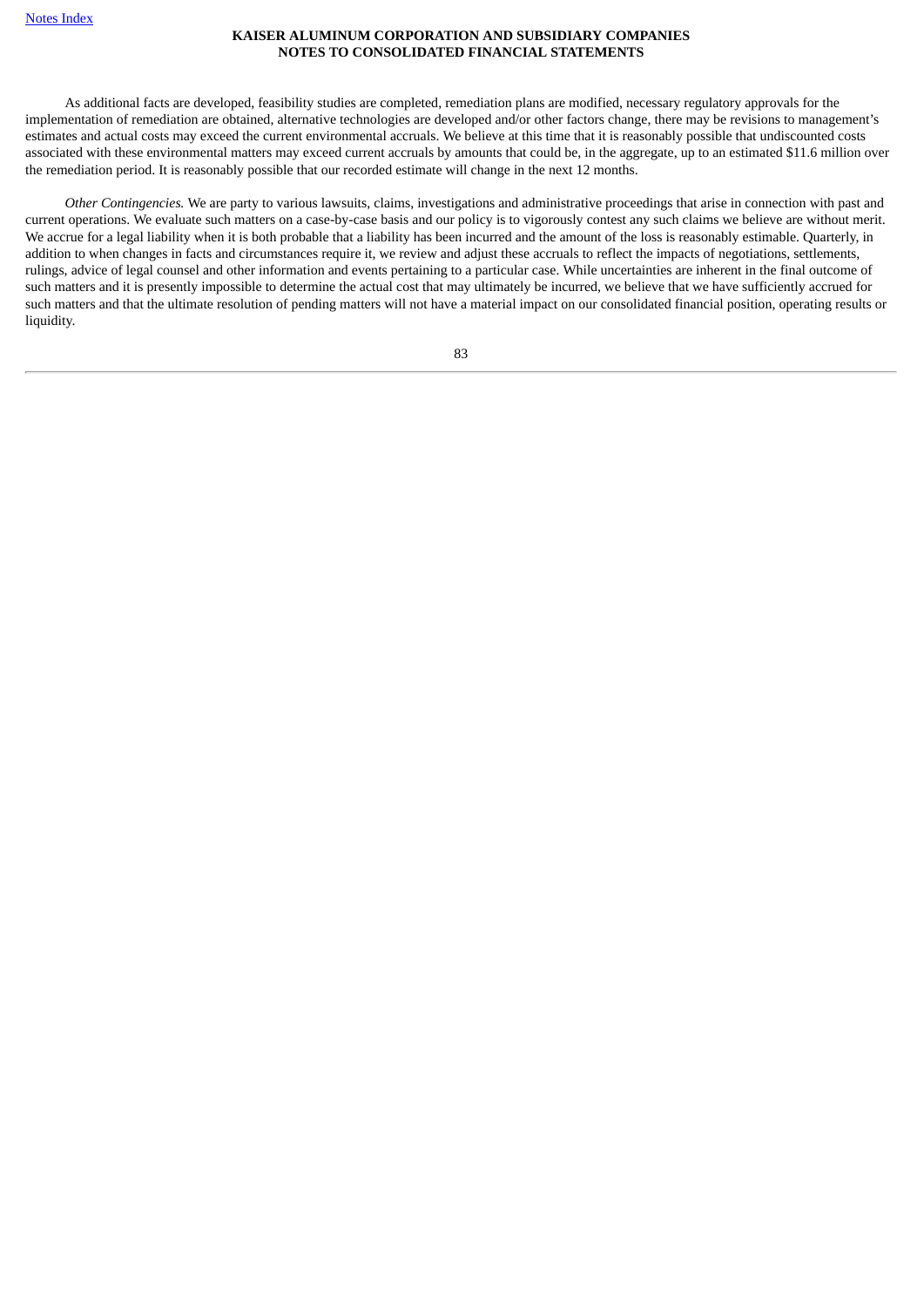As additional facts are developed, feasibility studies are completed, remediation plans are modified, necessary regulatory approvals for the implementation of remediation are obtained, alternative technologies are developed and/or other factors change, there may be revisions to management's estimates and actual costs may exceed the current environmental accruals. We believe at this time that it is reasonably possible that undiscounted costs associated with these environmental matters may exceed current accruals by amounts that could be, in the aggregate, up to an estimated \$11.6 million over the remediation period. It is reasonably possible that our recorded estimate will change in the next 12 months.

*Other Contingencies.* We are party to various lawsuits, claims, investigations and administrative proceedings that arise in connection with past and current operations. We evaluate such matters on a case-by-case basis and our policy is to vigorously contest any such claims we believe are without merit. We accrue for a legal liability when it is both probable that a liability has been incurred and the amount of the loss is reasonably estimable. Quarterly, in addition to when changes in facts and circumstances require it, we review and adjust these accruals to reflect the impacts of negotiations, settlements, rulings, advice of legal counsel and other information and events pertaining to a particular case. While uncertainties are inherent in the final outcome of such matters and it is presently impossible to determine the actual cost that may ultimately be incurred, we believe that we have sufficiently accrued for such matters and that the ultimate resolution of pending matters will not have a material impact on our consolidated financial position, operating results or liquidity.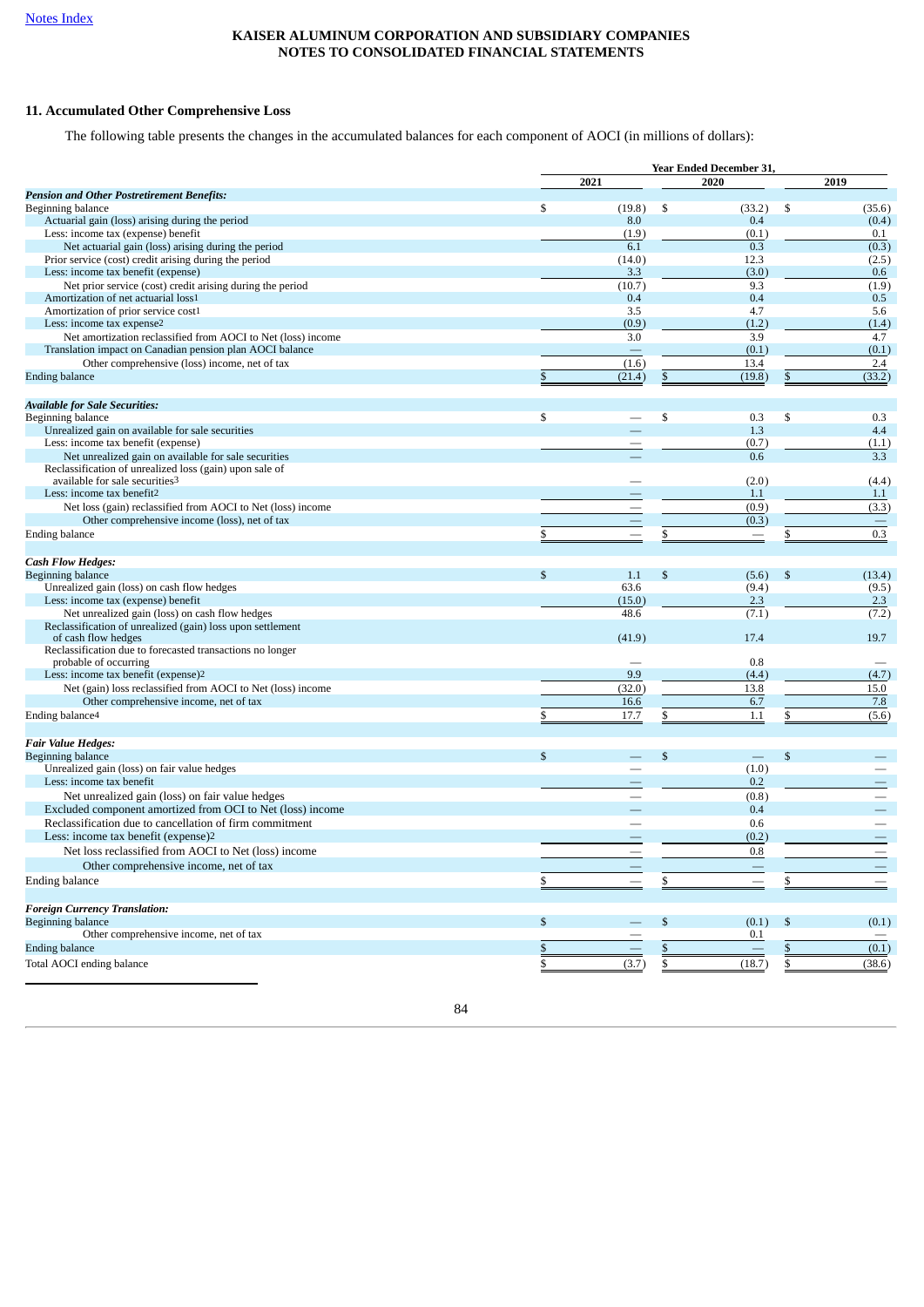# **11. Accumulated Other Comprehensive Loss**

The following table presents the changes in the accumulated balances for each component of AOCI (in millions of dollars):

|                                                              |              | <b>Year Ended December 31,</b> |    |                          |               |                          |  |  |
|--------------------------------------------------------------|--------------|--------------------------------|----|--------------------------|---------------|--------------------------|--|--|
|                                                              |              | 2021                           |    | 2020                     |               | 2019                     |  |  |
| <b>Pension and Other Postretirement Benefits:</b>            |              |                                |    |                          |               |                          |  |  |
| Beginning balance                                            | \$           | (19.8)                         | \$ | (33.2)                   | \$            | (35.6)                   |  |  |
| Actuarial gain (loss) arising during the period              |              | 8.0                            |    | 0.4                      |               | (0.4)                    |  |  |
| Less: income tax (expense) benefit                           |              | (1.9)                          |    | (0.1)                    |               | 0.1                      |  |  |
| Net actuarial gain (loss) arising during the period          |              | 6.1                            |    | 0.3                      |               | (0.3)                    |  |  |
| Prior service (cost) credit arising during the period        |              | (14.0)                         |    | 12.3                     |               | (2.5)                    |  |  |
| Less: income tax benefit (expense)                           |              | 3.3                            |    | (3.0)                    |               | 0.6                      |  |  |
| Net prior service (cost) credit arising during the period    |              | (10.7)                         |    | 9.3                      |               | (1.9)                    |  |  |
| Amortization of net actuarial loss1                          |              | 0.4                            |    | 0.4                      |               | 0.5                      |  |  |
| Amortization of prior service cost1                          |              | 3.5                            |    | 4.7                      |               | 5.6                      |  |  |
| Less: income tax expense2                                    |              | (0.9)                          |    | (1.2)                    |               | (1.4)                    |  |  |
| Net amortization reclassified from AOCI to Net (loss) income |              | 3.0                            |    | 3.9                      |               | 4.7                      |  |  |
| Translation impact on Canadian pension plan AOCI balance     |              |                                |    | (0.1)                    |               | (0.1)                    |  |  |
| Other comprehensive (loss) income, net of tax                |              | (1.6)                          |    | 13.4                     |               | 2.4                      |  |  |
| <b>Ending balance</b>                                        |              | (21.4)                         | \$ | (19.8)                   | \$            | (33.2)                   |  |  |
|                                                              |              |                                |    |                          |               |                          |  |  |
| <b>Available for Sale Securities:</b>                        |              |                                |    |                          |               |                          |  |  |
| Beginning balance                                            | \$           |                                | \$ | 0.3                      | \$            | 0.3                      |  |  |
| Unrealized gain on available for sale securities             |              |                                |    | 1.3                      |               | 4.4                      |  |  |
| Less: income tax benefit (expense)                           |              |                                |    | (0.7)                    |               | (1.1)                    |  |  |
| Net unrealized gain on available for sale securities         |              |                                |    | 0.6                      |               | 3.3                      |  |  |
| Reclassification of unrealized loss (gain) upon sale of      |              |                                |    |                          |               |                          |  |  |
| available for sale securities3                               |              |                                |    | (2.0)                    |               | (4.4)                    |  |  |
| Less: income tax benefit2                                    |              |                                |    | 1.1                      |               | 1.1                      |  |  |
| Net loss (gain) reclassified from AOCI to Net (loss) income  |              | $\qquad \qquad \longleftarrow$ |    | (0.9)                    |               | (3.3)                    |  |  |
| Other comprehensive income (loss), net of tax                |              |                                |    | (0.3)                    |               |                          |  |  |
| Ending balance                                               |              |                                |    | $\overline{\phantom{m}}$ |               | 0.3                      |  |  |
|                                                              |              |                                |    |                          |               |                          |  |  |
| <b>Cash Flow Hedges:</b>                                     |              |                                |    |                          |               |                          |  |  |
| Beginning balance                                            | $\mathbb{S}$ | 1.1                            | \$ | (5.6)                    | $\mathcal{S}$ | (13.4)                   |  |  |
| Unrealized gain (loss) on cash flow hedges                   |              | 63.6                           |    | (9.4)                    |               | (9.5)                    |  |  |
| Less: income tax (expense) benefit                           |              | (15.0)                         |    | 2.3                      |               | 2.3                      |  |  |
| Net unrealized gain (loss) on cash flow hedges               |              | 48.6                           |    | (7.1)                    |               | (7.2)                    |  |  |
| Reclassification of unrealized (gain) loss upon settlement   |              |                                |    |                          |               |                          |  |  |
| of cash flow hedges                                          |              | (41.9)                         |    | 17.4                     |               | 19.7                     |  |  |
| Reclassification due to forecasted transactions no longer    |              |                                |    |                          |               |                          |  |  |
| probable of occurring                                        |              |                                |    | 0.8                      |               |                          |  |  |
| Less: income tax benefit (expense)2                          |              | 9.9                            |    | (4.4)                    |               | (4.7)                    |  |  |
| Net (gain) loss reclassified from AOCI to Net (loss) income  |              | (32.0)                         |    | 13.8                     |               | 15.0                     |  |  |
| Other comprehensive income, net of tax                       |              | 16.6                           |    | 6.7                      |               | 7.8                      |  |  |
| Ending balance <sup>4</sup>                                  |              | 17.7                           |    | 1.1                      |               | (5.6)                    |  |  |
|                                                              |              |                                |    |                          |               |                          |  |  |
| <b>Fair Value Hedges:</b>                                    |              |                                |    |                          |               |                          |  |  |
| Beginning balance                                            | \$           |                                | \$ |                          | \$            |                          |  |  |
| Unrealized gain (loss) on fair value hedges                  |              |                                |    | (1.0)                    |               |                          |  |  |
| Less: income tax benefit                                     |              |                                |    | 0.2                      |               |                          |  |  |
| Net unrealized gain (loss) on fair value hedges              |              |                                |    | (0.8)                    |               |                          |  |  |
| Excluded component amortized from OCI to Net (loss) income   |              |                                |    | 0.4                      |               |                          |  |  |
| Reclassification due to cancellation of firm commitment      |              |                                |    | 0.6                      |               | $\overline{\phantom{0}}$ |  |  |
| Less: income tax benefit (expense)2                          |              |                                |    | (0.2)                    |               |                          |  |  |
| Net loss reclassified from AOCI to Net (loss) income         |              |                                |    | 0.8                      |               |                          |  |  |
|                                                              |              |                                |    |                          |               |                          |  |  |
| Other comprehensive income, net of tax                       |              |                                |    |                          |               |                          |  |  |
| Ending balance                                               |              |                                | \$ |                          |               |                          |  |  |
|                                                              |              |                                |    |                          |               |                          |  |  |
| <b>Foreign Currency Translation:</b>                         |              |                                |    |                          |               |                          |  |  |
| Beginning balance                                            | \$           |                                | \$ | (0.1)                    | $\mathbb{S}$  | (0.1)                    |  |  |
| Other comprehensive income, net of tax                       |              |                                |    | 0.1                      |               |                          |  |  |
| <b>Ending balance</b>                                        |              |                                | \$ |                          |               | (0.1)                    |  |  |
| Total AOCI ending balance                                    | \$           | (3.7)                          | \$ | (18.7)                   | \$            | (38.6)                   |  |  |
|                                                              |              |                                |    |                          |               |                          |  |  |

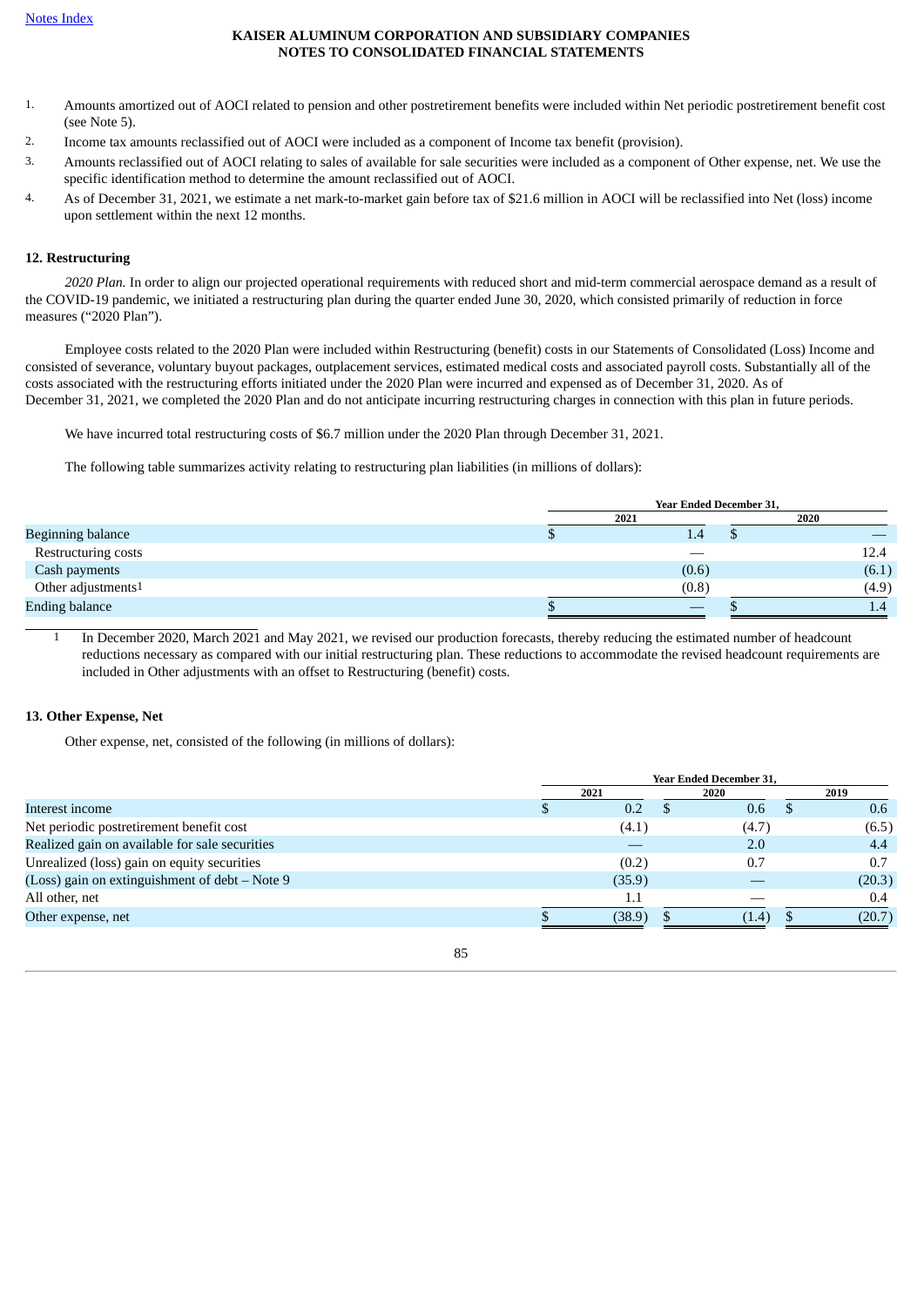- 1. Amounts amortized out of AOCI related to pension and other postretirement benefits were included within Net periodic postretirement benefit cost (see Note 5).
- 2. Income tax amounts reclassified out of AOCI were included as a component of Income tax benefit (provision).
- 3. Amounts reclassified out of AOCI relating to sales of available for sale securities were included as a component of Other expense, net. We use the specific identification method to determine the amount reclassified out of AOCI.
- 4. As of December 31, 2021, we estimate a net mark-to-market gain before tax of \$21.6 million in AOCI will be reclassified into Net (loss) income upon settlement within the next 12 months.

## **12. Restructuring**

*2020 Plan.* In order to align our projected operational requirements with reduced short and mid-term commercial aerospace demand as a result of the COVID-19 pandemic, we initiated a restructuring plan during the quarter ended June 30, 2020, which consisted primarily of reduction in force measures ("2020 Plan").

Employee costs related to the 2020 Plan were included within Restructuring (benefit) costs in our Statements of Consolidated (Loss) Income and consisted of severance, voluntary buyout packages, outplacement services, estimated medical costs and associated payroll costs. Substantially all of the costs associated with the restructuring efforts initiated under the 2020 Plan were incurred and expensed as of December 31, 2020. As of December 31, 2021, we completed the 2020 Plan and do not anticipate incurring restructuring charges in connection with this plan in future periods.

We have incurred total restructuring costs of \$6.7 million under the 2020 Plan through December 31, 2021.

The following table summarizes activity relating to restructuring plan liabilities (in millions of dollars):

|                                | <b>Year Ended December 31,</b> |  |      |       |  |  |  |  |  |
|--------------------------------|--------------------------------|--|------|-------|--|--|--|--|--|
|                                | 2021                           |  | 2020 |       |  |  |  |  |  |
| <b>Beginning balance</b>       | 1.4                            |  |      |       |  |  |  |  |  |
| Restructuring costs            |                                |  |      | 12.4  |  |  |  |  |  |
| Cash payments                  | (0.6)                          |  |      | (6.1) |  |  |  |  |  |
| Other adjustments <sup>1</sup> | (0.8)                          |  |      | (4.9) |  |  |  |  |  |
| <b>Ending balance</b>          |                                |  |      | 1.4   |  |  |  |  |  |

1 In December 2020, March 2021 and May 2021, we revised our production forecasts, thereby reducing the estimated number of headcount reductions necessary as compared with our initial restructuring plan. These reductions to accommodate the revised headcount requirements are included in Other adjustments with an offset to Restructuring (benefit) costs.

#### **13. Other Expense, Net**

Other expense, net, consisted of the following (in millions of dollars):

|                                                | <b>Year Ended December 31,</b> |        |  |       |          |        |  |
|------------------------------------------------|--------------------------------|--------|--|-------|----------|--------|--|
|                                                |                                | 2021   |  | 2020  |          | 2019   |  |
| Interest income                                |                                | 0.2    |  | 0.6   | <b>D</b> | 0.6    |  |
| Net periodic postretirement benefit cost       |                                | (4.1)  |  | (4.7) |          | (6.5)  |  |
| Realized gain on available for sale securities |                                |        |  | 2.0   |          | 4.4    |  |
| Unrealized (loss) gain on equity securities    |                                | (0.2)  |  | 0.7   |          | 0.7    |  |
| (Loss) gain on extinguishment of debt - Note 9 |                                | (35.9) |  |       |          | (20.3) |  |
| All other, net                                 |                                | 1.1    |  |       |          | 0.4    |  |
| Other expense, net                             |                                | (38.9) |  | (1.4) |          | (20.7) |  |
|                                                |                                |        |  |       |          |        |  |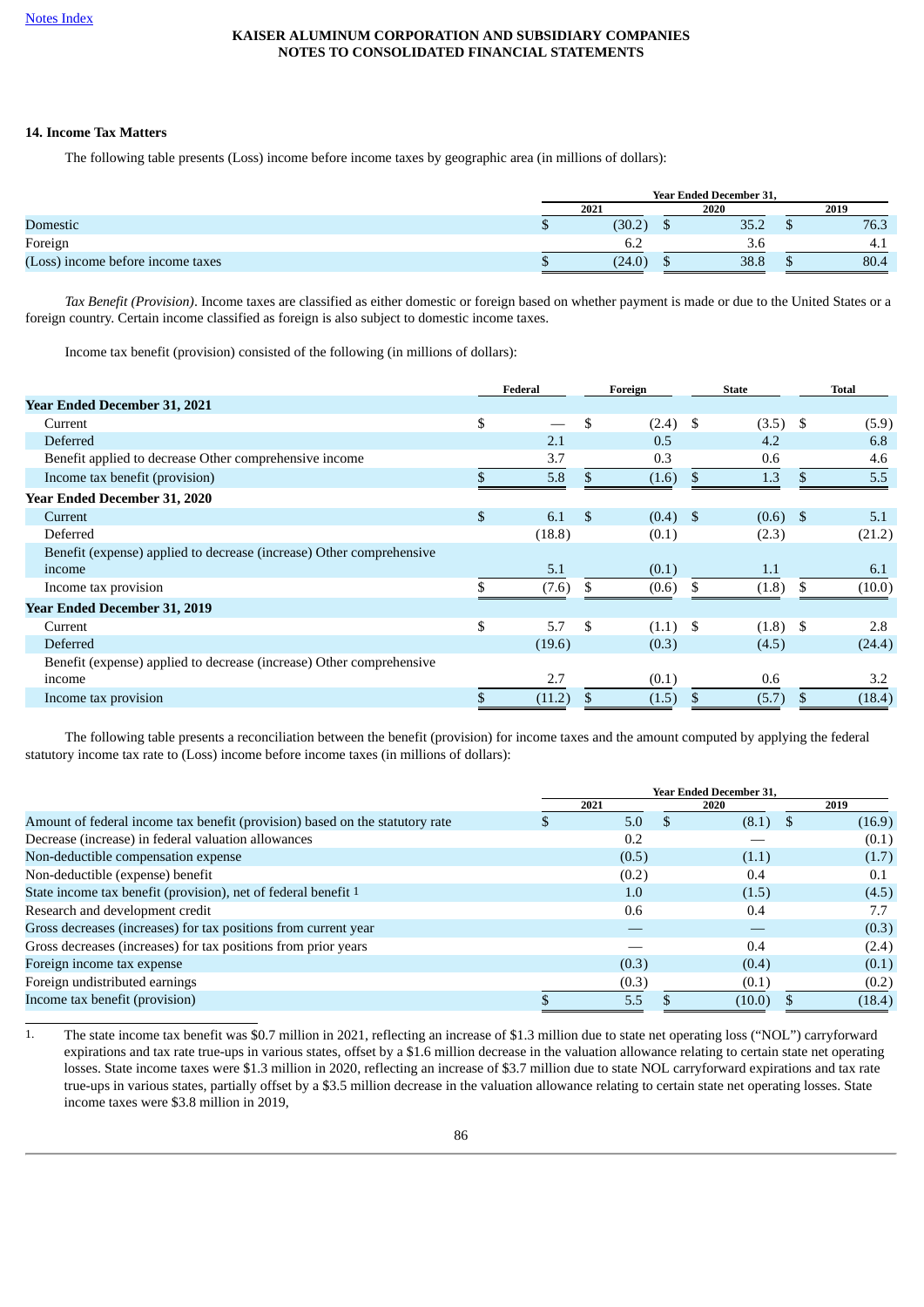# **14. Income Tax Matters**

The following table presents (Loss) income before income taxes by geographic area (in millions of dollars):

|                                   | <b>Year Ended December 31.</b> |        |     |           |  |      |  |  |
|-----------------------------------|--------------------------------|--------|-----|-----------|--|------|--|--|
|                                   | 2021<br>2020                   |        |     |           |  | 2019 |  |  |
| Domestic                          |                                | (30.2) | ιIJ | 35<br>ے.ں |  | 76.3 |  |  |
| Foreign                           |                                | 6.2    |     | 3.t       |  | 4.1  |  |  |
| (Loss) income before income taxes |                                | (24.0) | ٠D  | 38.8      |  | 80.4 |  |  |

*Tax Benefit (Provision)*. Income taxes are classified as either domestic or foreign based on whether payment is made or due to the United States or a foreign country. Certain income classified as foreign is also subject to domestic income taxes.

Income tax benefit (provision) consisted of the following (in millions of dollars):

|                                                                      | Federal   |                | Foreign    | <b>State</b> | <b>Total</b> |
|----------------------------------------------------------------------|-----------|----------------|------------|--------------|--------------|
| Year Ended December 31, 2021                                         |           |                |            |              |              |
| Current                                                              | \$        | \$             | $(2.4)$ \$ | $(3.5)$ \$   | (5.9)        |
| <b>Deferred</b>                                                      | 2.1       |                | 0.5        | 4.2          | 6.8          |
| Benefit applied to decrease Other comprehensive income               | 3.7       |                | 0.3        | 0.6          | 4.6          |
| Income tax benefit (provision)                                       | 5.8       | \$             | (1.6)      | \$<br>1.3    | 5.5          |
| Year Ended December 31, 2020                                         |           |                |            |              |              |
| Current                                                              | \$<br>6.1 | $\mathfrak{S}$ | $(0.4)$ \$ | $(0.6)$ \$   | 5.1          |
| Deferred                                                             | (18.8)    |                | (0.1)      | (2.3)        | (21.2)       |
| Benefit (expense) applied to decrease (increase) Other comprehensive |           |                |            |              |              |
| income                                                               | 5.1       |                | (0.1)      | 1.1          | 6.1          |
| Income tax provision                                                 | (7.6)     |                | (0.6)      | (1.8)        | (10.0)       |
| <b>Year Ended December 31, 2019</b>                                  |           |                |            |              |              |
| Current                                                              | \$<br>5.7 | \$             | $(1.1)$ \$ | $(1.8)$ \$   | 2.8          |
| <b>Deferred</b>                                                      | (19.6)    |                | (0.3)      | (4.5)        | (24.4)       |
| Benefit (expense) applied to decrease (increase) Other comprehensive |           |                |            |              |              |
| income                                                               | 2.7       |                | (0.1)      | 0.6          | 3.2          |
| Income tax provision                                                 | (11.2)    | S              | (1.5)      | \$<br>(5.7)  | (18.4)       |

The following table presents a reconciliation between the benefit (provision) for income taxes and the amount computed by applying the federal statutory income tax rate to (Loss) income before income taxes (in millions of dollars):

|                                                                              | <b>Year Ended December 31,</b> |       |  |        |      |        |
|------------------------------------------------------------------------------|--------------------------------|-------|--|--------|------|--------|
|                                                                              |                                | 2021  |  | 2020   |      | 2019   |
| Amount of federal income tax benefit (provision) based on the statutory rate |                                | 5.0   |  | (8.1)  | - \$ | (16.9) |
| Decrease (increase) in federal valuation allowances                          |                                | 0.2   |  |        |      | (0.1)  |
| Non-deductible compensation expense                                          |                                | (0.5) |  | (1.1)  |      | (1.7)  |
| Non-deductible (expense) benefit                                             |                                | (0.2) |  | 0.4    |      | 0.1    |
| State income tax benefit (provision), net of federal benefit 1               |                                | 1.0   |  | (1.5)  |      | (4.5)  |
| Research and development credit                                              |                                | 0.6   |  | 0.4    |      | 7.7    |
| Gross decreases (increases) for tax positions from current year              |                                |       |  |        |      | (0.3)  |
| Gross decreases (increases) for tax positions from prior years               |                                |       |  | 0.4    |      | (2.4)  |
| Foreign income tax expense                                                   |                                | (0.3) |  | (0.4)  |      | (0.1)  |
| Foreign undistributed earnings                                               |                                | (0.3) |  | (0.1)  |      | (0.2)  |
| Income tax benefit (provision)                                               |                                | 5.5   |  | (10.0) |      | (18.4) |

1. The state income tax benefit was \$0.7 million in 2021, reflecting an increase of \$1.3 million due to state net operating loss ("NOL") carryforward expirations and tax rate true-ups in various states, offset by a \$1.6 million decrease in the valuation allowance relating to certain state net operating losses. State income taxes were \$1.3 million in 2020, reflecting an increase of \$3.7 million due to state NOL carryforward expirations and tax rate true-ups in various states, partially offset by a \$3.5 million decrease in the valuation allowance relating to certain state net operating losses. State income taxes were \$3.8 million in 2019,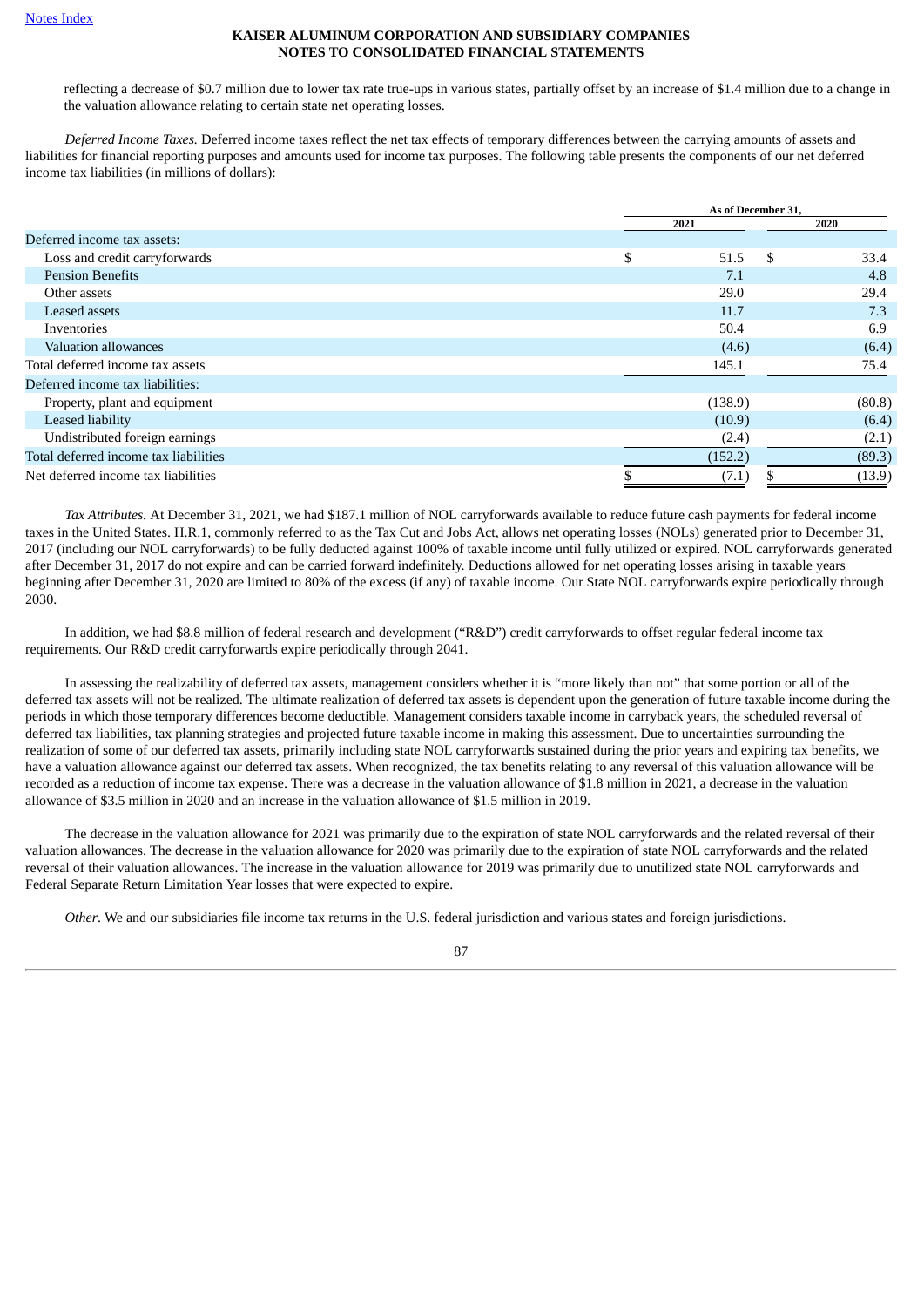reflecting a decrease of \$0.7 million due to lower tax rate true-ups in various states, partially offset by an increase of \$1.4 million due to a change in the valuation allowance relating to certain state net operating losses.

*Deferred Income Taxes.* Deferred income taxes reflect the net tax effects of temporary differences between the carrying amounts of assets and liabilities for financial reporting purposes and amounts used for income tax purposes. The following table presents the components of our net deferred income tax liabilities (in millions of dollars):

|                                       |         | As of December 31,  |
|---------------------------------------|---------|---------------------|
|                                       | 2021    | 2020                |
| Deferred income tax assets:           |         |                     |
| Loss and credit carryforwards         | \$      | \$.<br>33.4<br>51.5 |
| <b>Pension Benefits</b>               |         | 7.1<br>4.8          |
| Other assets                          |         | 29.0<br>29.4        |
| Leased assets                         |         | 7.3<br>11.7         |
| Inventories                           |         | 50.4<br>6.9         |
| Valuation allowances                  |         | (4.6)<br>(6.4)      |
| Total deferred income tax assets      | 145.1   | 75.4                |
| Deferred income tax liabilities:      |         |                     |
| Property, plant and equipment         | (138.9) | (80.8)              |
| Leased liability                      |         | (6.4)<br>(10.9)     |
| Undistributed foreign earnings        |         | (2.4)<br>(2.1)      |
| Total deferred income tax liabilities | (152.2) | (89.3)              |
| Net deferred income tax liabilities   |         | (13.9)<br>(7.1)     |
|                                       |         |                     |

*Tax Attributes.* At December 31, 2021, we had \$187.1 million of NOL carryforwards available to reduce future cash payments for federal income taxes in the United States. H.R.1, commonly referred to as the Tax Cut and Jobs Act, allows net operating losses (NOLs) generated prior to December 31, 2017 (including our NOL carryforwards) to be fully deducted against 100% of taxable income until fully utilized or expired. NOL carryforwards generated after December 31, 2017 do not expire and can be carried forward indefinitely. Deductions allowed for net operating losses arising in taxable years beginning after December 31, 2020 are limited to 80% of the excess (if any) of taxable income. Our State NOL carryforwards expire periodically through 2030.

In addition, we had \$8.8 million of federal research and development ("R&D") credit carryforwards to offset regular federal income tax requirements. Our R&D credit carryforwards expire periodically through 2041.

In assessing the realizability of deferred tax assets, management considers whether it is "more likely than not" that some portion or all of the deferred tax assets will not be realized. The ultimate realization of deferred tax assets is dependent upon the generation of future taxable income during the periods in which those temporary differences become deductible. Management considers taxable income in carryback years, the scheduled reversal of deferred tax liabilities, tax planning strategies and projected future taxable income in making this assessment. Due to uncertainties surrounding the realization of some of our deferred tax assets, primarily including state NOL carryforwards sustained during the prior years and expiring tax benefits, we have a valuation allowance against our deferred tax assets. When recognized, the tax benefits relating to any reversal of this valuation allowance will be recorded as a reduction of income tax expense. There was a decrease in the valuation allowance of \$1.8 million in 2021, a decrease in the valuation allowance of \$3.5 million in 2020 and an increase in the valuation allowance of \$1.5 million in 2019.

The decrease in the valuation allowance for 2021 was primarily due to the expiration of state NOL carryforwards and the related reversal of their valuation allowances. The decrease in the valuation allowance for 2020 was primarily due to the expiration of state NOL carryforwards and the related reversal of their valuation allowances. The increase in the valuation allowance for 2019 was primarily due to unutilized state NOL carryforwards and Federal Separate Return Limitation Year losses that were expected to expire.

*Other*. We and our subsidiaries file income tax returns in the U.S. federal jurisdiction and various states and foreign jurisdictions.

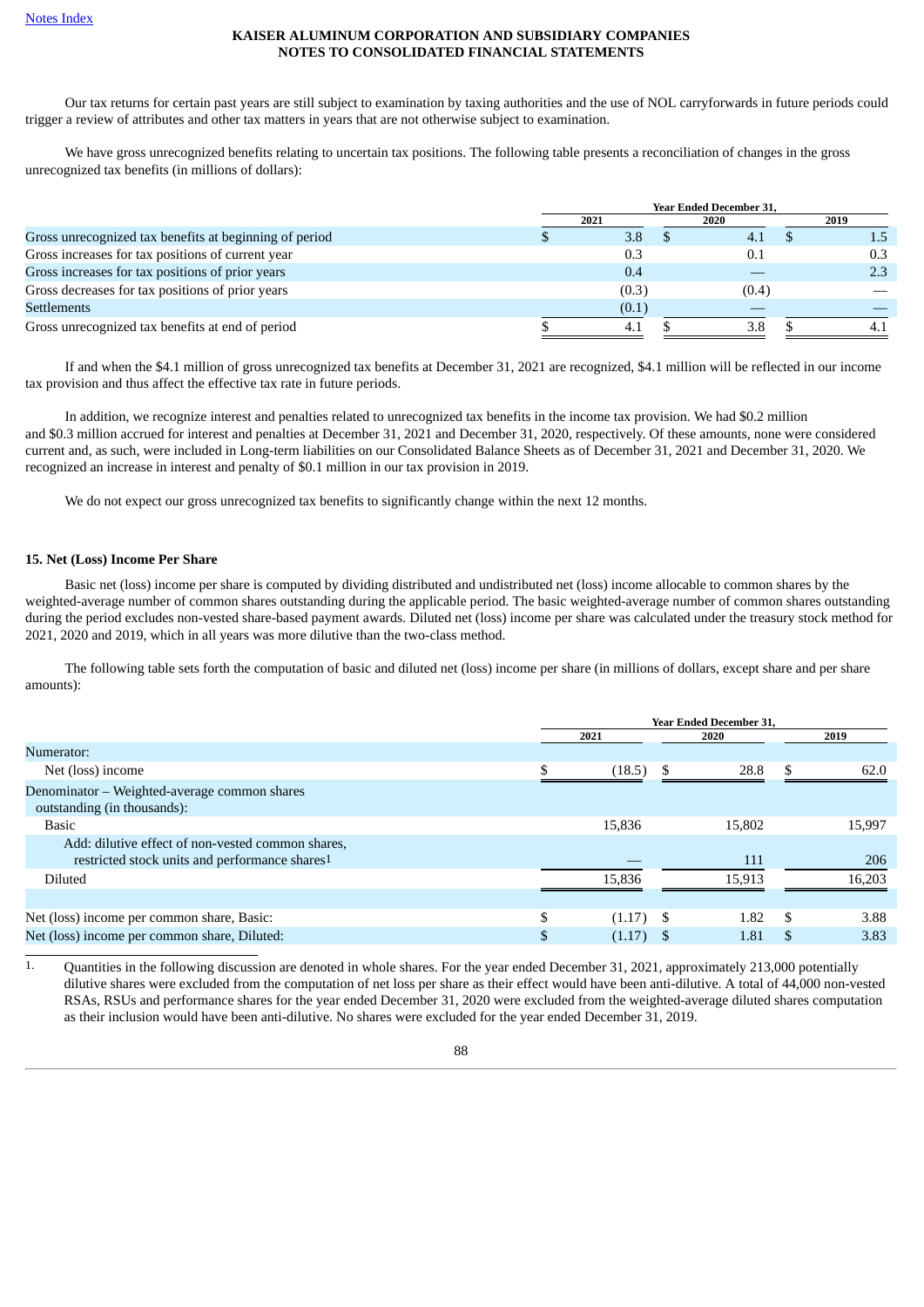Our tax returns for certain past years are still subject to examination by taxing authorities and the use of NOL carryforwards in future periods could trigger a review of attributes and other tax matters in years that are not otherwise subject to examination.

We have gross unrecognized benefits relating to uncertain tax positions. The following table presents a reconciliation of changes in the gross unrecognized tax benefits (in millions of dollars):

|                                                        | <b>Year Ended December 31,</b> |       |  |       |  |      |  |
|--------------------------------------------------------|--------------------------------|-------|--|-------|--|------|--|
|                                                        | 2021                           |       |  | 2020  |  | 2019 |  |
| Gross unrecognized tax benefits at beginning of period |                                | 3.8   |  | 4.1   |  | 1.5  |  |
| Gross increases for tax positions of current year      |                                | 0.3   |  | 0.1   |  | 0.3  |  |
| Gross increases for tax positions of prior years       |                                | 0.4   |  |       |  | 2.3  |  |
| Gross decreases for tax positions of prior years       |                                | (0.3) |  | (0.4) |  |      |  |
| <b>Settlements</b>                                     |                                | (0.1) |  |       |  |      |  |
| Gross unrecognized tax benefits at end of period       |                                | -4.1  |  | 3.8   |  |      |  |

If and when the \$4.1 million of gross unrecognized tax benefits at December 31, 2021 are recognized, \$4.1 million will be reflected in our income tax provision and thus affect the effective tax rate in future periods.

In addition, we recognize interest and penalties related to unrecognized tax benefits in the income tax provision. We had \$0.2 million and \$0.3 million accrued for interest and penalties at December 31, 2021 and December 31, 2020, respectively. Of these amounts, none were considered current and, as such, were included in Long-term liabilities on our Consolidated Balance Sheets as of December 31, 2021 and December 31, 2020. We recognized an increase in interest and penalty of \$0.1 million in our tax provision in 2019.

We do not expect our gross unrecognized tax benefits to significantly change within the next 12 months.

#### **15. Net (Loss) Income Per Share**

Basic net (loss) income per share is computed by dividing distributed and undistributed net (loss) income allocable to common shares by the weighted-average number of common shares outstanding during the applicable period. The basic weighted-average number of common shares outstanding during the period excludes non-vested share-based payment awards. Diluted net (loss) income per share was calculated under the treasury stock method for 2021, 2020 and 2019, which in all years was more dilutive than the two-class method.

The following table sets forth the computation of basic and diluted net (loss) income per share (in millions of dollars, except share and per share amounts):

|                                                                                                     |               | <b>Year Ended December 31.</b> |    |        |    |        |  |
|-----------------------------------------------------------------------------------------------------|---------------|--------------------------------|----|--------|----|--------|--|
|                                                                                                     |               | 2021<br>2020                   |    | 2019   |    |        |  |
| Numerator:                                                                                          |               |                                |    |        |    |        |  |
| Net (loss) income                                                                                   |               | (18.5)                         | \$ | 28.8   |    | 62.0   |  |
| Denominator – Weighted-average common shares<br>outstanding (in thousands):                         |               |                                |    |        |    |        |  |
| <b>Basic</b>                                                                                        |               | 15,836                         |    | 15,802 |    | 15,997 |  |
| Add: dilutive effect of non-vested common shares,<br>restricted stock units and performance shares1 |               |                                |    | 111    |    | 206    |  |
| <b>Diluted</b>                                                                                      |               | 15.836                         |    | 15.913 |    | 16,203 |  |
|                                                                                                     |               |                                |    |        |    |        |  |
| Net (loss) income per common share, Basic:                                                          | \$.           | $(1.17)$ \$                    |    | 1.82   | -S | 3.88   |  |
| Net (loss) income per common share, Diluted:                                                        | <sup>\$</sup> | (1.17)                         |    | 1.81   |    | 3.83   |  |

1. Quantities in the following discussion are denoted in whole shares. For the year ended December 31, 2021, approximately 213,000 potentially dilutive shares were excluded from the computation of net loss per share as their effect would have been anti‑dilutive. A total of 44,000 non-vested RSAs, RSUs and performance shares for the year ended December 31, 2020 were excluded from the weighted-average diluted shares computation as their inclusion would have been anti-dilutive. No shares were excluded for the year ended December 31, 2019.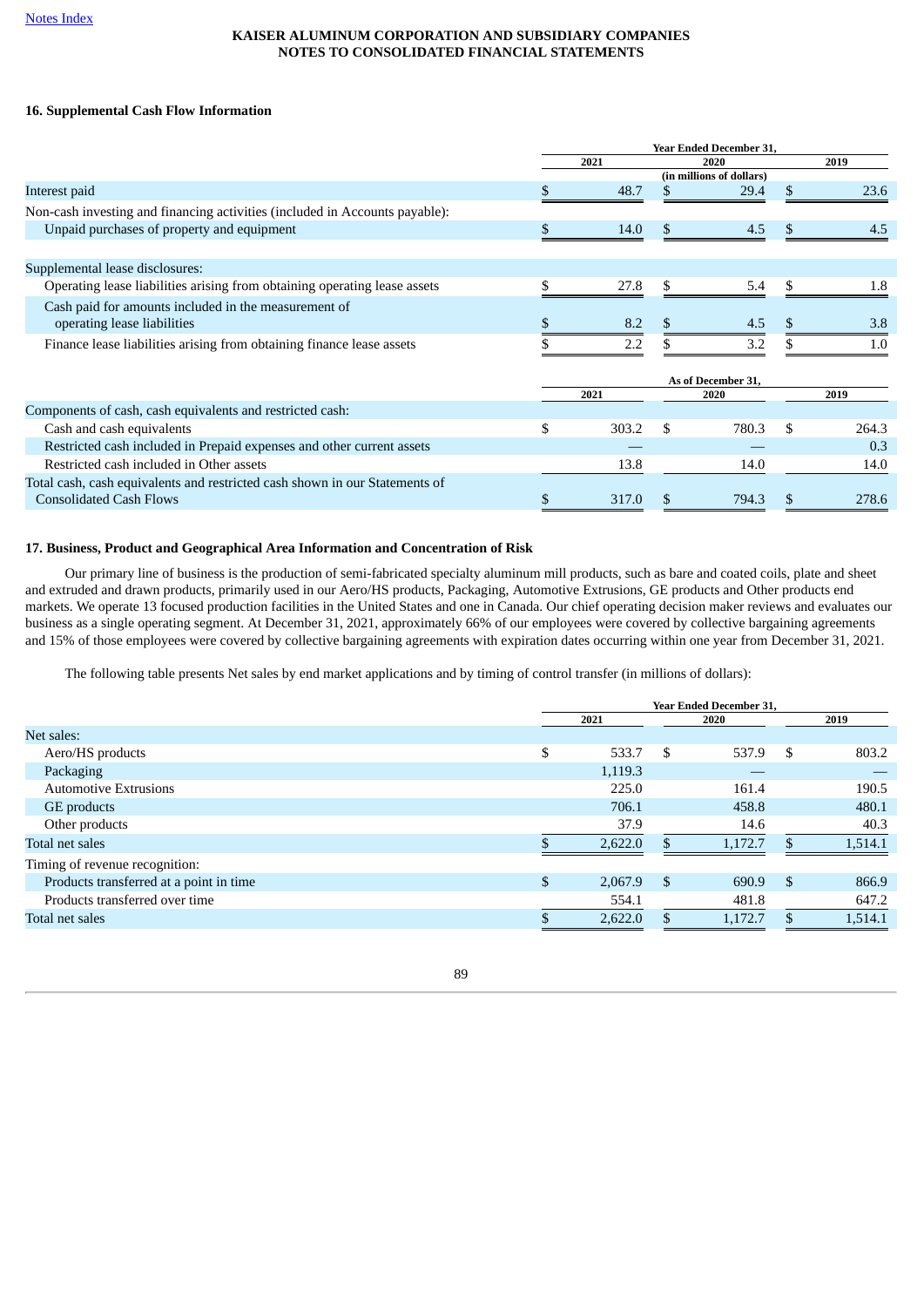# **16. Supplemental Cash Flow Information**

|                                                                             |             |               | <b>Year Ended December 31,</b> |     |       |
|-----------------------------------------------------------------------------|-------------|---------------|--------------------------------|-----|-------|
|                                                                             | 2021        |               | 2020                           |     | 2019  |
|                                                                             |             |               | (in millions of dollars)       |     |       |
| Interest paid                                                               | 48.7        |               | 29.4                           | S.  | 23.6  |
| Non-cash investing and financing activities (included in Accounts payable): |             |               |                                |     |       |
| Unpaid purchases of property and equipment                                  | \$<br>14.0  | \$.           | 4.5                            | \$. | 4.5   |
|                                                                             |             |               |                                |     |       |
| Supplemental lease disclosures:                                             |             |               |                                |     |       |
| Operating lease liabilities arising from obtaining operating lease assets   | 27.8        | \$.           | 5.4                            |     | 1.8   |
| Cash paid for amounts included in the measurement of                        |             |               |                                |     |       |
| operating lease liabilities                                                 | 8.2         |               | 4.5                            |     | 3.8   |
| Finance lease liabilities arising from obtaining finance lease assets       | 2.2         |               | 3.2                            |     | 1.0   |
|                                                                             |             |               | As of December 31,             |     |       |
|                                                                             | 2021        |               | 2020                           |     | 2019  |
| Components of cash, cash equivalents and restricted cash:                   |             |               |                                |     |       |
| Cash and cash equivalents                                                   | \$<br>303.2 | \$            | 780.3                          |     | 264.3 |
| Restricted cash included in Prepaid expenses and other current assets       |             |               |                                |     | 0.3   |
| Restricted cash included in Other assets                                    | 13.8        |               | 14.0                           |     | 14.0  |
| Total cash, cash equivalents and restricted cash shown in our Statements of |             |               |                                |     |       |
| <b>Consolidated Cash Flows</b>                                              | \$<br>317.0 | <sup>\$</sup> | 794.3                          | \$  | 278.6 |

#### **17. Business, Product and Geographical Area Information and Concentration of Risk**

Our primary line of business is the production of semi-fabricated specialty aluminum mill products, such as bare and coated coils, plate and sheet and extruded and drawn products, primarily used in our Aero/HS products, Packaging, Automotive Extrusions, GE products and Other products end markets. We operate 13 focused production facilities in the United States and one in Canada. Our chief operating decision maker reviews and evaluates our business as a single operating segment. At December 31, 2021, approximately 66% of our employees were covered by collective bargaining agreements and 15% of those employees were covered by collective bargaining agreements with expiration dates occurring within one year from December 31, 2021.

The following table presents Net sales by end market applications and by timing of control transfer (in millions of dollars):

|                                         | <b>Year Ended December 31,</b> |         |               |         |     |         |
|-----------------------------------------|--------------------------------|---------|---------------|---------|-----|---------|
|                                         |                                | 2021    |               | 2020    |     | 2019    |
| Net sales:                              |                                |         |               |         |     |         |
| Aero/HS products                        | \$                             | 533.7   | S.            | 537.9   | -\$ | 803.2   |
| Packaging                               |                                | 1,119.3 |               |         |     |         |
| <b>Automotive Extrusions</b>            |                                | 225.0   |               | 161.4   |     | 190.5   |
| GE products                             |                                | 706.1   |               | 458.8   |     | 480.1   |
| Other products                          |                                | 37.9    |               | 14.6    |     | 40.3    |
| Total net sales                         |                                | 2.622.0 |               | 1.172.7 | \$. | 1,514.1 |
| Timing of revenue recognition:          |                                |         |               |         |     |         |
| Products transferred at a point in time | \$                             | 2,067.9 | <sup>\$</sup> | 690.9   | -\$ | 866.9   |
| Products transferred over time          |                                | 554.1   |               | 481.8   |     | 647.2   |
| Total net sales                         |                                | 2,622.0 |               | 1,172.7 |     | 1,514.1 |
|                                         |                                |         |               |         |     |         |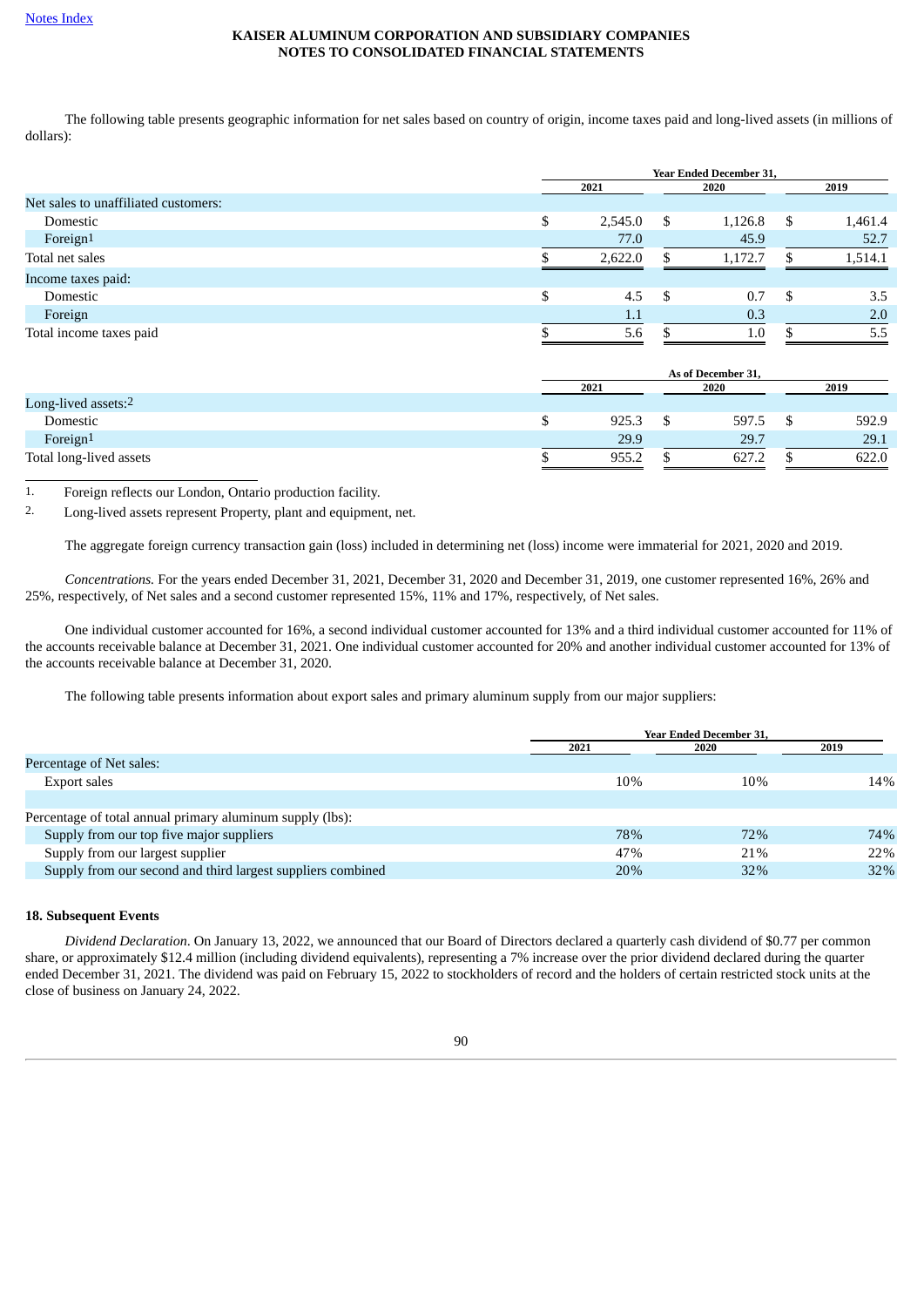The following table presents geographic information for net sales based on country of origin, income taxes paid and long-lived assets (in millions of dollars):

|                                      | <b>Year Ended December 31.</b> |         |     |         |      |         |
|--------------------------------------|--------------------------------|---------|-----|---------|------|---------|
|                                      |                                | 2021    |     | 2020    |      | 2019    |
| Net sales to unaffiliated customers: |                                |         |     |         |      |         |
| Domestic                             | \$                             | 2,545.0 | -S  | 1,126.8 | - \$ | 1,461.4 |
| Foreign1                             |                                | 77.0    |     | 45.9    |      | 52.7    |
| Total net sales                      |                                | 2,622.0 |     | 1,172.7 |      | 1,514.1 |
| Income taxes paid:                   |                                |         |     |         |      |         |
| Domestic                             |                                | 4.5     | -\$ | 0.7     | -\$  | 3.5     |
| Foreign                              |                                | 1.1     |     | 0.3     |      | 2.0     |
| Total income taxes paid              |                                | 5.6     |     | $1.0\,$ |      | 5.5     |

|                         | As of December 31, |  |       |  |       |
|-------------------------|--------------------|--|-------|--|-------|
|                         | 2021               |  | 2020  |  | 2019  |
| Long-lived assets:2     |                    |  |       |  |       |
| Domestic                | 925.3              |  | 597.5 |  | 592.9 |
| Foreign <sup>1</sup>    | 29.9               |  | 29.7  |  | 29.1  |
| Total long-lived assets | 955.2              |  | 627.2 |  | 622.0 |

1. Foreign reflects our London, Ontario production facility.

2. Long-lived assets represent Property, plant and equipment, net.

The aggregate foreign currency transaction gain (loss) included in determining net (loss) income were immaterial for 2021, 2020 and 2019.

*Concentrations.* For the years ended December 31, 2021, December 31, 2020 and December 31, 2019, one customer represented 16%, 26% and 25%, respectively, of Net sales and a second customer represented 15%, 11% and 17%, respectively, of Net sales.

One individual customer accounted for 16%, a second individual customer accounted for 13% and a third individual customer accounted for 11% of the accounts receivable balance at December 31, 2021. One individual customer accounted for 20% and another individual customer accounted for 13% of the accounts receivable balance at December 31, 2020.

The following table presents information about export sales and primary aluminum supply from our major suppliers:

|                                                             | Year Ended December 31, |      |      |  |  |
|-------------------------------------------------------------|-------------------------|------|------|--|--|
|                                                             | 2021                    | 2020 | 2019 |  |  |
| Percentage of Net sales:                                    |                         |      |      |  |  |
| Export sales                                                | 10%                     | 10%  | 14%  |  |  |
|                                                             |                         |      |      |  |  |
| Percentage of total annual primary aluminum supply (lbs):   |                         |      |      |  |  |
| Supply from our top five major suppliers                    | 78%                     | 72%  | 74%  |  |  |
| Supply from our largest supplier                            | 47%                     | 21%  | 22%  |  |  |
| Supply from our second and third largest suppliers combined | 20%                     | 32%  | 32%  |  |  |
|                                                             |                         |      |      |  |  |

#### **18. Subsequent Events**

*Dividend Declaration*. On January 13, 2022, we announced that our Board of Directors declared a quarterly cash dividend of \$0.77 per common share, or approximately \$12.4 million (including dividend equivalents), representing a 7% increase over the prior dividend declared during the quarter ended December 31, 2021. The dividend was paid on February 15, 2022 to stockholders of record and the holders of certain restricted stock units at the close of business on January 24, 2022.

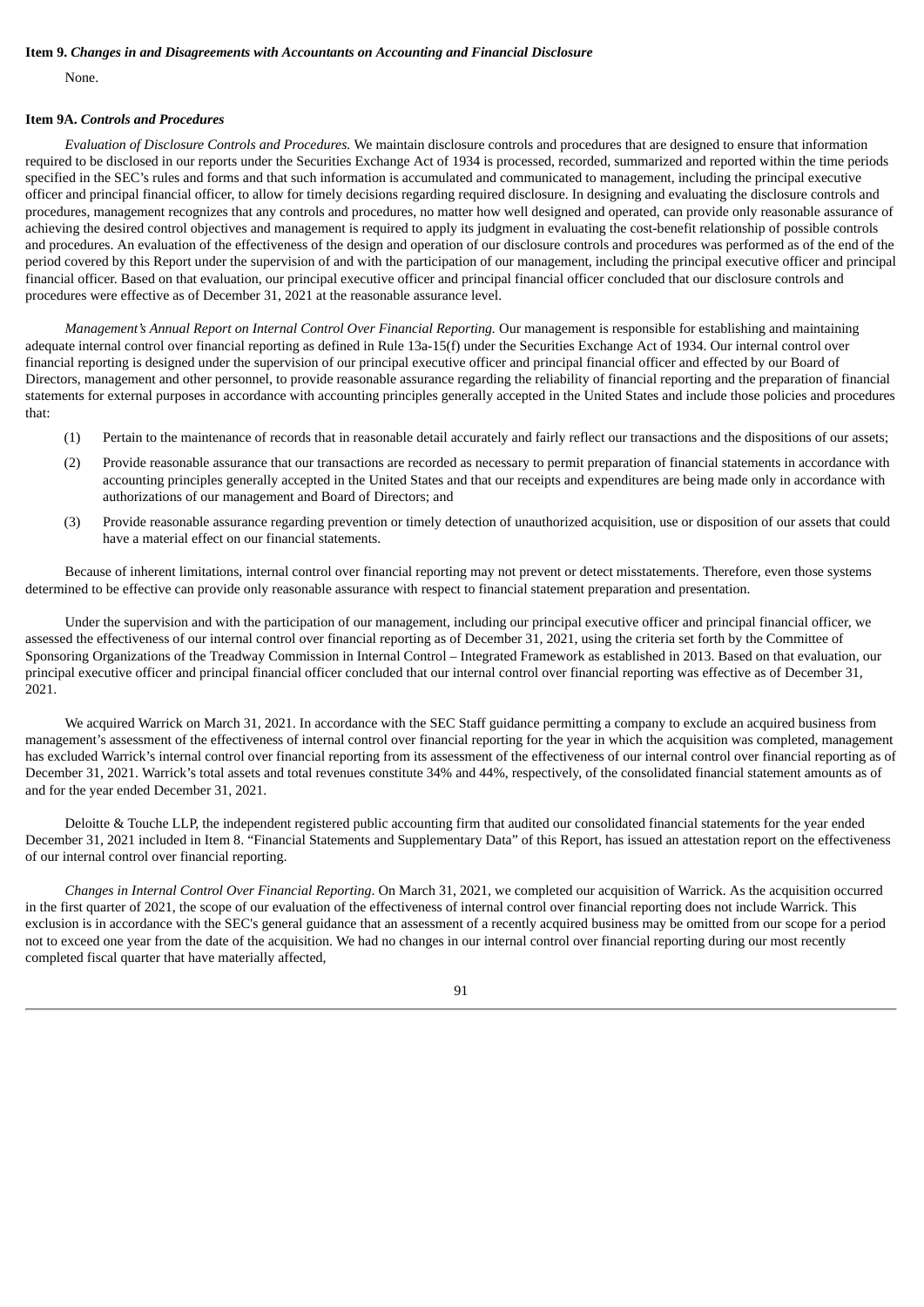#### **Item 9.** *Changes in and Disagreements with Accountants on Accounting and Financial Disclosure*

None.

#### **Item 9A.** *Controls and Procedures*

*Evaluation of Disclosure Controls and Procedures.* We maintain disclosure controls and procedures that are designed to ensure that information required to be disclosed in our reports under the Securities Exchange Act of 1934 is processed, recorded, summarized and reported within the time periods specified in the SEC's rules and forms and that such information is accumulated and communicated to management, including the principal executive officer and principal financial officer, to allow for timely decisions regarding required disclosure. In designing and evaluating the disclosure controls and procedures, management recognizes that any controls and procedures, no matter how well designed and operated, can provide only reasonable assurance of achieving the desired control objectives and management is required to apply its judgment in evaluating the cost-benefit relationship of possible controls and procedures. An evaluation of the effectiveness of the design and operation of our disclosure controls and procedures was performed as of the end of the period covered by this Report under the supervision of and with the participation of our management, including the principal executive officer and principal financial officer. Based on that evaluation, our principal executive officer and principal financial officer concluded that our disclosure controls and procedures were effective as of December 31, 2021 at the reasonable assurance level.

*Management's Annual Report on Internal Control Over Financial Reporting.* Our management is responsible for establishing and maintaining adequate internal control over financial reporting as defined in Rule 13a-15(f) under the Securities Exchange Act of 1934. Our internal control over financial reporting is designed under the supervision of our principal executive officer and principal financial officer and effected by our Board of Directors, management and other personnel, to provide reasonable assurance regarding the reliability of financial reporting and the preparation of financial statements for external purposes in accordance with accounting principles generally accepted in the United States and include those policies and procedures that:

- (1) Pertain to the maintenance of records that in reasonable detail accurately and fairly reflect our transactions and the dispositions of our assets;
- (2) Provide reasonable assurance that our transactions are recorded as necessary to permit preparation of financial statements in accordance with accounting principles generally accepted in the United States and that our receipts and expenditures are being made only in accordance with authorizations of our management and Board of Directors; and
- (3) Provide reasonable assurance regarding prevention or timely detection of unauthorized acquisition, use or disposition of our assets that could have a material effect on our financial statements.

Because of inherent limitations, internal control over financial reporting may not prevent or detect misstatements. Therefore, even those systems determined to be effective can provide only reasonable assurance with respect to financial statement preparation and presentation.

Under the supervision and with the participation of our management, including our principal executive officer and principal financial officer, we assessed the effectiveness of our internal control over financial reporting as of December 31, 2021, using the criteria set forth by the Committee of Sponsoring Organizations of the Treadway Commission in Internal Control – Integrated Framework as established in 2013. Based on that evaluation, our principal executive officer and principal financial officer concluded that our internal control over financial reporting was effective as of December 31, 2021.

We acquired Warrick on March 31, 2021. In accordance with the SEC Staff guidance permitting a company to exclude an acquired business from management's assessment of the effectiveness of internal control over financial reporting for the year in which the acquisition was completed, management has excluded Warrick's internal control over financial reporting from its assessment of the effectiveness of our internal control over financial reporting as of December 31, 2021. Warrick's total assets and total revenues constitute 34% and 44%, respectively, of the consolidated financial statement amounts as of and for the year ended December 31, 2021.

Deloitte & Touche LLP, the independent registered public accounting firm that audited our consolidated financial statements for the year ended December 31, 2021 included in Item 8. "Financial Statements and Supplementary Data" of this Report, has issued an attestation report on the effectiveness of our internal control over financial reporting.

*Changes in Internal Control Over Financial Reporting*. On March 31, 2021, we completed our acquisition of Warrick. As the acquisition occurred in the first quarter of 2021, the scope of our evaluation of the effectiveness of internal control over financial reporting does not include Warrick. This exclusion is in accordance with the SEC's general guidance that an assessment of a recently acquired business may be omitted from our scope for a period not to exceed one year from the date of the acquisition. We had no changes in our internal control over financial reporting during our most recently completed fiscal quarter that have materially affected,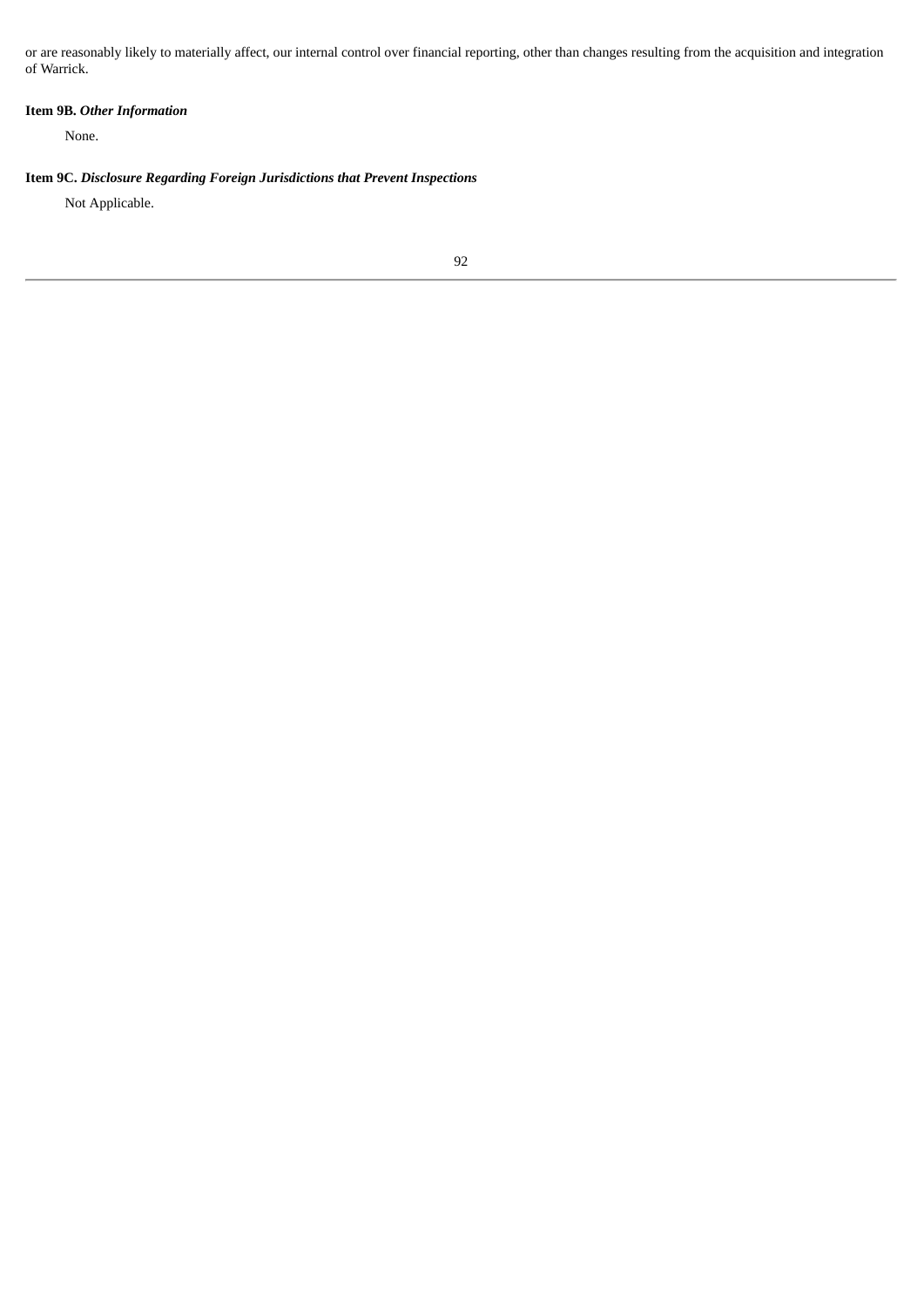or are reasonably likely to materially affect, our internal control over financial reporting, other than changes resulting from the acquisition and integration of Warrick.

# **Item 9B.** *Other Information*

None.

# **Item 9C.** *Disclosure Regarding Foreign Jurisdictions that Prevent Inspections*

Not Applicable.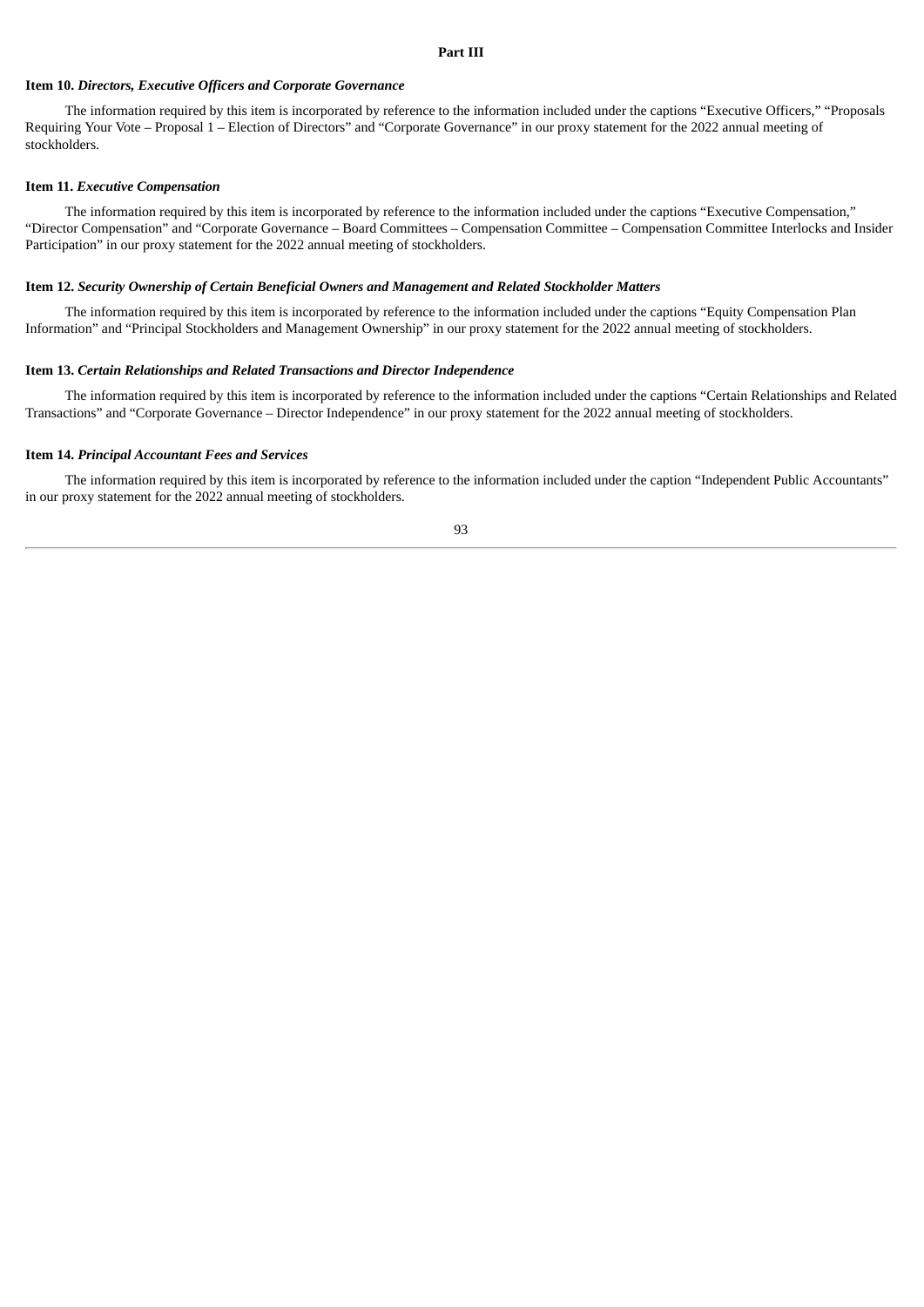#### **Part III**

#### **Item 10.** *Directors, Executive Officers and Corporate Governance*

The information required by this item is incorporated by reference to the information included under the captions "Executive Officers," "Proposals Requiring Your Vote – Proposal 1 – Election of Directors" and "Corporate Governance" in our proxy statement for the 2022 annual meeting of stockholders.

#### **Item 11.** *Executive Compensation*

The information required by this item is incorporated by reference to the information included under the captions "Executive Compensation," "Director Compensation" and "Corporate Governance – Board Committees – Compensation Committee – Compensation Committee Interlocks and Insider Participation" in our proxy statement for the 2022 annual meeting of stockholders.

#### **Item 12.** *Security Ownership of Certain Beneficial Owners and Management and Related Stockholder Matters*

The information required by this item is incorporated by reference to the information included under the captions "Equity Compensation Plan Information" and "Principal Stockholders and Management Ownership" in our proxy statement for the 2022 annual meeting of stockholders.

#### **Item 13.** *Certain Relationships and Related Transactions and Director Independence*

The information required by this item is incorporated by reference to the information included under the captions "Certain Relationships and Related Transactions" and "Corporate Governance – Director Independence" in our proxy statement for the 2022 annual meeting of stockholders.

#### **Item 14.** *Principal Accountant Fees and Services*

The information required by this item is incorporated by reference to the information included under the caption "Independent Public Accountants" in our proxy statement for the 2022 annual meeting of stockholders.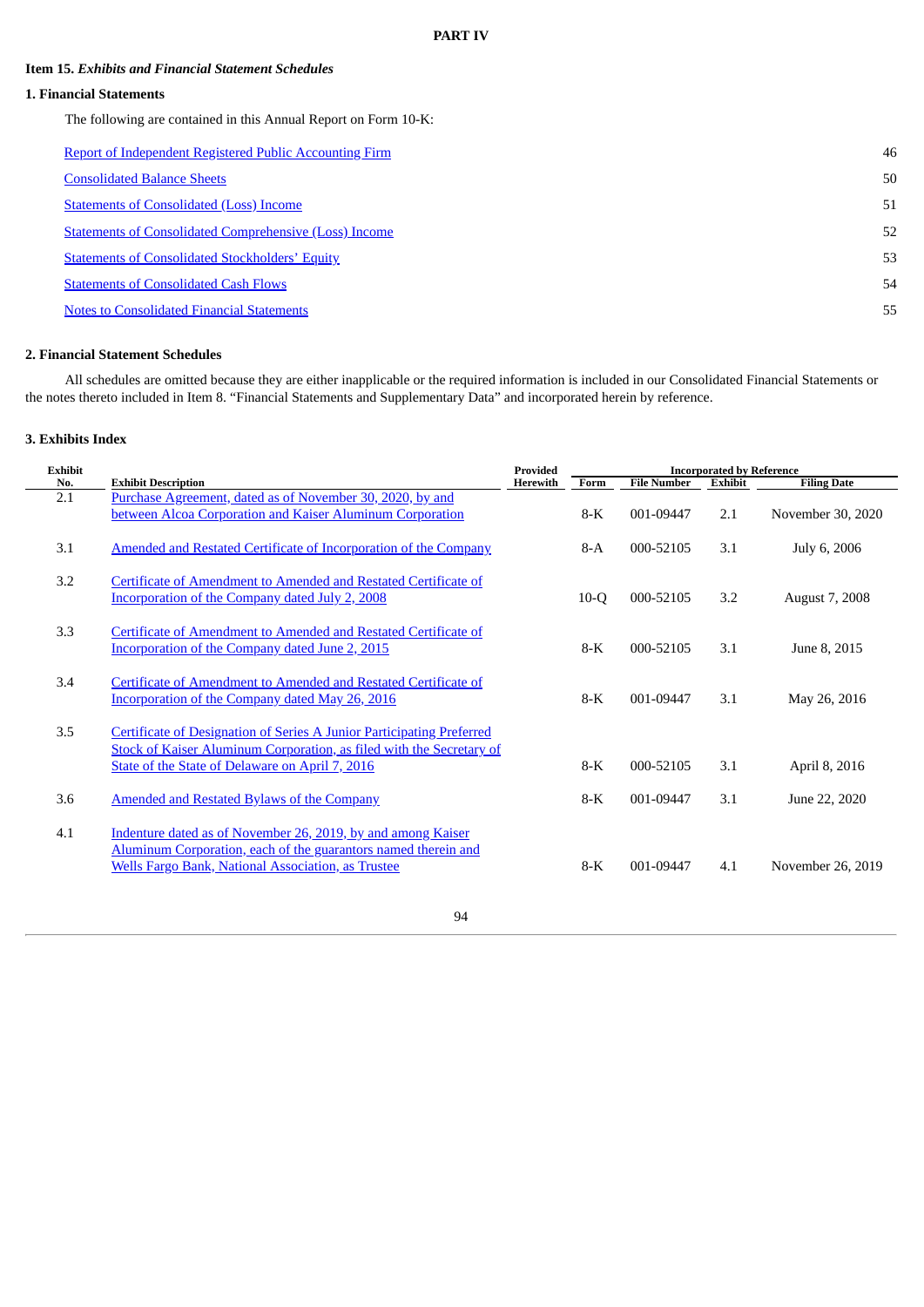## **Item 15.** *Exhibits and Financial Statement Schedules*

# **1. Financial Statements**

The following are contained in this Annual Report on Form 10-K:

| <b>Report of Independent Registered Public Accounting Firm</b> | 46 |
|----------------------------------------------------------------|----|
| <b>Consolidated Balance Sheets</b>                             | 50 |
| <b>Statements of Consolidated (Loss) Income</b>                | 51 |
| <b>Statements of Consolidated Comprehensive (Loss) Income</b>  | 52 |
| <b>Statements of Consolidated Stockholders' Equity</b>         | 53 |
| <b>Statements of Consolidated Cash Flows</b>                   | 54 |
| <b>Notes to Consolidated Financial Statements</b>              | 55 |
|                                                                |    |

# **2. Financial Statement Schedules**

All schedules are omitted because they are either inapplicable or the required information is included in our Consolidated Financial Statements or the notes thereto included in Item 8. "Financial Statements and Supplementary Data" and incorporated herein by reference.

# **3. Exhibits Index**

| <b>Exhibit</b> |                                                                                                                                                                                                  | Provided | <b>Incorporated by Reference</b> |                    |                |                    |  |
|----------------|--------------------------------------------------------------------------------------------------------------------------------------------------------------------------------------------------|----------|----------------------------------|--------------------|----------------|--------------------|--|
| No.            | <b>Exhibit Description</b>                                                                                                                                                                       | Herewith | Form                             | <b>File Number</b> | <b>Exhibit</b> | <b>Filing Date</b> |  |
| 2.1            | Purchase Agreement, dated as of November 30, 2020, by and<br>between Alcoa Corporation and Kaiser Aluminum Corporation                                                                           |          | 8-K                              | 001-09447          | 2.1            | November 30, 2020  |  |
| 3.1            | Amended and Restated Certificate of Incorporation of the Company                                                                                                                                 |          | $8-A$                            | 000-52105          | 3.1            | July 6, 2006       |  |
| 3.2            | Certificate of Amendment to Amended and Restated Certificate of<br>Incorporation of the Company dated July 2, 2008                                                                               |          | $10-Q$                           | 000-52105          | 3.2            | August 7, 2008     |  |
| 3.3            | Certificate of Amendment to Amended and Restated Certificate of<br><b>Incorporation of the Company dated June 2, 2015</b>                                                                        |          | 8-K                              | 000-52105          | 3.1            | June 8, 2015       |  |
| 3.4            | Certificate of Amendment to Amended and Restated Certificate of<br>Incorporation of the Company dated May 26, 2016                                                                               |          | $8-K$                            | 001-09447          | 3.1            | May 26, 2016       |  |
| 3.5            | Certificate of Designation of Series A Junior Participating Preferred<br>Stock of Kaiser Aluminum Corporation, as filed with the Secretary of<br>State of the State of Delaware on April 7, 2016 |          | $8-K$                            | 000-52105          | 3.1            | April 8, 2016      |  |
| 3.6            | <b>Amended and Restated Bylaws of the Company</b>                                                                                                                                                |          | 8-K                              | 001-09447          | 3.1            | June 22, 2020      |  |
| 4.1            | Indenture dated as of November 26, 2019, by and among Kaiser<br>Aluminum Corporation, each of the guarantors named therein and<br><b>Wells Fargo Bank, National Association, as Trustee</b>      |          | $8-K$                            | 001-09447          | 4.1            | November 26, 2019  |  |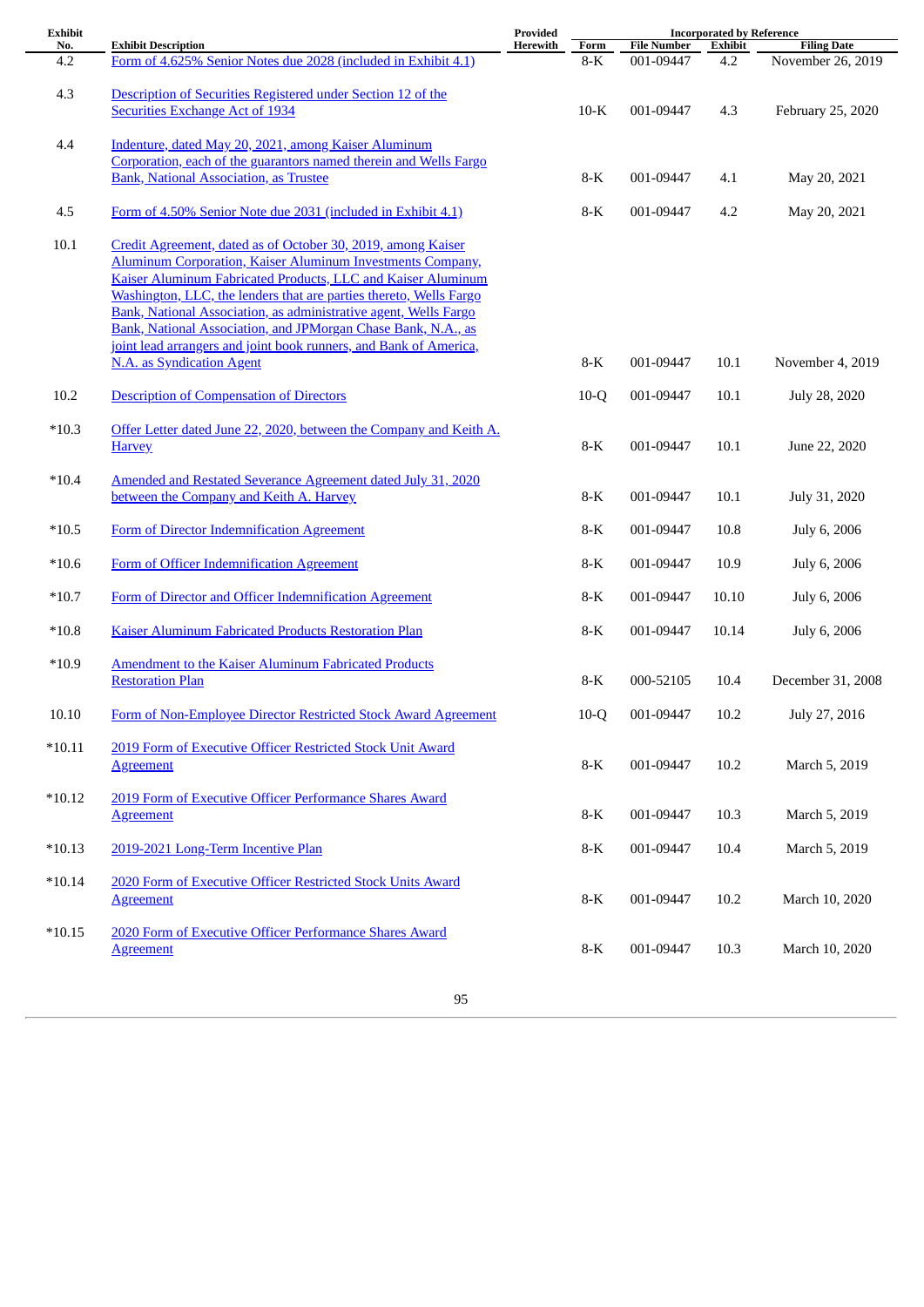| <b>Exhibit</b> |                                                                                                                                   | Provided | <b>Incorporated by Reference</b> |                                 |                |                                         |
|----------------|-----------------------------------------------------------------------------------------------------------------------------------|----------|----------------------------------|---------------------------------|----------------|-----------------------------------------|
| No.<br>4.2     | <b>Exhibit Description</b><br>Form of 4.625% Senior Notes due 2028 (included in Exhibit 4.1)                                      | Herewith | Form<br>$8-K$                    | <b>File Number</b><br>001-09447 | Exhibit<br>4.2 | <b>Filing Date</b><br>November 26, 2019 |
|                |                                                                                                                                   |          |                                  |                                 |                |                                         |
| 4.3            | Description of Securities Registered under Section 12 of the                                                                      |          |                                  |                                 |                |                                         |
|                | <b>Securities Exchange Act of 1934</b>                                                                                            |          | $10-K$                           | 001-09447                       | 4.3            | February 25, 2020                       |
| 4.4            | Indenture, dated May 20, 2021, among Kaiser Aluminum                                                                              |          |                                  |                                 |                |                                         |
|                | Corporation, each of the guarantors named therein and Wells Fargo                                                                 |          |                                  |                                 |                |                                         |
|                | <b>Bank, National Association, as Trustee</b>                                                                                     |          | 8-K                              | 001-09447                       | 4.1            | May 20, 2021                            |
|                |                                                                                                                                   |          |                                  |                                 |                |                                         |
| 4.5            | Form of 4.50% Senior Note due 2031 (included in Exhibit 4.1)                                                                      |          | $8-K$                            | 001-09447                       | 4.2            | May 20, 2021                            |
| 10.1           | Credit Agreement, dated as of October 30, 2019, among Kaiser                                                                      |          |                                  |                                 |                |                                         |
|                | <b>Aluminum Corporation, Kaiser Aluminum Investments Company,</b>                                                                 |          |                                  |                                 |                |                                         |
|                | Kaiser Aluminum Fabricated Products, LLC and Kaiser Aluminum                                                                      |          |                                  |                                 |                |                                         |
|                | Washington, LLC, the lenders that are parties thereto, Wells Fargo                                                                |          |                                  |                                 |                |                                         |
|                | Bank, National Association, as administrative agent, Wells Fargo<br>Bank, National Association, and JPMorgan Chase Bank, N.A., as |          |                                  |                                 |                |                                         |
|                | joint lead arrangers and joint book runners, and Bank of America,                                                                 |          |                                  |                                 |                |                                         |
|                | <b>N.A.</b> as Syndication Agent                                                                                                  |          | $8-K$                            | 001-09447                       | 10.1           | November 4, 2019                        |
|                |                                                                                                                                   |          |                                  |                                 |                |                                         |
| 10.2           | <b>Description of Compensation of Directors</b>                                                                                   |          | $10-Q$                           | 001-09447                       | 10.1           | July 28, 2020                           |
| $*10.3$        | Offer Letter dated June 22, 2020, between the Company and Keith A.                                                                |          |                                  |                                 |                |                                         |
|                | <b>Harvey</b>                                                                                                                     |          | $8-K$                            | 001-09447                       | 10.1           | June 22, 2020                           |
|                |                                                                                                                                   |          |                                  |                                 |                |                                         |
| $*10.4$        | Amended and Restated Severance Agreement dated July 31, 2020                                                                      |          |                                  |                                 |                |                                         |
|                | between the Company and Keith A. Harvey                                                                                           |          | $8-K$                            | 001-09447                       | 10.1           | July 31, 2020                           |
| $*10.5$        | Form of Director Indemnification Agreement                                                                                        |          | 8-K                              | 001-09447                       | 10.8           | July 6, 2006                            |
|                |                                                                                                                                   |          |                                  |                                 |                |                                         |
| $*10.6$        | Form of Officer Indemnification Agreement                                                                                         |          | 8-K                              | 001-09447                       | 10.9           | July 6, 2006                            |
|                |                                                                                                                                   |          |                                  |                                 |                |                                         |
| $*10.7$        | Form of Director and Officer Indemnification Agreement                                                                            |          | 8-K                              | 001-09447                       | 10.10          | July 6, 2006                            |
| $*10.8$        | Kaiser Aluminum Fabricated Products Restoration Plan                                                                              |          | 8-K                              | 001-09447                       | 10.14          | July 6, 2006                            |
|                |                                                                                                                                   |          |                                  |                                 |                |                                         |
| $*10.9$        | <b>Amendment to the Kaiser Aluminum Fabricated Products</b><br><b>Restoration Plan</b>                                            |          |                                  |                                 |                |                                         |
|                |                                                                                                                                   |          | $8-K$                            | 000-52105                       | 10.4           | December 31, 2008                       |
| 10.10          | Form of Non-Employee Director Restricted Stock Award Agreement                                                                    |          | $10-Q$                           | 001-09447                       | 10.2           | July 27, 2016                           |
|                |                                                                                                                                   |          |                                  |                                 |                |                                         |
| $*10.11$       | 2019 Form of Executive Officer Restricted Stock Unit Award                                                                        |          |                                  |                                 |                |                                         |
|                | <b>Agreement</b>                                                                                                                  |          | $8-K$                            | 001-09447                       | 10.2           | March 5, 2019                           |
| $*10.12$       | 2019 Form of Executive Officer Performance Shares Award                                                                           |          |                                  |                                 |                |                                         |
|                | <b>Agreement</b>                                                                                                                  |          | $8-K$                            | 001-09447                       | 10.3           | March 5, 2019                           |
|                |                                                                                                                                   |          |                                  |                                 |                |                                         |
| $*10.13$       | 2019-2021 Long-Term Incentive Plan                                                                                                |          | 8-K                              | 001-09447                       | 10.4           | March 5, 2019                           |
| $*10.14$       | 2020 Form of Executive Officer Restricted Stock Units Award                                                                       |          |                                  |                                 |                |                                         |
|                | <b>Agreement</b>                                                                                                                  |          | $8-K$                            | 001-09447                       | 10.2           | March 10, 2020                          |
|                |                                                                                                                                   |          |                                  |                                 |                |                                         |
| $*10.15$       | 2020 Form of Executive Officer Performance Shares Award                                                                           |          |                                  |                                 |                |                                         |
|                | <b>Agreement</b>                                                                                                                  |          | $8-K$                            | 001-09447                       | 10.3           | March 10, 2020                          |
|                |                                                                                                                                   |          |                                  |                                 |                |                                         |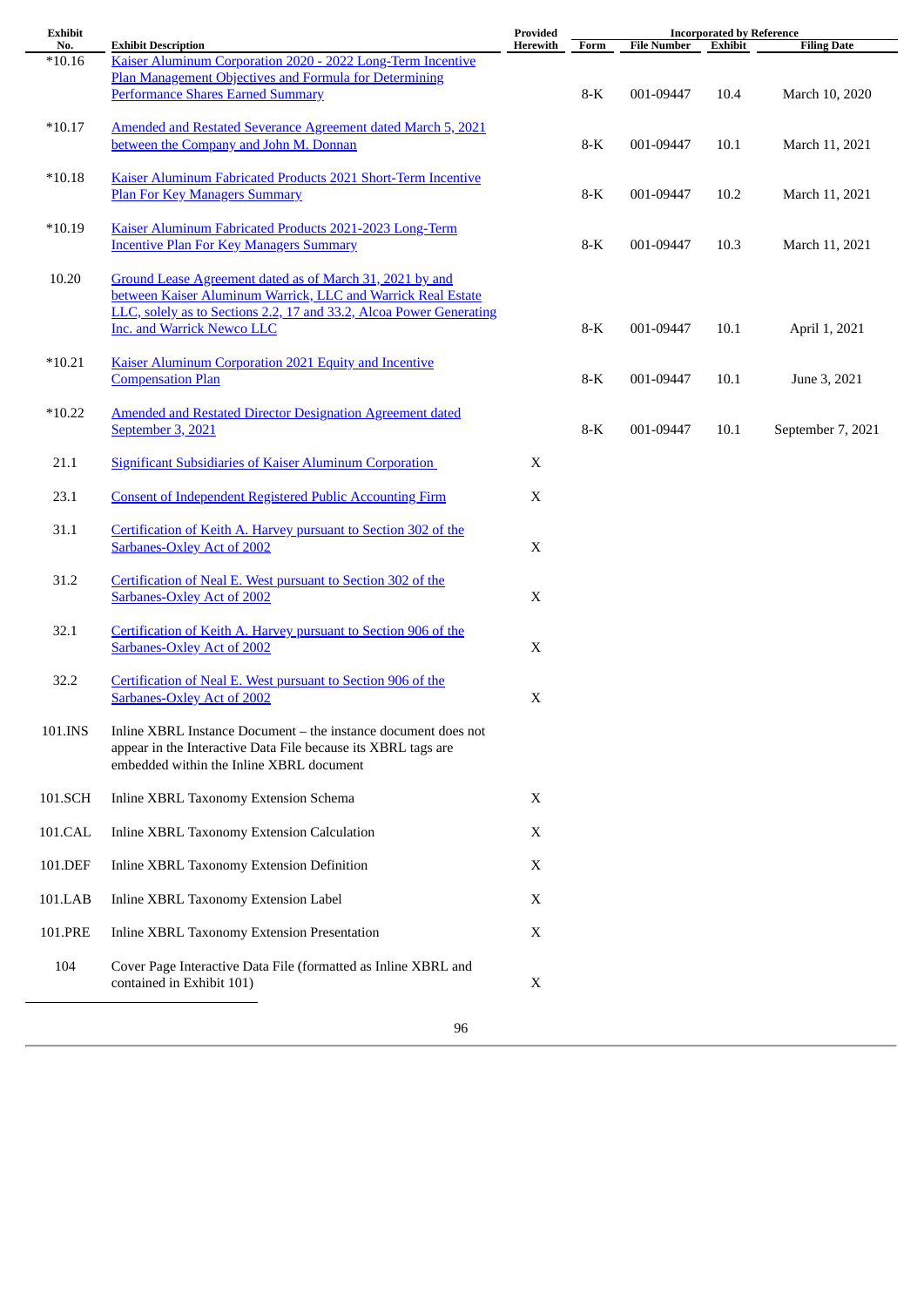| <b>Exhibit</b>  |                                                                                                           | Provided<br><b>Incorporated by Reference</b> |       |                    |                |                    |
|-----------------|-----------------------------------------------------------------------------------------------------------|----------------------------------------------|-------|--------------------|----------------|--------------------|
| No.<br>$*10.16$ | <b>Exhibit Description</b><br>Kaiser Aluminum Corporation 2020 - 2022 Long-Term Incentive                 | Herewith                                     | Form  | <b>File Number</b> | <b>Exhibit</b> | <b>Filing Date</b> |
|                 | Plan Management Objectives and Formula for Determining                                                    |                                              |       |                    |                |                    |
|                 | <b>Performance Shares Earned Summary</b>                                                                  |                                              | $8-K$ | 001-09447          | 10.4           | March 10, 2020     |
|                 |                                                                                                           |                                              |       |                    |                |                    |
| $*10.17$        | Amended and Restated Severance Agreement dated March 5, 2021                                              |                                              |       |                    |                |                    |
|                 | between the Company and John M. Donnan                                                                    |                                              | 8-K   | 001-09447          | 10.1           | March 11, 2021     |
|                 |                                                                                                           |                                              |       |                    |                |                    |
| $*10.18$        | Kaiser Aluminum Fabricated Products 2021 Short-Term Incentive                                             |                                              |       |                    |                |                    |
|                 | <b>Plan For Key Managers Summary</b>                                                                      |                                              | $8-K$ | 001-09447          | 10.2           | March 11, 2021     |
|                 |                                                                                                           |                                              |       |                    |                |                    |
| $*10.19$        | Kaiser Aluminum Fabricated Products 2021-2023 Long-Term                                                   |                                              |       |                    |                |                    |
|                 | <b>Incentive Plan For Key Managers Summary</b>                                                            |                                              | $8-K$ | 001-09447          | 10.3           | March 11, 2021     |
| 10.20           | Ground Lease Agreement dated as of March 31, 2021 by and                                                  |                                              |       |                    |                |                    |
|                 | between Kaiser Aluminum Warrick, LLC and Warrick Real Estate                                              |                                              |       |                    |                |                    |
|                 | LLC, solely as to Sections 2.2, 17 and 33.2, Alcoa Power Generating                                       |                                              |       |                    |                |                    |
|                 | <b>Inc. and Warrick Newco LLC</b>                                                                         |                                              | $8-K$ | 001-09447          | 10.1           | April 1, 2021      |
|                 |                                                                                                           |                                              |       |                    |                |                    |
| $*10.21$        | <b>Kaiser Aluminum Corporation 2021 Equity and Incentive</b>                                              |                                              |       |                    |                |                    |
|                 | <b>Compensation Plan</b>                                                                                  |                                              | $8-K$ | 001-09447          | 10.1           | June 3, 2021       |
|                 |                                                                                                           |                                              |       |                    |                |                    |
| $*10.22$        | <b>Amended and Restated Director Designation Agreement dated</b>                                          |                                              |       |                    |                |                    |
|                 | September 3, 2021                                                                                         |                                              | $8-K$ | 001-09447          | 10.1           | September 7, 2021  |
| 21.1            | <b>Significant Subsidiaries of Kaiser Aluminum Corporation</b>                                            | X                                            |       |                    |                |                    |
|                 |                                                                                                           |                                              |       |                    |                |                    |
| 23.1            | <b>Consent of Independent Registered Public Accounting Firm</b>                                           | X                                            |       |                    |                |                    |
|                 |                                                                                                           |                                              |       |                    |                |                    |
| 31.1            | Certification of Keith A. Harvey pursuant to Section 302 of the                                           |                                              |       |                    |                |                    |
|                 | <b>Sarbanes-Oxley Act of 2002</b>                                                                         | $\mathbf X$                                  |       |                    |                |                    |
|                 |                                                                                                           |                                              |       |                    |                |                    |
| 31.2            | Certification of Neal E. West pursuant to Section 302 of the                                              |                                              |       |                    |                |                    |
|                 | <b>Sarbanes-Oxley Act of 2002</b>                                                                         | $\mathbf X$                                  |       |                    |                |                    |
| 32.1            | Certification of Keith A. Harvey pursuant to Section 906 of the                                           |                                              |       |                    |                |                    |
|                 | <b>Sarbanes-Oxley Act of 2002</b>                                                                         | X                                            |       |                    |                |                    |
|                 |                                                                                                           |                                              |       |                    |                |                    |
| 32.2            | Certification of Neal E. West pursuant to Section 906 of the                                              |                                              |       |                    |                |                    |
|                 | <b>Sarbanes-Oxley Act of 2002</b>                                                                         | $\mathbf X$                                  |       |                    |                |                    |
|                 |                                                                                                           |                                              |       |                    |                |                    |
| 101.INS         | Inline XBRL Instance Document - the instance document does not                                            |                                              |       |                    |                |                    |
|                 | appear in the Interactive Data File because its XBRL tags are<br>embedded within the Inline XBRL document |                                              |       |                    |                |                    |
|                 |                                                                                                           |                                              |       |                    |                |                    |
| 101.SCH         | Inline XBRL Taxonomy Extension Schema                                                                     | X                                            |       |                    |                |                    |
|                 |                                                                                                           |                                              |       |                    |                |                    |
| 101.CAL         | Inline XBRL Taxonomy Extension Calculation                                                                | X                                            |       |                    |                |                    |
|                 |                                                                                                           |                                              |       |                    |                |                    |
| 101.DEF         | Inline XBRL Taxonomy Extension Definition                                                                 | X                                            |       |                    |                |                    |
|                 |                                                                                                           |                                              |       |                    |                |                    |
| 101.LAB         | Inline XBRL Taxonomy Extension Label                                                                      | X                                            |       |                    |                |                    |
|                 |                                                                                                           |                                              |       |                    |                |                    |
| 101.PRE         | Inline XBRL Taxonomy Extension Presentation                                                               | X                                            |       |                    |                |                    |
| 104             | Cover Page Interactive Data File (formatted as Inline XBRL and                                            |                                              |       |                    |                |                    |
|                 | contained in Exhibit 101)                                                                                 | X                                            |       |                    |                |                    |
|                 |                                                                                                           |                                              |       |                    |                |                    |
|                 | 96                                                                                                        |                                              |       |                    |                |                    |
|                 |                                                                                                           |                                              |       |                    |                |                    |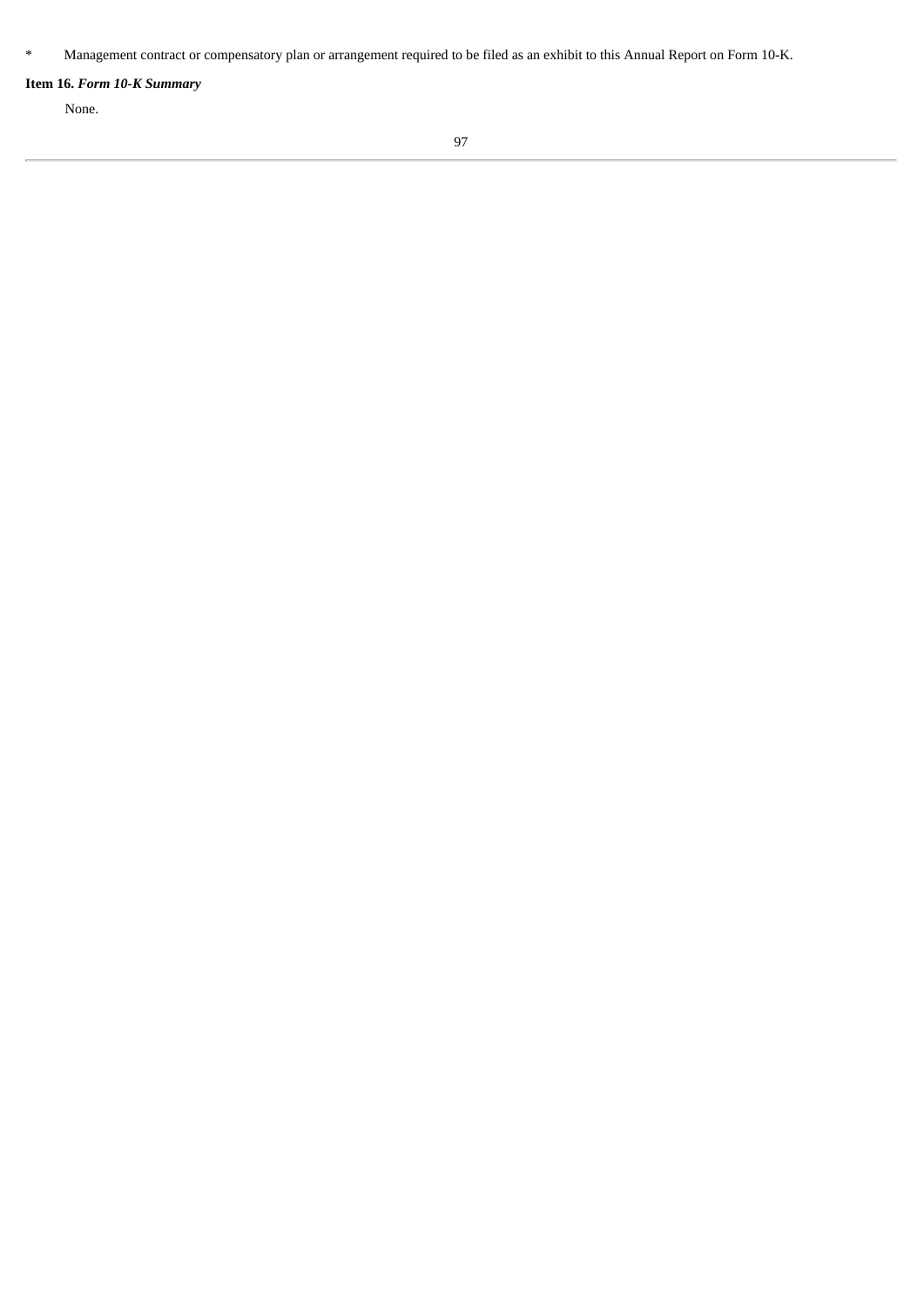# **Item 16.** *Form 10-K Summary*

None.

<sup>\*</sup> Management contract or compensatory plan or arrangement required to be filed as an exhibit to this Annual Report on Form 10‑K.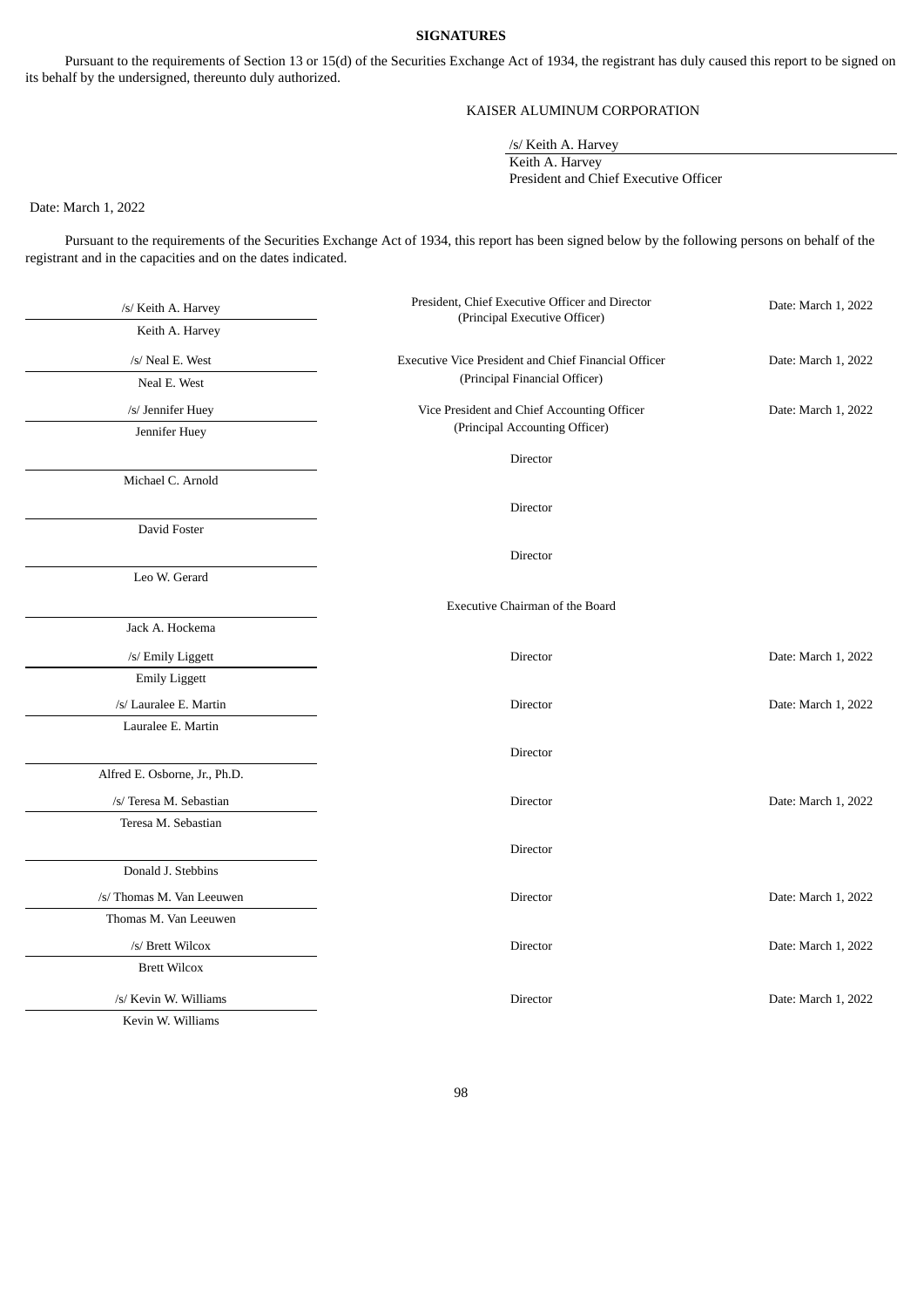#### **SIGNATURES**

Pursuant to the requirements of Section 13 or 15(d) of the Securities Exchange Act of 1934, the registrant has duly caused this report to be signed on its behalf by the undersigned, thereunto duly authorized.

# KAISER ALUMINUM CORPORATION

/s/ Keith A. Harvey

Keith A. Harvey

President and Chief Executive Officer

Date: March 1, 2022

Pursuant to the requirements of the Securities Exchange Act of 1934, this report has been signed below by the following persons on behalf of the registrant and in the capacities and on the dates indicated.

| /s/ Keith A. Harvey           | President, Chief Executive Officer and Director      | Date: March 1, 2022 |
|-------------------------------|------------------------------------------------------|---------------------|
| Keith A. Harvey               | (Principal Executive Officer)                        |                     |
| /s/ Neal E. West              | Executive Vice President and Chief Financial Officer | Date: March 1, 2022 |
| Neal E. West                  | (Principal Financial Officer)                        |                     |
| /s/ Jennifer Huey             | Vice President and Chief Accounting Officer          | Date: March 1, 2022 |
| Jennifer Huey                 | (Principal Accounting Officer)                       |                     |
|                               | Director                                             |                     |
| Michael C. Arnold             |                                                      |                     |
|                               | Director                                             |                     |
| David Foster                  |                                                      |                     |
|                               | Director                                             |                     |
| Leo W. Gerard                 |                                                      |                     |
|                               | Executive Chairman of the Board                      |                     |
| Jack A. Hockema               |                                                      |                     |
| /s/ Emily Liggett             | Director                                             | Date: March 1, 2022 |
| <b>Emily Liggett</b>          |                                                      |                     |
| /s/ Lauralee E. Martin        | Director                                             | Date: March 1, 2022 |
| Lauralee E. Martin            |                                                      |                     |
|                               | Director                                             |                     |
| Alfred E. Osborne, Jr., Ph.D. |                                                      |                     |
| /s/ Teresa M. Sebastian       | Director                                             | Date: March 1, 2022 |
| Teresa M. Sebastian           |                                                      |                     |
|                               | Director                                             |                     |
| Donald J. Stebbins            |                                                      |                     |
| /s/ Thomas M. Van Leeuwen     | Director                                             | Date: March 1, 2022 |
| Thomas M. Van Leeuwen         |                                                      |                     |
| /s/ Brett Wilcox              | Director                                             | Date: March 1, 2022 |
| <b>Brett Wilcox</b>           |                                                      |                     |
| /s/ Kevin W. Williams         | Director                                             | Date: March 1, 2022 |
| Kevin W. Williams             |                                                      |                     |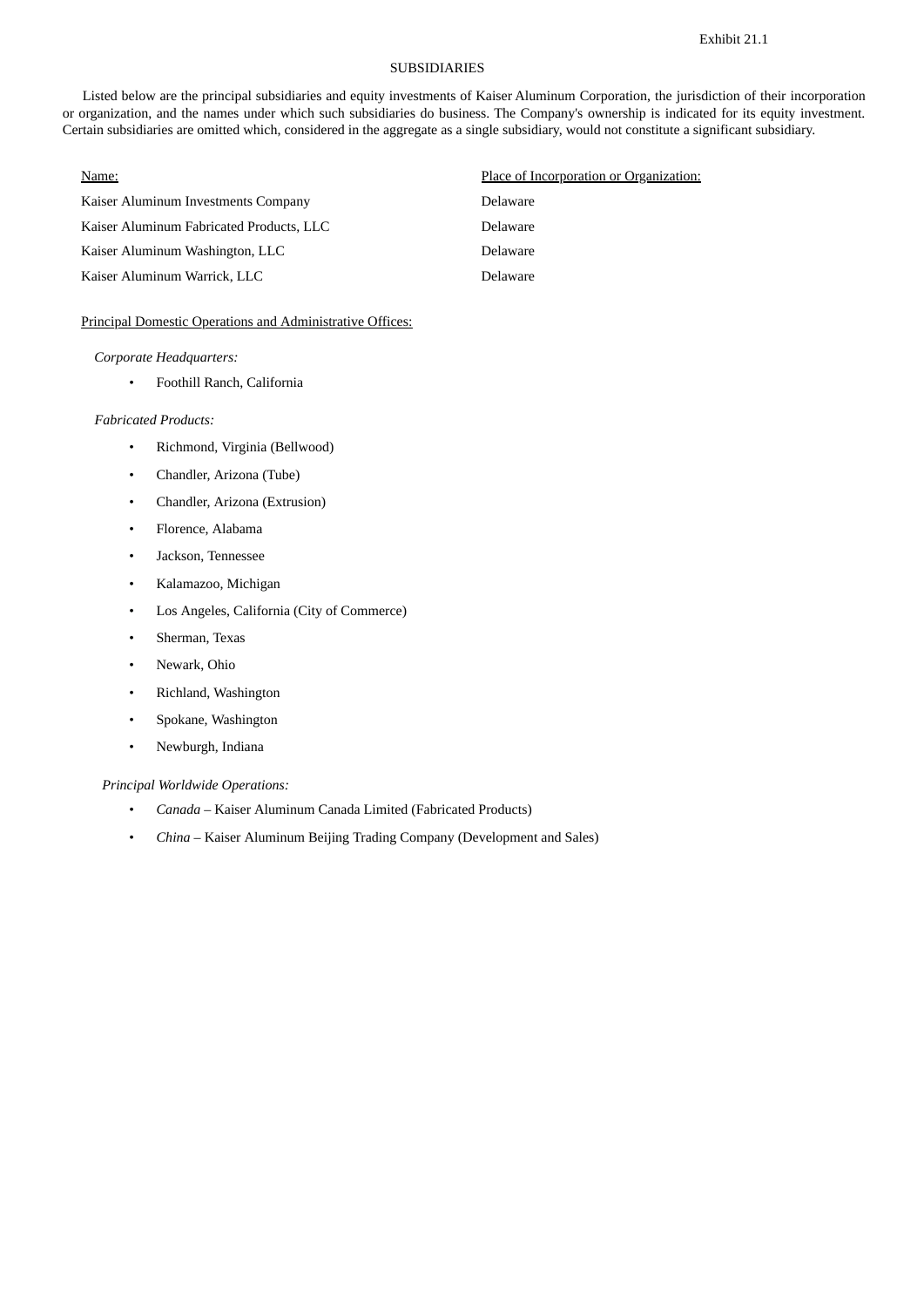# SUBSIDIARIES

<span id="page-98-0"></span>Listed below are the principal subsidiaries and equity investments of Kaiser Aluminum Corporation, the jurisdiction of their incorporation or organization, and the names under which such subsidiaries do business. The Company's ownership is indicated for its equity investment. Certain subsidiaries are omitted which, considered in the aggregate as a single subsidiary, would not constitute a significant subsidiary.

| Name:                                    | Place of Incorporation or Organization: |
|------------------------------------------|-----------------------------------------|
| Kaiser Aluminum Investments Company      | Delaware                                |
| Kaiser Aluminum Fabricated Products, LLC | Delaware                                |
| Kaiser Aluminum Washington, LLC          | Delaware                                |
| Kaiser Aluminum Warrick, LLC             | Delaware                                |

# Principal Domestic Operations and Administrative Offices:

#### *Corporate Headquarters:*

• Foothill Ranch, California

#### *Fabricated Products:*

- Richmond, Virginia (Bellwood)
- Chandler, Arizona (Tube)
- Chandler, Arizona (Extrusion)
- Florence, Alabama
- Jackson, Tennessee
- Kalamazoo, Michigan
- Los Angeles, California (City of Commerce)
- Sherman, Texas
- Newark, Ohio
- Richland, Washington
- Spokane, Washington
- Newburgh, Indiana

#### *Principal Worldwide Operations:*

- *Canada* Kaiser Aluminum Canada Limited (Fabricated Products)
- *China* Kaiser Aluminum Beijing Trading Company (Development and Sales)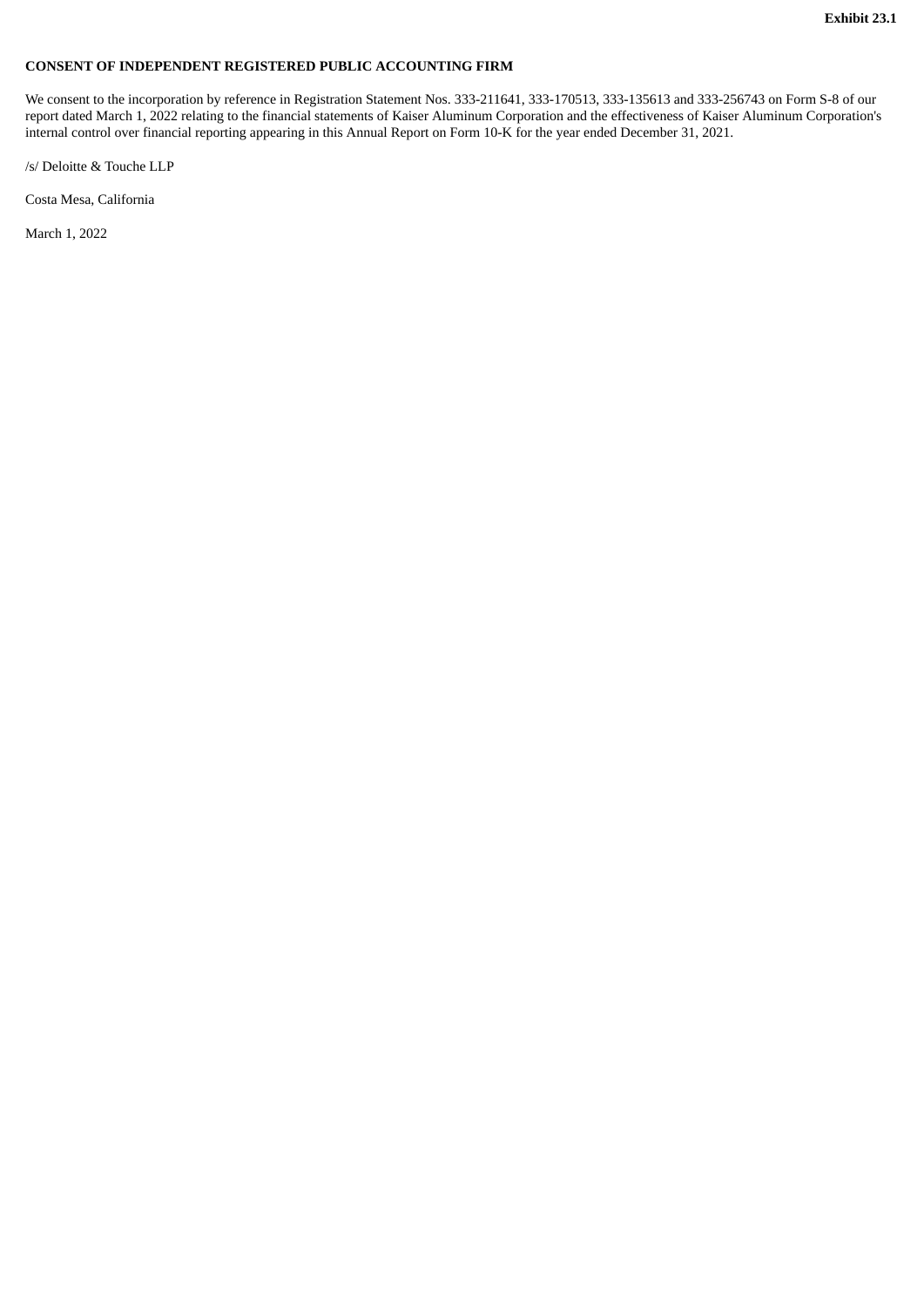# <span id="page-99-0"></span>**CONSENT OF INDEPENDENT REGISTERED PUBLIC ACCOUNTING FIRM**

We consent to the incorporation by reference in Registration Statement Nos. 333-211641, 333-170513, 333-135613 and 333-256743 on Form S-8 of our report dated March 1, 2022 relating to the financial statements of Kaiser Aluminum Corporation and the effectiveness of Kaiser Aluminum Corporation's internal control over financial reporting appearing in this Annual Report on Form 10-K for the year ended December 31, 2021.

/s/ Deloitte & Touche LLP

Costa Mesa, California

March 1, 2022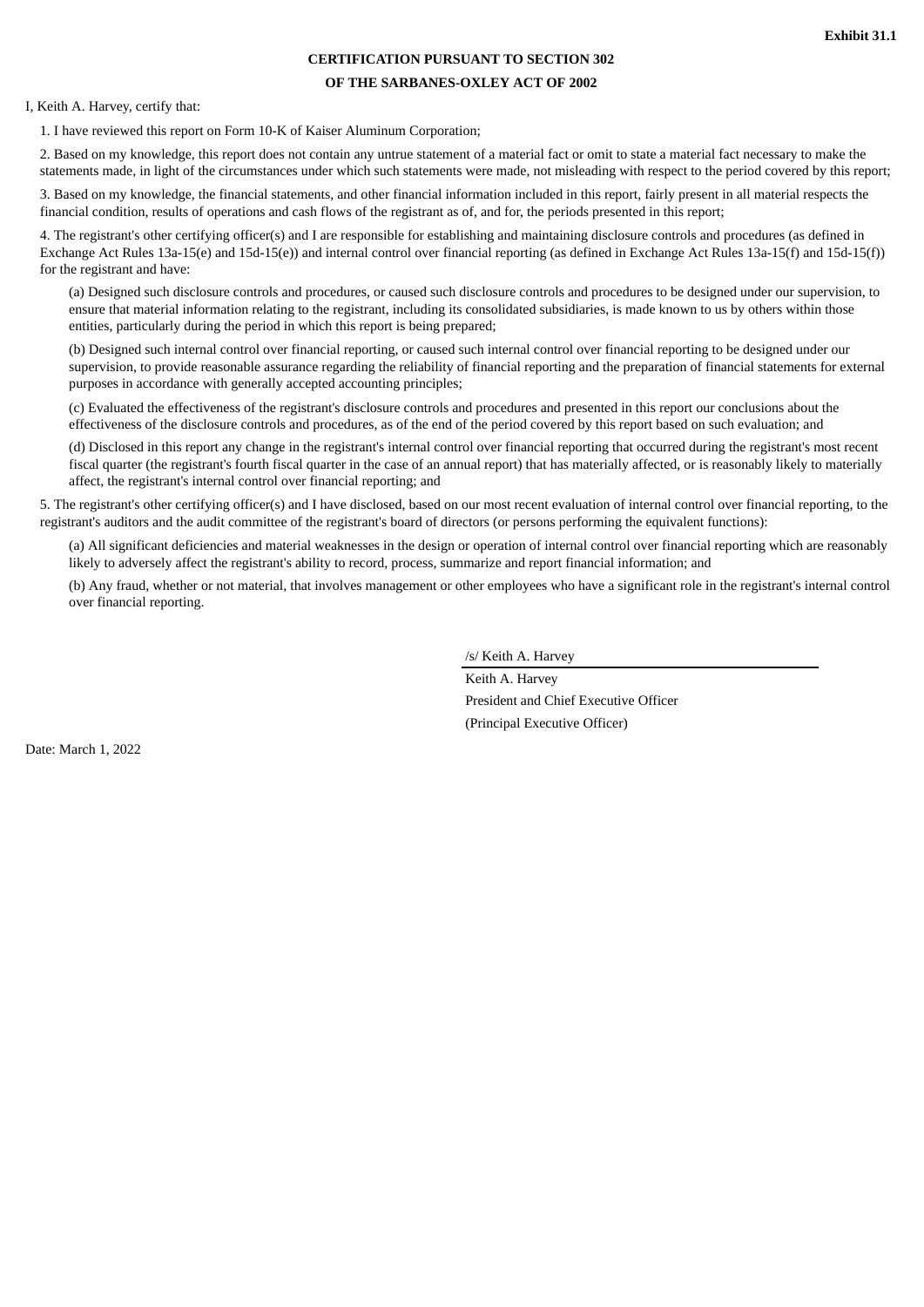# **CERTIFICATION PURSUANT TO SECTION 302**

#### **OF THE SARBANES-OXLEY ACT OF 2002**

<span id="page-100-0"></span>I, Keith A. Harvey, certify that:

1. I have reviewed this report on Form 10-K of Kaiser Aluminum Corporation;

2. Based on my knowledge, this report does not contain any untrue statement of a material fact or omit to state a material fact necessary to make the statements made, in light of the circumstances under which such statements were made, not misleading with respect to the period covered by this report;

3. Based on my knowledge, the financial statements, and other financial information included in this report, fairly present in all material respects the financial condition, results of operations and cash flows of the registrant as of, and for, the periods presented in this report;

4. The registrant's other certifying officer(s) and I are responsible for establishing and maintaining disclosure controls and procedures (as defined in Exchange Act Rules 13a-15(e) and 15d-15(e)) and internal control over financial reporting (as defined in Exchange Act Rules 13a-15(f) and 15d-15(f)) for the registrant and have:

(a) Designed such disclosure controls and procedures, or caused such disclosure controls and procedures to be designed under our supervision, to ensure that material information relating to the registrant, including its consolidated subsidiaries, is made known to us by others within those entities, particularly during the period in which this report is being prepared;

(b) Designed such internal control over financial reporting, or caused such internal control over financial reporting to be designed under our supervision, to provide reasonable assurance regarding the reliability of financial reporting and the preparation of financial statements for external purposes in accordance with generally accepted accounting principles;

(c) Evaluated the effectiveness of the registrant's disclosure controls and procedures and presented in this report our conclusions about the effectiveness of the disclosure controls and procedures, as of the end of the period covered by this report based on such evaluation; and

(d) Disclosed in this report any change in the registrant's internal control over financial reporting that occurred during the registrant's most recent fiscal quarter (the registrant's fourth fiscal quarter in the case of an annual report) that has materially affected, or is reasonably likely to materially affect, the registrant's internal control over financial reporting; and

5. The registrant's other certifying officer(s) and I have disclosed, based on our most recent evaluation of internal control over financial reporting, to the registrant's auditors and the audit committee of the registrant's board of directors (or persons performing the equivalent functions):

(a) All significant deficiencies and material weaknesses in the design or operation of internal control over financial reporting which are reasonably likely to adversely affect the registrant's ability to record, process, summarize and report financial information; and

(b) Any fraud, whether or not material, that involves management or other employees who have a significant role in the registrant's internal control over financial reporting.

/s/ Keith A. Harvey

Keith A. Harvey President and Chief Executive Officer (Principal Executive Officer)

Date: March 1, 2022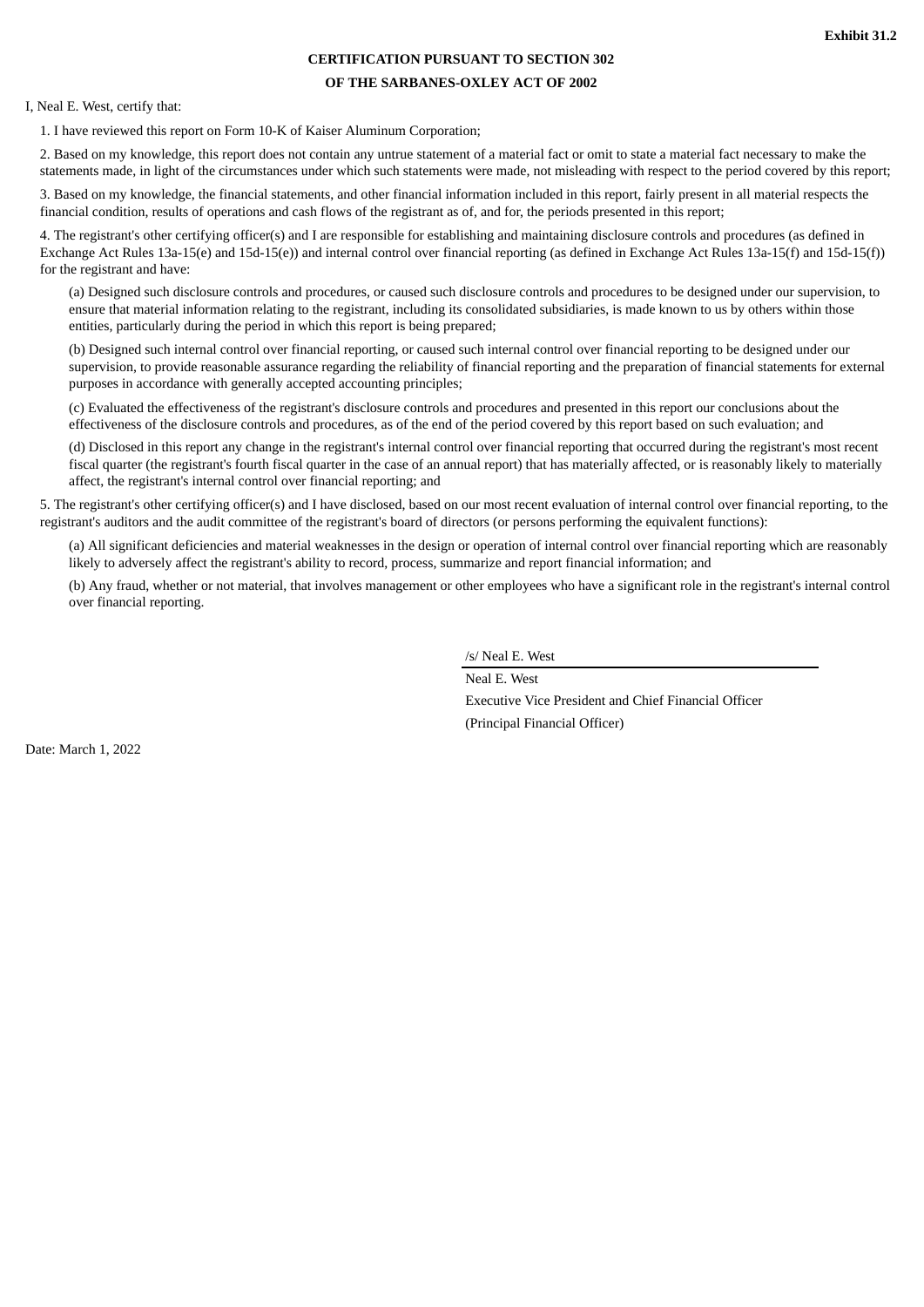# **CERTIFICATION PURSUANT TO SECTION 302**

#### **OF THE SARBANES-OXLEY ACT OF 2002**

<span id="page-101-0"></span>I, Neal E. West, certify that:

1. I have reviewed this report on Form 10-K of Kaiser Aluminum Corporation;

2. Based on my knowledge, this report does not contain any untrue statement of a material fact or omit to state a material fact necessary to make the statements made, in light of the circumstances under which such statements were made, not misleading with respect to the period covered by this report;

3. Based on my knowledge, the financial statements, and other financial information included in this report, fairly present in all material respects the financial condition, results of operations and cash flows of the registrant as of, and for, the periods presented in this report;

4. The registrant's other certifying officer(s) and I are responsible for establishing and maintaining disclosure controls and procedures (as defined in Exchange Act Rules 13a-15(e) and 15d-15(e)) and internal control over financial reporting (as defined in Exchange Act Rules 13a-15(f) and 15d-15(f)) for the registrant and have:

(a) Designed such disclosure controls and procedures, or caused such disclosure controls and procedures to be designed under our supervision, to ensure that material information relating to the registrant, including its consolidated subsidiaries, is made known to us by others within those entities, particularly during the period in which this report is being prepared;

(b) Designed such internal control over financial reporting, or caused such internal control over financial reporting to be designed under our supervision, to provide reasonable assurance regarding the reliability of financial reporting and the preparation of financial statements for external purposes in accordance with generally accepted accounting principles;

(c) Evaluated the effectiveness of the registrant's disclosure controls and procedures and presented in this report our conclusions about the effectiveness of the disclosure controls and procedures, as of the end of the period covered by this report based on such evaluation; and

(d) Disclosed in this report any change in the registrant's internal control over financial reporting that occurred during the registrant's most recent fiscal quarter (the registrant's fourth fiscal quarter in the case of an annual report) that has materially affected, or is reasonably likely to materially affect, the registrant's internal control over financial reporting; and

5. The registrant's other certifying officer(s) and I have disclosed, based on our most recent evaluation of internal control over financial reporting, to the registrant's auditors and the audit committee of the registrant's board of directors (or persons performing the equivalent functions):

(a) All significant deficiencies and material weaknesses in the design or operation of internal control over financial reporting which are reasonably likely to adversely affect the registrant's ability to record, process, summarize and report financial information; and

(b) Any fraud, whether or not material, that involves management or other employees who have a significant role in the registrant's internal control over financial reporting.

/s/ Neal E. West

Neal E. West Executive Vice President and Chief Financial Officer (Principal Financial Officer)

Date: March 1, 2022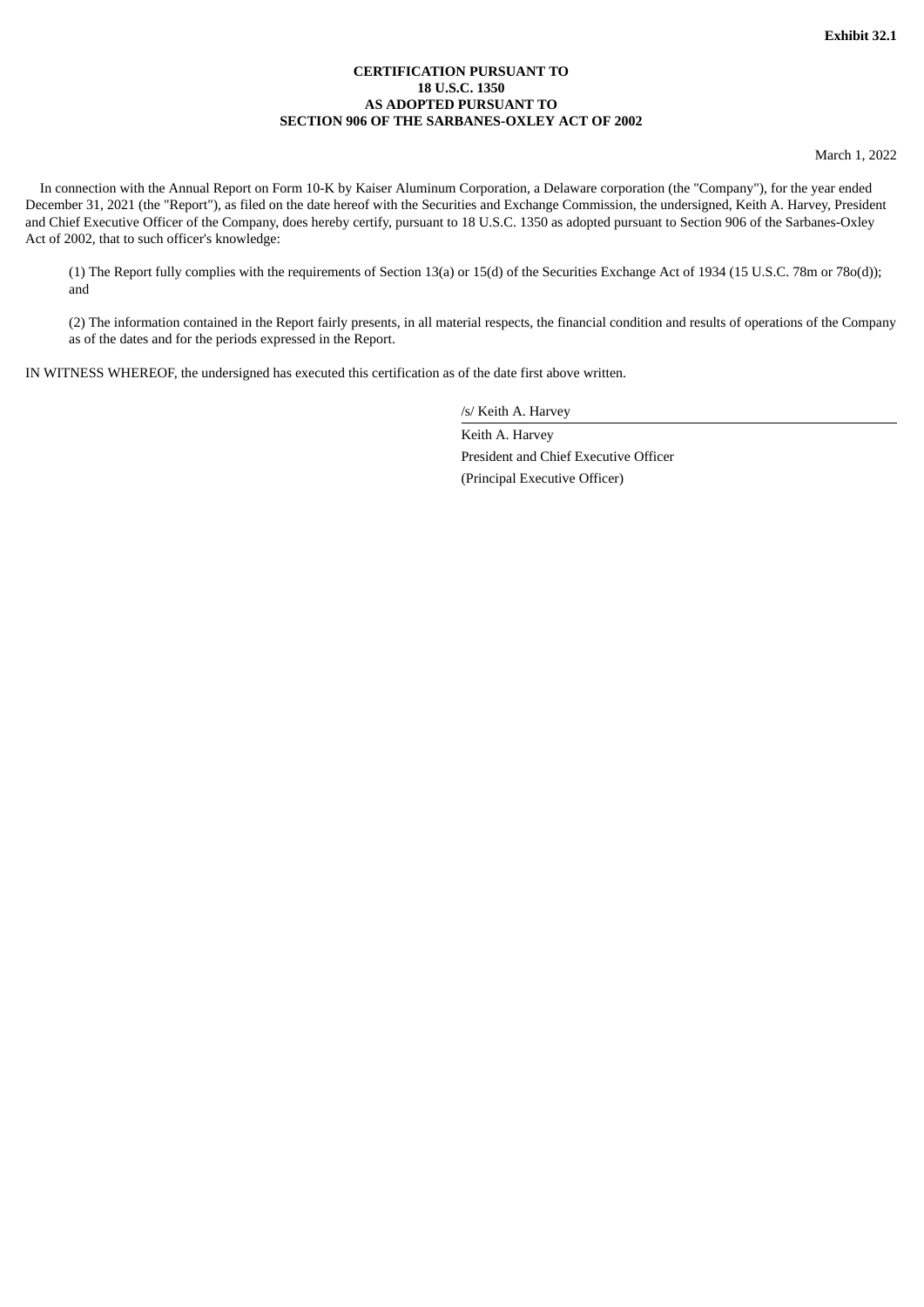## **CERTIFICATION PURSUANT TO 18 U.S.C. 1350 AS ADOPTED PURSUANT TO SECTION 906 OF THE SARBANES-OXLEY ACT OF 2002**

March 1, 2022

<span id="page-102-0"></span>In connection with the Annual Report on Form 10-K by Kaiser Aluminum Corporation, a Delaware corporation (the "Company"), for the year ended December 31, 2021 (the "Report"), as filed on the date hereof with the Securities and Exchange Commission, the undersigned, Keith A. Harvey, President and Chief Executive Officer of the Company, does hereby certify, pursuant to 18 U.S.C. 1350 as adopted pursuant to Section 906 of the Sarbanes-Oxley Act of 2002, that to such officer's knowledge:

(1) The Report fully complies with the requirements of Section 13(a) or 15(d) of the Securities Exchange Act of 1934 (15 U.S.C. 78m or 78o(d)); and

(2) The information contained in the Report fairly presents, in all material respects, the financial condition and results of operations of the Company as of the dates and for the periods expressed in the Report.

IN WITNESS WHEREOF, the undersigned has executed this certification as of the date first above written.

/s/ Keith A. Harvey

Keith A. Harvey President and Chief Executive Officer (Principal Executive Officer)